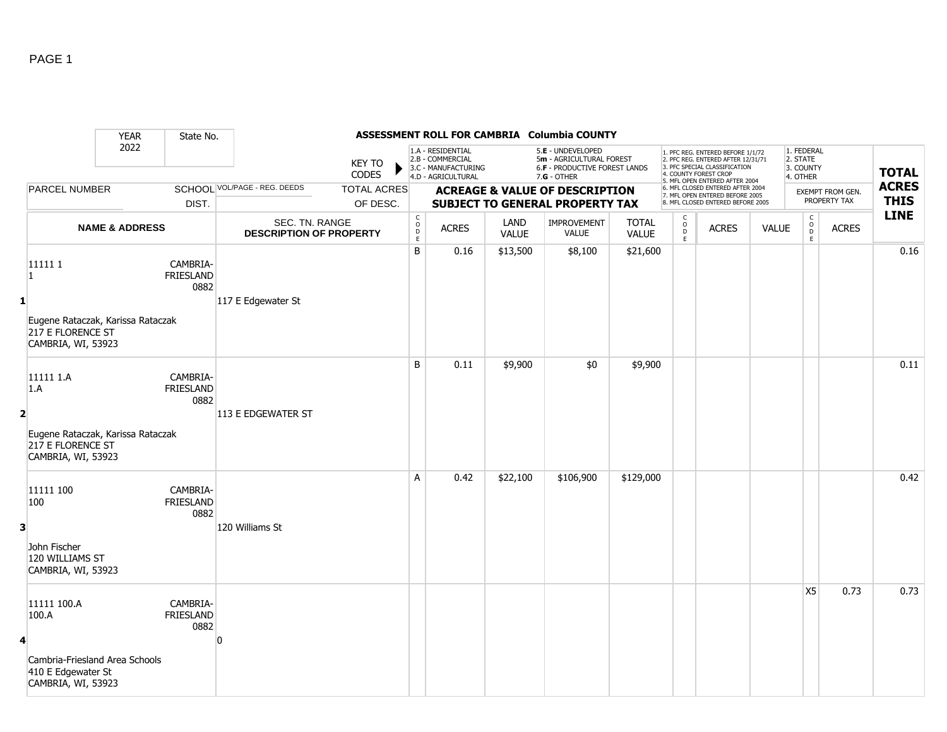|                   |                                                                              | <b>YEAR</b>               | State No.                            |                                                  |                                |                                                                                                                                                                                                 |                                                                                    |                      | ASSESSMENT ROLL FOR CAMBRIA Columbia COUNTY                                                     |                       |                                    |                                                                                                                                                                     |              |                                                 |                                  |                             |
|-------------------|------------------------------------------------------------------------------|---------------------------|--------------------------------------|--------------------------------------------------|--------------------------------|-------------------------------------------------------------------------------------------------------------------------------------------------------------------------------------------------|------------------------------------------------------------------------------------|----------------------|-------------------------------------------------------------------------------------------------|-----------------------|------------------------------------|---------------------------------------------------------------------------------------------------------------------------------------------------------------------|--------------|-------------------------------------------------|----------------------------------|-----------------------------|
|                   |                                                                              | 2022                      |                                      |                                                  | <b>KEY TO</b><br><b>CODES</b>  |                                                                                                                                                                                                 | 1.A - RESIDENTIAL<br>2.B - COMMERCIAL<br>3.C - MANUFACTURING<br>4.D - AGRICULTURAL |                      | 5.E - UNDEVELOPED<br>5m - AGRICULTURAL FOREST<br>6.F - PRODUCTIVE FOREST LANDS<br>$7.G - OTHER$ |                       |                                    | 1. PFC REG. ENTERED BEFORE 1/1/72<br>2. PFC REG. ENTERED AFTER 12/31/71<br>3. PFC SPECIAL CLASSIFICATION<br>4. COUNTY FOREST CROP<br>5. MFL OPEN ENTERED AFTER 2004 |              | 1. FEDERAL<br>2. STATE<br>3. COUNTY<br>4. OTHER |                                  | <b>TOTAL</b>                |
|                   | <b>PARCEL NUMBER</b>                                                         |                           | DIST.                                | SCHOOL VOL/PAGE - REG. DEEDS                     | <b>TOTAL ACRES</b><br>OF DESC. | 6. MFL CLOSED ENTERED AFTER 2004<br><b>ACREAGE &amp; VALUE OF DESCRIPTION</b><br>7. MFL OPEN ENTERED BEFORE 2005<br><b>SUBJECT TO GENERAL PROPERTY TAX</b><br>8. MFL CLOSED ENTERED BEFORE 2005 |                                                                                    |                      |                                                                                                 |                       |                                    |                                                                                                                                                                     |              |                                                 | EXEMPT FROM GEN.<br>PROPERTY TAX | <b>ACRES</b><br><b>THIS</b> |
|                   |                                                                              | <b>NAME &amp; ADDRESS</b> |                                      | SEC. TN. RANGE<br><b>DESCRIPTION OF PROPERTY</b> |                                | $\mathsf C$<br>$\circ$<br>$\mathsf D$<br>E                                                                                                                                                      | <b>ACRES</b>                                                                       | LAND<br><b>VALUE</b> | IMPROVEMENT<br>VALUE                                                                            | <b>TOTAL</b><br>VALUE | C<br>$\mathsf{o}$<br>$\frac{D}{E}$ | <b>ACRES</b>                                                                                                                                                        | <b>VALUE</b> | C<br>$\mathsf O$<br>D<br>E                      | <b>ACRES</b>                     | <b>LINE</b>                 |
| $\mathbf{1}$<br>1 | 111111<br>Eugene Rataczak, Karissa Rataczak                                  |                           | CAMBRIA-<br>FRIESLAND<br>0882        | 117 E Edgewater St                               |                                | $\sf B$                                                                                                                                                                                         | 0.16                                                                               | \$13,500             | \$8,100                                                                                         | \$21,600              |                                    |                                                                                                                                                                     |              |                                                 |                                  | 0.16                        |
|                   | 217 E FLORENCE ST<br>CAMBRIA, WI, 53923                                      |                           |                                      |                                                  |                                |                                                                                                                                                                                                 |                                                                                    |                      |                                                                                                 |                       |                                    |                                                                                                                                                                     |              |                                                 |                                  |                             |
| 1.A<br>2          | 11111 1.A                                                                    |                           | CAMBRIA-<br><b>FRIESLAND</b><br>0882 | 113 E EDGEWATER ST                               |                                | B                                                                                                                                                                                               | 0.11                                                                               | \$9,900              | \$0                                                                                             | \$9,900               |                                    |                                                                                                                                                                     |              |                                                 |                                  | 0.11                        |
|                   | Eugene Rataczak, Karissa Rataczak<br>217 E FLORENCE ST<br>CAMBRIA, WI, 53923 |                           |                                      |                                                  |                                |                                                                                                                                                                                                 |                                                                                    |                      |                                                                                                 |                       |                                    |                                                                                                                                                                     |              |                                                 |                                  |                             |
| 100               | 11111 100                                                                    |                           | CAMBRIA-<br><b>FRIESLAND</b><br>0882 |                                                  |                                | A                                                                                                                                                                                               | 0.42                                                                               | \$22,100             | \$106,900                                                                                       | \$129,000             |                                    |                                                                                                                                                                     |              |                                                 |                                  | 0.42                        |
| 3                 | John Fischer<br>120 WILLIAMS ST<br>CAMBRIA, WI, 53923                        |                           |                                      | 120 Williams St                                  |                                |                                                                                                                                                                                                 |                                                                                    |                      |                                                                                                 |                       |                                    |                                                                                                                                                                     |              |                                                 |                                  |                             |
| 100.A<br>4        | 11111 100.A                                                                  |                           | CAMBRIA-<br><b>FRIESLAND</b><br>0882 |                                                  |                                |                                                                                                                                                                                                 |                                                                                    |                      |                                                                                                 |                       |                                    |                                                                                                                                                                     |              | <b>X5</b>                                       | 0.73                             | 0.73                        |
|                   | Cambria-Friesland Area Schools<br>410 E Edgewater St<br>CAMBRIA, WI, 53923   |                           |                                      |                                                  |                                |                                                                                                                                                                                                 |                                                                                    |                      |                                                                                                 |                       |                                    |                                                                                                                                                                     |              |                                                 |                                  |                             |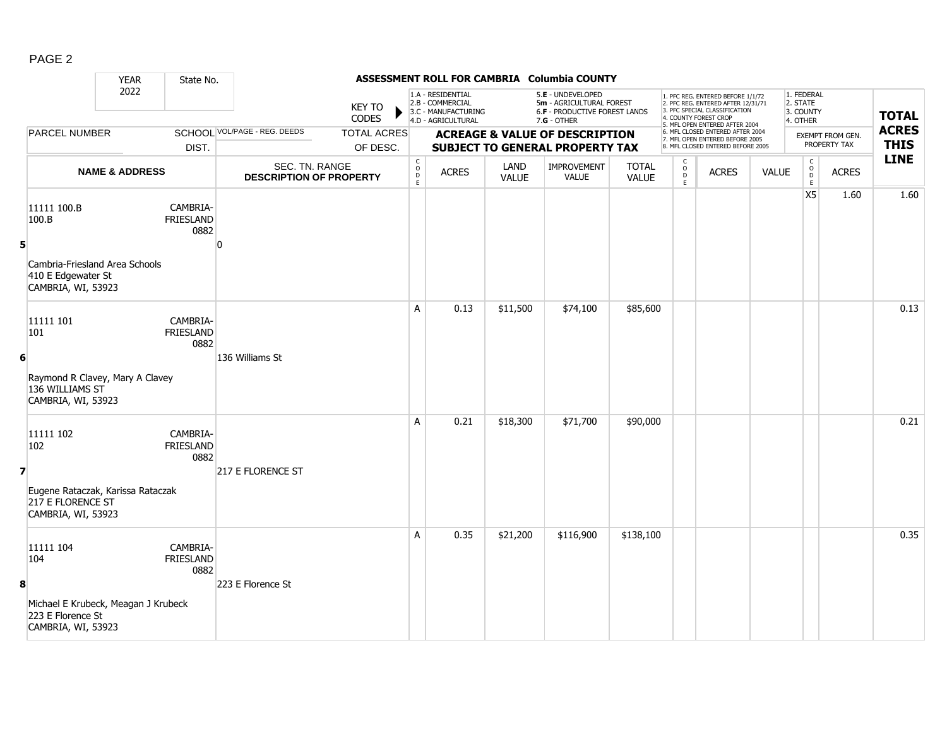|--|--|

|                |                                                                                | <b>YEAR</b>                           | State No.                            |                                                  |                        |                                                                              |                                                                                    |                      | ASSESSMENT ROLL FOR CAMBRIA Columbia COUNTY                                                     |                       |                                                                                                          |                                                                                                                                                                     |              |                                                 |                             |              |
|----------------|--------------------------------------------------------------------------------|---------------------------------------|--------------------------------------|--------------------------------------------------|------------------------|------------------------------------------------------------------------------|------------------------------------------------------------------------------------|----------------------|-------------------------------------------------------------------------------------------------|-----------------------|----------------------------------------------------------------------------------------------------------|---------------------------------------------------------------------------------------------------------------------------------------------------------------------|--------------|-------------------------------------------------|-----------------------------|--------------|
|                |                                                                                | 2022                                  |                                      |                                                  | <b>KEY TO</b><br>CODES |                                                                              | 1.A - RESIDENTIAL<br>2.B - COMMERCIAL<br>3.C - MANUFACTURING<br>4.D - AGRICULTURAL |                      | 5.E - UNDEVELOPED<br>5m - AGRICULTURAL FOREST<br>6.F - PRODUCTIVE FOREST LANDS<br>$7.G - OTHER$ |                       |                                                                                                          | 1. PFC REG. ENTERED BEFORE 1/1/72<br>2. PFC REG. ENTERED AFTER 12/31/71<br>3. PFC SPECIAL CLASSIFICATION<br>4. COUNTY FOREST CROP<br>5. MFL OPEN ENTERED AFTER 2004 |              | 1. FEDERAL<br>2. STATE<br>3. COUNTY<br>4. OTHER |                             | <b>TOTAL</b> |
|                | <b>PARCEL NUMBER</b>                                                           | SCHOOL VOL/PAGE - REG. DEEDS<br>DIST. |                                      | <b>TOTAL ACRES</b><br>OF DESC.                   |                        | <b>ACREAGE &amp; VALUE OF DESCRIPTION</b><br>SUBJECT TO GENERAL PROPERTY TAX |                                                                                    |                      |                                                                                                 |                       | 6. MFL CLOSED ENTERED AFTER 2004<br>7. MFL OPEN ENTERED BEFORE 2005<br>8. MFL CLOSED ENTERED BEFORE 2005 |                                                                                                                                                                     |              | EXEMPT FROM GEN.<br>PROPERTY TAX                | <b>ACRES</b><br><b>THIS</b> |              |
|                |                                                                                | <b>NAME &amp; ADDRESS</b>             |                                      | SEC. TN. RANGE<br><b>DESCRIPTION OF PROPERTY</b> |                        | C<br>D<br>D<br>E                                                             | <b>ACRES</b>                                                                       | LAND<br><b>VALUE</b> | <b>IMPROVEMENT</b><br><b>VALUE</b>                                                              | <b>TOTAL</b><br>VALUE | $\begin{array}{c} C \\ 0 \\ D \\ E \end{array}$                                                          | <b>ACRES</b>                                                                                                                                                        | <b>VALUE</b> | C<br>$_{\rm D}^{\rm O}$<br>E                    | <b>ACRES</b>                | <b>LINE</b>  |
| 5 <sup>1</sup> | 11111 100.B<br>100.B                                                           |                                       | CAMBRIA-<br><b>FRIESLAND</b><br>0882 | <sup>0</sup>                                     |                        |                                                                              |                                                                                    |                      |                                                                                                 |                       |                                                                                                          |                                                                                                                                                                     |              | <b>X5</b>                                       | 1.60                        | 1.60         |
|                | Cambria-Friesland Area Schools<br>410 E Edgewater St<br>CAMBRIA, WI, 53923     |                                       |                                      |                                                  |                        |                                                                              |                                                                                    |                      |                                                                                                 |                       |                                                                                                          |                                                                                                                                                                     |              |                                                 |                             |              |
|                | 11111 101<br>101                                                               |                                       | CAMBRIA-<br>FRIESLAND<br>0882        |                                                  |                        | A                                                                            | 0.13                                                                               | \$11,500             | \$74,100                                                                                        | \$85,600              |                                                                                                          |                                                                                                                                                                     |              |                                                 |                             | 0.13         |
| 6              | Raymond R Clavey, Mary A Clavey<br>136 WILLIAMS ST<br>CAMBRIA, WI, 53923       |                                       |                                      | 136 Williams St                                  |                        |                                                                              |                                                                                    |                      |                                                                                                 |                       |                                                                                                          |                                                                                                                                                                     |              |                                                 |                             |              |
| $\overline{7}$ | 11111 102<br>102                                                               |                                       | CAMBRIA-<br><b>FRIESLAND</b><br>0882 | 217 E FLORENCE ST                                |                        | A                                                                            | 0.21                                                                               | \$18,300             | \$71,700                                                                                        | \$90,000              |                                                                                                          |                                                                                                                                                                     |              |                                                 |                             | 0.21         |
|                | Eugene Rataczak, Karissa Rataczak<br>217 E FLORENCE ST<br>CAMBRIA, WI, 53923   |                                       |                                      |                                                  |                        |                                                                              |                                                                                    |                      |                                                                                                 |                       |                                                                                                          |                                                                                                                                                                     |              |                                                 |                             |              |
| 8              | 11111 104<br>104                                                               |                                       | CAMBRIA-<br>FRIESLAND<br>0882        | 223 E Florence St                                |                        | A                                                                            | 0.35                                                                               | \$21,200             | \$116,900                                                                                       | \$138,100             |                                                                                                          |                                                                                                                                                                     |              |                                                 |                             | 0.35         |
|                | Michael E Krubeck, Meagan J Krubeck<br>223 E Florence St<br>CAMBRIA, WI, 53923 |                                       |                                      |                                                  |                        |                                                                              |                                                                                    |                      |                                                                                                 |                       |                                                                                                          |                                                                                                                                                                     |              |                                                 |                             |              |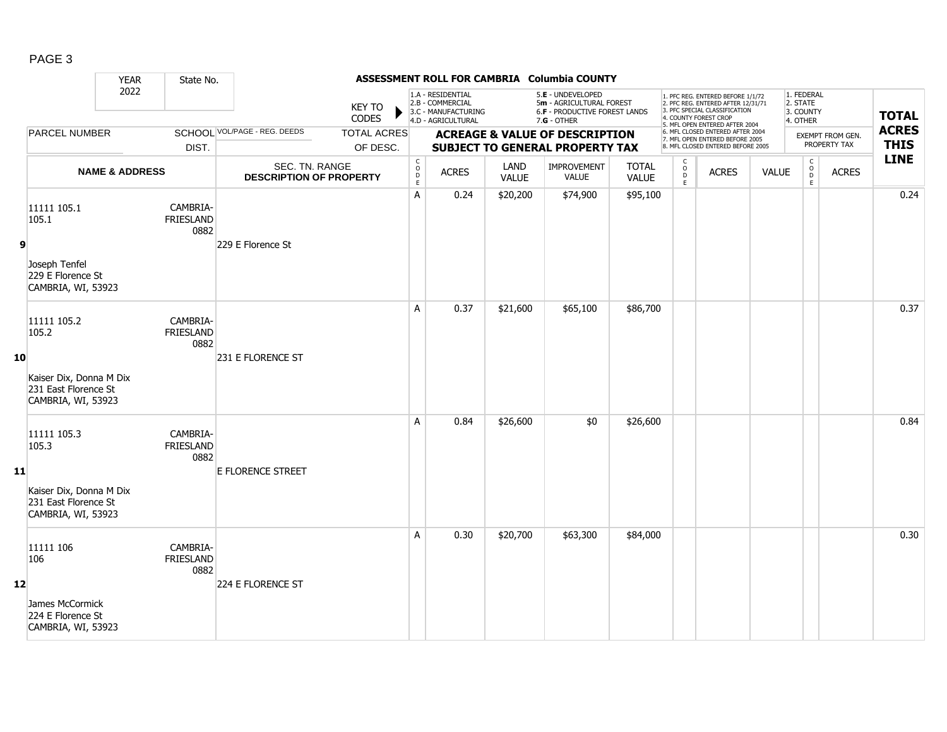|--|--|

|    |                                                                       | <b>YEAR</b>               | State No.                            |                                                  |                               |                                                                                     |                                                                                    |                      | ASSESSMENT ROLL FOR CAMBRIA Columbia COUNTY                                                     |                              |                                                                                                          |                                                                                                                                                                     |                                  |                                                              |                             |              |
|----|-----------------------------------------------------------------------|---------------------------|--------------------------------------|--------------------------------------------------|-------------------------------|-------------------------------------------------------------------------------------|------------------------------------------------------------------------------------|----------------------|-------------------------------------------------------------------------------------------------|------------------------------|----------------------------------------------------------------------------------------------------------|---------------------------------------------------------------------------------------------------------------------------------------------------------------------|----------------------------------|--------------------------------------------------------------|-----------------------------|--------------|
|    |                                                                       | 2022                      |                                      |                                                  | <b>KEY TO</b><br><b>CODES</b> |                                                                                     | 1.A - RESIDENTIAL<br>2.B - COMMERCIAL<br>3.C - MANUFACTURING<br>4.D - AGRICULTURAL |                      | 5.E - UNDEVELOPED<br>5m - AGRICULTURAL FOREST<br>6.F - PRODUCTIVE FOREST LANDS<br>$7.G - OTHER$ |                              |                                                                                                          | 1. PFC REG. ENTERED BEFORE 1/1/72<br>2. PFC REG. ENTERED AFTER 12/31/71<br>3. PFC SPECIAL CLASSIFICATION<br>4. COUNTY FOREST CROP<br>5. MFL OPEN ENTERED AFTER 2004 |                                  | 1. FEDERAL<br>2. STATE<br>3. COUNTY<br>4. OTHER              |                             | <b>TOTAL</b> |
|    | PARCEL NUMBER<br>DIST.                                                |                           | SCHOOL VOL/PAGE - REG. DEEDS         | <b>TOTAL ACRES</b><br>OF DESC.                   |                               | <b>ACREAGE &amp; VALUE OF DESCRIPTION</b><br><b>SUBJECT TO GENERAL PROPERTY TAX</b> |                                                                                    |                      |                                                                                                 |                              | 6. MFL CLOSED ENTERED AFTER 2004<br>7. MFL OPEN ENTERED BEFORE 2005<br>8. MFL CLOSED ENTERED BEFORE 2005 |                                                                                                                                                                     | EXEMPT FROM GEN.<br>PROPERTY TAX |                                                              | <b>ACRES</b><br><b>THIS</b> |              |
|    |                                                                       | <b>NAME &amp; ADDRESS</b> |                                      | SEC. TN. RANGE<br><b>DESCRIPTION OF PROPERTY</b> |                               | $\mathsf{C}$<br>$\overset{\circ}{\mathsf{D}}$<br>E                                  | <b>ACRES</b>                                                                       | LAND<br><b>VALUE</b> | <b>IMPROVEMENT</b><br>VALUE                                                                     | <b>TOTAL</b><br><b>VALUE</b> | C<br>$\begin{array}{c}\n0 \\ 0 \\ E\n\end{array}$                                                        | <b>ACRES</b>                                                                                                                                                        | <b>VALUE</b>                     | $\mathsf{C}$<br>$\begin{array}{c}\n0 \\ D \\ E\n\end{array}$ | <b>ACRES</b>                | <b>LINE</b>  |
|    | 11111 105.1<br>105.1                                                  |                           | CAMBRIA-<br><b>FRIESLAND</b><br>0882 |                                                  |                               | A                                                                                   | 0.24                                                                               | \$20,200             | \$74,900                                                                                        | \$95,100                     |                                                                                                          |                                                                                                                                                                     |                                  |                                                              |                             | 0.24         |
| 9  | Joseph Tenfel<br>229 E Florence St<br>CAMBRIA, WI, 53923              |                           |                                      | 229 E Florence St                                |                               |                                                                                     |                                                                                    |                      |                                                                                                 |                              |                                                                                                          |                                                                                                                                                                     |                                  |                                                              |                             |              |
|    | 11111 105.2<br>105.2                                                  |                           | CAMBRIA-<br><b>FRIESLAND</b><br>0882 |                                                  |                               | A                                                                                   | 0.37                                                                               | \$21,600             | \$65,100                                                                                        | \$86,700                     |                                                                                                          |                                                                                                                                                                     |                                  |                                                              |                             | 0.37         |
| 10 | Kaiser Dix, Donna M Dix<br>231 East Florence St<br>CAMBRIA, WI, 53923 |                           |                                      | 231 E FLORENCE ST                                |                               |                                                                                     |                                                                                    |                      |                                                                                                 |                              |                                                                                                          |                                                                                                                                                                     |                                  |                                                              |                             |              |
|    | 11111 105.3<br>105.3                                                  |                           | CAMBRIA-<br><b>FRIESLAND</b><br>0882 |                                                  |                               | A                                                                                   | 0.84                                                                               | \$26,600             | \$0                                                                                             | \$26,600                     |                                                                                                          |                                                                                                                                                                     |                                  |                                                              |                             | 0.84         |
| 11 | Kaiser Dix, Donna M Dix<br>231 East Florence St<br>CAMBRIA, WI, 53923 |                           |                                      | <b>E FLORENCE STREET</b>                         |                               |                                                                                     |                                                                                    |                      |                                                                                                 |                              |                                                                                                          |                                                                                                                                                                     |                                  |                                                              |                             |              |
|    | 11111 106<br>106                                                      |                           | CAMBRIA-<br><b>FRIESLAND</b><br>0882 |                                                  |                               | A                                                                                   | 0.30                                                                               | \$20,700             | \$63,300                                                                                        | \$84,000                     |                                                                                                          |                                                                                                                                                                     |                                  |                                                              |                             | 0.30         |
| 12 | James McCormick<br>224 E Florence St<br>CAMBRIA, WI, 53923            |                           |                                      | 224 E FLORENCE ST                                |                               |                                                                                     |                                                                                    |                      |                                                                                                 |                              |                                                                                                          |                                                                                                                                                                     |                                  |                                                              |                             |              |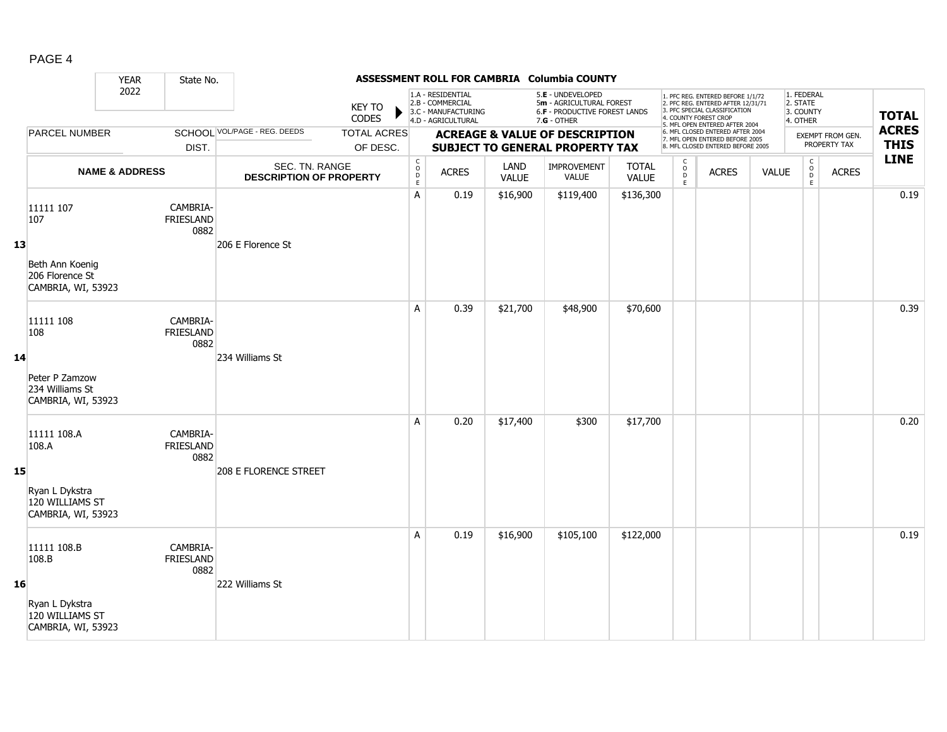|--|--|

|    |                                                         | <b>YEAR</b>               | State No.                     |                                                  |                                |                                                  |                                                                                    |               | ASSESSMENT ROLL FOR CAMBRIA Columbia COUNTY                                                   |                              |                  |                                                                                                                                                                     |              |                                                 |                                  |                             |
|----|---------------------------------------------------------|---------------------------|-------------------------------|--------------------------------------------------|--------------------------------|--------------------------------------------------|------------------------------------------------------------------------------------|---------------|-----------------------------------------------------------------------------------------------|------------------------------|------------------|---------------------------------------------------------------------------------------------------------------------------------------------------------------------|--------------|-------------------------------------------------|----------------------------------|-----------------------------|
|    |                                                         | 2022                      |                               |                                                  | <b>KEY TO</b><br><b>CODES</b>  |                                                  | 1.A - RESIDENTIAL<br>2.B - COMMERCIAL<br>3.C - MANUFACTURING<br>4.D - AGRICULTURAL |               | 5.E - UNDEVELOPED<br>5m - AGRICULTURAL FOREST<br>6.F - PRODUCTIVE FOREST LANDS<br>7.G - OTHER |                              |                  | 1. PFC REG. ENTERED BEFORE 1/1/72<br>2. PFC REG. ENTERED AFTER 12/31/71<br>3. PFC SPECIAL CLASSIFICATION<br>4. COUNTY FOREST CROP<br>5. MFL OPEN ENTERED AFTER 2004 |              | 1. FEDERAL<br>2. STATE<br>3. COUNTY<br>4. OTHER |                                  | <b>TOTAL</b>                |
|    | PARCEL NUMBER                                           |                           | DIST.                         | <b>SCHOOL VOL/PAGE - REG. DEEDS</b>              | <b>TOTAL ACRES</b><br>OF DESC. |                                                  |                                                                                    |               | <b>ACREAGE &amp; VALUE OF DESCRIPTION</b><br><b>SUBJECT TO GENERAL PROPERTY TAX</b>           |                              |                  | 6. MFL CLOSED ENTERED AFTER 2004<br>7. MFL OPEN ENTERED BEFORE 2005<br>8. MFL CLOSED ENTERED BEFORE 2005                                                            |              |                                                 | EXEMPT FROM GEN.<br>PROPERTY TAX | <b>ACRES</b><br><b>THIS</b> |
|    |                                                         | <b>NAME &amp; ADDRESS</b> |                               | SEC. TN. RANGE<br><b>DESCRIPTION OF PROPERTY</b> |                                | $\mathsf{C}$<br>$\mathsf{o}$<br>D<br>$\mathsf E$ | <b>ACRES</b>                                                                       | LAND<br>VALUE | <b>IMPROVEMENT</b><br>VALUE                                                                   | <b>TOTAL</b><br><b>VALUE</b> | C<br>D<br>D<br>E | <b>ACRES</b>                                                                                                                                                        | <b>VALUE</b> | $\mathsf C$<br>$_{\rm D}^{\rm O}$<br>E          | <b>ACRES</b>                     | <b>LINE</b>                 |
| 13 | 11111 107<br>107<br>Beth Ann Koenig<br>206 Florence St  |                           | CAMBRIA-<br>FRIESLAND<br>0882 | 206 E Florence St                                |                                | A                                                | 0.19                                                                               | \$16,900      | \$119,400                                                                                     | \$136,300                    |                  |                                                                                                                                                                     |              |                                                 |                                  | 0.19                        |
|    | CAMBRIA, WI, 53923<br>11111 108<br>108                  |                           | CAMBRIA-<br>FRIESLAND<br>0882 |                                                  |                                | A                                                | 0.39                                                                               | \$21,700      | \$48,900                                                                                      | \$70,600                     |                  |                                                                                                                                                                     |              |                                                 |                                  | 0.39                        |
| 14 | Peter P Zamzow<br>234 Williams St<br>CAMBRIA, WI, 53923 |                           |                               | 234 Williams St                                  |                                |                                                  |                                                                                    |               |                                                                                               |                              |                  |                                                                                                                                                                     |              |                                                 |                                  |                             |
| 15 | 11111 108.A<br>108.A                                    |                           | CAMBRIA-<br>FRIESLAND<br>0882 | <b>208 E FLORENCE STREET</b>                     |                                | A                                                | 0.20                                                                               | \$17,400      | \$300                                                                                         | \$17,700                     |                  |                                                                                                                                                                     |              |                                                 |                                  | 0.20                        |
|    | Ryan L Dykstra<br>120 WILLIAMS ST<br>CAMBRIA, WI, 53923 |                           |                               |                                                  |                                |                                                  |                                                                                    |               |                                                                                               |                              |                  |                                                                                                                                                                     |              |                                                 |                                  |                             |
| 16 | 11111 108.B<br>108.B                                    |                           | CAMBRIA-<br>FRIESLAND<br>0882 | 222 Williams St                                  |                                | A                                                | 0.19                                                                               | \$16,900      | \$105,100                                                                                     | \$122,000                    |                  |                                                                                                                                                                     |              |                                                 |                                  | 0.19                        |
|    | Ryan L Dykstra<br>120 WILLIAMS ST<br>CAMBRIA, WI, 53923 |                           |                               |                                                  |                                |                                                  |                                                                                    |               |                                                                                               |                              |                  |                                                                                                                                                                     |              |                                                 |                                  |                             |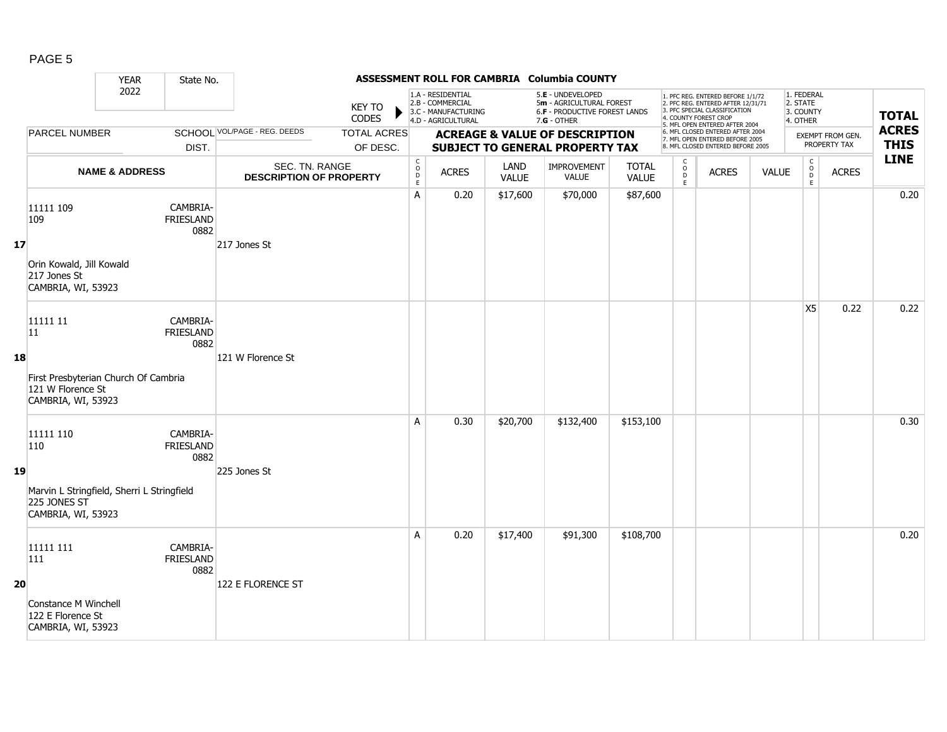|--|--|

|    |                                                                                                             | <b>YEAR</b>               | State No.                            |                                                  |                                |                                               |                                                                                    |                      | ASSESSMENT ROLL FOR CAMBRIA Columbia COUNTY                                                   |                              |                                                |                                                                                                                                                                     |              |                                                 |                                         |                             |
|----|-------------------------------------------------------------------------------------------------------------|---------------------------|--------------------------------------|--------------------------------------------------|--------------------------------|-----------------------------------------------|------------------------------------------------------------------------------------|----------------------|-----------------------------------------------------------------------------------------------|------------------------------|------------------------------------------------|---------------------------------------------------------------------------------------------------------------------------------------------------------------------|--------------|-------------------------------------------------|-----------------------------------------|-----------------------------|
|    |                                                                                                             | 2022                      |                                      |                                                  | <b>KEY TO</b><br>CODES         |                                               | 1.A - RESIDENTIAL<br>2.B - COMMERCIAL<br>3.C - MANUFACTURING<br>4.D - AGRICULTURAL |                      | 5.E - UNDEVELOPED<br>5m - AGRICULTURAL FOREST<br>6.F - PRODUCTIVE FOREST LANDS<br>7.G - OTHER |                              |                                                | 1. PFC REG. ENTERED BEFORE 1/1/72<br>2. PFC REG. ENTERED AFTER 12/31/71<br>3. PFC SPECIAL CLASSIFICATION<br>4. COUNTY FOREST CROP<br>5. MFL OPEN ENTERED AFTER 2004 |              | 1. FEDERAL<br>2. STATE<br>3. COUNTY<br>4. OTHER |                                         | <b>TOTAL</b>                |
|    | <b>PARCEL NUMBER</b>                                                                                        |                           | DIST.                                | SCHOOL VOL/PAGE - REG. DEEDS                     | <b>TOTAL ACRES</b><br>OF DESC. |                                               |                                                                                    |                      | <b>ACREAGE &amp; VALUE OF DESCRIPTION</b><br><b>SUBJECT TO GENERAL PROPERTY TAX</b>           |                              |                                                | 6. MFL CLOSED ENTERED AFTER 2004<br>7. MFL OPEN ENTERED BEFORE 2005<br>8. MFL CLOSED ENTERED BEFORE 2005                                                            |              |                                                 | <b>EXEMPT FROM GEN.</b><br>PROPERTY TAX | <b>ACRES</b><br><b>THIS</b> |
|    |                                                                                                             | <b>NAME &amp; ADDRESS</b> |                                      | SEC. TN. RANGE<br><b>DESCRIPTION OF PROPERTY</b> |                                | $\mathsf C$<br>$\circ$<br>$\overline{D}$<br>E | <b>ACRES</b>                                                                       | LAND<br><b>VALUE</b> | <b>IMPROVEMENT</b><br><b>VALUE</b>                                                            | <b>TOTAL</b><br><b>VALUE</b> | $\begin{matrix} 0 \\ 0 \\ 0 \end{matrix}$<br>E | <b>ACRES</b>                                                                                                                                                        | <b>VALUE</b> | $\mathsf{C}$<br>$_{\rm D}^{\rm O}$<br>E         | <b>ACRES</b>                            | <b>LINE</b>                 |
| 17 | 11111 109<br>109<br>Orin Kowald, Jill Kowald<br>217 Jones St<br>CAMBRIA, WI, 53923                          |                           | CAMBRIA-<br><b>FRIESLAND</b><br>0882 | 217 Jones St                                     |                                | A                                             | 0.20                                                                               | \$17,600             | \$70,000                                                                                      | \$87,600                     |                                                |                                                                                                                                                                     |              |                                                 |                                         | 0.20                        |
| 18 | 11111 11<br>$ 11\rangle$<br>First Presbyterian Church Of Cambria<br>121 W Florence St<br>CAMBRIA, WI, 53923 |                           | CAMBRIA-<br>FRIESLAND<br>0882        | 121 W Florence St                                |                                |                                               |                                                                                    |                      |                                                                                               |                              |                                                |                                                                                                                                                                     |              | X5                                              | 0.22                                    | 0.22                        |
| 19 | 11111 110<br>110<br>Marvin L Stringfield, Sherri L Stringfield<br>225 JONES ST<br>CAMBRIA, WI, 53923        |                           | CAMBRIA-<br>FRIESLAND<br>0882        | 225 Jones St                                     |                                | A                                             | 0.30                                                                               | \$20,700             | \$132,400                                                                                     | \$153,100                    |                                                |                                                                                                                                                                     |              |                                                 |                                         | 0.30                        |
| 20 | 11111 111<br>111<br>Constance M Winchell<br>122 E Florence St<br>CAMBRIA, WI, 53923                         |                           | CAMBRIA-<br>FRIESLAND<br>0882        | 122 E FLORENCE ST                                |                                | A                                             | 0.20                                                                               | \$17,400             | \$91,300                                                                                      | \$108,700                    |                                                |                                                                                                                                                                     |              |                                                 |                                         | 0.20                        |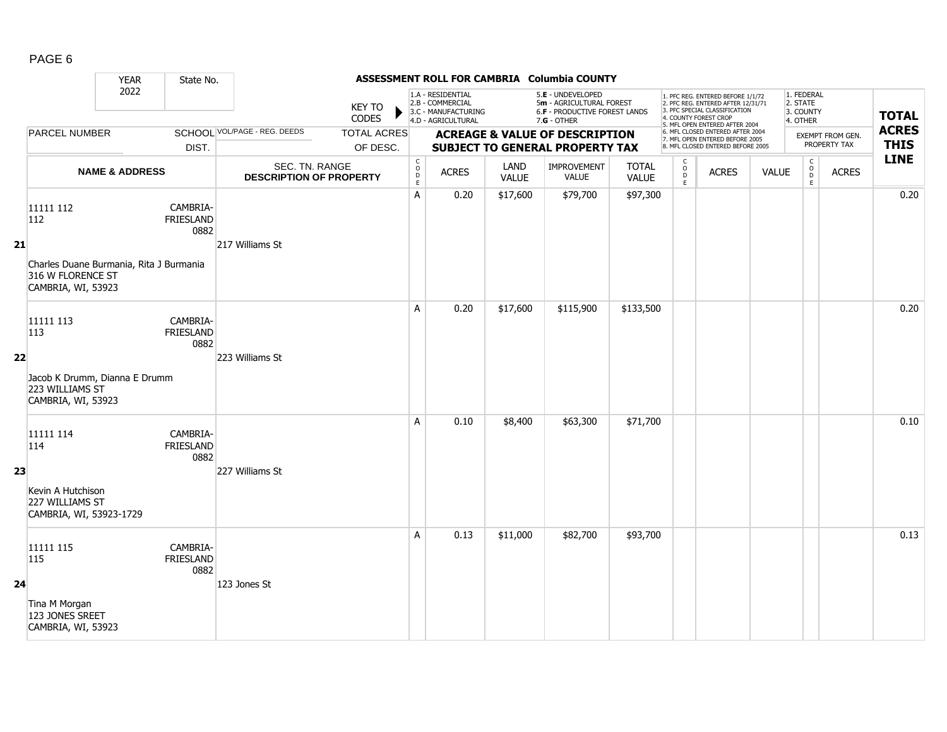| j |  |
|---|--|
|---|--|

|    |                                                                                    | <b>YEAR</b>               | State No.                            |                                                  |                                |                                              |                                                                                    |                      | ASSESSMENT ROLL FOR CAMBRIA Columbia COUNTY                                                     |                       |                                                 |                                                                                                                                                                     |              |                                                 |                                  |                             |
|----|------------------------------------------------------------------------------------|---------------------------|--------------------------------------|--------------------------------------------------|--------------------------------|----------------------------------------------|------------------------------------------------------------------------------------|----------------------|-------------------------------------------------------------------------------------------------|-----------------------|-------------------------------------------------|---------------------------------------------------------------------------------------------------------------------------------------------------------------------|--------------|-------------------------------------------------|----------------------------------|-----------------------------|
|    |                                                                                    | 2022                      |                                      |                                                  | <b>KEY TO</b><br><b>CODES</b>  |                                              | 1.A - RESIDENTIAL<br>2.B - COMMERCIAL<br>3.C - MANUFACTURING<br>4.D - AGRICULTURAL |                      | 5.E - UNDEVELOPED<br>5m - AGRICULTURAL FOREST<br>6.F - PRODUCTIVE FOREST LANDS<br>$7.G - OTHER$ |                       |                                                 | 1. PFC REG. ENTERED BEFORE 1/1/72<br>2. PFC REG. ENTERED AFTER 12/31/71<br>3. PFC SPECIAL CLASSIFICATION<br>4. COUNTY FOREST CROP<br>5. MFL OPEN ENTERED AFTER 2004 |              | 1. FEDERAL<br>2. STATE<br>3. COUNTY<br>4. OTHER |                                  | <b>TOTAL</b>                |
|    | PARCEL NUMBER                                                                      |                           | DIST.                                | SCHOOL VOL/PAGE - REG. DEEDS                     | <b>TOTAL ACRES</b><br>OF DESC. |                                              |                                                                                    |                      | <b>ACREAGE &amp; VALUE OF DESCRIPTION</b><br>SUBJECT TO GENERAL PROPERTY TAX                    |                       |                                                 | 6. MFL CLOSED ENTERED AFTER 2004<br>7. MFL OPEN ENTERED BEFORE 2005<br>8. MFL CLOSED ENTERED BEFORE 2005                                                            |              |                                                 | EXEMPT FROM GEN.<br>PROPERTY TAX | <b>ACRES</b><br><b>THIS</b> |
|    |                                                                                    | <b>NAME &amp; ADDRESS</b> |                                      | SEC. TN. RANGE<br><b>DESCRIPTION OF PROPERTY</b> |                                | $\begin{array}{c}\nC \\ O \\ D\n\end{array}$ | <b>ACRES</b>                                                                       | LAND<br><b>VALUE</b> | IMPROVEMENT<br><b>VALUE</b>                                                                     | <b>TOTAL</b><br>VALUE | $\begin{array}{c} C \\ O \\ D \\ E \end{array}$ | <b>ACRES</b>                                                                                                                                                        | <b>VALUE</b> | $\mathsf C$<br>$\overline{D}$<br>$\mathsf{E}$   | <b>ACRES</b>                     | <b>LINE</b>                 |
|    | 11111 112<br>112                                                                   |                           | CAMBRIA-<br><b>FRIESLAND</b><br>0882 |                                                  |                                | A                                            | 0.20                                                                               | \$17,600             | \$79,700                                                                                        | \$97,300              |                                                 |                                                                                                                                                                     |              |                                                 |                                  | 0.20                        |
| 21 | Charles Duane Burmania, Rita J Burmania<br>316 W FLORENCE ST<br>CAMBRIA, WI, 53923 |                           |                                      | 217 Williams St                                  |                                |                                              |                                                                                    |                      |                                                                                                 |                       |                                                 |                                                                                                                                                                     |              |                                                 |                                  |                             |
|    | 11111 113<br>113                                                                   |                           | CAMBRIA-<br><b>FRIESLAND</b><br>0882 |                                                  |                                | A                                            | 0.20                                                                               | \$17,600             | \$115,900                                                                                       | \$133,500             |                                                 |                                                                                                                                                                     |              |                                                 |                                  | 0.20                        |
| 22 | Jacob K Drumm, Dianna E Drumm<br>223 WILLIAMS ST<br>CAMBRIA, WI, 53923             |                           |                                      | 223 Williams St                                  |                                |                                              |                                                                                    |                      |                                                                                                 |                       |                                                 |                                                                                                                                                                     |              |                                                 |                                  |                             |
|    | 11111 114<br>114                                                                   |                           | CAMBRIA-<br><b>FRIESLAND</b><br>0882 |                                                  |                                | A                                            | 0.10                                                                               | \$8,400              | \$63,300                                                                                        | \$71,700              |                                                 |                                                                                                                                                                     |              |                                                 |                                  | 0.10                        |
| 23 | Kevin A Hutchison<br>227 WILLIAMS ST<br>CAMBRIA, WI, 53923-1729                    |                           |                                      | 227 Williams St                                  |                                |                                              |                                                                                    |                      |                                                                                                 |                       |                                                 |                                                                                                                                                                     |              |                                                 |                                  |                             |
|    | 11111 115<br>115                                                                   |                           | CAMBRIA-<br><b>FRIESLAND</b><br>0882 |                                                  |                                | A                                            | 0.13                                                                               | \$11,000             | \$82,700                                                                                        | \$93,700              |                                                 |                                                                                                                                                                     |              |                                                 |                                  | 0.13                        |
| 24 | Tina M Morgan<br>123 JONES SREET<br>CAMBRIA, WI, 53923                             |                           |                                      | 123 Jones St                                     |                                |                                              |                                                                                    |                      |                                                                                                 |                       |                                                 |                                                                                                                                                                     |              |                                                 |                                  |                             |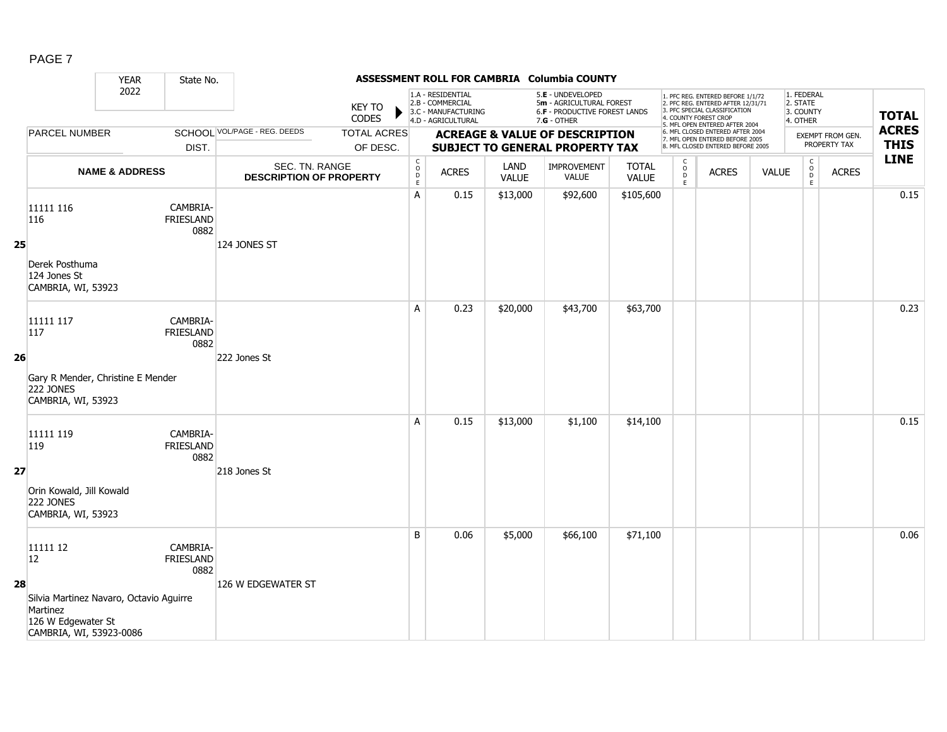|--|--|

|    |                                                                                                      | <b>YEAR</b>               | State No.                            |                                                  |                                |                                                   |                                                                                    |                      | ASSESSMENT ROLL FOR CAMBRIA Columbia COUNTY                                                   |                              |                                                   |                                                                                                                                                                     |              |                                                              |                                  |                             |
|----|------------------------------------------------------------------------------------------------------|---------------------------|--------------------------------------|--------------------------------------------------|--------------------------------|---------------------------------------------------|------------------------------------------------------------------------------------|----------------------|-----------------------------------------------------------------------------------------------|------------------------------|---------------------------------------------------|---------------------------------------------------------------------------------------------------------------------------------------------------------------------|--------------|--------------------------------------------------------------|----------------------------------|-----------------------------|
|    |                                                                                                      | 2022                      |                                      |                                                  | <b>KEY TO</b><br><b>CODES</b>  |                                                   | 1.A - RESIDENTIAL<br>2.B - COMMERCIAL<br>3.C - MANUFACTURING<br>4.D - AGRICULTURAL |                      | 5.E - UNDEVELOPED<br>5m - AGRICULTURAL FOREST<br>6.F - PRODUCTIVE FOREST LANDS<br>7.G - OTHER |                              |                                                   | 1. PFC REG. ENTERED BEFORE 1/1/72<br>2. PFC REG. ENTERED AFTER 12/31/71<br>3. PFC SPECIAL CLASSIFICATION<br>4. COUNTY FOREST CROP<br>5. MFL OPEN ENTERED AFTER 2004 |              | 1. FEDERAL<br>2. STATE<br>3. COUNTY<br>4. OTHER              |                                  | <b>TOTAL</b>                |
|    | <b>PARCEL NUMBER</b>                                                                                 |                           | DIST.                                | SCHOOL VOL/PAGE - REG. DEEDS                     | <b>TOTAL ACRES</b><br>OF DESC. |                                                   |                                                                                    |                      | <b>ACREAGE &amp; VALUE OF DESCRIPTION</b><br>SUBJECT TO GENERAL PROPERTY TAX                  |                              |                                                   | 6. MFL CLOSED ENTERED AFTER 2004<br>7. MFL OPEN ENTERED BEFORE 2005<br>8. MFL CLOSED ENTERED BEFORE 2005                                                            |              |                                                              | EXEMPT FROM GEN.<br>PROPERTY TAX | <b>ACRES</b><br><b>THIS</b> |
|    |                                                                                                      | <b>NAME &amp; ADDRESS</b> |                                      | SEC. TN. RANGE<br><b>DESCRIPTION OF PROPERTY</b> |                                | $\mathsf{C}$<br>$_{\rm D}^{\rm O}$<br>$\mathsf E$ | <b>ACRES</b>                                                                       | LAND<br><b>VALUE</b> | IMPROVEMENT<br><b>VALUE</b>                                                                   | <b>TOTAL</b><br><b>VALUE</b> | C<br>$\begin{array}{c}\n0 \\ 0 \\ E\n\end{array}$ | <b>ACRES</b>                                                                                                                                                        | <b>VALUE</b> | $\mathsf{C}$<br>$\begin{array}{c}\n0 \\ D \\ E\n\end{array}$ | <b>ACRES</b>                     | <b>LINE</b>                 |
| 25 | 11111 116<br>116                                                                                     |                           | CAMBRIA-<br><b>FRIESLAND</b><br>0882 | 124 JONES ST                                     |                                | A                                                 | 0.15                                                                               | \$13,000             | \$92,600                                                                                      | \$105,600                    |                                                   |                                                                                                                                                                     |              |                                                              |                                  | 0.15                        |
|    | Derek Posthuma<br>124 Jones St<br>CAMBRIA, WI, 53923                                                 |                           |                                      |                                                  |                                |                                                   |                                                                                    |                      |                                                                                               |                              |                                                   |                                                                                                                                                                     |              |                                                              |                                  |                             |
|    | 11111 117<br>117                                                                                     |                           | CAMBRIA-<br><b>FRIESLAND</b><br>0882 |                                                  |                                | A                                                 | 0.23                                                                               | \$20,000             | \$43,700                                                                                      | \$63,700                     |                                                   |                                                                                                                                                                     |              |                                                              |                                  | 0.23                        |
| 26 | Gary R Mender, Christine E Mender<br><b>222 JONES</b><br>CAMBRIA, WI, 53923                          |                           |                                      | 222 Jones St                                     |                                |                                                   |                                                                                    |                      |                                                                                               |                              |                                                   |                                                                                                                                                                     |              |                                                              |                                  |                             |
|    | 11111 119<br>119                                                                                     |                           | CAMBRIA-<br><b>FRIESLAND</b><br>0882 |                                                  |                                | A                                                 | 0.15                                                                               | \$13,000             | \$1,100                                                                                       | \$14,100                     |                                                   |                                                                                                                                                                     |              |                                                              |                                  | 0.15                        |
| 27 | Orin Kowald, Jill Kowald<br><b>222 JONES</b><br>CAMBRIA, WI, 53923                                   |                           |                                      | 218 Jones St                                     |                                |                                                   |                                                                                    |                      |                                                                                               |                              |                                                   |                                                                                                                                                                     |              |                                                              |                                  |                             |
|    | 11111 12<br>12                                                                                       |                           | CAMBRIA-<br>FRIESLAND<br>0882        |                                                  |                                | B                                                 | 0.06                                                                               | \$5,000              | \$66,100                                                                                      | \$71,100                     |                                                   |                                                                                                                                                                     |              |                                                              |                                  | 0.06                        |
| 28 | Silvia Martinez Navaro, Octavio Aguirre<br>Martinez<br>126 W Edgewater St<br>CAMBRIA, WI, 53923-0086 |                           |                                      | 126 W EDGEWATER ST                               |                                |                                                   |                                                                                    |                      |                                                                                               |                              |                                                   |                                                                                                                                                                     |              |                                                              |                                  |                             |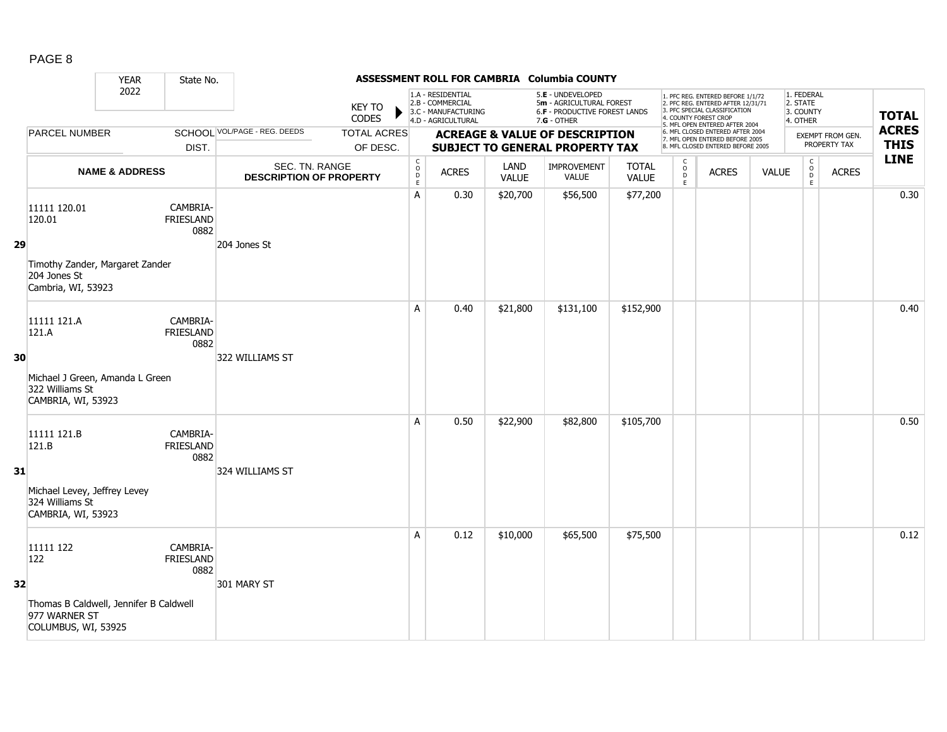| l |  |
|---|--|
|---|--|

|    |                                                                                | <b>YEAR</b>               | State No.                            |                                                  |                                |                                            |                                                                                    |                      | ASSESSMENT ROLL FOR CAMBRIA Columbia COUNTY                                                            |                       |                                                |                                                                                                                                                                     |              |                                                 |                                  |                             |
|----|--------------------------------------------------------------------------------|---------------------------|--------------------------------------|--------------------------------------------------|--------------------------------|--------------------------------------------|------------------------------------------------------------------------------------|----------------------|--------------------------------------------------------------------------------------------------------|-----------------------|------------------------------------------------|---------------------------------------------------------------------------------------------------------------------------------------------------------------------|--------------|-------------------------------------------------|----------------------------------|-----------------------------|
|    |                                                                                | 2022                      |                                      |                                                  | <b>KEY TO</b><br>CODES         |                                            | 1.A - RESIDENTIAL<br>2.B - COMMERCIAL<br>3.C - MANUFACTURING<br>4.D - AGRICULTURAL |                      | 5.E - UNDEVELOPED<br>5m - AGRICULTURAL FOREST<br><b>6.F - PRODUCTIVE FOREST LANDS</b><br>$7.G - OTHER$ |                       |                                                | 1. PFC REG. ENTERED BEFORE 1/1/72<br>2. PFC REG. ENTERED AFTER 12/31/71<br>3. PFC SPECIAL CLASSIFICATION<br>4. COUNTY FOREST CROP<br>5. MFL OPEN ENTERED AFTER 2004 |              | 1. FEDERAL<br>2. STATE<br>3. COUNTY<br>4. OTHER |                                  | <b>TOTAL</b>                |
|    | <b>PARCEL NUMBER</b>                                                           |                           | DIST.                                | <b>SCHOOL VOL/PAGE - REG. DEEDS</b>              | <b>TOTAL ACRES</b><br>OF DESC. |                                            |                                                                                    |                      | <b>ACREAGE &amp; VALUE OF DESCRIPTION</b><br><b>SUBJECT TO GENERAL PROPERTY TAX</b>                    |                       |                                                | 6. MFL CLOSED ENTERED AFTER 2004<br>7. MFL OPEN ENTERED BEFORE 2005<br>8. MFL CLOSED ENTERED BEFORE 2005                                                            |              |                                                 | EXEMPT FROM GEN.<br>PROPERTY TAX | <b>ACRES</b><br><b>THIS</b> |
|    |                                                                                | <b>NAME &amp; ADDRESS</b> |                                      | SEC. TN. RANGE<br><b>DESCRIPTION OF PROPERTY</b> |                                | $\begin{array}{c} C \\ O \\ E \end{array}$ | <b>ACRES</b>                                                                       | LAND<br><b>VALUE</b> | IMPROVEMENT<br><b>VALUE</b>                                                                            | <b>TOTAL</b><br>VALUE | $\begin{matrix} 0 \\ 0 \\ D \end{matrix}$<br>E | <b>ACRES</b>                                                                                                                                                        | <b>VALUE</b> | $\mathsf C$<br>$_{\rm D}^{\rm O}$<br>E          | <b>ACRES</b>                     | <b>LINE</b>                 |
|    | 11111 120.01<br>120.01                                                         |                           | CAMBRIA-<br><b>FRIESLAND</b><br>0882 |                                                  |                                | A                                          | 0.30                                                                               | \$20,700             | \$56,500                                                                                               | \$77,200              |                                                |                                                                                                                                                                     |              |                                                 |                                  | 0.30                        |
| 29 | Timothy Zander, Margaret Zander<br>204 Jones St<br>Cambria, WI, 53923          |                           |                                      | 204 Jones St                                     |                                |                                            |                                                                                    |                      |                                                                                                        |                       |                                                |                                                                                                                                                                     |              |                                                 |                                  |                             |
|    | 11111 121.A<br>121.A                                                           |                           | CAMBRIA-<br><b>FRIESLAND</b><br>0882 |                                                  |                                | A                                          | 0.40                                                                               | \$21,800             | \$131,100                                                                                              | \$152,900             |                                                |                                                                                                                                                                     |              |                                                 |                                  | 0.40                        |
| 30 | Michael J Green, Amanda L Green<br>322 Williams St<br>CAMBRIA, WI, 53923       |                           |                                      | 322 WILLIAMS ST                                  |                                |                                            |                                                                                    |                      |                                                                                                        |                       |                                                |                                                                                                                                                                     |              |                                                 |                                  |                             |
|    | 11111 121.B<br>121.B                                                           |                           | CAMBRIA-<br><b>FRIESLAND</b><br>0882 |                                                  |                                | A                                          | 0.50                                                                               | \$22,900             | \$82,800                                                                                               | \$105,700             |                                                |                                                                                                                                                                     |              |                                                 |                                  | 0.50                        |
| 31 | Michael Levey, Jeffrey Levey<br>324 Williams St<br>CAMBRIA, WI, 53923          |                           |                                      | 324 WILLIAMS ST                                  |                                |                                            |                                                                                    |                      |                                                                                                        |                       |                                                |                                                                                                                                                                     |              |                                                 |                                  |                             |
| 32 | 11111 122<br>122                                                               |                           | CAMBRIA-<br><b>FRIESLAND</b><br>0882 | 301 MARY ST                                      |                                | A                                          | 0.12                                                                               | \$10,000             | \$65,500                                                                                               | \$75,500              |                                                |                                                                                                                                                                     |              |                                                 |                                  | 0.12                        |
|    | Thomas B Caldwell, Jennifer B Caldwell<br>977 WARNER ST<br>COLUMBUS, WI, 53925 |                           |                                      |                                                  |                                |                                            |                                                                                    |                      |                                                                                                        |                       |                                                |                                                                                                                                                                     |              |                                                 |                                  |                             |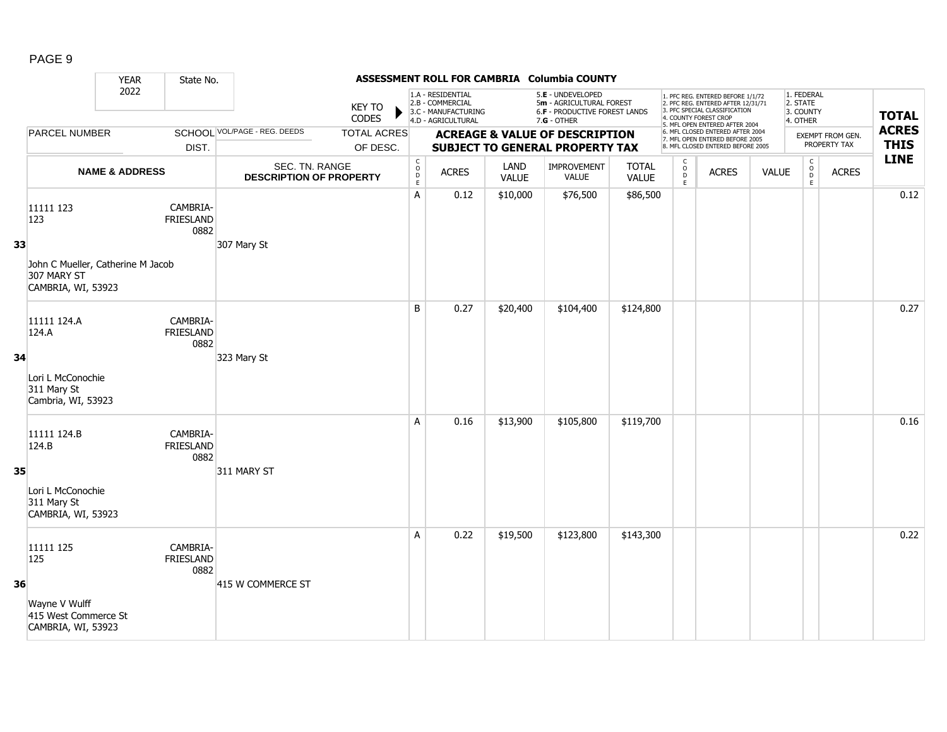| j |  |
|---|--|
|---|--|

|    |                                                                        | <b>YEAR</b>               | State No.                            |                                                  |                                |                                            |                                                                                    |               | ASSESSMENT ROLL FOR CAMBRIA Columbia COUNTY                                                     |                              |                  |                                                                                                                                                                     |              |                                                   |                                         |                             |
|----|------------------------------------------------------------------------|---------------------------|--------------------------------------|--------------------------------------------------|--------------------------------|--------------------------------------------|------------------------------------------------------------------------------------|---------------|-------------------------------------------------------------------------------------------------|------------------------------|------------------|---------------------------------------------------------------------------------------------------------------------------------------------------------------------|--------------|---------------------------------------------------|-----------------------------------------|-----------------------------|
|    |                                                                        | 2022                      |                                      |                                                  | <b>KEY TO</b><br><b>CODES</b>  |                                            | 1.A - RESIDENTIAL<br>2.B - COMMERCIAL<br>3.C - MANUFACTURING<br>4.D - AGRICULTURAL |               | 5.E - UNDEVELOPED<br>5m - AGRICULTURAL FOREST<br>6.F - PRODUCTIVE FOREST LANDS<br>$7.G - OTHER$ |                              |                  | 1. PFC REG. ENTERED BEFORE 1/1/72<br>2. PFC REG. ENTERED AFTER 12/31/71<br>3. PFC SPECIAL CLASSIFICATION<br>4. COUNTY FOREST CROP<br>5. MFL OPEN ENTERED AFTER 2004 |              | 1. FEDERAL<br>2. STATE<br>3. COUNTY<br>4. OTHER   |                                         | <b>TOTAL</b>                |
|    | PARCEL NUMBER                                                          |                           | DIST.                                | SCHOOL VOL/PAGE - REG. DEEDS                     | <b>TOTAL ACRES</b><br>OF DESC. |                                            |                                                                                    |               | <b>ACREAGE &amp; VALUE OF DESCRIPTION</b><br>SUBJECT TO GENERAL PROPERTY TAX                    |                              |                  | 6. MFL CLOSED ENTERED AFTER 2004<br>7. MFL OPEN ENTERED BEFORE 2005<br>8. MFL CLOSED ENTERED BEFORE 2005                                                            |              |                                                   | <b>EXEMPT FROM GEN.</b><br>PROPERTY TAX | <b>ACRES</b><br><b>THIS</b> |
|    |                                                                        | <b>NAME &amp; ADDRESS</b> |                                      | SEC. TN. RANGE<br><b>DESCRIPTION OF PROPERTY</b> |                                | $\begin{array}{c} C \\ O \\ E \end{array}$ | <b>ACRES</b>                                                                       | LAND<br>VALUE | <b>IMPROVEMENT</b><br>VALUE                                                                     | <b>TOTAL</b><br><b>VALUE</b> | C<br>D<br>D<br>E | <b>ACRES</b>                                                                                                                                                        | <b>VALUE</b> | $\mathsf{C}$<br>$_{\rm D}^{\rm O}$<br>$\mathsf E$ | <b>ACRES</b>                            | <b>LINE</b>                 |
|    | 11111 123<br>123                                                       |                           | CAMBRIA-<br><b>FRIESLAND</b><br>0882 |                                                  |                                | A                                          | 0.12                                                                               | \$10,000      | \$76,500                                                                                        | \$86,500                     |                  |                                                                                                                                                                     |              |                                                   |                                         | 0.12                        |
| 33 | John C Mueller, Catherine M Jacob<br>307 MARY ST<br>CAMBRIA, WI, 53923 |                           |                                      | 307 Mary St                                      |                                |                                            |                                                                                    |               |                                                                                                 |                              |                  |                                                                                                                                                                     |              |                                                   |                                         |                             |
|    | 11111 124.A<br>124.A                                                   |                           | CAMBRIA-<br><b>FRIESLAND</b><br>0882 |                                                  |                                | B                                          | 0.27                                                                               | \$20,400      | \$104,400                                                                                       | \$124,800                    |                  |                                                                                                                                                                     |              |                                                   |                                         | 0.27                        |
| 34 | Lori L McConochie<br>311 Mary St<br>Cambria, WI, 53923                 |                           |                                      | 323 Mary St                                      |                                |                                            |                                                                                    |               |                                                                                                 |                              |                  |                                                                                                                                                                     |              |                                                   |                                         |                             |
|    | 11111 124.B<br>124.B                                                   |                           | CAMBRIA-<br>FRIESLAND<br>0882        |                                                  |                                | A                                          | 0.16                                                                               | \$13,900      | \$105,800                                                                                       | \$119,700                    |                  |                                                                                                                                                                     |              |                                                   |                                         | 0.16                        |
| 35 | Lori L McConochie<br>311 Mary St<br>CAMBRIA, WI, 53923                 |                           |                                      | 311 MARY ST                                      |                                |                                            |                                                                                    |               |                                                                                                 |                              |                  |                                                                                                                                                                     |              |                                                   |                                         |                             |
|    | 11111 125<br>125                                                       |                           | CAMBRIA-<br><b>FRIESLAND</b><br>0882 |                                                  |                                | A                                          | 0.22                                                                               | \$19,500      | \$123,800                                                                                       | \$143,300                    |                  |                                                                                                                                                                     |              |                                                   |                                         | 0.22                        |
| 36 | Wayne V Wulff<br>415 West Commerce St<br>CAMBRIA, WI, 53923            |                           |                                      | 415 W COMMERCE ST                                |                                |                                            |                                                                                    |               |                                                                                                 |                              |                  |                                                                                                                                                                     |              |                                                   |                                         |                             |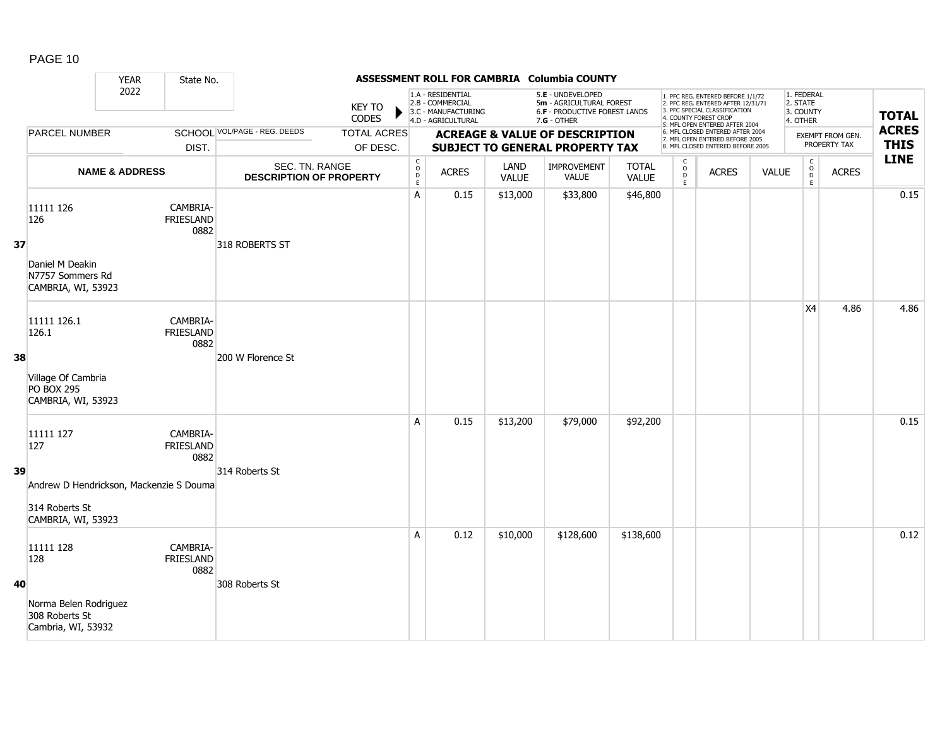|    |                                                                                 | <b>YEAR</b>               | State No.                            |                                                  |                                |                                             |                                                                                    |                      | ASSESSMENT ROLL FOR CAMBRIA Columbia COUNTY                                                            |                              |                                              |                                                                                                                                                                     |              |                                                 |                                  |                             |
|----|---------------------------------------------------------------------------------|---------------------------|--------------------------------------|--------------------------------------------------|--------------------------------|---------------------------------------------|------------------------------------------------------------------------------------|----------------------|--------------------------------------------------------------------------------------------------------|------------------------------|----------------------------------------------|---------------------------------------------------------------------------------------------------------------------------------------------------------------------|--------------|-------------------------------------------------|----------------------------------|-----------------------------|
|    |                                                                                 | 2022                      |                                      |                                                  | <b>KEY TO</b><br><b>CODES</b>  |                                             | 1.A - RESIDENTIAL<br>2.B - COMMERCIAL<br>3.C - MANUFACTURING<br>4.D - AGRICULTURAL |                      | 5.E - UNDEVELOPED<br>5m - AGRICULTURAL FOREST<br><b>6.F - PRODUCTIVE FOREST LANDS</b><br>$7.G - OTHER$ |                              |                                              | 1. PFC REG. ENTERED BEFORE 1/1/72<br>2. PFC REG. ENTERED AFTER 12/31/71<br>3. PFC SPECIAL CLASSIFICATION<br>4. COUNTY FOREST CROP<br>5. MFL OPEN ENTERED AFTER 2004 |              | 1. FEDERAL<br>2. STATE<br>3. COUNTY<br>4. OTHER |                                  | <b>TOTAL</b>                |
|    | PARCEL NUMBER                                                                   |                           | DIST.                                | <b>SCHOOL VOL/PAGE - REG. DEEDS</b>              | <b>TOTAL ACRES</b><br>OF DESC. |                                             |                                                                                    |                      | <b>ACREAGE &amp; VALUE OF DESCRIPTION</b><br><b>SUBJECT TO GENERAL PROPERTY TAX</b>                    |                              |                                              | 6. MFL CLOSED ENTERED AFTER 2004<br>7. MFL OPEN ENTERED BEFORE 2005<br>8. MFL CLOSED ENTERED BEFORE 2005                                                            |              |                                                 | EXEMPT FROM GEN.<br>PROPERTY TAX | <b>ACRES</b><br><b>THIS</b> |
|    |                                                                                 | <b>NAME &amp; ADDRESS</b> |                                      | SEC. TN. RANGE<br><b>DESCRIPTION OF PROPERTY</b> |                                | $\mathsf{C}$<br>$\circ$<br>$\mathsf D$<br>E | <b>ACRES</b>                                                                       | LAND<br><b>VALUE</b> | <b>IMPROVEMENT</b><br>VALUE                                                                            | <b>TOTAL</b><br><b>VALUE</b> | $\begin{array}{c}\nC \\ O \\ E\n\end{array}$ | <b>ACRES</b>                                                                                                                                                        | <b>VALUE</b> | $\mathsf{C}$<br>$\overline{0}$<br>E             | <b>ACRES</b>                     | <b>LINE</b>                 |
| 37 | 11111 126<br>126                                                                |                           | CAMBRIA-<br>FRIESLAND<br>0882        | 318 ROBERTS ST                                   |                                | A                                           | 0.15                                                                               | \$13,000             | \$33,800                                                                                               | \$46,800                     |                                              |                                                                                                                                                                     |              |                                                 |                                  | 0.15                        |
|    | Daniel M Deakin<br>N7757 Sommers Rd<br>CAMBRIA, WI, 53923                       |                           |                                      |                                                  |                                |                                             |                                                                                    |                      |                                                                                                        |                              |                                              |                                                                                                                                                                     |              |                                                 |                                  |                             |
| 38 | 11111 126.1<br>126.1                                                            |                           | CAMBRIA-<br><b>FRIESLAND</b><br>0882 | 200 W Florence St                                |                                |                                             |                                                                                    |                      |                                                                                                        |                              |                                              |                                                                                                                                                                     |              | X4                                              | 4.86                             | 4.86                        |
|    | Village Of Cambria<br><b>PO BOX 295</b><br>CAMBRIA, WI, 53923                   |                           |                                      |                                                  |                                |                                             |                                                                                    |                      |                                                                                                        |                              |                                              |                                                                                                                                                                     |              |                                                 |                                  |                             |
|    | 11111 127<br>127                                                                |                           | CAMBRIA-<br><b>FRIESLAND</b><br>0882 |                                                  |                                | A                                           | 0.15                                                                               | \$13,200             | \$79,000                                                                                               | \$92,200                     |                                              |                                                                                                                                                                     |              |                                                 |                                  | 0.15                        |
| 39 | Andrew D Hendrickson, Mackenzie S Douma<br>314 Roberts St<br>CAMBRIA, WI, 53923 |                           |                                      | 314 Roberts St                                   |                                |                                             |                                                                                    |                      |                                                                                                        |                              |                                              |                                                                                                                                                                     |              |                                                 |                                  |                             |
|    | 11111 128<br>128                                                                |                           | CAMBRIA-<br><b>FRIESLAND</b><br>0882 |                                                  |                                | A                                           | 0.12                                                                               | \$10,000             | \$128,600                                                                                              | \$138,600                    |                                              |                                                                                                                                                                     |              |                                                 |                                  | 0.12                        |
| 40 | Norma Belen Rodriguez<br>308 Roberts St<br>Cambria, WI, 53932                   |                           |                                      | 308 Roberts St                                   |                                |                                             |                                                                                    |                      |                                                                                                        |                              |                                              |                                                                                                                                                                     |              |                                                 |                                  |                             |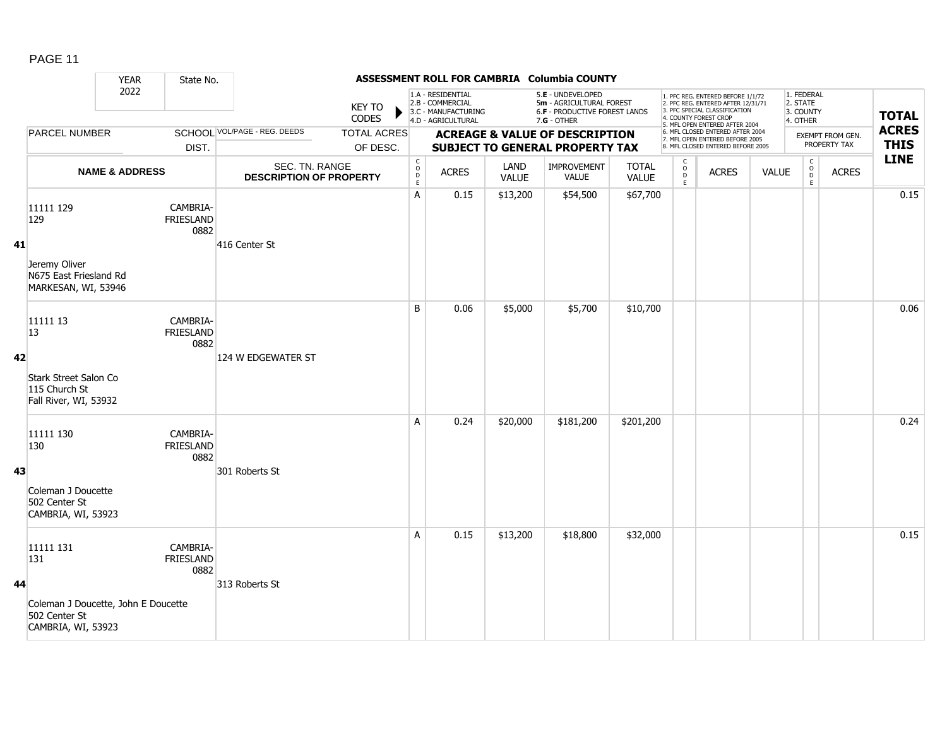|    |                                                                            | <b>YEAR</b>               | State No.                            |                                                  |                                |                                              |                                                                                    |                      | ASSESSMENT ROLL FOR CAMBRIA Columbia COUNTY                                                            |                              |                                                   |                                                                                                                                                                     |              |                                                           |                                  |                             |
|----|----------------------------------------------------------------------------|---------------------------|--------------------------------------|--------------------------------------------------|--------------------------------|----------------------------------------------|------------------------------------------------------------------------------------|----------------------|--------------------------------------------------------------------------------------------------------|------------------------------|---------------------------------------------------|---------------------------------------------------------------------------------------------------------------------------------------------------------------------|--------------|-----------------------------------------------------------|----------------------------------|-----------------------------|
|    |                                                                            | 2022                      |                                      |                                                  | <b>KEY TO</b><br>CODES         |                                              | 1.A - RESIDENTIAL<br>2.B - COMMERCIAL<br>3.C - MANUFACTURING<br>4.D - AGRICULTURAL |                      | 5.E - UNDEVELOPED<br>5m - AGRICULTURAL FOREST<br><b>6.F - PRODUCTIVE FOREST LANDS</b><br>$7.G - OTHER$ |                              |                                                   | 1. PFC REG. ENTERED BEFORE 1/1/72<br>2. PFC REG. ENTERED AFTER 12/31/71<br>3. PFC SPECIAL CLASSIFICATION<br>4. COUNTY FOREST CROP<br>5. MFL OPEN ENTERED AFTER 2004 |              | 1. FEDERAL<br>2. STATE<br>3. COUNTY<br>4. OTHER           |                                  | <b>TOTAL</b>                |
|    | <b>PARCEL NUMBER</b>                                                       |                           | DIST.                                | SCHOOL VOL/PAGE - REG. DEEDS                     | <b>TOTAL ACRES</b><br>OF DESC. |                                              |                                                                                    |                      | <b>ACREAGE &amp; VALUE OF DESCRIPTION</b><br><b>SUBJECT TO GENERAL PROPERTY TAX</b>                    |                              |                                                   | 6. MFL CLOSED ENTERED AFTER 2004<br>7. MFL OPEN ENTERED BEFORE 2005<br>8. MFL CLOSED ENTERED BEFORE 2005                                                            |              |                                                           | EXEMPT FROM GEN.<br>PROPERTY TAX | <b>ACRES</b><br><b>THIS</b> |
|    |                                                                            | <b>NAME &amp; ADDRESS</b> |                                      | SEC. TN. RANGE<br><b>DESCRIPTION OF PROPERTY</b> |                                | $\begin{array}{c}\nC \\ D \\ E\n\end{array}$ | <b>ACRES</b>                                                                       | LAND<br><b>VALUE</b> | IMPROVEMENT<br><b>VALUE</b>                                                                            | <b>TOTAL</b><br><b>VALUE</b> | c<br>$\begin{array}{c}\n0 \\ D \\ E\n\end{array}$ | <b>ACRES</b>                                                                                                                                                        | <b>VALUE</b> | $\mathsf C$<br>$\begin{array}{c} 0 \\ D \\ E \end{array}$ | <b>ACRES</b>                     | <b>LINE</b>                 |
| 41 | 11111 129<br>129                                                           |                           | CAMBRIA-<br><b>FRIESLAND</b><br>0882 | 416 Center St                                    |                                | A                                            | 0.15                                                                               | \$13,200             | \$54,500                                                                                               | \$67,700                     |                                                   |                                                                                                                                                                     |              |                                                           |                                  | 0.15                        |
|    | Jeremy Oliver<br>N675 East Friesland Rd<br>MARKESAN, WI, 53946             |                           |                                      |                                                  |                                |                                              |                                                                                    |                      |                                                                                                        |                              |                                                   |                                                                                                                                                                     |              |                                                           |                                  |                             |
|    | 11111 13<br>13                                                             |                           | CAMBRIA-<br>FRIESLAND<br>0882        |                                                  |                                | B                                            | 0.06                                                                               | \$5,000              | \$5,700                                                                                                | \$10,700                     |                                                   |                                                                                                                                                                     |              |                                                           |                                  | 0.06                        |
| 42 | Stark Street Salon Co<br>115 Church St<br>Fall River, WI, 53932            |                           |                                      | 124 W EDGEWATER ST                               |                                |                                              |                                                                                    |                      |                                                                                                        |                              |                                                   |                                                                                                                                                                     |              |                                                           |                                  |                             |
|    | 11111 130<br>130                                                           |                           | CAMBRIA-<br>FRIESLAND<br>0882        |                                                  |                                | A                                            | 0.24                                                                               | \$20,000             | \$181,200                                                                                              | \$201,200                    |                                                   |                                                                                                                                                                     |              |                                                           |                                  | 0.24                        |
| 43 | Coleman J Doucette<br>502 Center St<br>CAMBRIA, WI, 53923                  |                           |                                      | 301 Roberts St                                   |                                |                                              |                                                                                    |                      |                                                                                                        |                              |                                                   |                                                                                                                                                                     |              |                                                           |                                  |                             |
|    | 11111 131<br>131                                                           |                           | CAMBRIA-<br><b>FRIESLAND</b><br>0882 |                                                  |                                | A                                            | 0.15                                                                               | \$13,200             | \$18,800                                                                                               | \$32,000                     |                                                   |                                                                                                                                                                     |              |                                                           |                                  | 0.15                        |
| 44 | Coleman J Doucette, John E Doucette<br>502 Center St<br>CAMBRIA, WI, 53923 |                           |                                      | 313 Roberts St                                   |                                |                                              |                                                                                    |                      |                                                                                                        |                              |                                                   |                                                                                                                                                                     |              |                                                           |                                  |                             |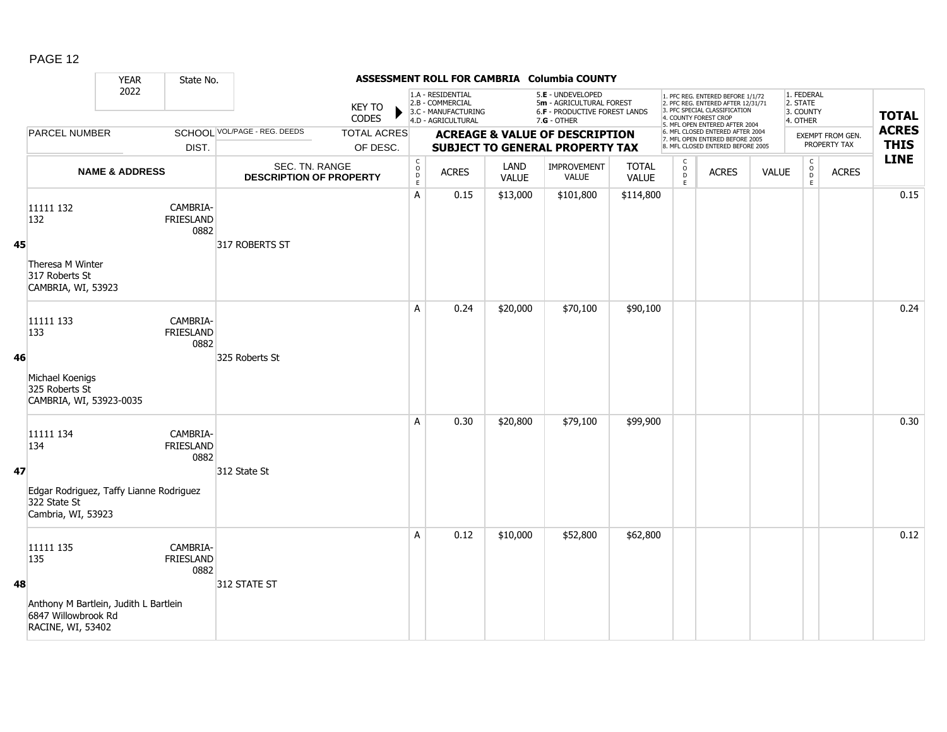|    |                                                                                   | <b>YEAR</b>               | State No.                            |                                                  |                                |                                              |                                                                                    |                      | ASSESSMENT ROLL FOR CAMBRIA Columbia COUNTY                                                     |                              |                                                 |                                                                                                                                                                     |              |                                                 |                                  |                             |
|----|-----------------------------------------------------------------------------------|---------------------------|--------------------------------------|--------------------------------------------------|--------------------------------|----------------------------------------------|------------------------------------------------------------------------------------|----------------------|-------------------------------------------------------------------------------------------------|------------------------------|-------------------------------------------------|---------------------------------------------------------------------------------------------------------------------------------------------------------------------|--------------|-------------------------------------------------|----------------------------------|-----------------------------|
|    |                                                                                   | 2022                      |                                      |                                                  | <b>KEY TO</b><br>CODES         |                                              | 1.A - RESIDENTIAL<br>2.B - COMMERCIAL<br>3.C - MANUFACTURING<br>4.D - AGRICULTURAL |                      | 5.E - UNDEVELOPED<br>5m - AGRICULTURAL FOREST<br>6.F - PRODUCTIVE FOREST LANDS<br>$7.G - OTHER$ |                              |                                                 | 1. PFC REG. ENTERED BEFORE 1/1/72<br>2. PFC REG. ENTERED AFTER 12/31/71<br>3. PFC SPECIAL CLASSIFICATION<br>4. COUNTY FOREST CROP<br>5. MFL OPEN ENTERED AFTER 2004 |              | 1. FEDERAL<br>2. STATE<br>3. COUNTY<br>4. OTHER |                                  | <b>TOTAL</b>                |
|    | <b>PARCEL NUMBER</b>                                                              |                           | DIST.                                | SCHOOL VOL/PAGE - REG. DEEDS                     | <b>TOTAL ACRES</b><br>OF DESC. |                                              |                                                                                    |                      | <b>ACREAGE &amp; VALUE OF DESCRIPTION</b><br>SUBJECT TO GENERAL PROPERTY TAX                    |                              |                                                 | 6. MFL CLOSED ENTERED AFTER 2004<br>7. MFL OPEN ENTERED BEFORE 2005<br>8. MFL CLOSED ENTERED BEFORE 2005                                                            |              |                                                 | EXEMPT FROM GEN.<br>PROPERTY TAX | <b>ACRES</b><br><b>THIS</b> |
|    |                                                                                   | <b>NAME &amp; ADDRESS</b> |                                      | SEC. TN. RANGE<br><b>DESCRIPTION OF PROPERTY</b> |                                | $\begin{array}{c}\nC \\ O \\ D\n\end{array}$ | <b>ACRES</b>                                                                       | LAND<br><b>VALUE</b> | IMPROVEMENT<br><b>VALUE</b>                                                                     | <b>TOTAL</b><br><b>VALUE</b> | $\begin{array}{c} C \\ O \\ D \\ E \end{array}$ | <b>ACRES</b>                                                                                                                                                        | <b>VALUE</b> | $\begin{array}{c} C \\ 0 \\ E \end{array}$      | <b>ACRES</b>                     | <b>LINE</b>                 |
| 45 | 11111 132<br>132<br>Theresa M Winter<br>317 Roberts St                            |                           | CAMBRIA-<br>FRIESLAND<br>0882        | 317 ROBERTS ST                                   |                                | A                                            | 0.15                                                                               | \$13,000             | \$101,800                                                                                       | \$114,800                    |                                                 |                                                                                                                                                                     |              |                                                 |                                  | 0.15                        |
|    | CAMBRIA, WI, 53923<br>11111 133<br>133                                            |                           | CAMBRIA-<br><b>FRIESLAND</b><br>0882 |                                                  |                                | A                                            | 0.24                                                                               | \$20,000             | \$70,100                                                                                        | \$90,100                     |                                                 |                                                                                                                                                                     |              |                                                 |                                  | 0.24                        |
| 46 | Michael Koenigs<br>325 Roberts St<br>CAMBRIA, WI, 53923-0035                      |                           |                                      | 325 Roberts St                                   |                                |                                              |                                                                                    |                      |                                                                                                 |                              |                                                 |                                                                                                                                                                     |              |                                                 |                                  |                             |
| 47 | 11111 134<br>134                                                                  |                           | CAMBRIA-<br><b>FRIESLAND</b><br>0882 | 312 State St                                     |                                | A                                            | 0.30                                                                               | \$20,800             | \$79,100                                                                                        | \$99,900                     |                                                 |                                                                                                                                                                     |              |                                                 |                                  | 0.30                        |
|    | Edgar Rodriguez, Taffy Lianne Rodriguez<br>322 State St<br>Cambria, WI, 53923     |                           |                                      |                                                  |                                |                                              |                                                                                    |                      |                                                                                                 |                              |                                                 |                                                                                                                                                                     |              |                                                 |                                  |                             |
| 48 | 11111 135<br>135                                                                  |                           | CAMBRIA-<br><b>FRIESLAND</b><br>0882 | 312 STATE ST                                     |                                | A                                            | 0.12                                                                               | \$10,000             | \$52,800                                                                                        | \$62,800                     |                                                 |                                                                                                                                                                     |              |                                                 |                                  | 0.12                        |
|    | Anthony M Bartlein, Judith L Bartlein<br>6847 Willowbrook Rd<br>RACINE, WI, 53402 |                           |                                      |                                                  |                                |                                              |                                                                                    |                      |                                                                                                 |                              |                                                 |                                                                                                                                                                     |              |                                                 |                                  |                             |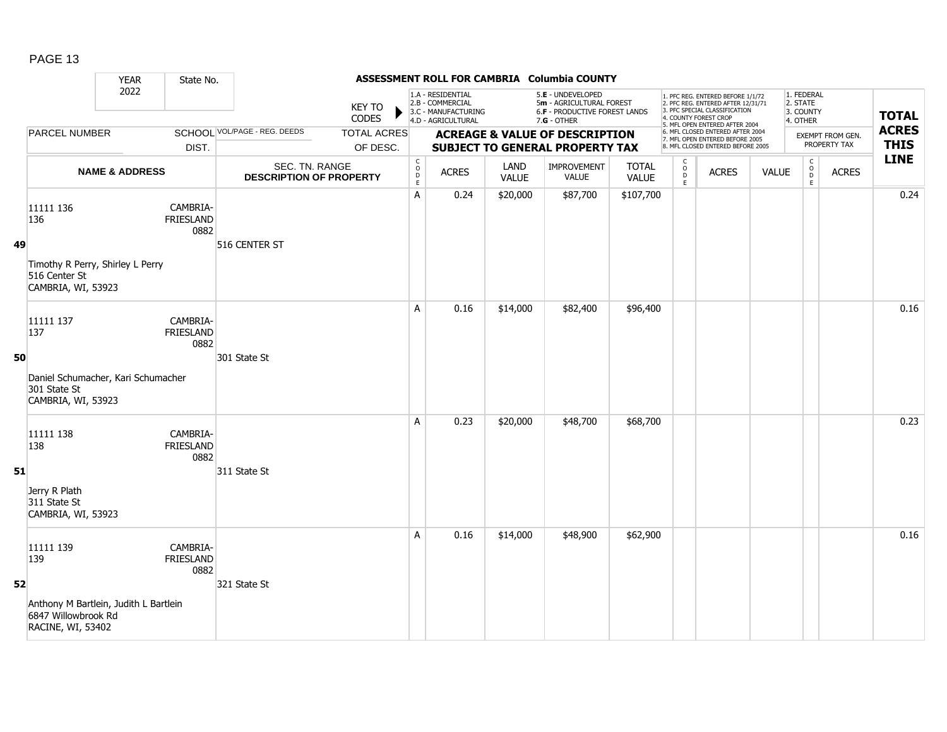|    |                                                                                   | <b>YEAR</b>               | State No.                     |                                                  |                                |                                                          |                                                                                    |                      | ASSESSMENT ROLL FOR CAMBRIA Columbia COUNTY                                                   |                              |                                                          |                                                                                                                                                                     |              |                                                 |                                         |                             |
|----|-----------------------------------------------------------------------------------|---------------------------|-------------------------------|--------------------------------------------------|--------------------------------|----------------------------------------------------------|------------------------------------------------------------------------------------|----------------------|-----------------------------------------------------------------------------------------------|------------------------------|----------------------------------------------------------|---------------------------------------------------------------------------------------------------------------------------------------------------------------------|--------------|-------------------------------------------------|-----------------------------------------|-----------------------------|
|    |                                                                                   | 2022                      |                               |                                                  | <b>KEY TO</b><br><b>CODES</b>  |                                                          | 1.A - RESIDENTIAL<br>2.B - COMMERCIAL<br>3.C - MANUFACTURING<br>4.D - AGRICULTURAL |                      | 5.E - UNDEVELOPED<br>5m - AGRICULTURAL FOREST<br>6.F - PRODUCTIVE FOREST LANDS<br>7.G - OTHER |                              |                                                          | 1. PFC REG. ENTERED BEFORE 1/1/72<br>2. PFC REG. ENTERED AFTER 12/31/71<br>3. PFC SPECIAL CLASSIFICATION<br>4. COUNTY FOREST CROP<br>5. MFL OPEN ENTERED AFTER 2004 |              | 1. FEDERAL<br>2. STATE<br>3. COUNTY<br>4. OTHER |                                         | <b>TOTAL</b>                |
|    | PARCEL NUMBER                                                                     |                           | DIST.                         | <b>SCHOOL VOL/PAGE - REG. DEEDS</b>              | <b>TOTAL ACRES</b><br>OF DESC. |                                                          |                                                                                    |                      | <b>ACREAGE &amp; VALUE OF DESCRIPTION</b><br>SUBJECT TO GENERAL PROPERTY TAX                  |                              |                                                          | 6. MFL CLOSED ENTERED AFTER 2004<br>7. MFL OPEN ENTERED BEFORE 2005<br>8. MFL CLOSED ENTERED BEFORE 2005                                                            |              |                                                 | <b>EXEMPT FROM GEN.</b><br>PROPERTY TAX | <b>ACRES</b><br><b>THIS</b> |
|    |                                                                                   | <b>NAME &amp; ADDRESS</b> |                               | SEC. TN. RANGE<br><b>DESCRIPTION OF PROPERTY</b> |                                | $\begin{matrix} 0 \\ 0 \\ D \end{matrix}$<br>$\mathsf E$ | <b>ACRES</b>                                                                       | LAND<br><b>VALUE</b> | IMPROVEMENT<br><b>VALUE</b>                                                                   | <b>TOTAL</b><br><b>VALUE</b> | $\begin{matrix} 0 \\ 0 \\ D \end{matrix}$<br>$\mathsf E$ | <b>ACRES</b>                                                                                                                                                        | <b>VALUE</b> | $\begin{matrix} 0 \\ 0 \\ D \end{matrix}$<br>E  | <b>ACRES</b>                            | <b>LINE</b>                 |
| 49 | 11111 136<br>136                                                                  |                           | CAMBRIA-<br>FRIESLAND<br>0882 | 516 CENTER ST                                    |                                | A                                                        | 0.24                                                                               | \$20,000             | \$87,700                                                                                      | \$107,700                    |                                                          |                                                                                                                                                                     |              |                                                 |                                         | 0.24                        |
|    | Timothy R Perry, Shirley L Perry<br>516 Center St<br>CAMBRIA, WI, 53923           |                           |                               |                                                  |                                |                                                          |                                                                                    |                      |                                                                                               |                              |                                                          |                                                                                                                                                                     |              |                                                 |                                         |                             |
|    | 11111 137<br>137                                                                  |                           | CAMBRIA-<br>FRIESLAND<br>0882 |                                                  |                                | A                                                        | 0.16                                                                               | \$14,000             | \$82,400                                                                                      | \$96,400                     |                                                          |                                                                                                                                                                     |              |                                                 |                                         | 0.16                        |
| 50 | Daniel Schumacher, Kari Schumacher<br>301 State St<br>CAMBRIA, WI, 53923          |                           |                               | 301 State St                                     |                                |                                                          |                                                                                    |                      |                                                                                               |                              |                                                          |                                                                                                                                                                     |              |                                                 |                                         |                             |
|    | 11111 138<br>138                                                                  |                           | CAMBRIA-<br>FRIESLAND<br>0882 |                                                  |                                | A                                                        | 0.23                                                                               | \$20,000             | \$48,700                                                                                      | \$68,700                     |                                                          |                                                                                                                                                                     |              |                                                 |                                         | 0.23                        |
| 51 | Jerry R Plath<br>311 State St<br>CAMBRIA, WI, 53923                               |                           |                               | 311 State St                                     |                                |                                                          |                                                                                    |                      |                                                                                               |                              |                                                          |                                                                                                                                                                     |              |                                                 |                                         |                             |
| 52 | 11111 139<br>139                                                                  |                           | CAMBRIA-<br>FRIESLAND<br>0882 | 321 State St                                     |                                | A                                                        | 0.16                                                                               | \$14,000             | \$48,900                                                                                      | \$62,900                     |                                                          |                                                                                                                                                                     |              |                                                 |                                         | 0.16                        |
|    | Anthony M Bartlein, Judith L Bartlein<br>6847 Willowbrook Rd<br>RACINE, WI, 53402 |                           |                               |                                                  |                                |                                                          |                                                                                    |                      |                                                                                               |                              |                                                          |                                                                                                                                                                     |              |                                                 |                                         |                             |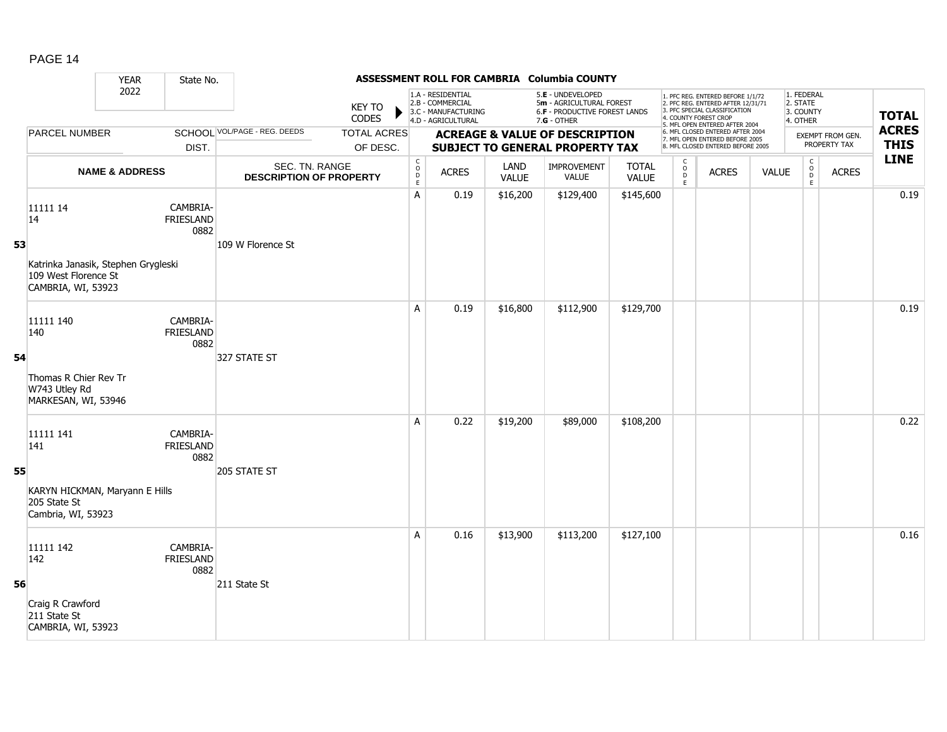|    |                                                                                   | <b>YEAR</b>               | State No.                            |                                                  |                                |                                                            |                                                                                    |                      | ASSESSMENT ROLL FOR CAMBRIA Columbia COUNTY                                                   |                              |                                              |                                                                                                                                                                     |              |                                                 |                                  |                             |
|----|-----------------------------------------------------------------------------------|---------------------------|--------------------------------------|--------------------------------------------------|--------------------------------|------------------------------------------------------------|------------------------------------------------------------------------------------|----------------------|-----------------------------------------------------------------------------------------------|------------------------------|----------------------------------------------|---------------------------------------------------------------------------------------------------------------------------------------------------------------------|--------------|-------------------------------------------------|----------------------------------|-----------------------------|
|    |                                                                                   | 2022                      |                                      |                                                  | <b>KEY TO</b><br><b>CODES</b>  |                                                            | 1.A - RESIDENTIAL<br>2.B - COMMERCIAL<br>3.C - MANUFACTURING<br>4.D - AGRICULTURAL |                      | 5.E - UNDEVELOPED<br>5m - AGRICULTURAL FOREST<br>6.F - PRODUCTIVE FOREST LANDS<br>7.G - OTHER |                              |                                              | 1. PFC REG. ENTERED BEFORE 1/1/72<br>2. PFC REG. ENTERED AFTER 12/31/71<br>3. PFC SPECIAL CLASSIFICATION<br>4. COUNTY FOREST CROP<br>5. MFL OPEN ENTERED AFTER 2004 |              | 1. FEDERAL<br>2. STATE<br>3. COUNTY<br>4. OTHER |                                  | <b>TOTAL</b>                |
|    | <b>PARCEL NUMBER</b>                                                              |                           | DIST.                                | <b>SCHOOL VOL/PAGE - REG. DEEDS</b>              | <b>TOTAL ACRES</b><br>OF DESC. |                                                            |                                                                                    |                      | <b>ACREAGE &amp; VALUE OF DESCRIPTION</b><br><b>SUBJECT TO GENERAL PROPERTY TAX</b>           |                              |                                              | 6. MFL CLOSED ENTERED AFTER 2004<br>7. MFL OPEN ENTERED BEFORE 2005<br>8. MFL CLOSED ENTERED BEFORE 2005                                                            |              |                                                 | EXEMPT FROM GEN.<br>PROPERTY TAX | <b>ACRES</b><br><b>THIS</b> |
|    |                                                                                   | <b>NAME &amp; ADDRESS</b> |                                      | SEC. TN. RANGE<br><b>DESCRIPTION OF PROPERTY</b> |                                | $\begin{smallmatrix} C\\ O\\ O\\ D \end{smallmatrix}$<br>E | <b>ACRES</b>                                                                       | LAND<br><b>VALUE</b> | IMPROVEMENT<br><b>VALUE</b>                                                                   | <b>TOTAL</b><br><b>VALUE</b> | $\begin{array}{c}\nC \\ O \\ E\n\end{array}$ | <b>ACRES</b>                                                                                                                                                        | <b>VALUE</b> | C<br>D<br>D<br>D<br>C                           | <b>ACRES</b>                     | <b>LINE</b>                 |
|    | 11111 14<br>14                                                                    |                           | CAMBRIA-<br>FRIESLAND<br>0882        |                                                  |                                | A                                                          | 0.19                                                                               | \$16,200             | \$129,400                                                                                     | \$145,600                    |                                              |                                                                                                                                                                     |              |                                                 |                                  | 0.19                        |
| 53 | Katrinka Janasik, Stephen Grygleski<br>109 West Florence St<br>CAMBRIA, WI, 53923 |                           |                                      | 109 W Florence St                                |                                |                                                            |                                                                                    |                      |                                                                                               |                              |                                              |                                                                                                                                                                     |              |                                                 |                                  |                             |
|    | 11111 140<br>140                                                                  |                           | CAMBRIA-<br><b>FRIESLAND</b><br>0882 |                                                  |                                | A                                                          | 0.19                                                                               | \$16,800             | \$112,900                                                                                     | \$129,700                    |                                              |                                                                                                                                                                     |              |                                                 |                                  | 0.19                        |
| 54 | Thomas R Chier Rev Tr<br>W743 Utley Rd<br>MARKESAN, WI, 53946                     |                           |                                      | 327 STATE ST                                     |                                |                                                            |                                                                                    |                      |                                                                                               |                              |                                              |                                                                                                                                                                     |              |                                                 |                                  |                             |
|    | 11111 141<br>141                                                                  |                           | CAMBRIA-<br><b>FRIESLAND</b><br>0882 |                                                  |                                | A                                                          | 0.22                                                                               | \$19,200             | \$89,000                                                                                      | \$108,200                    |                                              |                                                                                                                                                                     |              |                                                 |                                  | 0.22                        |
| 55 | KARYN HICKMAN, Maryann E Hills<br>205 State St<br>Cambria, WI, 53923              |                           |                                      | 205 STATE ST                                     |                                |                                                            |                                                                                    |                      |                                                                                               |                              |                                              |                                                                                                                                                                     |              |                                                 |                                  |                             |
|    | 11111 142<br>142                                                                  |                           | CAMBRIA-<br>FRIESLAND<br>0882        |                                                  |                                | A                                                          | 0.16                                                                               | \$13,900             | \$113,200                                                                                     | \$127,100                    |                                              |                                                                                                                                                                     |              |                                                 |                                  | 0.16                        |
| 56 | Craig R Crawford<br>211 State St<br>CAMBRIA, WI, 53923                            |                           |                                      | 211 State St                                     |                                |                                                            |                                                                                    |                      |                                                                                               |                              |                                              |                                                                                                                                                                     |              |                                                 |                                  |                             |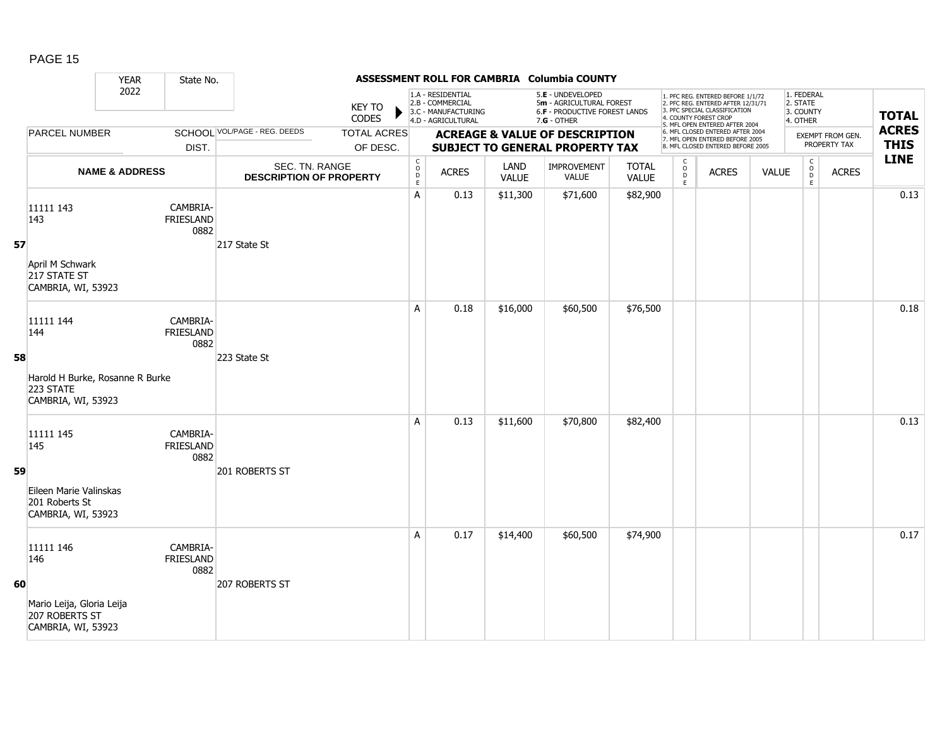|    |                                                                    | <b>YEAR</b>               | State No.                            |                                                  |                                |                                                            |                                                                                    |                      | ASSESSMENT ROLL FOR CAMBRIA Columbia COUNTY                                                            |                              |                                                 |                                                                                                                                                                     |              |                                                            |                                  |                             |
|----|--------------------------------------------------------------------|---------------------------|--------------------------------------|--------------------------------------------------|--------------------------------|------------------------------------------------------------|------------------------------------------------------------------------------------|----------------------|--------------------------------------------------------------------------------------------------------|------------------------------|-------------------------------------------------|---------------------------------------------------------------------------------------------------------------------------------------------------------------------|--------------|------------------------------------------------------------|----------------------------------|-----------------------------|
|    |                                                                    | 2022                      |                                      |                                                  | <b>KEY TO</b><br><b>CODES</b>  |                                                            | 1.A - RESIDENTIAL<br>2.B - COMMERCIAL<br>3.C - MANUFACTURING<br>4.D - AGRICULTURAL |                      | 5.E - UNDEVELOPED<br>5m - AGRICULTURAL FOREST<br><b>6.F - PRODUCTIVE FOREST LANDS</b><br>$7.G - OTHER$ |                              |                                                 | 1. PFC REG. ENTERED BEFORE 1/1/72<br>2. PFC REG. ENTERED AFTER 12/31/71<br>3. PFC SPECIAL CLASSIFICATION<br>4. COUNTY FOREST CROP<br>5. MFL OPEN ENTERED AFTER 2004 |              | 1. FEDERAL<br>2. STATE<br>3. COUNTY<br>4. OTHER            |                                  | <b>TOTAL</b>                |
|    | PARCEL NUMBER                                                      |                           | DIST.                                | <b>SCHOOL VOL/PAGE - REG. DEEDS</b>              | <b>TOTAL ACRES</b><br>OF DESC. |                                                            |                                                                                    |                      | <b>ACREAGE &amp; VALUE OF DESCRIPTION</b><br><b>SUBJECT TO GENERAL PROPERTY TAX</b>                    |                              |                                                 | 6. MFL CLOSED ENTERED AFTER 2004<br>7. MFL OPEN ENTERED BEFORE 2005<br>8. MFL CLOSED ENTERED BEFORE 2005                                                            |              |                                                            | EXEMPT FROM GEN.<br>PROPERTY TAX | <b>ACRES</b><br><b>THIS</b> |
|    |                                                                    | <b>NAME &amp; ADDRESS</b> |                                      | SEC. TN. RANGE<br><b>DESCRIPTION OF PROPERTY</b> |                                | $\mathsf{C}$<br>$\begin{array}{c} 0 \\ D \\ E \end{array}$ | <b>ACRES</b>                                                                       | LAND<br><b>VALUE</b> | <b>IMPROVEMENT</b><br>VALUE                                                                            | <b>TOTAL</b><br><b>VALUE</b> | $\begin{array}{c} C \\ O \\ D \\ E \end{array}$ | <b>ACRES</b>                                                                                                                                                        | <b>VALUE</b> | $\mathsf{C}$<br>$\begin{array}{c} 0 \\ D \\ E \end{array}$ | <b>ACRES</b>                     | <b>LINE</b>                 |
|    | 11111 143<br>143                                                   |                           | CAMBRIA-<br><b>FRIESLAND</b><br>0882 |                                                  |                                | A                                                          | 0.13                                                                               | \$11,300             | \$71,600                                                                                               | \$82,900                     |                                                 |                                                                                                                                                                     |              |                                                            |                                  | 0.13                        |
| 57 | April M Schwark<br>217 STATE ST<br>CAMBRIA, WI, 53923              |                           |                                      | 217 State St                                     |                                |                                                            |                                                                                    |                      |                                                                                                        |                              |                                                 |                                                                                                                                                                     |              |                                                            |                                  |                             |
| 58 | 11111 144<br>144                                                   |                           | CAMBRIA-<br><b>FRIESLAND</b><br>0882 | 223 State St                                     |                                | A                                                          | 0.18                                                                               | \$16,000             | \$60,500                                                                                               | \$76,500                     |                                                 |                                                                                                                                                                     |              |                                                            |                                  | 0.18                        |
|    | Harold H Burke, Rosanne R Burke<br>223 STATE<br>CAMBRIA, WI, 53923 |                           |                                      |                                                  |                                |                                                            |                                                                                    |                      |                                                                                                        |                              |                                                 |                                                                                                                                                                     |              |                                                            |                                  |                             |
|    | 11111 145<br>145                                                   |                           | CAMBRIA-<br><b>FRIESLAND</b><br>0882 |                                                  |                                | A                                                          | 0.13                                                                               | \$11,600             | \$70,800                                                                                               | \$82,400                     |                                                 |                                                                                                                                                                     |              |                                                            |                                  | 0.13                        |
| 59 | Eileen Marie Valinskas<br>201 Roberts St<br>CAMBRIA, WI, 53923     |                           |                                      | 201 ROBERTS ST                                   |                                |                                                            |                                                                                    |                      |                                                                                                        |                              |                                                 |                                                                                                                                                                     |              |                                                            |                                  |                             |
|    | 11111 146<br>146                                                   |                           | CAMBRIA-<br><b>FRIESLAND</b><br>0882 |                                                  |                                | A                                                          | 0.17                                                                               | \$14,400             | \$60,500                                                                                               | \$74,900                     |                                                 |                                                                                                                                                                     |              |                                                            |                                  | 0.17                        |
| 60 | Mario Leija, Gloria Leija<br>207 ROBERTS ST<br>CAMBRIA, WI, 53923  |                           |                                      | 207 ROBERTS ST                                   |                                |                                                            |                                                                                    |                      |                                                                                                        |                              |                                                 |                                                                                                                                                                     |              |                                                            |                                  |                             |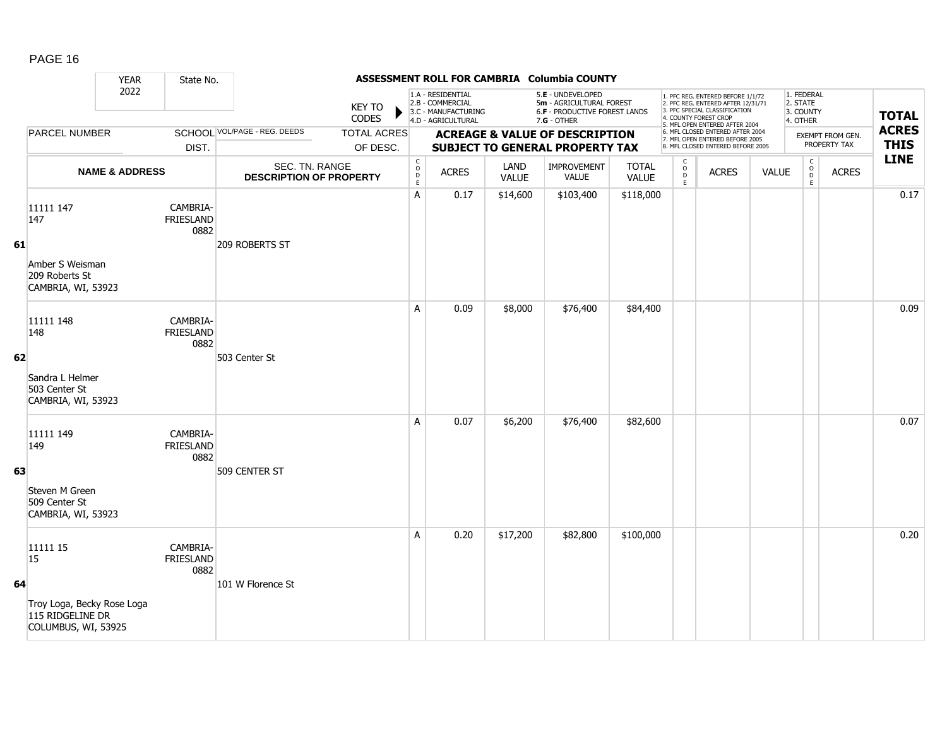|    |                                                                       | <b>YEAR</b>               | State No.                            |                                                  |                                |                                                    |                                                                                    |                      | ASSESSMENT ROLL FOR CAMBRIA Columbia COUNTY                                                     |                              |                                                   |                                                                                                                                                                     |              |                                                    |                                  |                             |
|----|-----------------------------------------------------------------------|---------------------------|--------------------------------------|--------------------------------------------------|--------------------------------|----------------------------------------------------|------------------------------------------------------------------------------------|----------------------|-------------------------------------------------------------------------------------------------|------------------------------|---------------------------------------------------|---------------------------------------------------------------------------------------------------------------------------------------------------------------------|--------------|----------------------------------------------------|----------------------------------|-----------------------------|
|    |                                                                       | 2022                      |                                      |                                                  | <b>KEY TO</b><br><b>CODES</b>  |                                                    | 1.A - RESIDENTIAL<br>2.B - COMMERCIAL<br>3.C - MANUFACTURING<br>4.D - AGRICULTURAL |                      | 5.E - UNDEVELOPED<br>5m - AGRICULTURAL FOREST<br>6.F - PRODUCTIVE FOREST LANDS<br>$7.G - OTHER$ |                              |                                                   | 1. PFC REG. ENTERED BEFORE 1/1/72<br>2. PFC REG. ENTERED AFTER 12/31/71<br>3. PFC SPECIAL CLASSIFICATION<br>4. COUNTY FOREST CROP<br>5. MFL OPEN ENTERED AFTER 2004 |              | 1. FEDERAL<br>2. STATE<br>3. COUNTY<br>4. OTHER    |                                  | <b>TOTAL</b>                |
|    | PARCEL NUMBER                                                         |                           | DIST.                                | <b>SCHOOL VOL/PAGE - REG. DEEDS</b>              | <b>TOTAL ACRES</b><br>OF DESC. |                                                    |                                                                                    |                      | <b>ACREAGE &amp; VALUE OF DESCRIPTION</b><br><b>SUBJECT TO GENERAL PROPERTY TAX</b>             |                              |                                                   | 6. MFL CLOSED ENTERED AFTER 2004<br>7. MFL OPEN ENTERED BEFORE 2005<br>8. MFL CLOSED ENTERED BEFORE 2005                                                            |              |                                                    | EXEMPT FROM GEN.<br>PROPERTY TAX | <b>ACRES</b><br><b>THIS</b> |
|    |                                                                       | <b>NAME &amp; ADDRESS</b> |                                      | SEC. TN. RANGE<br><b>DESCRIPTION OF PROPERTY</b> |                                | $\mathsf{C}$<br>$\overset{\circ}{\mathsf{D}}$<br>E | <b>ACRES</b>                                                                       | LAND<br><b>VALUE</b> | <b>IMPROVEMENT</b><br>VALUE                                                                     | <b>TOTAL</b><br><b>VALUE</b> | C<br>$\begin{array}{c}\n0 \\ 0 \\ E\n\end{array}$ | <b>ACRES</b>                                                                                                                                                        | <b>VALUE</b> | $\mathsf{C}$<br>$\overset{\circ}{\mathsf{D}}$<br>E | <b>ACRES</b>                     | <b>LINE</b>                 |
| 61 | 11111 147<br>147                                                      |                           | CAMBRIA-<br><b>FRIESLAND</b><br>0882 | 209 ROBERTS ST                                   |                                | A                                                  | 0.17                                                                               | \$14,600             | \$103,400                                                                                       | \$118,000                    |                                                   |                                                                                                                                                                     |              |                                                    |                                  | 0.17                        |
|    | Amber S Weisman<br>209 Roberts St<br>CAMBRIA, WI, 53923               |                           |                                      |                                                  |                                |                                                    |                                                                                    |                      |                                                                                                 |                              |                                                   |                                                                                                                                                                     |              |                                                    |                                  |                             |
| 62 | 11111 148<br>148                                                      |                           | CAMBRIA-<br><b>FRIESLAND</b><br>0882 | 503 Center St                                    |                                | A                                                  | 0.09                                                                               | \$8,000              | \$76,400                                                                                        | \$84,400                     |                                                   |                                                                                                                                                                     |              |                                                    |                                  | 0.09                        |
|    | Sandra L Helmer<br>503 Center St<br>CAMBRIA, WI, 53923                |                           |                                      |                                                  |                                |                                                    |                                                                                    |                      |                                                                                                 |                              |                                                   |                                                                                                                                                                     |              |                                                    |                                  |                             |
|    | 11111 149<br>149                                                      |                           | CAMBRIA-<br><b>FRIESLAND</b><br>0882 |                                                  |                                | A                                                  | 0.07                                                                               | \$6,200              | \$76,400                                                                                        | \$82,600                     |                                                   |                                                                                                                                                                     |              |                                                    |                                  | 0.07                        |
| 63 | Steven M Green<br>509 Center St<br>CAMBRIA, WI, 53923                 |                           |                                      | 509 CENTER ST                                    |                                |                                                    |                                                                                    |                      |                                                                                                 |                              |                                                   |                                                                                                                                                                     |              |                                                    |                                  |                             |
|    | 11111 15<br>15                                                        |                           | CAMBRIA-<br><b>FRIESLAND</b><br>0882 |                                                  |                                | A                                                  | 0.20                                                                               | \$17,200             | \$82,800                                                                                        | \$100,000                    |                                                   |                                                                                                                                                                     |              |                                                    |                                  | 0.20                        |
| 64 | Troy Loga, Becky Rose Loga<br>115 RIDGELINE DR<br>COLUMBUS, WI, 53925 |                           |                                      | 101 W Florence St                                |                                |                                                    |                                                                                    |                      |                                                                                                 |                              |                                                   |                                                                                                                                                                     |              |                                                    |                                  |                             |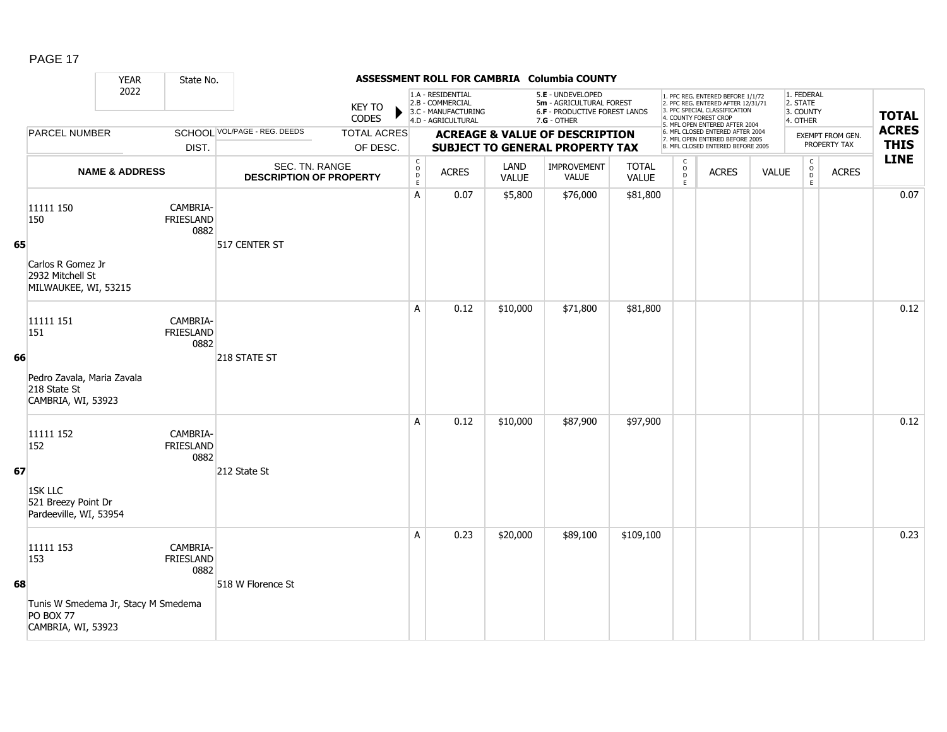| Δ | ŀ. |  |
|---|----|--|
|---|----|--|

|    |                                                                                                                    | <b>YEAR</b>               | State No.                            |                                                  |                                |                                                          |                                                                                    |               | ASSESSMENT ROLL FOR CAMBRIA Columbia COUNTY                                                     |                              |                          |                                                                                                                                                                     |              |                                                 |                                  |                             |
|----|--------------------------------------------------------------------------------------------------------------------|---------------------------|--------------------------------------|--------------------------------------------------|--------------------------------|----------------------------------------------------------|------------------------------------------------------------------------------------|---------------|-------------------------------------------------------------------------------------------------|------------------------------|--------------------------|---------------------------------------------------------------------------------------------------------------------------------------------------------------------|--------------|-------------------------------------------------|----------------------------------|-----------------------------|
|    |                                                                                                                    | 2022                      |                                      |                                                  | <b>KEY TO</b><br><b>CODES</b>  |                                                          | 1.A - RESIDENTIAL<br>2.B - COMMERCIAL<br>3.C - MANUFACTURING<br>4.D - AGRICULTURAL |               | 5.E - UNDEVELOPED<br>5m - AGRICULTURAL FOREST<br>6.F - PRODUCTIVE FOREST LANDS<br>$7.G - OTHER$ |                              |                          | 1. PFC REG. ENTERED BEFORE 1/1/72<br>2. PFC REG. ENTERED AFTER 12/31/71<br>3. PFC SPECIAL CLASSIFICATION<br>4. COUNTY FOREST CROP<br>5. MFL OPEN ENTERED AFTER 2004 |              | 1. FEDERAL<br>2. STATE<br>3. COUNTY<br>4. OTHER |                                  | <b>TOTAL</b>                |
|    | PARCEL NUMBER                                                                                                      |                           | DIST.                                | SCHOOL VOL/PAGE - REG. DEEDS                     | <b>TOTAL ACRES</b><br>OF DESC. |                                                          |                                                                                    |               | <b>ACREAGE &amp; VALUE OF DESCRIPTION</b><br>SUBJECT TO GENERAL PROPERTY TAX                    |                              |                          | 6. MFL CLOSED ENTERED AFTER 2004<br>7. MFL OPEN ENTERED BEFORE 2005<br>8. MFL CLOSED ENTERED BEFORE 2005                                                            |              |                                                 | EXEMPT FROM GEN.<br>PROPERTY TAX | <b>ACRES</b><br><b>THIS</b> |
|    |                                                                                                                    | <b>NAME &amp; ADDRESS</b> |                                      | SEC. TN. RANGE<br><b>DESCRIPTION OF PROPERTY</b> |                                | $\begin{matrix} 0 \\ 0 \\ D \end{matrix}$<br>$\mathsf E$ | <b>ACRES</b>                                                                       | LAND<br>VALUE | IMPROVEMENT<br>VALUE                                                                            | <b>TOTAL</b><br><b>VALUE</b> | C<br>$\overline{0}$<br>E | <b>ACRES</b>                                                                                                                                                        | <b>VALUE</b> | $\begin{matrix} C \\ O \\ D \end{matrix}$<br>E  | <b>ACRES</b>                     | <b>LINE</b>                 |
| 65 | 11111 150<br>150<br>Carlos R Gomez Jr<br>2932 Mitchell St<br>MILWAUKEE, WI, 53215                                  |                           | CAMBRIA-<br><b>FRIESLAND</b><br>0882 | 517 CENTER ST                                    |                                | A                                                        | 0.07                                                                               | \$5,800       | \$76,000                                                                                        | \$81,800                     |                          |                                                                                                                                                                     |              |                                                 |                                  | 0.07                        |
| 66 | 11111 151<br>151<br>Pedro Zavala, Maria Zavala                                                                     |                           | CAMBRIA-<br><b>FRIESLAND</b><br>0882 | 218 STATE ST                                     |                                | A                                                        | 0.12                                                                               | \$10,000      | \$71,800                                                                                        | \$81,800                     |                          |                                                                                                                                                                     |              |                                                 |                                  | 0.12                        |
| 67 | 218 State St<br>CAMBRIA, WI, 53923<br>11111 152<br>152<br>1SK LLC<br>521 Breezy Point Dr<br>Pardeeville, WI, 53954 |                           | CAMBRIA-<br>FRIESLAND<br>0882        | 212 State St                                     |                                | A                                                        | 0.12                                                                               | \$10,000      | \$87,900                                                                                        | \$97,900                     |                          |                                                                                                                                                                     |              |                                                 |                                  | 0.12                        |
| 68 | 11111 153<br>153<br>Tunis W Smedema Jr, Stacy M Smedema<br><b>PO BOX 77</b><br>CAMBRIA, WI, 53923                  |                           | CAMBRIA-<br>FRIESLAND<br>0882        | 518 W Florence St                                |                                | A                                                        | 0.23                                                                               | \$20,000      | \$89,100                                                                                        | \$109,100                    |                          |                                                                                                                                                                     |              |                                                 |                                  | 0.23                        |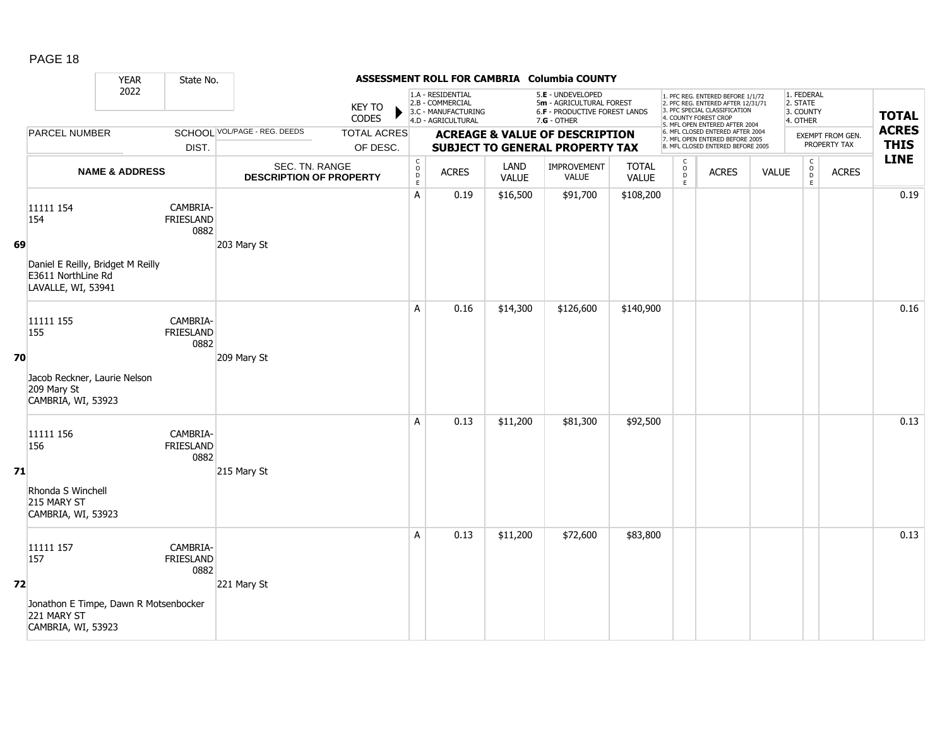|    |                                                                               | <b>YEAR</b>               | State No.                            |                                                  |                                |                                                           |                                                                                    |                      | ASSESSMENT ROLL FOR CAMBRIA Columbia COUNTY                                                   |                              |                                                 |                                                                                                                                                                     |              |                                                 |                                  |                             |
|----|-------------------------------------------------------------------------------|---------------------------|--------------------------------------|--------------------------------------------------|--------------------------------|-----------------------------------------------------------|------------------------------------------------------------------------------------|----------------------|-----------------------------------------------------------------------------------------------|------------------------------|-------------------------------------------------|---------------------------------------------------------------------------------------------------------------------------------------------------------------------|--------------|-------------------------------------------------|----------------------------------|-----------------------------|
|    |                                                                               | 2022                      |                                      |                                                  | <b>KEY TO</b><br><b>CODES</b>  |                                                           | 1.A - RESIDENTIAL<br>2.B - COMMERCIAL<br>3.C - MANUFACTURING<br>4.D - AGRICULTURAL |                      | 5.E - UNDEVELOPED<br>5m - AGRICULTURAL FOREST<br>6.F - PRODUCTIVE FOREST LANDS<br>7.G - OTHER |                              |                                                 | 1. PFC REG. ENTERED BEFORE 1/1/72<br>2. PFC REG. ENTERED AFTER 12/31/71<br>3. PFC SPECIAL CLASSIFICATION<br>4. COUNTY FOREST CROP<br>5. MFL OPEN ENTERED AFTER 2004 |              | 1. FEDERAL<br>2. STATE<br>3. COUNTY<br>4. OTHER |                                  | <b>TOTAL</b>                |
|    | PARCEL NUMBER                                                                 |                           | DIST.                                | <b>SCHOOL VOL/PAGE - REG. DEEDS</b>              | <b>TOTAL ACRES</b><br>OF DESC. |                                                           |                                                                                    |                      | <b>ACREAGE &amp; VALUE OF DESCRIPTION</b><br>SUBJECT TO GENERAL PROPERTY TAX                  |                              |                                                 | 6. MFL CLOSED ENTERED AFTER 2004<br>7. MFL OPEN ENTERED BEFORE 2005<br>8. MFL CLOSED ENTERED BEFORE 2005                                                            |              |                                                 | EXEMPT FROM GEN.<br>PROPERTY TAX | <b>ACRES</b><br><b>THIS</b> |
|    |                                                                               | <b>NAME &amp; ADDRESS</b> |                                      | SEC. TN. RANGE<br><b>DESCRIPTION OF PROPERTY</b> |                                | $\mathsf{C}$<br>$\begin{matrix} 0 \\ D \\ E \end{matrix}$ | <b>ACRES</b>                                                                       | LAND<br><b>VALUE</b> | <b>IMPROVEMENT</b><br><b>VALUE</b>                                                            | <b>TOTAL</b><br><b>VALUE</b> | $\begin{array}{c} C \\ O \\ D \\ E \end{array}$ | <b>ACRES</b>                                                                                                                                                        | <b>VALUE</b> | $\begin{array}{c} C \\ 0 \\ E \end{array}$      | <b>ACRES</b>                     | <b>LINE</b>                 |
| 69 | 11111 154<br>154                                                              |                           | CAMBRIA-<br><b>FRIESLAND</b><br>0882 | 203 Mary St                                      |                                | A                                                         | 0.19                                                                               | \$16,500             | \$91,700                                                                                      | \$108,200                    |                                                 |                                                                                                                                                                     |              |                                                 |                                  | 0.19                        |
|    | Daniel E Reilly, Bridget M Reilly<br>E3611 NorthLine Rd<br>LAVALLE, WI, 53941 |                           |                                      |                                                  |                                |                                                           |                                                                                    |                      |                                                                                               |                              |                                                 |                                                                                                                                                                     |              |                                                 |                                  |                             |
|    | 11111 155<br>155                                                              |                           | CAMBRIA-<br><b>FRIESLAND</b><br>0882 |                                                  |                                | A                                                         | 0.16                                                                               | \$14,300             | \$126,600                                                                                     | \$140,900                    |                                                 |                                                                                                                                                                     |              |                                                 |                                  | 0.16                        |
| 70 | Jacob Reckner, Laurie Nelson<br>209 Mary St<br>CAMBRIA, WI, 53923             |                           |                                      | 209 Mary St                                      |                                |                                                           |                                                                                    |                      |                                                                                               |                              |                                                 |                                                                                                                                                                     |              |                                                 |                                  |                             |
|    | 11111 156<br>156                                                              |                           | CAMBRIA-<br><b>FRIESLAND</b><br>0882 |                                                  |                                | A                                                         | 0.13                                                                               | \$11,200             | \$81,300                                                                                      | \$92,500                     |                                                 |                                                                                                                                                                     |              |                                                 |                                  | 0.13                        |
| 71 | Rhonda S Winchell<br>215 MARY ST<br>CAMBRIA, WI, 53923                        |                           |                                      | 215 Mary St                                      |                                |                                                           |                                                                                    |                      |                                                                                               |                              |                                                 |                                                                                                                                                                     |              |                                                 |                                  |                             |
| 72 | 11111 157<br>157                                                              |                           | CAMBRIA-<br><b>FRIESLAND</b><br>0882 | 221 Mary St                                      |                                | A                                                         | 0.13                                                                               | \$11,200             | \$72,600                                                                                      | \$83,800                     |                                                 |                                                                                                                                                                     |              |                                                 |                                  | 0.13                        |
|    | Jonathon E Timpe, Dawn R Motsenbocker<br>221 MARY ST<br>CAMBRIA, WI, 53923    |                           |                                      |                                                  |                                |                                                           |                                                                                    |                      |                                                                                               |                              |                                                 |                                                                                                                                                                     |              |                                                 |                                  |                             |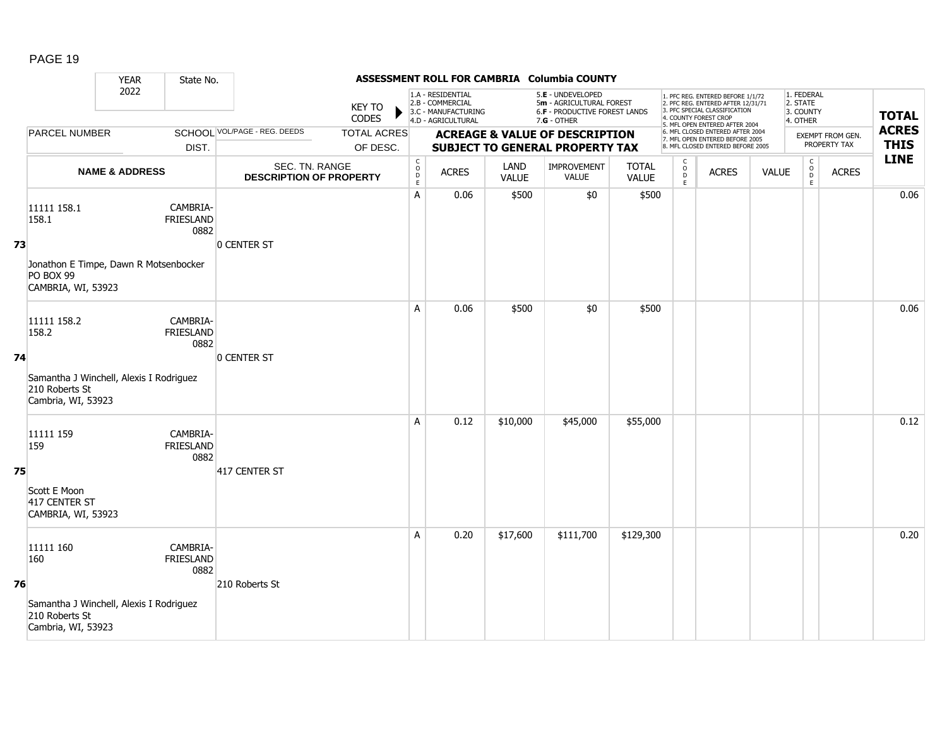|    |                                                                                                         | <b>YEAR</b>               | State No.                            |                                                  |                                |                                            |                                                                                    |                      | ASSESSMENT ROLL FOR CAMBRIA Columbia COUNTY                                                          |                       |                                                 |                                                                                                                                                                     |              |                                                 |                                  |                             |
|----|---------------------------------------------------------------------------------------------------------|---------------------------|--------------------------------------|--------------------------------------------------|--------------------------------|--------------------------------------------|------------------------------------------------------------------------------------|----------------------|------------------------------------------------------------------------------------------------------|-----------------------|-------------------------------------------------|---------------------------------------------------------------------------------------------------------------------------------------------------------------------|--------------|-------------------------------------------------|----------------------------------|-----------------------------|
|    |                                                                                                         | 2022                      |                                      |                                                  | <b>KEY TO</b><br>CODES         |                                            | 1.A - RESIDENTIAL<br>2.B - COMMERCIAL<br>3.C - MANUFACTURING<br>4.D - AGRICULTURAL |                      | 5.E - UNDEVELOPED<br>5m - AGRICULTURAL FOREST<br><b>6.F - PRODUCTIVE FOREST LANDS</b><br>7.G - OTHER |                       |                                                 | 1. PFC REG. ENTERED BEFORE 1/1/72<br>2. PFC REG. ENTERED AFTER 12/31/71<br>3. PFC SPECIAL CLASSIFICATION<br>4. COUNTY FOREST CROP<br>5. MFL OPEN ENTERED AFTER 2004 |              | 1. FEDERAL<br>2. STATE<br>3. COUNTY<br>4. OTHER |                                  | <b>TOTAL</b>                |
|    | <b>PARCEL NUMBER</b>                                                                                    |                           | DIST.                                | SCHOOL VOL/PAGE - REG. DEEDS                     | <b>TOTAL ACRES</b><br>OF DESC. |                                            |                                                                                    |                      | <b>ACREAGE &amp; VALUE OF DESCRIPTION</b><br><b>SUBJECT TO GENERAL PROPERTY TAX</b>                  |                       |                                                 | 6. MFL CLOSED ENTERED AFTER 2004<br>7. MFL OPEN ENTERED BEFORE 2005<br>8. MFL CLOSED ENTERED BEFORE 2005                                                            |              |                                                 | EXEMPT FROM GEN.<br>PROPERTY TAX | <b>ACRES</b><br><b>THIS</b> |
|    |                                                                                                         | <b>NAME &amp; ADDRESS</b> |                                      | SEC. TN. RANGE<br><b>DESCRIPTION OF PROPERTY</b> |                                | $\begin{array}{c} C \\ O \\ E \end{array}$ | <b>ACRES</b>                                                                       | LAND<br><b>VALUE</b> | IMPROVEMENT<br><b>VALUE</b>                                                                          | <b>TOTAL</b><br>VALUE | $\begin{array}{c} C \\ O \\ D \\ E \end{array}$ | <b>ACRES</b>                                                                                                                                                        | <b>VALUE</b> | $\mathsf C$<br>$_{\rm D}^{\rm O}$<br>E.         | <b>ACRES</b>                     | <b>LINE</b>                 |
| 73 | 11111 158.1<br>158.1<br>Jonathon E Timpe, Dawn R Motsenbocker<br>PO BOX 99<br>CAMBRIA, WI, 53923        |                           | CAMBRIA-<br>FRIESLAND<br>0882        | <b>O CENTER ST</b>                               |                                | A                                          | 0.06                                                                               | \$500                | \$0                                                                                                  | \$500                 |                                                 |                                                                                                                                                                     |              |                                                 |                                  | 0.06                        |
| 74 | 11111 158.2<br>158.2<br>Samantha J Winchell, Alexis I Rodriguez<br>210 Roberts St<br>Cambria, WI, 53923 |                           | CAMBRIA-<br><b>FRIESLAND</b><br>0882 | 0 CENTER ST                                      |                                | A                                          | 0.06                                                                               | \$500                | \$0                                                                                                  | \$500                 |                                                 |                                                                                                                                                                     |              |                                                 |                                  | 0.06                        |
| 75 | 11111 159<br>159<br>Scott E Moon<br>417 CENTER ST<br>CAMBRIA, WI, 53923                                 |                           | CAMBRIA-<br><b>FRIESLAND</b><br>0882 | 417 CENTER ST                                    |                                | A                                          | 0.12                                                                               | \$10,000             | \$45,000                                                                                             | \$55,000              |                                                 |                                                                                                                                                                     |              |                                                 |                                  | 0.12                        |
| 76 | 11111 160<br>160<br>Samantha J Winchell, Alexis I Rodriguez<br>210 Roberts St<br>Cambria, WI, 53923     |                           | CAMBRIA-<br><b>FRIESLAND</b><br>0882 | 210 Roberts St                                   |                                | A                                          | 0.20                                                                               | \$17,600             | \$111,700                                                                                            | \$129,300             |                                                 |                                                                                                                                                                     |              |                                                 |                                  | 0.20                        |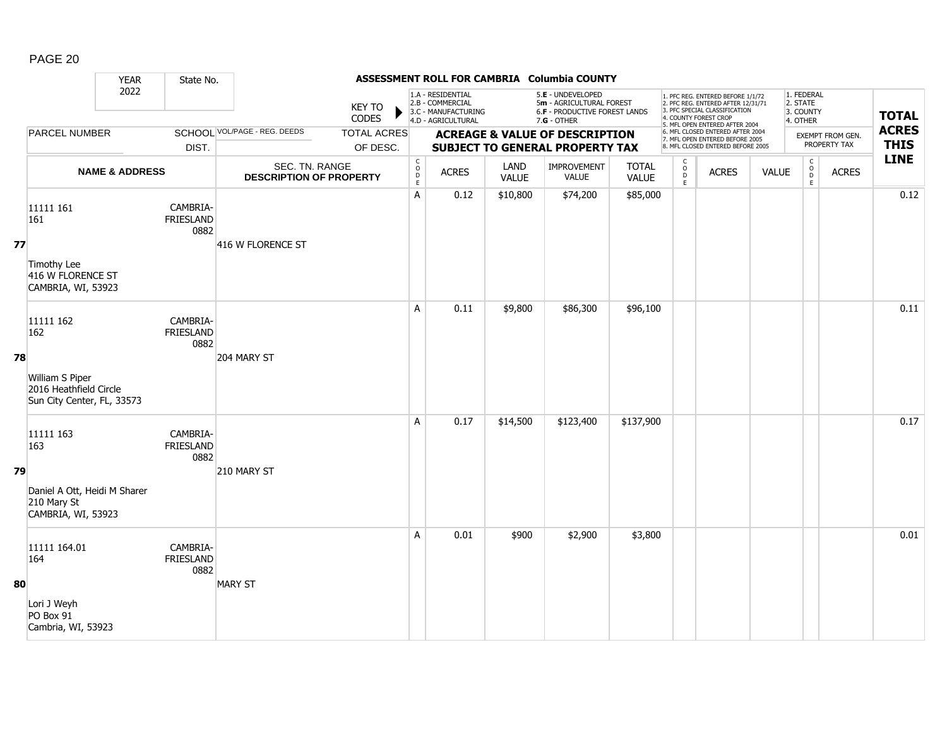|    |                                                                                             | <b>YEAR</b>               | State No.                            |                                                  |                                |                                                         |                                                                                    |                      | ASSESSMENT ROLL FOR CAMBRIA Columbia COUNTY                                                   |                              |                                            |                                                                                                                                                                     |              |                                                 |                                  |                             |
|----|---------------------------------------------------------------------------------------------|---------------------------|--------------------------------------|--------------------------------------------------|--------------------------------|---------------------------------------------------------|------------------------------------------------------------------------------------|----------------------|-----------------------------------------------------------------------------------------------|------------------------------|--------------------------------------------|---------------------------------------------------------------------------------------------------------------------------------------------------------------------|--------------|-------------------------------------------------|----------------------------------|-----------------------------|
|    |                                                                                             | 2022                      |                                      |                                                  | <b>KEY TO</b><br>CODES         |                                                         | 1.A - RESIDENTIAL<br>2.B - COMMERCIAL<br>3.C - MANUFACTURING<br>4.D - AGRICULTURAL |                      | 5.E - UNDEVELOPED<br>5m - AGRICULTURAL FOREST<br>6.F - PRODUCTIVE FOREST LANDS<br>7.G - OTHER |                              |                                            | 1. PFC REG. ENTERED BEFORE 1/1/72<br>2. PFC REG. ENTERED AFTER 12/31/71<br>3. PFC SPECIAL CLASSIFICATION<br>4. COUNTY FOREST CROP<br>5. MFL OPEN ENTERED AFTER 2004 |              | 1. FEDERAL<br>2. STATE<br>3. COUNTY<br>4. OTHER |                                  | <b>TOTAL</b>                |
|    | <b>PARCEL NUMBER</b>                                                                        |                           | DIST.                                | SCHOOL VOL/PAGE - REG. DEEDS                     | <b>TOTAL ACRES</b><br>OF DESC. |                                                         |                                                                                    |                      | <b>ACREAGE &amp; VALUE OF DESCRIPTION</b><br><b>SUBJECT TO GENERAL PROPERTY TAX</b>           |                              |                                            | 6. MFL CLOSED ENTERED AFTER 2004<br>7. MFL OPEN ENTERED BEFORE 2005<br>8. MFL CLOSED ENTERED BEFORE 2005                                                            |              |                                                 | EXEMPT FROM GEN.<br>PROPERTY TAX | <b>ACRES</b><br><b>THIS</b> |
|    |                                                                                             | <b>NAME &amp; ADDRESS</b> |                                      | SEC. TN. RANGE<br><b>DESCRIPTION OF PROPERTY</b> |                                | $\mathsf{C}$<br>$_\mathrm{D}^\mathrm{O}$<br>$\mathsf E$ | <b>ACRES</b>                                                                       | LAND<br><b>VALUE</b> | IMPROVEMENT<br>VALUE                                                                          | <b>TOTAL</b><br><b>VALUE</b> | $\begin{array}{c} C \\ 0 \\ E \end{array}$ | <b>ACRES</b>                                                                                                                                                        | <b>VALUE</b> | $\begin{matrix} 0 \\ 0 \end{matrix}$<br>E       | <b>ACRES</b>                     | <b>LINE</b>                 |
| 77 | 11111 161<br>161<br>Timothy Lee<br>416 W FLORENCE ST<br>CAMBRIA, WI, 53923                  |                           | CAMBRIA-<br><b>FRIESLAND</b><br>0882 | 416 W FLORENCE ST                                |                                | A                                                       | 0.12                                                                               | \$10,800             | \$74,200                                                                                      | \$85,000                     |                                            |                                                                                                                                                                     |              |                                                 |                                  | 0.12                        |
| 78 | 11111 162<br>162<br>William S Piper<br>2016 Heathfield Circle<br>Sun City Center, FL, 33573 |                           | CAMBRIA-<br><b>FRIESLAND</b><br>0882 | 204 MARY ST                                      |                                | A                                                       | 0.11                                                                               | \$9,800              | \$86,300                                                                                      | \$96,100                     |                                            |                                                                                                                                                                     |              |                                                 |                                  | 0.11                        |
| 79 | 11111 163<br>163<br>Daniel A Ott, Heidi M Sharer<br>210 Mary St<br>CAMBRIA, WI, 53923       |                           | CAMBRIA-<br>FRIESLAND<br>0882        | 210 MARY ST                                      |                                | A                                                       | 0.17                                                                               | \$14,500             | \$123,400                                                                                     | \$137,900                    |                                            |                                                                                                                                                                     |              |                                                 |                                  | 0.17                        |
| 80 | 11111 164.01<br>164<br>Lori J Weyh<br>PO Box 91<br>Cambria, WI, 53923                       |                           | CAMBRIA-<br><b>FRIESLAND</b><br>0882 | <b>MARY ST</b>                                   |                                | A                                                       | 0.01                                                                               | \$900                | \$2,900                                                                                       | \$3,800                      |                                            |                                                                                                                                                                     |              |                                                 |                                  | 0.01                        |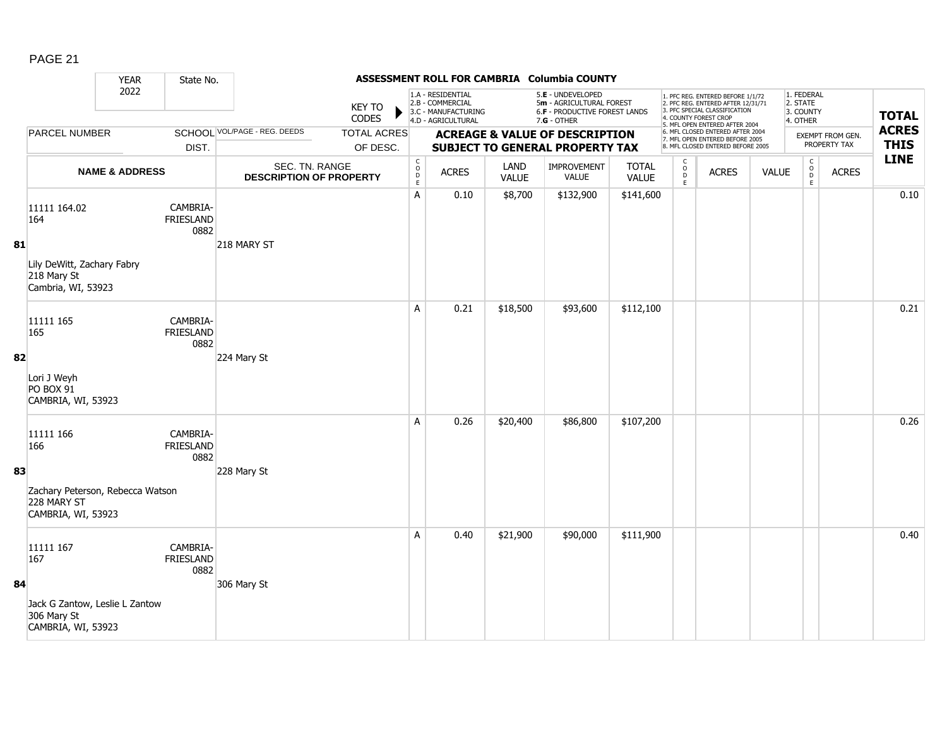|    |                                                                       | <b>YEAR</b>               | State No.                            |                                                  |                                |                                                              |                                                                                    |                      | ASSESSMENT ROLL FOR CAMBRIA Columbia COUNTY                                                   |                              |                                                 |                                                                                                                                                                     |              |                                                                     |                                  |                             |
|----|-----------------------------------------------------------------------|---------------------------|--------------------------------------|--------------------------------------------------|--------------------------------|--------------------------------------------------------------|------------------------------------------------------------------------------------|----------------------|-----------------------------------------------------------------------------------------------|------------------------------|-------------------------------------------------|---------------------------------------------------------------------------------------------------------------------------------------------------------------------|--------------|---------------------------------------------------------------------|----------------------------------|-----------------------------|
|    |                                                                       | 2022                      |                                      |                                                  | <b>KEY TO</b><br><b>CODES</b>  |                                                              | 1.A - RESIDENTIAL<br>2.B - COMMERCIAL<br>3.C - MANUFACTURING<br>4.D - AGRICULTURAL |                      | 5.E - UNDEVELOPED<br>5m - AGRICULTURAL FOREST<br>6.F - PRODUCTIVE FOREST LANDS<br>7.G - OTHER |                              |                                                 | 1. PFC REG. ENTERED BEFORE 1/1/72<br>2. PFC REG. ENTERED AFTER 12/31/71<br>3. PFC SPECIAL CLASSIFICATION<br>4. COUNTY FOREST CROP<br>5. MFL OPEN ENTERED AFTER 2004 |              | 1. FEDERAL<br>2. STATE<br>3. COUNTY<br>4. OTHER                     |                                  | <b>TOTAL</b>                |
|    | PARCEL NUMBER                                                         |                           | DIST.                                | SCHOOL VOL/PAGE - REG. DEEDS                     | <b>TOTAL ACRES</b><br>OF DESC. |                                                              |                                                                                    |                      | <b>ACREAGE &amp; VALUE OF DESCRIPTION</b><br>SUBJECT TO GENERAL PROPERTY TAX                  |                              |                                                 | 6. MFL CLOSED ENTERED AFTER 2004<br>7. MFL OPEN ENTERED BEFORE 2005<br>8. MFL CLOSED ENTERED BEFORE 2005                                                            |              |                                                                     | EXEMPT FROM GEN.<br>PROPERTY TAX | <b>ACRES</b><br><b>THIS</b> |
|    |                                                                       | <b>NAME &amp; ADDRESS</b> |                                      | SEC. TN. RANGE<br><b>DESCRIPTION OF PROPERTY</b> |                                | $\mathsf{C}$<br>$\begin{array}{c}\n0 \\ D \\ E\n\end{array}$ | <b>ACRES</b>                                                                       | LAND<br><b>VALUE</b> | <b>IMPROVEMENT</b><br><b>VALUE</b>                                                            | <b>TOTAL</b><br><b>VALUE</b> | $\begin{array}{c} C \\ O \\ D \\ E \end{array}$ | <b>ACRES</b>                                                                                                                                                        | <b>VALUE</b> | $\mathsf C$<br>$\overset{\circ}{\phantom{\circ}}$<br>$\mathsf{E}^-$ | <b>ACRES</b>                     | <b>LINE</b>                 |
|    | 11111 164.02<br>164                                                   |                           | CAMBRIA-<br><b>FRIESLAND</b><br>0882 |                                                  |                                | $\overline{A}$                                               | 0.10                                                                               | \$8,700              | \$132,900                                                                                     | \$141,600                    |                                                 |                                                                                                                                                                     |              |                                                                     |                                  | 0.10                        |
| 81 | Lily DeWitt, Zachary Fabry<br>218 Mary St<br>Cambria, WI, 53923       |                           |                                      | 218 MARY ST                                      |                                |                                                              |                                                                                    |                      |                                                                                               |                              |                                                 |                                                                                                                                                                     |              |                                                                     |                                  |                             |
|    | 11111 165<br>165                                                      |                           | CAMBRIA-<br><b>FRIESLAND</b><br>0882 |                                                  |                                | A                                                            | 0.21                                                                               | \$18,500             | \$93,600                                                                                      | \$112,100                    |                                                 |                                                                                                                                                                     |              |                                                                     |                                  | 0.21                        |
| 82 | Lori J Weyh<br><b>PO BOX 91</b><br>CAMBRIA, WI, 53923                 |                           |                                      | 224 Mary St                                      |                                |                                                              |                                                                                    |                      |                                                                                               |                              |                                                 |                                                                                                                                                                     |              |                                                                     |                                  |                             |
|    | 11111 166<br>166                                                      |                           | CAMBRIA-<br><b>FRIESLAND</b><br>0882 |                                                  |                                | A                                                            | 0.26                                                                               | \$20,400             | \$86,800                                                                                      | \$107,200                    |                                                 |                                                                                                                                                                     |              |                                                                     |                                  | 0.26                        |
| 83 | Zachary Peterson, Rebecca Watson<br>228 MARY ST<br>CAMBRIA, WI, 53923 |                           |                                      | 228 Mary St                                      |                                |                                                              |                                                                                    |                      |                                                                                               |                              |                                                 |                                                                                                                                                                     |              |                                                                     |                                  |                             |
|    | 11111 167<br>167                                                      |                           | CAMBRIA-<br><b>FRIESLAND</b><br>0882 |                                                  |                                | A                                                            | 0.40                                                                               | \$21,900             | \$90,000                                                                                      | \$111,900                    |                                                 |                                                                                                                                                                     |              |                                                                     |                                  | 0.40                        |
| 84 | Jack G Zantow, Leslie L Zantow<br>306 Mary St<br>CAMBRIA, WI, 53923   |                           |                                      | 306 Mary St                                      |                                |                                                              |                                                                                    |                      |                                                                                               |                              |                                                 |                                                                                                                                                                     |              |                                                                     |                                  |                             |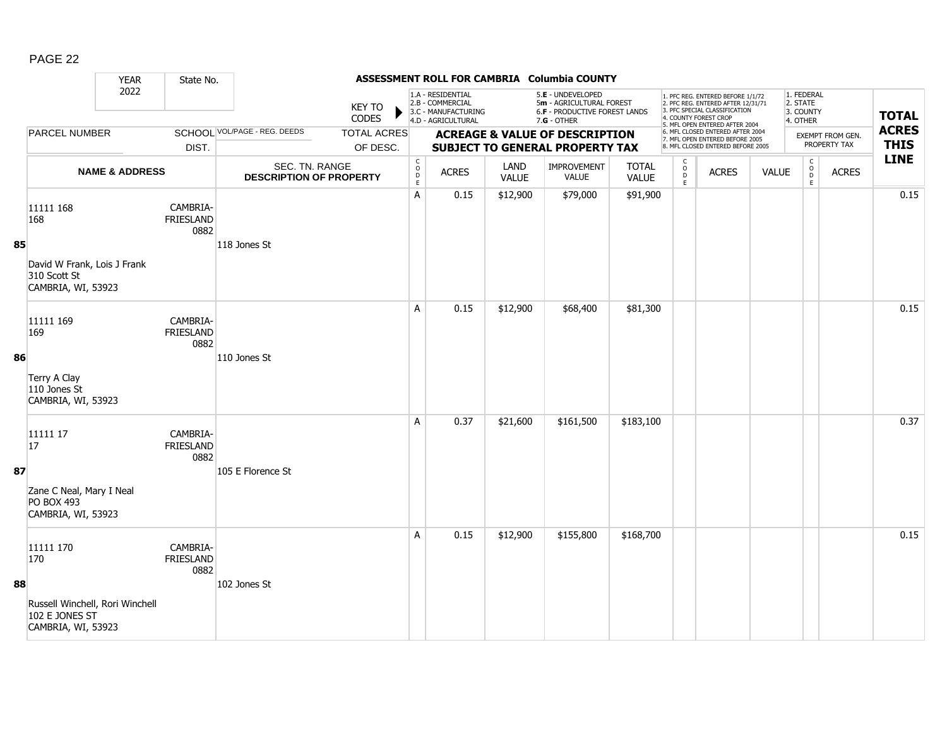|    |                                                                         | <b>YEAR</b> | State No.                            |                                                  |                                |                                         |                                                                                    |                      | ASSESSMENT ROLL FOR CAMBRIA Columbia COUNTY                                                          |                              |                                                |                                                                                                                                                                     |              |                                                 |                                         |                             |
|----|-------------------------------------------------------------------------|-------------|--------------------------------------|--------------------------------------------------|--------------------------------|-----------------------------------------|------------------------------------------------------------------------------------|----------------------|------------------------------------------------------------------------------------------------------|------------------------------|------------------------------------------------|---------------------------------------------------------------------------------------------------------------------------------------------------------------------|--------------|-------------------------------------------------|-----------------------------------------|-----------------------------|
|    |                                                                         | 2022        |                                      |                                                  | <b>KEY TO</b><br><b>CODES</b>  |                                         | 1.A - RESIDENTIAL<br>2.B - COMMERCIAL<br>3.C - MANUFACTURING<br>4.D - AGRICULTURAL |                      | 5.E - UNDEVELOPED<br>5m - AGRICULTURAL FOREST<br><b>6.F - PRODUCTIVE FOREST LANDS</b><br>7.G - OTHER |                              |                                                | 1. PFC REG. ENTERED BEFORE 1/1/72<br>2. PFC REG. ENTERED AFTER 12/31/71<br>3. PFC SPECIAL CLASSIFICATION<br>4. COUNTY FOREST CROP<br>5. MFL OPEN ENTERED AFTER 2004 |              | 1. FEDERAL<br>2. STATE<br>3. COUNTY<br>4. OTHER |                                         | <b>TOTAL</b>                |
|    | <b>PARCEL NUMBER</b>                                                    |             | DIST.                                | <b>SCHOOL VOL/PAGE - REG. DEEDS</b>              | <b>TOTAL ACRES</b><br>OF DESC. |                                         |                                                                                    |                      | <b>ACREAGE &amp; VALUE OF DESCRIPTION</b><br><b>SUBJECT TO GENERAL PROPERTY TAX</b>                  |                              |                                                | 6. MFL CLOSED ENTERED AFTER 2004<br>7. MFL OPEN ENTERED BEFORE 2005<br>8. MFL CLOSED ENTERED BEFORE 2005                                                            |              |                                                 | <b>EXEMPT FROM GEN.</b><br>PROPERTY TAX | <b>ACRES</b><br><b>THIS</b> |
|    | <b>NAME &amp; ADDRESS</b>                                               |             |                                      | SEC. TN. RANGE<br><b>DESCRIPTION OF PROPERTY</b> |                                | $\mathsf{C}$<br>$_{\rm D}^{\rm O}$<br>E | <b>ACRES</b>                                                                       | LAND<br><b>VALUE</b> | <b>IMPROVEMENT</b><br>VALUE                                                                          | <b>TOTAL</b><br><b>VALUE</b> | $\begin{matrix} 0 \\ 0 \\ D \end{matrix}$<br>E | <b>ACRES</b>                                                                                                                                                        | <b>VALUE</b> | $\begin{matrix} 0 \\ 0 \\ D \end{matrix}$<br>E  | <b>ACRES</b>                            | <b>LINE</b>                 |
|    | 11111 168<br>168                                                        |             | CAMBRIA-<br><b>FRIESLAND</b><br>0882 |                                                  |                                | A                                       | 0.15                                                                               | \$12,900             | \$79,000                                                                                             | \$91,900                     |                                                |                                                                                                                                                                     |              |                                                 |                                         | 0.15                        |
| 85 | David W Frank, Lois J Frank<br>310 Scott St<br>CAMBRIA, WI, 53923       |             |                                      | 118 Jones St                                     |                                |                                         |                                                                                    |                      |                                                                                                      |                              |                                                |                                                                                                                                                                     |              |                                                 |                                         |                             |
|    | 11111 169<br>169                                                        |             | CAMBRIA-<br><b>FRIESLAND</b><br>0882 |                                                  |                                | A                                       | 0.15                                                                               | \$12,900             | \$68,400                                                                                             | \$81,300                     |                                                |                                                                                                                                                                     |              |                                                 |                                         | 0.15                        |
| 86 | Terry A Clay<br>110 Jones St<br>CAMBRIA, WI, 53923                      |             |                                      | 110 Jones St                                     |                                |                                         |                                                                                    |                      |                                                                                                      |                              |                                                |                                                                                                                                                                     |              |                                                 |                                         |                             |
|    | 11111 17<br>17                                                          |             | CAMBRIA-<br><b>FRIESLAND</b><br>0882 |                                                  |                                | A                                       | 0.37                                                                               | \$21,600             | \$161,500                                                                                            | \$183,100                    |                                                |                                                                                                                                                                     |              |                                                 |                                         | 0.37                        |
| 87 | Zane C Neal, Mary I Neal<br><b>PO BOX 493</b><br>CAMBRIA, WI, 53923     |             |                                      | 105 E Florence St                                |                                |                                         |                                                                                    |                      |                                                                                                      |                              |                                                |                                                                                                                                                                     |              |                                                 |                                         |                             |
| 88 | 11111 170<br>170                                                        |             | CAMBRIA-<br><b>FRIESLAND</b><br>0882 | 102 Jones St                                     |                                | A                                       | 0.15                                                                               | \$12,900             | \$155,800                                                                                            | \$168,700                    |                                                |                                                                                                                                                                     |              |                                                 |                                         | 0.15                        |
|    | Russell Winchell, Rori Winchell<br>102 E JONES ST<br>CAMBRIA, WI, 53923 |             |                                      |                                                  |                                |                                         |                                                                                    |                      |                                                                                                      |                              |                                                |                                                                                                                                                                     |              |                                                 |                                         |                             |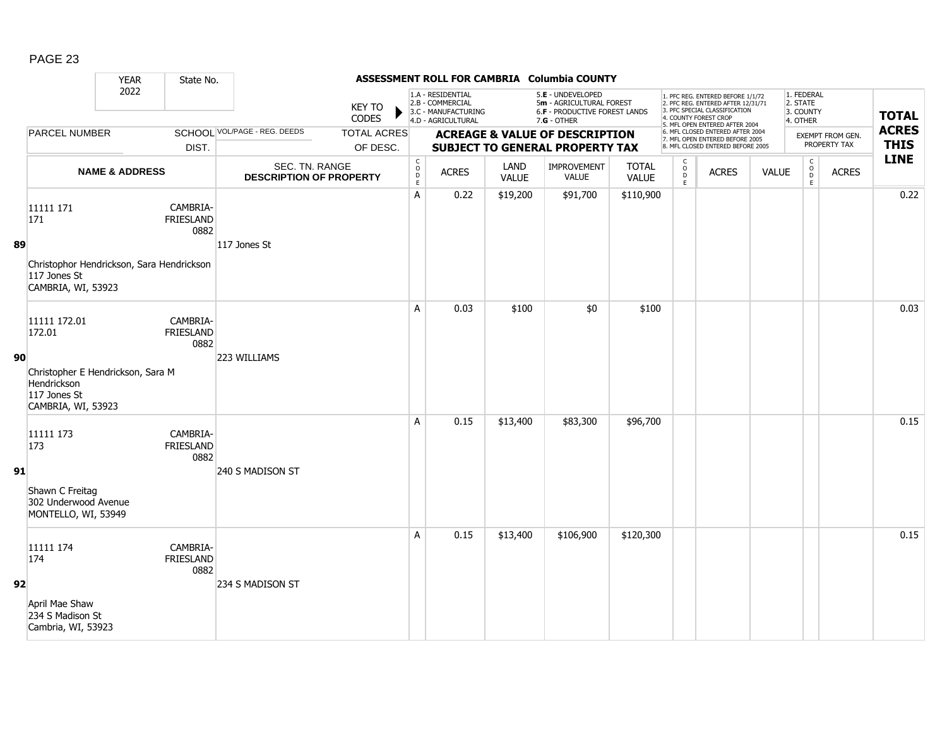|    |                                                                                        | <b>YEAR</b>               | State No.                            |                                                  |                                |                                                                   |                                                                                    |                      | ASSESSMENT ROLL FOR CAMBRIA Columbia COUNTY                                                            |                              |                                                          |                                                                                                                                                                     |              |                                                 |                                         |                             |
|----|----------------------------------------------------------------------------------------|---------------------------|--------------------------------------|--------------------------------------------------|--------------------------------|-------------------------------------------------------------------|------------------------------------------------------------------------------------|----------------------|--------------------------------------------------------------------------------------------------------|------------------------------|----------------------------------------------------------|---------------------------------------------------------------------------------------------------------------------------------------------------------------------|--------------|-------------------------------------------------|-----------------------------------------|-----------------------------|
|    |                                                                                        | 2022                      |                                      |                                                  | <b>KEY TO</b><br><b>CODES</b>  |                                                                   | 1.A - RESIDENTIAL<br>2.B - COMMERCIAL<br>3.C - MANUFACTURING<br>4.D - AGRICULTURAL |                      | 5.E - UNDEVELOPED<br>5m - AGRICULTURAL FOREST<br><b>6.F - PRODUCTIVE FOREST LANDS</b><br>$7.G - OTHER$ |                              |                                                          | 1. PFC REG. ENTERED BEFORE 1/1/72<br>2. PFC REG. ENTERED AFTER 12/31/71<br>3. PFC SPECIAL CLASSIFICATION<br>4. COUNTY FOREST CROP<br>5. MFL OPEN ENTERED AFTER 2004 |              | 1. FEDERAL<br>2. STATE<br>3. COUNTY<br>4. OTHER |                                         | <b>TOTAL</b>                |
|    | PARCEL NUMBER                                                                          |                           | DIST.                                | <b>SCHOOL VOL/PAGE - REG. DEEDS</b>              | <b>TOTAL ACRES</b><br>OF DESC. |                                                                   |                                                                                    |                      | <b>ACREAGE &amp; VALUE OF DESCRIPTION</b><br><b>SUBJECT TO GENERAL PROPERTY TAX</b>                    |                              |                                                          | 6. MFL CLOSED ENTERED AFTER 2004<br>7. MFL OPEN ENTERED BEFORE 2005<br>8. MFL CLOSED ENTERED BEFORE 2005                                                            |              |                                                 | <b>EXEMPT FROM GEN.</b><br>PROPERTY TAX | <b>ACRES</b><br><b>THIS</b> |
|    |                                                                                        | <b>NAME &amp; ADDRESS</b> |                                      | SEC. TN. RANGE<br><b>DESCRIPTION OF PROPERTY</b> |                                | $\begin{smallmatrix} C\\O\\O\\D \end{smallmatrix}$<br>$\mathsf E$ | <b>ACRES</b>                                                                       | LAND<br><b>VALUE</b> | <b>IMPROVEMENT</b><br><b>VALUE</b>                                                                     | <b>TOTAL</b><br><b>VALUE</b> | $\begin{matrix} 0 \\ 0 \\ D \end{matrix}$<br>$\mathsf E$ | <b>ACRES</b>                                                                                                                                                        | <b>VALUE</b> | $\begin{matrix} 0 \\ 0 \\ 0 \end{matrix}$<br>E  | <b>ACRES</b>                            | <b>LINE</b>                 |
|    | 11111 171<br>171                                                                       |                           | CAMBRIA-<br><b>FRIESLAND</b><br>0882 |                                                  |                                | A                                                                 | 0.22                                                                               | \$19,200             | \$91,700                                                                                               | \$110,900                    |                                                          |                                                                                                                                                                     |              |                                                 |                                         | 0.22                        |
| 89 | Christophor Hendrickson, Sara Hendrickson<br>117 Jones St<br>CAMBRIA, WI, 53923        |                           |                                      | 117 Jones St                                     |                                |                                                                   |                                                                                    |                      |                                                                                                        |                              |                                                          |                                                                                                                                                                     |              |                                                 |                                         |                             |
|    | 11111 172.01<br>172.01                                                                 |                           | CAMBRIA-<br><b>FRIESLAND</b><br>0882 |                                                  |                                | A                                                                 | 0.03                                                                               | \$100                | \$0                                                                                                    | \$100                        |                                                          |                                                                                                                                                                     |              |                                                 |                                         | 0.03                        |
| 90 | Christopher E Hendrickson, Sara M<br>Hendrickson<br>117 Jones St<br>CAMBRIA, WI, 53923 |                           |                                      | 223 WILLIAMS                                     |                                |                                                                   |                                                                                    |                      |                                                                                                        |                              |                                                          |                                                                                                                                                                     |              |                                                 |                                         |                             |
|    | 11111 173<br>173                                                                       |                           | CAMBRIA-<br><b>FRIESLAND</b><br>0882 |                                                  |                                | A                                                                 | 0.15                                                                               | \$13,400             | \$83,300                                                                                               | \$96,700                     |                                                          |                                                                                                                                                                     |              |                                                 |                                         | 0.15                        |
| 91 | Shawn C Freitag<br>302 Underwood Avenue<br>MONTELLO, WI, 53949                         |                           |                                      | 240 S MADISON ST                                 |                                |                                                                   |                                                                                    |                      |                                                                                                        |                              |                                                          |                                                                                                                                                                     |              |                                                 |                                         |                             |
|    | 11111 174<br>174                                                                       |                           | CAMBRIA-<br><b>FRIESLAND</b><br>0882 |                                                  |                                | A                                                                 | 0.15                                                                               | \$13,400             | \$106,900                                                                                              | \$120,300                    |                                                          |                                                                                                                                                                     |              |                                                 |                                         | 0.15                        |
| 92 | April Mae Shaw<br>234 S Madison St<br>Cambria, WI, 53923                               |                           |                                      | 234 S MADISON ST                                 |                                |                                                                   |                                                                                    |                      |                                                                                                        |                              |                                                          |                                                                                                                                                                     |              |                                                 |                                         |                             |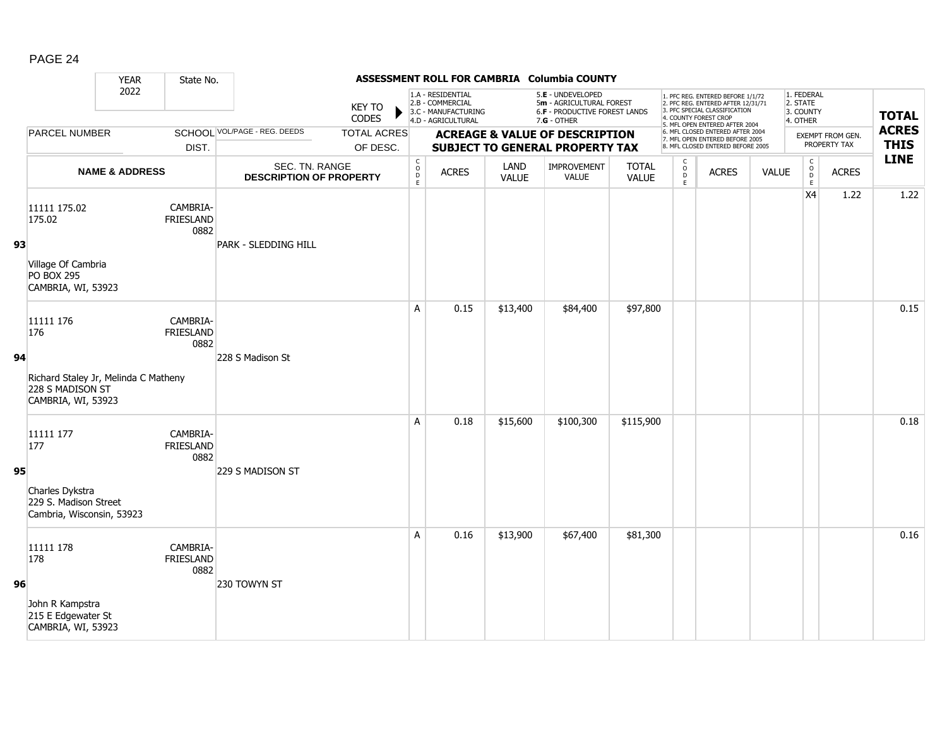|    |                                                                                | <b>YEAR</b>               | State No.                            |                                                  |                                |                                                              |                                                                                    |                      | ASSESSMENT ROLL FOR CAMBRIA Columbia COUNTY                                                     |                              |                                                 |                                                                                                                                                                     |              |                                                              |                                  |                             |
|----|--------------------------------------------------------------------------------|---------------------------|--------------------------------------|--------------------------------------------------|--------------------------------|--------------------------------------------------------------|------------------------------------------------------------------------------------|----------------------|-------------------------------------------------------------------------------------------------|------------------------------|-------------------------------------------------|---------------------------------------------------------------------------------------------------------------------------------------------------------------------|--------------|--------------------------------------------------------------|----------------------------------|-----------------------------|
|    |                                                                                | 2022                      |                                      |                                                  | <b>KEY TO</b><br><b>CODES</b>  |                                                              | 1.A - RESIDENTIAL<br>2.B - COMMERCIAL<br>3.C - MANUFACTURING<br>4.D - AGRICULTURAL |                      | 5.E - UNDEVELOPED<br>5m - AGRICULTURAL FOREST<br>6.F - PRODUCTIVE FOREST LANDS<br>$7.G - OTHER$ |                              |                                                 | 1. PFC REG. ENTERED BEFORE 1/1/72<br>2. PFC REG. ENTERED AFTER 12/31/71<br>3. PFC SPECIAL CLASSIFICATION<br>4. COUNTY FOREST CROP<br>5. MFL OPEN ENTERED AFTER 2004 |              | 1. FEDERAL<br>2. STATE<br>3. COUNTY<br>4. OTHER              |                                  | <b>TOTAL</b>                |
|    | PARCEL NUMBER                                                                  |                           | DIST.                                | SCHOOL VOL/PAGE - REG. DEEDS                     | <b>TOTAL ACRES</b><br>OF DESC. |                                                              |                                                                                    |                      | <b>ACREAGE &amp; VALUE OF DESCRIPTION</b><br><b>SUBJECT TO GENERAL PROPERTY TAX</b>             |                              |                                                 | 6. MFL CLOSED ENTERED AFTER 2004<br>7. MFL OPEN ENTERED BEFORE 2005<br>8. MFL CLOSED ENTERED BEFORE 2005                                                            |              |                                                              | EXEMPT FROM GEN.<br>PROPERTY TAX | <b>ACRES</b><br><b>THIS</b> |
|    |                                                                                | <b>NAME &amp; ADDRESS</b> |                                      | SEC. TN. RANGE<br><b>DESCRIPTION OF PROPERTY</b> |                                | $\mathsf{C}$<br>$\begin{array}{c}\n0 \\ 0 \\ E\n\end{array}$ | <b>ACRES</b>                                                                       | LAND<br><b>VALUE</b> | <b>IMPROVEMENT</b><br>VALUE                                                                     | <b>TOTAL</b><br><b>VALUE</b> | $\begin{array}{c} C \\ O \\ D \\ E \end{array}$ | <b>ACRES</b>                                                                                                                                                        | <b>VALUE</b> | $\mathsf{C}$<br>$\begin{array}{c}\n0 \\ D \\ E\n\end{array}$ | <b>ACRES</b>                     | <b>LINE</b>                 |
| 93 | 11111 175.02<br>175.02                                                         |                           | CAMBRIA-<br><b>FRIESLAND</b><br>0882 | PARK - SLEDDING HILL                             |                                |                                                              |                                                                                    |                      |                                                                                                 |                              |                                                 |                                                                                                                                                                     |              | X4                                                           | 1.22                             | 1.22                        |
|    | Village Of Cambria<br><b>PO BOX 295</b><br>CAMBRIA, WI, 53923                  |                           |                                      |                                                  |                                |                                                              |                                                                                    |                      |                                                                                                 |                              |                                                 |                                                                                                                                                                     |              |                                                              |                                  |                             |
|    | 11111 176<br>176                                                               |                           | CAMBRIA-<br><b>FRIESLAND</b><br>0882 |                                                  |                                | A                                                            | 0.15                                                                               | \$13,400             | \$84,400                                                                                        | \$97,800                     |                                                 |                                                                                                                                                                     |              |                                                              |                                  | 0.15                        |
| 94 | Richard Staley Jr, Melinda C Matheny<br>228 S MADISON ST<br>CAMBRIA, WI, 53923 |                           |                                      | 228 S Madison St                                 |                                |                                                              |                                                                                    |                      |                                                                                                 |                              |                                                 |                                                                                                                                                                     |              |                                                              |                                  |                             |
|    | 11111 177<br>177                                                               |                           | CAMBRIA-<br><b>FRIESLAND</b><br>0882 |                                                  |                                | A                                                            | 0.18                                                                               | \$15,600             | \$100,300                                                                                       | \$115,900                    |                                                 |                                                                                                                                                                     |              |                                                              |                                  | 0.18                        |
| 95 | Charles Dykstra<br>229 S. Madison Street<br>Cambria, Wisconsin, 53923          |                           |                                      | 229 S MADISON ST                                 |                                |                                                              |                                                                                    |                      |                                                                                                 |                              |                                                 |                                                                                                                                                                     |              |                                                              |                                  |                             |
|    | 11111 178<br>178                                                               |                           | CAMBRIA-<br><b>FRIESLAND</b><br>0882 |                                                  |                                | A                                                            | 0.16                                                                               | \$13,900             | \$67,400                                                                                        | \$81,300                     |                                                 |                                                                                                                                                                     |              |                                                              |                                  | 0.16                        |
| 96 | John R Kampstra<br>215 E Edgewater St<br>CAMBRIA, WI, 53923                    |                           |                                      | 230 TOWYN ST                                     |                                |                                                              |                                                                                    |                      |                                                                                                 |                              |                                                 |                                                                                                                                                                     |              |                                                              |                                  |                             |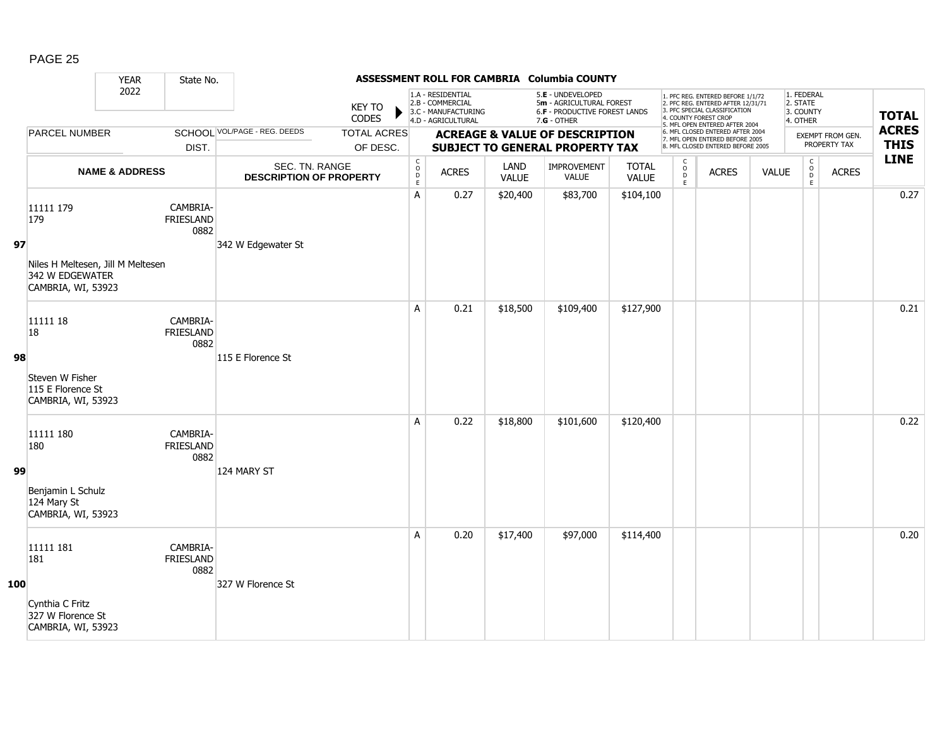|     |                                                                                                | <b>YEAR</b>               | State No.                            |                                                  |                                |                                              |                                                                                    |                      | ASSESSMENT ROLL FOR CAMBRIA Columbia COUNTY                                                     |                              |                                               |                                                                                                                                                                     |              |                                                  |                                  |                             |
|-----|------------------------------------------------------------------------------------------------|---------------------------|--------------------------------------|--------------------------------------------------|--------------------------------|----------------------------------------------|------------------------------------------------------------------------------------|----------------------|-------------------------------------------------------------------------------------------------|------------------------------|-----------------------------------------------|---------------------------------------------------------------------------------------------------------------------------------------------------------------------|--------------|--------------------------------------------------|----------------------------------|-----------------------------|
|     |                                                                                                | 2022                      |                                      |                                                  | <b>KEY TO</b><br><b>CODES</b>  |                                              | 1.A - RESIDENTIAL<br>2.B - COMMERCIAL<br>3.C - MANUFACTURING<br>4.D - AGRICULTURAL |                      | 5.E - UNDEVELOPED<br>5m - AGRICULTURAL FOREST<br>6.F - PRODUCTIVE FOREST LANDS<br>$7.G - OTHER$ |                              |                                               | 1. PFC REG. ENTERED BEFORE 1/1/72<br>2. PFC REG. ENTERED AFTER 12/31/71<br>3. PFC SPECIAL CLASSIFICATION<br>4. COUNTY FOREST CROP<br>5. MFL OPEN ENTERED AFTER 2004 |              | 1. FEDERAL<br>2. STATE<br>3. COUNTY<br>4. OTHER  |                                  | <b>TOTAL</b>                |
|     | <b>PARCEL NUMBER</b>                                                                           |                           | DIST.                                | <b>SCHOOL VOL/PAGE - REG. DEEDS</b>              | <b>TOTAL ACRES</b><br>OF DESC. |                                              |                                                                                    |                      | <b>ACREAGE &amp; VALUE OF DESCRIPTION</b><br><b>SUBJECT TO GENERAL PROPERTY TAX</b>             |                              |                                               | 6. MFL CLOSED ENTERED AFTER 2004<br>7. MFL OPEN ENTERED BEFORE 2005<br>8. MFL CLOSED ENTERED BEFORE 2005                                                            |              |                                                  | EXEMPT FROM GEN.<br>PROPERTY TAX | <b>ACRES</b><br><b>THIS</b> |
|     |                                                                                                | <b>NAME &amp; ADDRESS</b> |                                      | SEC. TN. RANGE<br><b>DESCRIPTION OF PROPERTY</b> |                                | $\mathsf C$<br>$\overline{0}$<br>$\mathsf E$ | <b>ACRES</b>                                                                       | LAND<br><b>VALUE</b> | IMPROVEMENT<br><b>VALUE</b>                                                                     | <b>TOTAL</b><br><b>VALUE</b> | C<br>$\overset{\mathsf{O}}{D}$<br>$\mathsf E$ | <b>ACRES</b>                                                                                                                                                        | <b>VALUE</b> | $\mathsf C$<br>$_{\rm D}^{\rm O}$<br>$\mathsf E$ | <b>ACRES</b>                     | <b>LINE</b>                 |
| 97  | 11111 179<br>179<br>Niles H Meltesen, Jill M Meltesen<br>342 W EDGEWATER<br>CAMBRIA, WI, 53923 |                           | CAMBRIA-<br><b>FRIESLAND</b><br>0882 | 342 W Edgewater St                               |                                | A                                            | 0.27                                                                               | \$20,400             | \$83,700                                                                                        | \$104,100                    |                                               |                                                                                                                                                                     |              |                                                  |                                  | 0.27                        |
| 98  | 11111 18<br>18<br>Steven W Fisher<br>115 E Florence St<br>CAMBRIA, WI, 53923                   |                           | CAMBRIA-<br><b>FRIESLAND</b><br>0882 | 115 E Florence St                                |                                | A                                            | 0.21                                                                               | \$18,500             | \$109,400                                                                                       | \$127,900                    |                                               |                                                                                                                                                                     |              |                                                  |                                  | 0.21                        |
| 99  | 11111 180<br>180<br>Benjamin L Schulz<br>124 Mary St<br>CAMBRIA, WI, 53923                     |                           | CAMBRIA-<br><b>FRIESLAND</b><br>0882 | 124 MARY ST                                      |                                | A                                            | 0.22                                                                               | \$18,800             | \$101,600                                                                                       | \$120,400                    |                                               |                                                                                                                                                                     |              |                                                  |                                  | 0.22                        |
| 100 | 11111 181<br>181<br>Cynthia C Fritz<br>327 W Florence St<br>CAMBRIA, WI, 53923                 |                           | CAMBRIA-<br><b>FRIESLAND</b><br>0882 | 327 W Florence St                                |                                | A                                            | 0.20                                                                               | \$17,400             | \$97,000                                                                                        | \$114,400                    |                                               |                                                                                                                                                                     |              |                                                  |                                  | 0.20                        |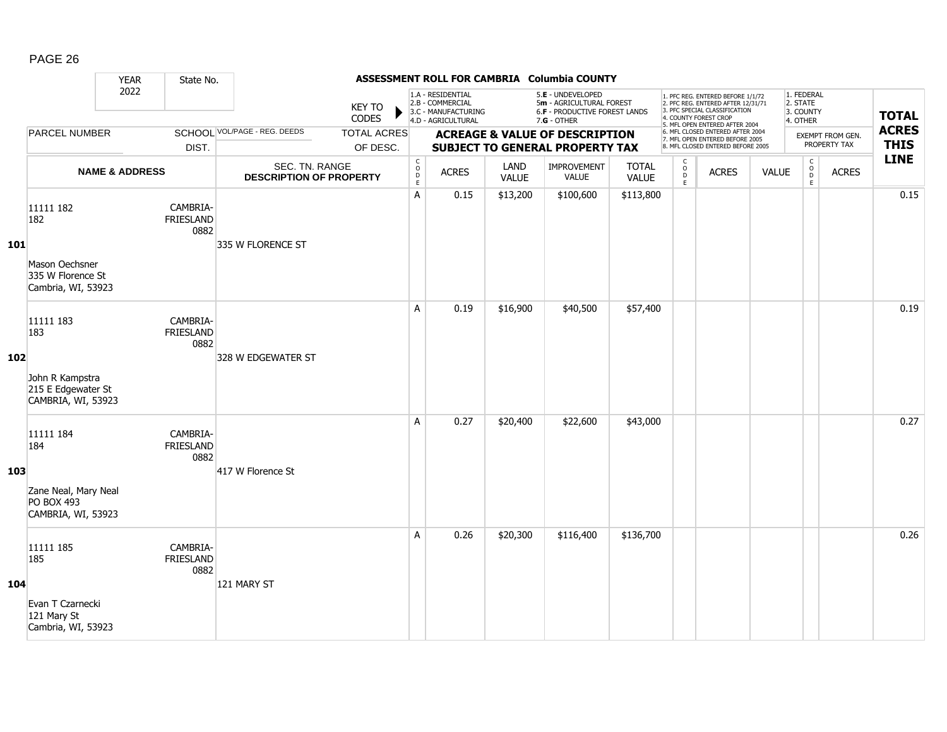|     |                                                                                 | <b>YEAR</b>               | State No.                            |                                                  |                                |                                                          |                                                                                    |               | ASSESSMENT ROLL FOR CAMBRIA Columbia COUNTY                                                     |                              |                                                |                                                                                                                                                                     |              |                                                 |                                  |                             |
|-----|---------------------------------------------------------------------------------|---------------------------|--------------------------------------|--------------------------------------------------|--------------------------------|----------------------------------------------------------|------------------------------------------------------------------------------------|---------------|-------------------------------------------------------------------------------------------------|------------------------------|------------------------------------------------|---------------------------------------------------------------------------------------------------------------------------------------------------------------------|--------------|-------------------------------------------------|----------------------------------|-----------------------------|
|     |                                                                                 | 2022                      |                                      |                                                  | <b>KEY TO</b><br>CODES         |                                                          | 1.A - RESIDENTIAL<br>2.B - COMMERCIAL<br>3.C - MANUFACTURING<br>4.D - AGRICULTURAL |               | 5.E - UNDEVELOPED<br>5m - AGRICULTURAL FOREST<br>6.F - PRODUCTIVE FOREST LANDS<br>$7.G - OTHER$ |                              |                                                | 1. PFC REG. ENTERED BEFORE 1/1/72<br>2. PFC REG. ENTERED AFTER 12/31/71<br>3. PFC SPECIAL CLASSIFICATION<br>4. COUNTY FOREST CROP<br>5. MFL OPEN ENTERED AFTER 2004 |              | 1. FEDERAL<br>2. STATE<br>3. COUNTY<br>4. OTHER |                                  | <b>TOTAL</b>                |
|     | <b>PARCEL NUMBER</b>                                                            |                           | DIST.                                | SCHOOL VOL/PAGE - REG. DEEDS                     | <b>TOTAL ACRES</b><br>OF DESC. |                                                          |                                                                                    |               | <b>ACREAGE &amp; VALUE OF DESCRIPTION</b><br><b>SUBJECT TO GENERAL PROPERTY TAX</b>             |                              |                                                | 6. MFL CLOSED ENTERED AFTER 2004<br>7. MFL OPEN ENTERED BEFORE 2005<br>8. MFL CLOSED ENTERED BEFORE 2005                                                            |              |                                                 | EXEMPT FROM GEN.<br>PROPERTY TAX | <b>ACRES</b><br><b>THIS</b> |
|     |                                                                                 | <b>NAME &amp; ADDRESS</b> |                                      | SEC. TN. RANGE<br><b>DESCRIPTION OF PROPERTY</b> |                                | $\begin{matrix} 0 \\ 0 \\ D \end{matrix}$<br>$\mathsf E$ | <b>ACRES</b>                                                                       | LAND<br>VALUE | <b>IMPROVEMENT</b><br><b>VALUE</b>                                                              | <b>TOTAL</b><br><b>VALUE</b> | $\mathsf{C}$<br>$\int_{D}^{O}$<br>$\mathsf{E}$ | <b>ACRES</b>                                                                                                                                                        | <b>VALUE</b> | $\mathsf C$<br>$_{\rm D}^{\rm O}$<br>E          | <b>ACRES</b>                     | <b>LINE</b>                 |
| 101 | 11111 182<br>182<br>Mason Oechsner<br>335 W Florence St<br>Cambria, WI, 53923   |                           | CAMBRIA-<br><b>FRIESLAND</b><br>0882 | 335 W FLORENCE ST                                |                                | A                                                        | 0.15                                                                               | \$13,200      | \$100,600                                                                                       | \$113,800                    |                                                |                                                                                                                                                                     |              |                                                 |                                  | 0.15                        |
| 102 | 11111 183<br>183<br>John R Kampstra<br>215 E Edgewater St<br>CAMBRIA, WI, 53923 |                           | CAMBRIA-<br>FRIESLAND<br>0882        | 328 W EDGEWATER ST                               |                                | A                                                        | 0.19                                                                               | \$16,900      | \$40,500                                                                                        | \$57,400                     |                                                |                                                                                                                                                                     |              |                                                 |                                  | 0.19                        |
| 103 | 11111 184<br>184<br>Zane Neal, Mary Neal<br>PO BOX 493<br>CAMBRIA, WI, 53923    |                           | CAMBRIA-<br>FRIESLAND<br>0882        | 417 W Florence St                                |                                | A                                                        | 0.27                                                                               | \$20,400      | \$22,600                                                                                        | \$43,000                     |                                                |                                                                                                                                                                     |              |                                                 |                                  | 0.27                        |
| 104 | 11111 185<br>185<br>Evan T Czarnecki<br>121 Mary St<br>Cambria, WI, 53923       |                           | CAMBRIA-<br><b>FRIESLAND</b><br>0882 | 121 MARY ST                                      |                                | A                                                        | 0.26                                                                               | \$20,300      | \$116,400                                                                                       | \$136,700                    |                                                |                                                                                                                                                                     |              |                                                 |                                  | 0.26                        |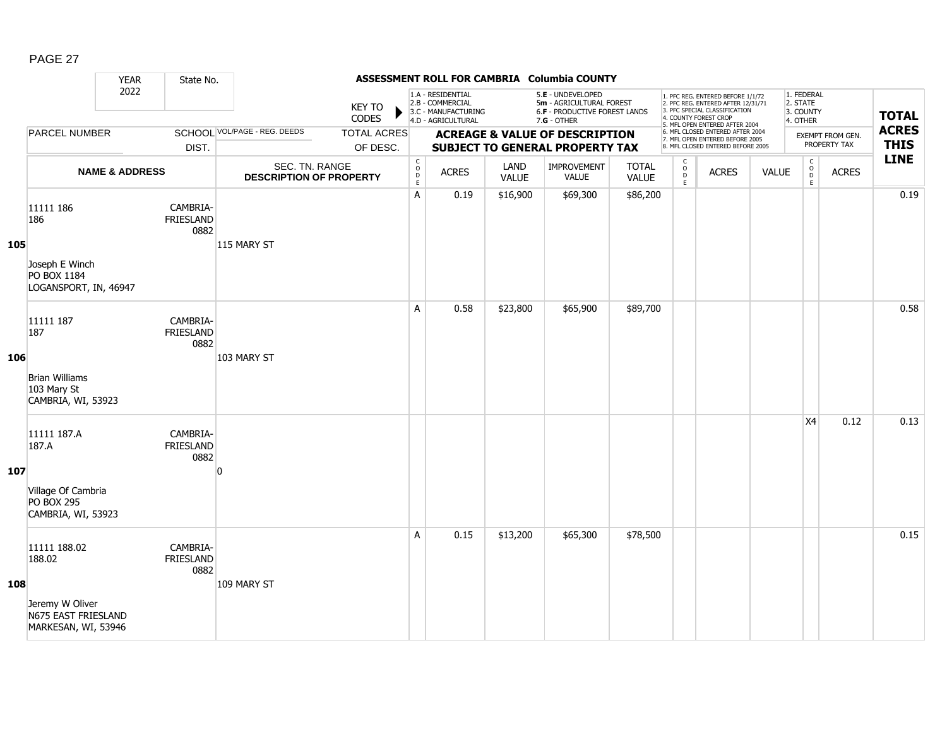|     |                                                                                         | <b>YEAR</b>               | State No.                            |                                                  |                                |                                        |                                                                                    |                      | ASSESSMENT ROLL FOR CAMBRIA Columbia COUNTY                                                     |                              |                                     |                                                                                                                                                                     |              |                                                 |                                  |                             |
|-----|-----------------------------------------------------------------------------------------|---------------------------|--------------------------------------|--------------------------------------------------|--------------------------------|----------------------------------------|------------------------------------------------------------------------------------|----------------------|-------------------------------------------------------------------------------------------------|------------------------------|-------------------------------------|---------------------------------------------------------------------------------------------------------------------------------------------------------------------|--------------|-------------------------------------------------|----------------------------------|-----------------------------|
|     |                                                                                         | 2022                      |                                      |                                                  | <b>KEY TO</b><br><b>CODES</b>  |                                        | 1.A - RESIDENTIAL<br>2.B - COMMERCIAL<br>3.C - MANUFACTURING<br>4.D - AGRICULTURAL |                      | 5.E - UNDEVELOPED<br>5m - AGRICULTURAL FOREST<br>6.F - PRODUCTIVE FOREST LANDS<br>$7.G - OTHER$ |                              |                                     | 1. PFC REG. ENTERED BEFORE 1/1/72<br>2. PFC REG. ENTERED AFTER 12/31/71<br>3. PFC SPECIAL CLASSIFICATION<br>4. COUNTY FOREST CROP<br>5. MFL OPEN ENTERED AFTER 2004 |              | 1. FEDERAL<br>2. STATE<br>3. COUNTY<br>4. OTHER |                                  | <b>TOTAL</b>                |
|     | PARCEL NUMBER                                                                           |                           | DIST.                                | SCHOOL VOL/PAGE - REG. DEEDS                     | <b>TOTAL ACRES</b><br>OF DESC. |                                        |                                                                                    |                      | <b>ACREAGE &amp; VALUE OF DESCRIPTION</b><br><b>SUBJECT TO GENERAL PROPERTY TAX</b>             |                              |                                     | 6. MFL CLOSED ENTERED AFTER 2004<br>7. MFL OPEN ENTERED BEFORE 2005<br>8. MFL CLOSED ENTERED BEFORE 2005                                                            |              |                                                 | EXEMPT FROM GEN.<br>PROPERTY TAX | <b>ACRES</b><br><b>THIS</b> |
|     |                                                                                         | <b>NAME &amp; ADDRESS</b> |                                      | SEC. TN. RANGE<br><b>DESCRIPTION OF PROPERTY</b> |                                | C<br>$_{\rm D}^{\rm O}$<br>$\mathsf E$ | <b>ACRES</b>                                                                       | LAND<br><b>VALUE</b> | <b>IMPROVEMENT</b><br>VALUE                                                                     | <b>TOTAL</b><br><b>VALUE</b> | $\mathsf{C}$<br>$\int_{D}^{O}$<br>E | <b>ACRES</b>                                                                                                                                                        | <b>VALUE</b> | $\mathsf C$<br>$_{\rm D}^{\rm O}$<br>E          | <b>ACRES</b>                     | <b>LINE</b>                 |
| 105 | 11111 186<br>186<br>Joseph E Winch<br>PO BOX 1184<br>LOGANSPORT, IN, 46947              |                           | CAMBRIA-<br>FRIESLAND<br>0882        | 115 MARY ST                                      |                                | A                                      | 0.19                                                                               | \$16,900             | \$69,300                                                                                        | \$86,200                     |                                     |                                                                                                                                                                     |              |                                                 |                                  | 0.19                        |
| 106 | 11111 187<br>187<br><b>Brian Williams</b><br>103 Mary St<br>CAMBRIA, WI, 53923          |                           | CAMBRIA-<br><b>FRIESLAND</b><br>0882 | 103 MARY ST                                      |                                | A                                      | 0.58                                                                               | \$23,800             | \$65,900                                                                                        | \$89,700                     |                                     |                                                                                                                                                                     |              |                                                 |                                  | 0.58                        |
| 107 | 11111 187.A<br>187.A<br>Village Of Cambria<br><b>PO BOX 295</b><br>CAMBRIA, WI, 53923   |                           | CAMBRIA-<br><b>FRIESLAND</b><br>0882 | n                                                |                                |                                        |                                                                                    |                      |                                                                                                 |                              |                                     |                                                                                                                                                                     |              | X4                                              | 0.12                             | 0.13                        |
| 108 | 11111 188.02<br>188.02<br>Jeremy W Oliver<br>N675 EAST FRIESLAND<br>MARKESAN, WI, 53946 |                           | CAMBRIA-<br><b>FRIESLAND</b><br>0882 | 109 MARY ST                                      |                                | A                                      | 0.15                                                                               | \$13,200             | \$65,300                                                                                        | \$78,500                     |                                     |                                                                                                                                                                     |              |                                                 |                                  | 0.15                        |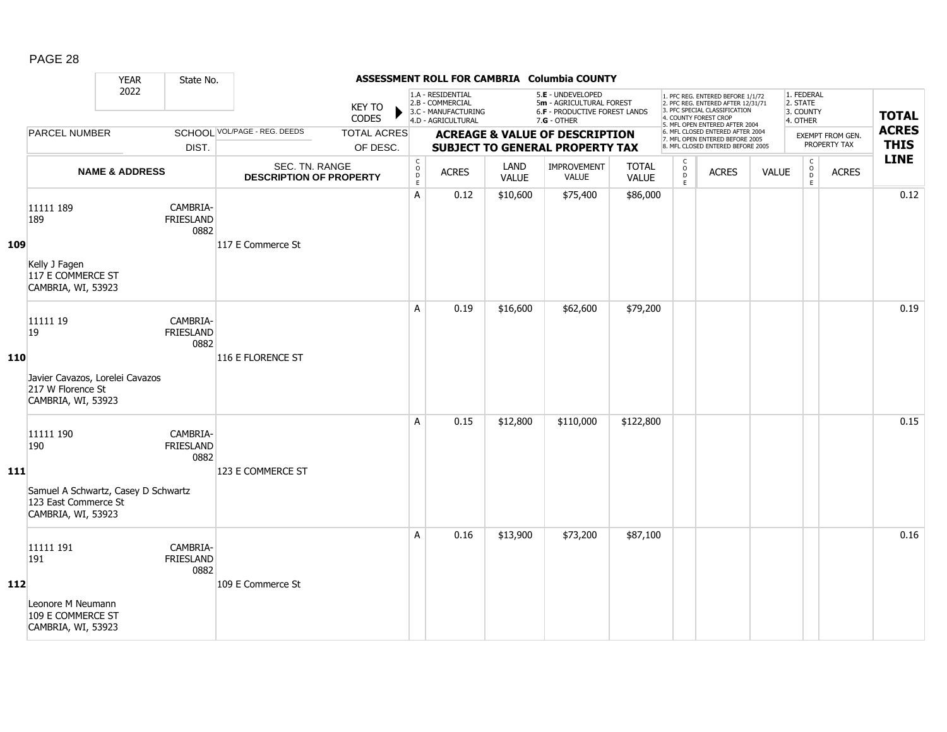|            |                                                                                                       | <b>YEAR</b>               | State No.                            |                                                  |                                |                                                          |                                                                                    |                      | ASSESSMENT ROLL FOR CAMBRIA Columbia COUNTY                                                     |                              |                                           |                                                                                                                                                                     |              |                                                 |                                  |                             |
|------------|-------------------------------------------------------------------------------------------------------|---------------------------|--------------------------------------|--------------------------------------------------|--------------------------------|----------------------------------------------------------|------------------------------------------------------------------------------------|----------------------|-------------------------------------------------------------------------------------------------|------------------------------|-------------------------------------------|---------------------------------------------------------------------------------------------------------------------------------------------------------------------|--------------|-------------------------------------------------|----------------------------------|-----------------------------|
|            |                                                                                                       | 2022                      |                                      |                                                  | <b>KEY TO</b><br>CODES         |                                                          | 1.A - RESIDENTIAL<br>2.B - COMMERCIAL<br>3.C - MANUFACTURING<br>4.D - AGRICULTURAL |                      | 5.E - UNDEVELOPED<br>5m - AGRICULTURAL FOREST<br>6.F - PRODUCTIVE FOREST LANDS<br>$7.G - OTHER$ |                              |                                           | 1. PFC REG. ENTERED BEFORE 1/1/72<br>2. PFC REG. ENTERED AFTER 12/31/71<br>3. PFC SPECIAL CLASSIFICATION<br>4. COUNTY FOREST CROP<br>5. MFL OPEN ENTERED AFTER 2004 |              | 1. FEDERAL<br>2. STATE<br>3. COUNTY<br>4. OTHER |                                  | <b>TOTAL</b>                |
|            | <b>PARCEL NUMBER</b>                                                                                  |                           | DIST.                                | SCHOOL VOL/PAGE - REG. DEEDS                     | <b>TOTAL ACRES</b><br>OF DESC. |                                                          |                                                                                    |                      | <b>ACREAGE &amp; VALUE OF DESCRIPTION</b><br><b>SUBJECT TO GENERAL PROPERTY TAX</b>             |                              |                                           | 6. MFL CLOSED ENTERED AFTER 2004<br>7. MFL OPEN ENTERED BEFORE 2005<br>8. MFL CLOSED ENTERED BEFORE 2005                                                            |              |                                                 | EXEMPT FROM GEN.<br>PROPERTY TAX | <b>ACRES</b><br><b>THIS</b> |
|            |                                                                                                       | <b>NAME &amp; ADDRESS</b> |                                      | SEC. TN. RANGE<br><b>DESCRIPTION OF PROPERTY</b> |                                | $\begin{matrix} 0 \\ 0 \\ D \end{matrix}$<br>$\mathsf E$ | <b>ACRES</b>                                                                       | LAND<br><b>VALUE</b> | IMPROVEMENT<br><b>VALUE</b>                                                                     | <b>TOTAL</b><br><b>VALUE</b> | $_{\rm o}^{\rm c}$<br>$\overline{D}$<br>E | <b>ACRES</b>                                                                                                                                                        | <b>VALUE</b> | $\mathsf C$<br>$_{\rm D}^{\rm O}$<br>E          | <b>ACRES</b>                     | <b>LINE</b>                 |
| 109        | 11111 189<br>189<br>Kelly J Fagen<br>117 E COMMERCE ST<br>CAMBRIA, WI, 53923                          |                           | CAMBRIA-<br>FRIESLAND<br>0882        | 117 E Commerce St                                |                                | A                                                        | 0.12                                                                               | \$10,600             | \$75,400                                                                                        | \$86,000                     |                                           |                                                                                                                                                                     |              |                                                 |                                  | 0.12                        |
| 110        | 11111 19<br>19<br>Javier Cavazos, Lorelei Cavazos<br>217 W Florence St<br>CAMBRIA, WI, 53923          |                           | CAMBRIA-<br>FRIESLAND<br>0882        | 116 E FLORENCE ST                                |                                | A                                                        | 0.19                                                                               | \$16,600             | \$62,600                                                                                        | \$79,200                     |                                           |                                                                                                                                                                     |              |                                                 |                                  | 0.19                        |
| <b>111</b> | 11111 190<br>190<br>Samuel A Schwartz, Casey D Schwartz<br>123 East Commerce St<br>CAMBRIA, WI, 53923 |                           | CAMBRIA-<br><b>FRIESLAND</b><br>0882 | 123 E COMMERCE ST                                |                                | A                                                        | 0.15                                                                               | \$12,800             | \$110,000                                                                                       | \$122,800                    |                                           |                                                                                                                                                                     |              |                                                 |                                  | 0.15                        |
| 112        | 11111 191<br>191<br>Leonore M Neumann<br>109 E COMMERCE ST<br>CAMBRIA, WI, 53923                      |                           | CAMBRIA-<br><b>FRIESLAND</b><br>0882 | 109 E Commerce St                                |                                | A                                                        | 0.16                                                                               | \$13,900             | \$73,200                                                                                        | \$87,100                     |                                           |                                                                                                                                                                     |              |                                                 |                                  | 0.16                        |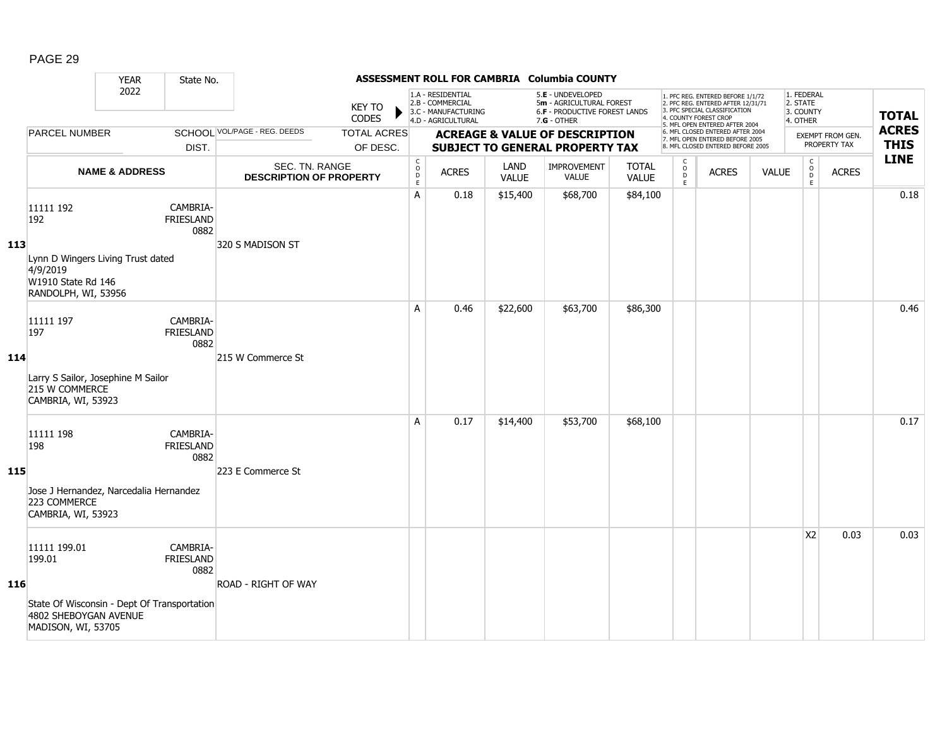|            |                                                                                                                      | <b>YEAR</b>               | State No.                            |                                                  |                                |                                                  |                                                                                    |                      | ASSESSMENT ROLL FOR CAMBRIA Columbia COUNTY                                                     |                              |                                              |                                                                                                                                                                     |              |                                                 |                                  |                             |
|------------|----------------------------------------------------------------------------------------------------------------------|---------------------------|--------------------------------------|--------------------------------------------------|--------------------------------|--------------------------------------------------|------------------------------------------------------------------------------------|----------------------|-------------------------------------------------------------------------------------------------|------------------------------|----------------------------------------------|---------------------------------------------------------------------------------------------------------------------------------------------------------------------|--------------|-------------------------------------------------|----------------------------------|-----------------------------|
|            |                                                                                                                      | 2022                      |                                      |                                                  | <b>KEY TO</b><br>CODES         |                                                  | 1.A - RESIDENTIAL<br>2.B - COMMERCIAL<br>3.C - MANUFACTURING<br>4.D - AGRICULTURAL |                      | 5.E - UNDEVELOPED<br>5m - AGRICULTURAL FOREST<br>6.F - PRODUCTIVE FOREST LANDS<br>$7.G - OTHER$ |                              |                                              | 1. PFC REG. ENTERED BEFORE 1/1/72<br>2. PFC REG. ENTERED AFTER 12/31/71<br>3. PFC SPECIAL CLASSIFICATION<br>4. COUNTY FOREST CROP<br>5. MFL OPEN ENTERED AFTER 2004 |              | 1. FEDERAL<br>2. STATE<br>3. COUNTY<br>4. OTHER |                                  | <b>TOTAL</b>                |
|            | <b>PARCEL NUMBER</b>                                                                                                 |                           | DIST.                                | SCHOOL VOL/PAGE - REG. DEEDS                     | <b>TOTAL ACRES</b><br>OF DESC. |                                                  |                                                                                    |                      | <b>ACREAGE &amp; VALUE OF DESCRIPTION</b><br><b>SUBJECT TO GENERAL PROPERTY TAX</b>             |                              |                                              | 6. MFL CLOSED ENTERED AFTER 2004<br>7. MFL OPEN ENTERED BEFORE 2005<br>8. MFL CLOSED ENTERED BEFORE 2005                                                            |              |                                                 | EXEMPT FROM GEN.<br>PROPERTY TAX | <b>ACRES</b><br><b>THIS</b> |
|            |                                                                                                                      | <b>NAME &amp; ADDRESS</b> |                                      | SEC. TN. RANGE<br><b>DESCRIPTION OF PROPERTY</b> |                                | $_{\rm o}^{\rm c}$<br>$\mathsf D$<br>$\mathsf E$ | <b>ACRES</b>                                                                       | LAND<br><b>VALUE</b> | IMPROVEMENT<br><b>VALUE</b>                                                                     | <b>TOTAL</b><br><b>VALUE</b> | $\mathsf{C}$<br>$\circ$<br>$\mathsf{D}$<br>E | <b>ACRES</b>                                                                                                                                                        | <b>VALUE</b> | $\begin{matrix} 0 \\ 0 \end{matrix}$<br>E       | <b>ACRES</b>                     | <b>LINE</b>                 |
| 113        | 11111 192<br>192<br>Lynn D Wingers Living Trust dated<br>4/9/2019<br>W1910 State Rd 146<br>RANDOLPH, WI, 53956       |                           | CAMBRIA-<br><b>FRIESLAND</b><br>0882 | 320 S MADISON ST                                 |                                | A                                                | 0.18                                                                               | \$15,400             | \$68,700                                                                                        | \$84,100                     |                                              |                                                                                                                                                                     |              |                                                 |                                  | 0.18                        |
| 114        | 11111 197<br>197<br>Larry S Sailor, Josephine M Sailor<br>215 W COMMERCE<br>CAMBRIA, WI, 53923                       |                           | CAMBRIA-<br><b>FRIESLAND</b><br>0882 | 215 W Commerce St                                |                                | A                                                | 0.46                                                                               | \$22,600             | \$63,700                                                                                        | \$86,300                     |                                              |                                                                                                                                                                     |              |                                                 |                                  | 0.46                        |
| <b>115</b> | 11111 198<br>198<br>Jose J Hernandez, Narcedalia Hernandez<br>223 COMMERCE<br>CAMBRIA, WI, 53923                     |                           | CAMBRIA-<br>FRIESLAND<br>0882        | 223 E Commerce St                                |                                | A                                                | 0.17                                                                               | \$14,400             | \$53,700                                                                                        | \$68,100                     |                                              |                                                                                                                                                                     |              |                                                 |                                  | 0.17                        |
| 116        | 11111 199.01<br>199.01<br>State Of Wisconsin - Dept Of Transportation<br>4802 SHEBOYGAN AVENUE<br>MADISON, WI, 53705 |                           | CAMBRIA-<br><b>FRIESLAND</b><br>0882 | <b>ROAD - RIGHT OF WAY</b>                       |                                |                                                  |                                                                                    |                      |                                                                                                 |                              |                                              |                                                                                                                                                                     |              | X <sub>2</sub>                                  | 0.03                             | 0.03                        |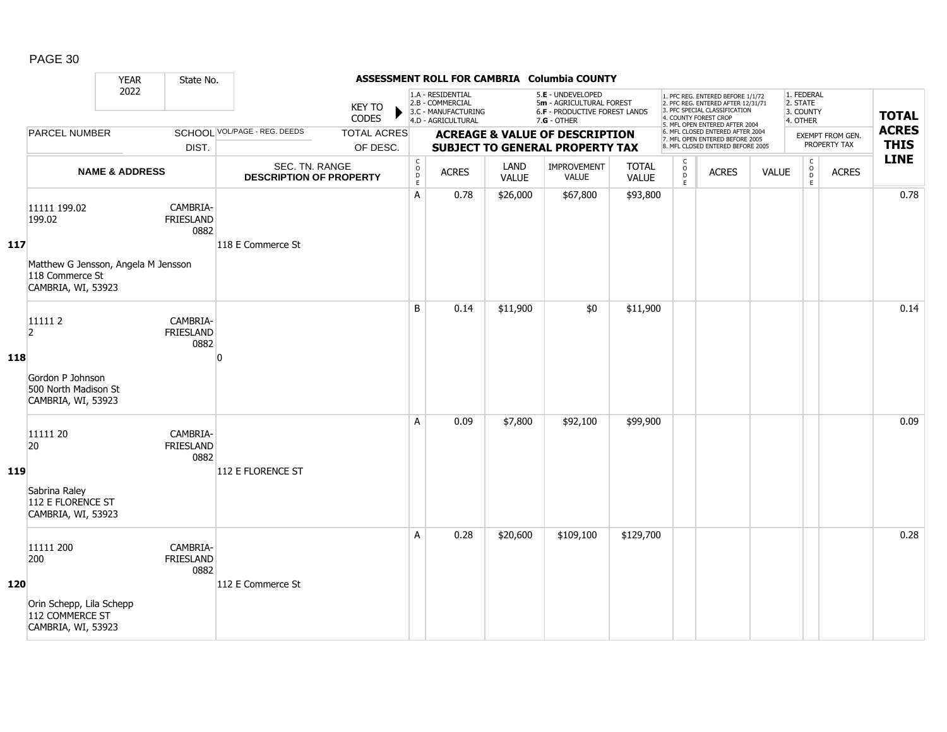|            |                                                                                                        | <b>YEAR</b>               | State No.                            |                                                  |                                |                                                          |                                                                                    |                      | ASSESSMENT ROLL FOR CAMBRIA Columbia COUNTY                                                     |                              |                                     |                                                                                                                                                                     |              |                                                 |                                  |                             |
|------------|--------------------------------------------------------------------------------------------------------|---------------------------|--------------------------------------|--------------------------------------------------|--------------------------------|----------------------------------------------------------|------------------------------------------------------------------------------------|----------------------|-------------------------------------------------------------------------------------------------|------------------------------|-------------------------------------|---------------------------------------------------------------------------------------------------------------------------------------------------------------------|--------------|-------------------------------------------------|----------------------------------|-----------------------------|
|            |                                                                                                        | 2022                      |                                      |                                                  | <b>KEY TO</b><br>CODES         |                                                          | 1.A - RESIDENTIAL<br>2.B - COMMERCIAL<br>3.C - MANUFACTURING<br>4.D - AGRICULTURAL |                      | 5.E - UNDEVELOPED<br>5m - AGRICULTURAL FOREST<br>6.F - PRODUCTIVE FOREST LANDS<br>$7.G - OTHER$ |                              |                                     | 1. PFC REG. ENTERED BEFORE 1/1/72<br>2. PFC REG. ENTERED AFTER 12/31/71<br>3. PFC SPECIAL CLASSIFICATION<br>4. COUNTY FOREST CROP<br>5. MFL OPEN ENTERED AFTER 2004 |              | 1. FEDERAL<br>2. STATE<br>3. COUNTY<br>4. OTHER |                                  | <b>TOTAL</b>                |
|            | <b>PARCEL NUMBER</b>                                                                                   |                           | DIST.                                | SCHOOL VOL/PAGE - REG. DEEDS                     | <b>TOTAL ACRES</b><br>OF DESC. |                                                          |                                                                                    |                      | <b>ACREAGE &amp; VALUE OF DESCRIPTION</b><br><b>SUBJECT TO GENERAL PROPERTY TAX</b>             |                              |                                     | 6. MFL CLOSED ENTERED AFTER 2004<br>7. MFL OPEN ENTERED BEFORE 2005<br>8. MFL CLOSED ENTERED BEFORE 2005                                                            |              |                                                 | EXEMPT FROM GEN.<br>PROPERTY TAX | <b>ACRES</b><br><b>THIS</b> |
|            |                                                                                                        | <b>NAME &amp; ADDRESS</b> |                                      | SEC. TN. RANGE<br><b>DESCRIPTION OF PROPERTY</b> |                                | $\begin{matrix} 0 \\ 0 \\ D \end{matrix}$<br>$\mathsf E$ | <b>ACRES</b>                                                                       | LAND<br><b>VALUE</b> | IMPROVEMENT<br><b>VALUE</b>                                                                     | <b>TOTAL</b><br><b>VALUE</b> | $\mathsf{C}$<br>$\int_{D}^{O}$<br>E | <b>ACRES</b>                                                                                                                                                        | <b>VALUE</b> | $\mathsf C$<br>$_{\rm D}^{\rm O}$<br>E          | <b>ACRES</b>                     | <b>LINE</b>                 |
| 117        | 11111 199.02<br>199.02<br>Matthew G Jensson, Angela M Jensson<br>118 Commerce St<br>CAMBRIA, WI, 53923 |                           | CAMBRIA-<br>FRIESLAND<br>0882        | 118 E Commerce St                                |                                | Α                                                        | 0.78                                                                               | \$26,000             | \$67,800                                                                                        | \$93,800                     |                                     |                                                                                                                                                                     |              |                                                 |                                  | 0.78                        |
| 118        | 111112<br>2<br>Gordon P Johnson<br>500 North Madison St<br>CAMBRIA, WI, 53923                          |                           | CAMBRIA-<br><b>FRIESLAND</b><br>0882 | $\Omega$                                         |                                | B                                                        | 0.14                                                                               | \$11,900             | \$0                                                                                             | \$11,900                     |                                     |                                                                                                                                                                     |              |                                                 |                                  | 0.14                        |
| <b>119</b> | 11111 20<br>20<br>Sabrina Raley<br>112 E FLORENCE ST<br>CAMBRIA, WI, 53923                             |                           | CAMBRIA-<br><b>FRIESLAND</b><br>0882 | 112 E FLORENCE ST                                |                                | A                                                        | 0.09                                                                               | \$7,800              | \$92,100                                                                                        | \$99,900                     |                                     |                                                                                                                                                                     |              |                                                 |                                  | 0.09                        |
| 120        | 11111 200<br>200<br>Orin Schepp, Lila Schepp<br>112 COMMERCE ST<br>CAMBRIA, WI, 53923                  |                           | CAMBRIA-<br>FRIESLAND<br>0882        | 112 E Commerce St                                |                                | A                                                        | 0.28                                                                               | \$20,600             | \$109,100                                                                                       | \$129,700                    |                                     |                                                                                                                                                                     |              |                                                 |                                  | 0.28                        |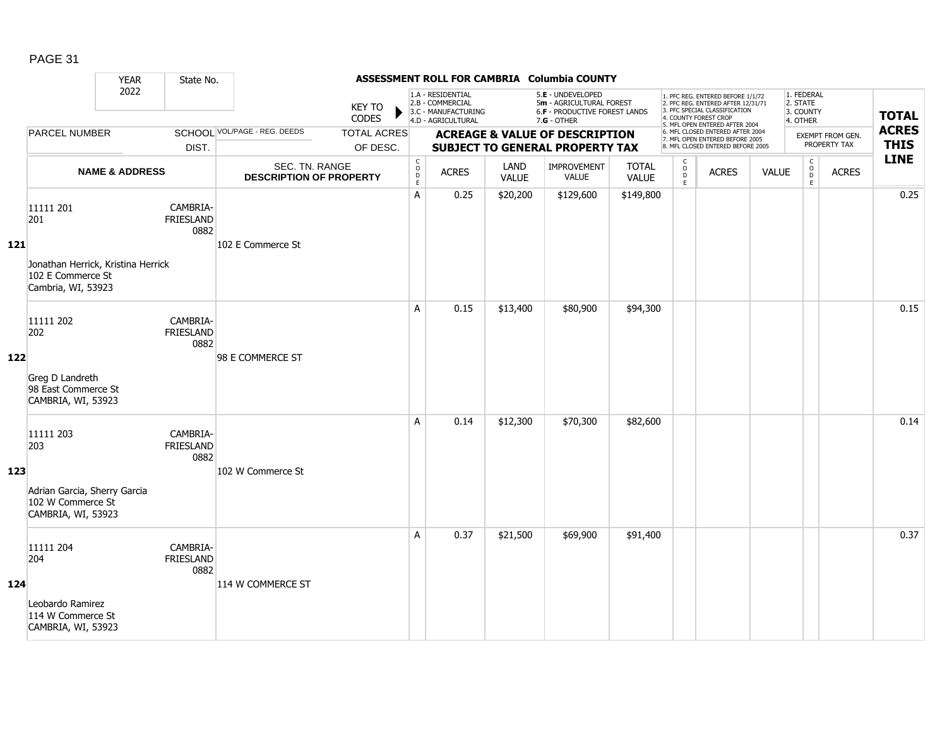|       |                                                                                                   | <b>YEAR</b>               | State No.                            |                                                  |                                |                                                         |                                                                                    |                             | ASSESSMENT ROLL FOR CAMBRIA Columbia COUNTY                                                     |                              |                                         |                                                                                                                                                                     |              |                                                 |                                  |                             |
|-------|---------------------------------------------------------------------------------------------------|---------------------------|--------------------------------------|--------------------------------------------------|--------------------------------|---------------------------------------------------------|------------------------------------------------------------------------------------|-----------------------------|-------------------------------------------------------------------------------------------------|------------------------------|-----------------------------------------|---------------------------------------------------------------------------------------------------------------------------------------------------------------------|--------------|-------------------------------------------------|----------------------------------|-----------------------------|
|       |                                                                                                   | 2022                      |                                      |                                                  | <b>KEY TO</b><br>CODES         |                                                         | 1.A - RESIDENTIAL<br>2.B - COMMERCIAL<br>3.C - MANUFACTURING<br>4.D - AGRICULTURAL |                             | 5.E - UNDEVELOPED<br>5m - AGRICULTURAL FOREST<br>6.F - PRODUCTIVE FOREST LANDS<br>$7.G - OTHER$ |                              |                                         | 1. PFC REG. ENTERED BEFORE 1/1/72<br>2. PFC REG. ENTERED AFTER 12/31/71<br>3. PFC SPECIAL CLASSIFICATION<br>4. COUNTY FOREST CROP<br>5. MFL OPEN ENTERED AFTER 2004 |              | 1. FEDERAL<br>2. STATE<br>3. COUNTY<br>4. OTHER |                                  | <b>TOTAL</b>                |
|       | <b>PARCEL NUMBER</b>                                                                              |                           | DIST.                                | SCHOOL VOL/PAGE - REG. DEEDS                     | <b>TOTAL ACRES</b><br>OF DESC. |                                                         |                                                                                    |                             | <b>ACREAGE &amp; VALUE OF DESCRIPTION</b><br><b>SUBJECT TO GENERAL PROPERTY TAX</b>             |                              |                                         | 6. MFL CLOSED ENTERED AFTER 2004<br>7. MFL OPEN ENTERED BEFORE 2005<br>8. MFL CLOSED ENTERED BEFORE 2005                                                            |              |                                                 | EXEMPT FROM GEN.<br>PROPERTY TAX | <b>ACRES</b><br><b>THIS</b> |
|       |                                                                                                   | <b>NAME &amp; ADDRESS</b> |                                      | SEC. TN. RANGE<br><b>DESCRIPTION OF PROPERTY</b> |                                | $\mathsf C$<br>$\mathsf O$<br>$\mathsf{D}_{\mathsf{E}}$ | <b>ACRES</b>                                                                       | <b>LAND</b><br><b>VALUE</b> | IMPROVEMENT<br><b>VALUE</b>                                                                     | <b>TOTAL</b><br><b>VALUE</b> | $\mathsf{C}$<br>$_{\rm D}^{\rm O}$<br>E | <b>ACRES</b>                                                                                                                                                        | <b>VALUE</b> | $\mathsf C$<br>$_\mathrm{D}^\mathrm{O}$<br>E    | <b>ACRES</b>                     | <b>LINE</b>                 |
| $121$ | 11111 201<br>201<br>Jonathan Herrick, Kristina Herrick<br>102 E Commerce St<br>Cambria, WI, 53923 |                           | CAMBRIA-<br><b>FRIESLAND</b><br>0882 | 102 E Commerce St                                |                                | Α                                                       | 0.25                                                                               | \$20,200                    | \$129,600                                                                                       | \$149,800                    |                                         |                                                                                                                                                                     |              |                                                 |                                  | 0.25                        |
| 122   | 11111 202<br>202<br>Greg D Landreth<br>98 East Commerce St<br>CAMBRIA, WI, 53923                  |                           | CAMBRIA-<br><b>FRIESLAND</b><br>0882 | 98 E COMMERCE ST                                 |                                | A                                                       | 0.15                                                                               | \$13,400                    | \$80,900                                                                                        | \$94,300                     |                                         |                                                                                                                                                                     |              |                                                 |                                  | 0.15                        |
| 123   | 11111 203<br>203<br>Adrian Garcia, Sherry Garcia<br>102 W Commerce St<br>CAMBRIA, WI, 53923       |                           | CAMBRIA-<br>FRIESLAND<br>0882        | 102 W Commerce St                                |                                | A                                                       | 0.14                                                                               | \$12,300                    | \$70,300                                                                                        | \$82,600                     |                                         |                                                                                                                                                                     |              |                                                 |                                  | 0.14                        |
| 124   | 11111 204<br>204<br>Leobardo Ramirez<br>114 W Commerce St<br>CAMBRIA, WI, 53923                   |                           | CAMBRIA-<br><b>FRIESLAND</b><br>0882 | 114 W COMMERCE ST                                |                                | A                                                       | 0.37                                                                               | \$21,500                    | \$69,900                                                                                        | \$91,400                     |                                         |                                                                                                                                                                     |              |                                                 |                                  | 0.37                        |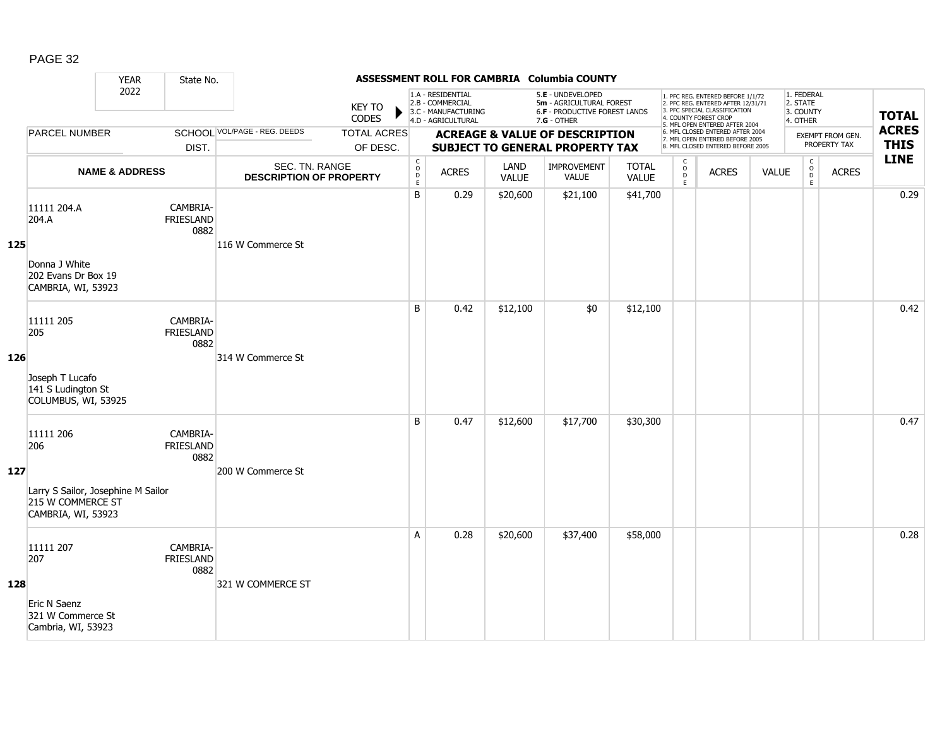|     |                                                                                                   | <b>YEAR</b>               | State No.                            |                                                  |                                |                                                          |                                                                                    |                      | ASSESSMENT ROLL FOR CAMBRIA Columbia COUNTY                                                     |                              |                                   |                                                                                                                                                                     |              |                                                 |                                  |                             |
|-----|---------------------------------------------------------------------------------------------------|---------------------------|--------------------------------------|--------------------------------------------------|--------------------------------|----------------------------------------------------------|------------------------------------------------------------------------------------|----------------------|-------------------------------------------------------------------------------------------------|------------------------------|-----------------------------------|---------------------------------------------------------------------------------------------------------------------------------------------------------------------|--------------|-------------------------------------------------|----------------------------------|-----------------------------|
|     |                                                                                                   | 2022                      |                                      |                                                  | <b>KEY TO</b><br>CODES         |                                                          | 1.A - RESIDENTIAL<br>2.B - COMMERCIAL<br>3.C - MANUFACTURING<br>4.D - AGRICULTURAL |                      | 5.E - UNDEVELOPED<br>5m - AGRICULTURAL FOREST<br>6.F - PRODUCTIVE FOREST LANDS<br>$7.G - OTHER$ |                              |                                   | 1. PFC REG. ENTERED BEFORE 1/1/72<br>2. PFC REG. ENTERED AFTER 12/31/71<br>3. PFC SPECIAL CLASSIFICATION<br>4. COUNTY FOREST CROP<br>5. MFL OPEN ENTERED AFTER 2004 |              | 1. FEDERAL<br>2. STATE<br>3. COUNTY<br>4. OTHER |                                  | <b>TOTAL</b>                |
|     | <b>PARCEL NUMBER</b>                                                                              |                           | DIST.                                | SCHOOL VOL/PAGE - REG. DEEDS                     | <b>TOTAL ACRES</b><br>OF DESC. |                                                          |                                                                                    |                      | <b>ACREAGE &amp; VALUE OF DESCRIPTION</b><br><b>SUBJECT TO GENERAL PROPERTY TAX</b>             |                              |                                   | 6. MFL CLOSED ENTERED AFTER 2004<br>7. MFL OPEN ENTERED BEFORE 2005<br>8. MFL CLOSED ENTERED BEFORE 2005                                                            |              |                                                 | EXEMPT FROM GEN.<br>PROPERTY TAX | <b>ACRES</b><br><b>THIS</b> |
|     |                                                                                                   | <b>NAME &amp; ADDRESS</b> |                                      | SEC. TN. RANGE<br><b>DESCRIPTION OF PROPERTY</b> |                                | $\begin{matrix} 0 \\ 0 \\ D \end{matrix}$<br>$\mathsf E$ | <b>ACRES</b>                                                                       | LAND<br><b>VALUE</b> | IMPROVEMENT<br><b>VALUE</b>                                                                     | <b>TOTAL</b><br><b>VALUE</b> | $\mathsf{C}$<br>$\circ$<br>D<br>E | <b>ACRES</b>                                                                                                                                                        | <b>VALUE</b> | $\mathsf C$<br>$_{\rm D}^{\rm O}$<br>E          | <b>ACRES</b>                     | <b>LINE</b>                 |
| 125 | 11111 204.A<br>204.A<br>Donna J White<br>202 Evans Dr Box 19<br>CAMBRIA, WI, 53923                |                           | CAMBRIA-<br>FRIESLAND<br>0882        | 116 W Commerce St                                |                                | B                                                        | 0.29                                                                               | \$20,600             | \$21,100                                                                                        | \$41,700                     |                                   |                                                                                                                                                                     |              |                                                 |                                  | 0.29                        |
| 126 | 11111 205<br>205<br>Joseph T Lucafo<br>141 S Ludington St<br>COLUMBUS, WI, 53925                  |                           | CAMBRIA-<br><b>FRIESLAND</b><br>0882 | 314 W Commerce St                                |                                | B                                                        | 0.42                                                                               | \$12,100             | \$0                                                                                             | \$12,100                     |                                   |                                                                                                                                                                     |              |                                                 |                                  | 0.42                        |
| 127 | 11111 206<br>206<br>Larry S Sailor, Josephine M Sailor<br>215 W COMMERCE ST<br>CAMBRIA, WI, 53923 |                           | CAMBRIA-<br><b>FRIESLAND</b><br>0882 | 200 W Commerce St                                |                                | B                                                        | 0.47                                                                               | \$12,600             | \$17,700                                                                                        | \$30,300                     |                                   |                                                                                                                                                                     |              |                                                 |                                  | 0.47                        |
| 128 | 11111 207<br>207<br>Eric N Saenz<br>321 W Commerce St<br>Cambria, WI, 53923                       |                           | CAMBRIA-<br>FRIESLAND<br>0882        | 321 W COMMERCE ST                                |                                | A                                                        | 0.28                                                                               | \$20,600             | \$37,400                                                                                        | \$58,000                     |                                   |                                                                                                                                                                     |              |                                                 |                                  | 0.28                        |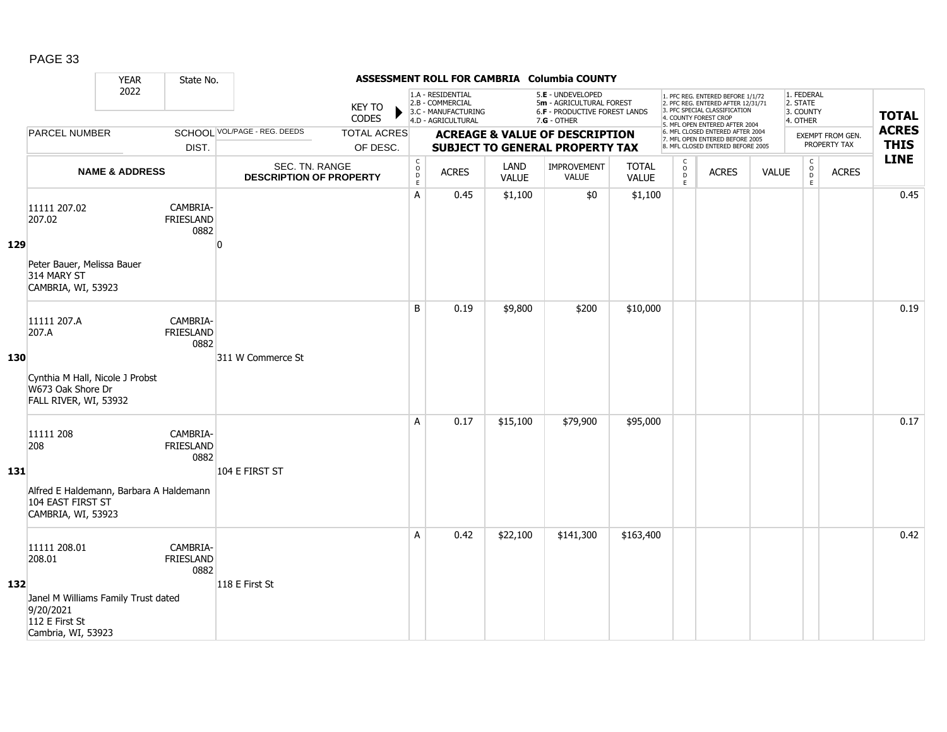|     |                                                                                          | <b>YEAR</b>               | State No.                            |                                                  |                                |                                             |                                                                                    |                      | ASSESSMENT ROLL FOR CAMBRIA Columbia COUNTY                                                   |                              |                        |                                                                                                                                                                     |              |                                                 |                                         |                             |
|-----|------------------------------------------------------------------------------------------|---------------------------|--------------------------------------|--------------------------------------------------|--------------------------------|---------------------------------------------|------------------------------------------------------------------------------------|----------------------|-----------------------------------------------------------------------------------------------|------------------------------|------------------------|---------------------------------------------------------------------------------------------------------------------------------------------------------------------|--------------|-------------------------------------------------|-----------------------------------------|-----------------------------|
|     |                                                                                          | 2022                      |                                      |                                                  | <b>KEY TO</b><br>CODES         |                                             | 1.A - RESIDENTIAL<br>2.B - COMMERCIAL<br>3.C - MANUFACTURING<br>4.D - AGRICULTURAL |                      | 5.E - UNDEVELOPED<br>5m - AGRICULTURAL FOREST<br>6.F - PRODUCTIVE FOREST LANDS<br>7.G - OTHER |                              |                        | 1. PFC REG. ENTERED BEFORE 1/1/72<br>2. PFC REG. ENTERED AFTER 12/31/71<br>3. PFC SPECIAL CLASSIFICATION<br>4. COUNTY FOREST CROP<br>5. MFL OPEN ENTERED AFTER 2004 |              | 1. FEDERAL<br>2. STATE<br>3. COUNTY<br>4. OTHER |                                         | <b>TOTAL</b>                |
|     | <b>PARCEL NUMBER</b>                                                                     |                           | DIST.                                | SCHOOL VOL/PAGE - REG. DEEDS                     | <b>TOTAL ACRES</b><br>OF DESC. |                                             |                                                                                    |                      | <b>ACREAGE &amp; VALUE OF DESCRIPTION</b><br><b>SUBJECT TO GENERAL PROPERTY TAX</b>           |                              |                        | 6. MFL CLOSED ENTERED AFTER 2004<br>7. MFL OPEN ENTERED BEFORE 2005<br>8. MFL CLOSED ENTERED BEFORE 2005                                                            |              |                                                 | <b>EXEMPT FROM GEN.</b><br>PROPERTY TAX | <b>ACRES</b><br><b>THIS</b> |
|     |                                                                                          | <b>NAME &amp; ADDRESS</b> |                                      | SEC. TN. RANGE<br><b>DESCRIPTION OF PROPERTY</b> |                                | $\mathsf{C}$<br>$\circ$<br>$\mathsf D$<br>E | <b>ACRES</b>                                                                       | LAND<br><b>VALUE</b> | <b>IMPROVEMENT</b><br>VALUE                                                                   | <b>TOTAL</b><br><b>VALUE</b> | C<br>$\circ$<br>D<br>E | <b>ACRES</b>                                                                                                                                                        | <b>VALUE</b> | $\mathsf C$<br>$\circ$<br>$\mathsf D$<br>E      | <b>ACRES</b>                            | <b>LINE</b>                 |
| 129 | 11111 207.02<br>207.02                                                                   |                           | CAMBRIA-<br><b>FRIESLAND</b><br>0882 | n                                                |                                | A                                           | 0.45                                                                               | \$1,100              | \$0                                                                                           | \$1,100                      |                        |                                                                                                                                                                     |              |                                                 |                                         | 0.45                        |
|     | Peter Bauer, Melissa Bauer<br>314 MARY ST<br>CAMBRIA, WI, 53923                          |                           |                                      |                                                  |                                |                                             |                                                                                    |                      |                                                                                               |                              |                        |                                                                                                                                                                     |              |                                                 |                                         |                             |
| 130 | 11111 207.A<br>207.A                                                                     |                           | CAMBRIA-<br><b>FRIESLAND</b><br>0882 | 311 W Commerce St                                |                                | B                                           | 0.19                                                                               | \$9,800              | \$200                                                                                         | \$10,000                     |                        |                                                                                                                                                                     |              |                                                 |                                         | 0.19                        |
|     | Cynthia M Hall, Nicole J Probst<br>W673 Oak Shore Dr<br>FALL RIVER, WI, 53932            |                           |                                      |                                                  |                                |                                             |                                                                                    |                      |                                                                                               |                              |                        |                                                                                                                                                                     |              |                                                 |                                         |                             |
| 131 | 11111 208<br>208                                                                         |                           | CAMBRIA-<br><b>FRIESLAND</b><br>0882 | 104 E FIRST ST                                   |                                | A                                           | 0.17                                                                               | \$15,100             | \$79,900                                                                                      | \$95,000                     |                        |                                                                                                                                                                     |              |                                                 |                                         | 0.17                        |
|     | Alfred E Haldemann, Barbara A Haldemann<br>104 EAST FIRST ST<br>CAMBRIA, WI, 53923       |                           |                                      |                                                  |                                |                                             |                                                                                    |                      |                                                                                               |                              |                        |                                                                                                                                                                     |              |                                                 |                                         |                             |
|     | 11111 208.01<br>208.01                                                                   |                           | CAMBRIA-<br><b>FRIESLAND</b><br>0882 |                                                  |                                | A                                           | 0.42                                                                               | \$22,100             | \$141,300                                                                                     | \$163,400                    |                        |                                                                                                                                                                     |              |                                                 |                                         | 0.42                        |
| 132 | Janel M Williams Family Trust dated<br>9/20/2021<br>112 E First St<br>Cambria, WI, 53923 |                           |                                      | 118 E First St                                   |                                |                                             |                                                                                    |                      |                                                                                               |                              |                        |                                                                                                                                                                     |              |                                                 |                                         |                             |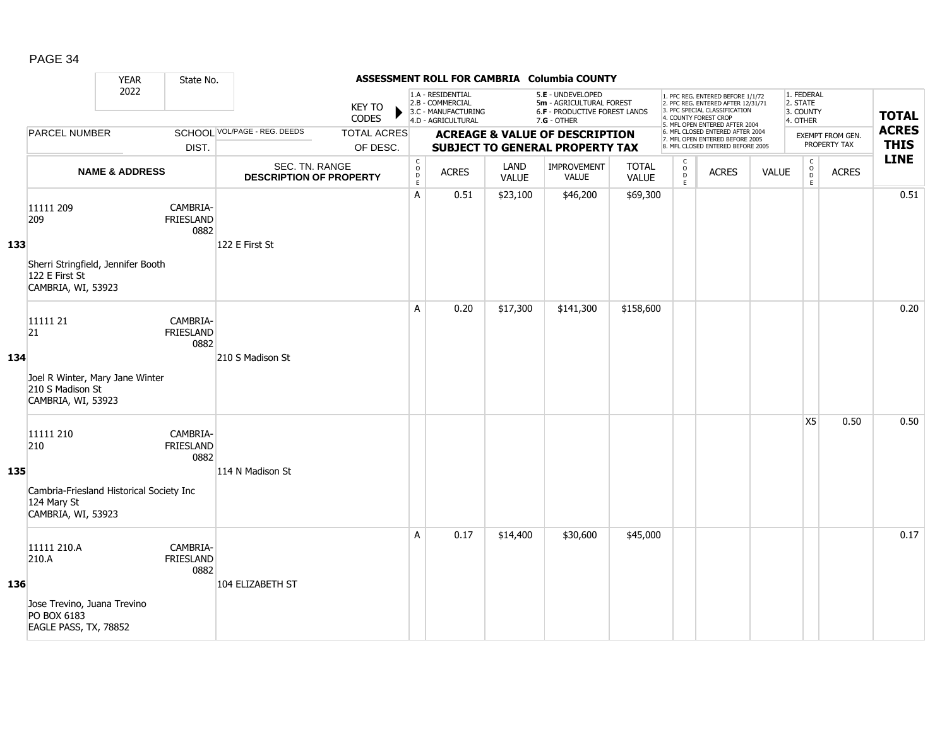|     |                                                                                                       | <b>YEAR</b>               | State No.                            |                                                  |                                |                                                          |                                                                                    |                      | ASSESSMENT ROLL FOR CAMBRIA Columbia COUNTY                                                     |                              |                                         |                                                                                                                                                                     |              |                                                 |                                  |                             |
|-----|-------------------------------------------------------------------------------------------------------|---------------------------|--------------------------------------|--------------------------------------------------|--------------------------------|----------------------------------------------------------|------------------------------------------------------------------------------------|----------------------|-------------------------------------------------------------------------------------------------|------------------------------|-----------------------------------------|---------------------------------------------------------------------------------------------------------------------------------------------------------------------|--------------|-------------------------------------------------|----------------------------------|-----------------------------|
|     |                                                                                                       | 2022                      |                                      |                                                  | <b>KEY TO</b><br>CODES         |                                                          | 1.A - RESIDENTIAL<br>2.B - COMMERCIAL<br>3.C - MANUFACTURING<br>4.D - AGRICULTURAL |                      | 5.E - UNDEVELOPED<br>5m - AGRICULTURAL FOREST<br>6.F - PRODUCTIVE FOREST LANDS<br>$7.G - OTHER$ |                              |                                         | 1. PFC REG. ENTERED BEFORE 1/1/72<br>2. PFC REG. ENTERED AFTER 12/31/71<br>3. PFC SPECIAL CLASSIFICATION<br>4. COUNTY FOREST CROP<br>5. MFL OPEN ENTERED AFTER 2004 |              | 1. FEDERAL<br>2. STATE<br>3. COUNTY<br>4. OTHER |                                  | <b>TOTAL</b>                |
|     | <b>PARCEL NUMBER</b>                                                                                  |                           | DIST.                                | SCHOOL VOL/PAGE - REG. DEEDS                     | <b>TOTAL ACRES</b><br>OF DESC. |                                                          |                                                                                    |                      | <b>ACREAGE &amp; VALUE OF DESCRIPTION</b><br><b>SUBJECT TO GENERAL PROPERTY TAX</b>             |                              |                                         | 6. MFL CLOSED ENTERED AFTER 2004<br>7. MFL OPEN ENTERED BEFORE 2005<br>8. MFL CLOSED ENTERED BEFORE 2005                                                            |              |                                                 | EXEMPT FROM GEN.<br>PROPERTY TAX | <b>ACRES</b><br><b>THIS</b> |
|     |                                                                                                       | <b>NAME &amp; ADDRESS</b> |                                      | SEC. TN. RANGE<br><b>DESCRIPTION OF PROPERTY</b> |                                | $\begin{matrix} 0 \\ 0 \\ D \end{matrix}$<br>$\mathsf E$ | <b>ACRES</b>                                                                       | LAND<br><b>VALUE</b> | <b>IMPROVEMENT</b><br><b>VALUE</b>                                                              | <b>TOTAL</b><br><b>VALUE</b> | C<br>$_{\rm D}^{\rm O}$<br>$\mathsf{E}$ | <b>ACRES</b>                                                                                                                                                        | <b>VALUE</b> | $\mathsf C$<br>$_{\rm D}^{\rm O}$<br>E          | <b>ACRES</b>                     | <b>LINE</b>                 |
| 133 | 11111 209<br>209<br>Sherri Stringfield, Jennifer Booth<br>122 E First St<br>CAMBRIA, WI, 53923        |                           | CAMBRIA-<br><b>FRIESLAND</b><br>0882 | 122 E First St                                   |                                | A                                                        | 0.51                                                                               | \$23,100             | \$46,200                                                                                        | \$69,300                     |                                         |                                                                                                                                                                     |              |                                                 |                                  | 0.51                        |
| 134 | 11111 21<br>$ 21\rangle$<br>Joel R Winter, Mary Jane Winter<br>210 S Madison St<br>CAMBRIA, WI, 53923 |                           | CAMBRIA-<br>FRIESLAND<br>0882        | 210 S Madison St                                 |                                | A                                                        | 0.20                                                                               | \$17,300             | \$141,300                                                                                       | \$158,600                    |                                         |                                                                                                                                                                     |              |                                                 |                                  | 0.20                        |
| 135 | 11111 210<br>210<br>Cambria-Friesland Historical Society Inc<br>124 Mary St<br>CAMBRIA, WI, 53923     |                           | CAMBRIA-<br>FRIESLAND<br>0882        | 114 N Madison St                                 |                                |                                                          |                                                                                    |                      |                                                                                                 |                              |                                         |                                                                                                                                                                     |              | X <sub>5</sub>                                  | 0.50                             | 0.50                        |
| 136 | 11111 210.A<br>210.A<br>Jose Trevino, Juana Trevino<br>PO BOX 6183<br>EAGLE PASS, TX, 78852           |                           | CAMBRIA-<br><b>FRIESLAND</b><br>0882 | 104 ELIZABETH ST                                 |                                | A                                                        | 0.17                                                                               | \$14,400             | \$30,600                                                                                        | \$45,000                     |                                         |                                                                                                                                                                     |              |                                                 |                                  | 0.17                        |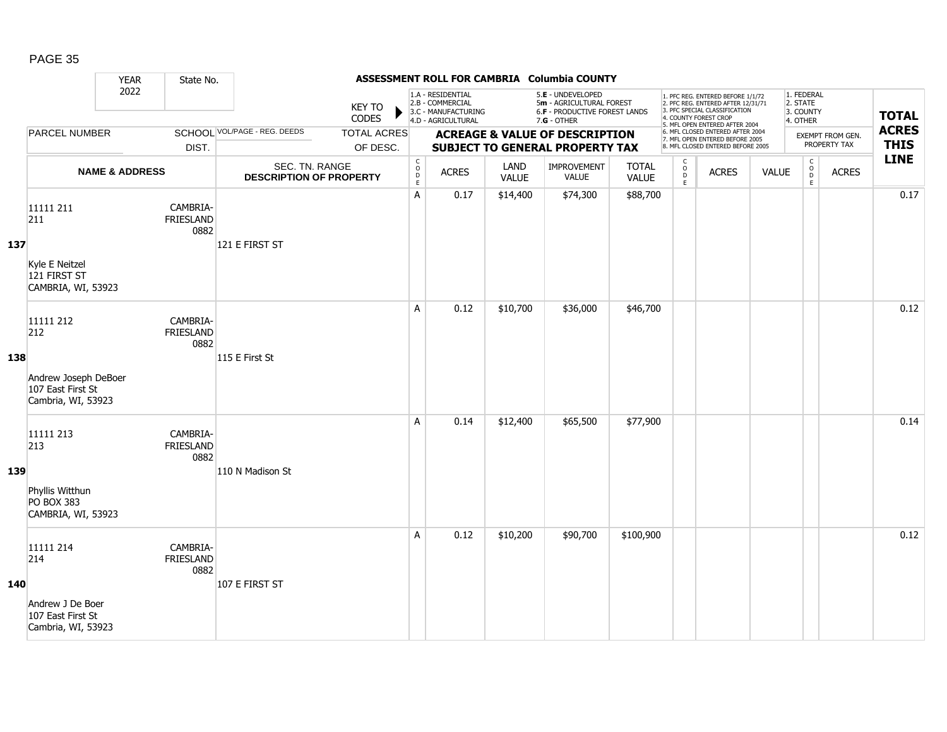|     |                                                                                     | <b>YEAR</b>               | State No.                            |                                                  |                                |                                        |                                                                                    |                      | ASSESSMENT ROLL FOR CAMBRIA Columbia COUNTY                                                     |                              |                                                    |                                                                                                                                                                     |              |                                                 |                                  |                             |
|-----|-------------------------------------------------------------------------------------|---------------------------|--------------------------------------|--------------------------------------------------|--------------------------------|----------------------------------------|------------------------------------------------------------------------------------|----------------------|-------------------------------------------------------------------------------------------------|------------------------------|----------------------------------------------------|---------------------------------------------------------------------------------------------------------------------------------------------------------------------|--------------|-------------------------------------------------|----------------------------------|-----------------------------|
|     |                                                                                     | 2022                      |                                      |                                                  | <b>KEY TO</b><br>CODES         |                                        | 1.A - RESIDENTIAL<br>2.B - COMMERCIAL<br>3.C - MANUFACTURING<br>4.D - AGRICULTURAL |                      | 5.E - UNDEVELOPED<br>5m - AGRICULTURAL FOREST<br>6.F - PRODUCTIVE FOREST LANDS<br>$7.G - OTHER$ |                              |                                                    | 1. PFC REG. ENTERED BEFORE 1/1/72<br>2. PFC REG. ENTERED AFTER 12/31/71<br>3. PFC SPECIAL CLASSIFICATION<br>4. COUNTY FOREST CROP<br>5. MFL OPEN ENTERED AFTER 2004 |              | 1. FEDERAL<br>2. STATE<br>3. COUNTY<br>4. OTHER |                                  | <b>TOTAL</b>                |
|     | <b>PARCEL NUMBER</b>                                                                |                           | DIST.                                | SCHOOL VOL/PAGE - REG. DEEDS                     | <b>TOTAL ACRES</b><br>OF DESC. |                                        |                                                                                    |                      | <b>ACREAGE &amp; VALUE OF DESCRIPTION</b><br><b>SUBJECT TO GENERAL PROPERTY TAX</b>             |                              |                                                    | 6. MFL CLOSED ENTERED AFTER 2004<br>7. MFL OPEN ENTERED BEFORE 2005<br>8. MFL CLOSED ENTERED BEFORE 2005                                                            |              |                                                 | EXEMPT FROM GEN.<br>PROPERTY TAX | <b>ACRES</b><br><b>THIS</b> |
|     |                                                                                     | <b>NAME &amp; ADDRESS</b> |                                      | SEC. TN. RANGE<br><b>DESCRIPTION OF PROPERTY</b> |                                | C<br>$_{\rm D}^{\rm O}$<br>$\mathsf E$ | <b>ACRES</b>                                                                       | LAND<br><b>VALUE</b> | <b>IMPROVEMENT</b><br><b>VALUE</b>                                                              | <b>TOTAL</b><br><b>VALUE</b> | $\mathsf{C}$<br>$_{\rm D}^{\rm O}$<br>$\mathsf{E}$ | <b>ACRES</b>                                                                                                                                                        | <b>VALUE</b> | $\mathsf C$<br>$_{\rm D}^{\rm O}$<br>E          | <b>ACRES</b>                     | <b>LINE</b>                 |
| 137 | 11111 211<br>211<br>Kyle E Neitzel<br>121 FIRST ST<br>CAMBRIA, WI, 53923            |                           | CAMBRIA-<br>FRIESLAND<br>0882        | 121 E FIRST ST                                   |                                | A                                      | 0.17                                                                               | \$14,400             | \$74,300                                                                                        | \$88,700                     |                                                    |                                                                                                                                                                     |              |                                                 |                                  | 0.17                        |
| 138 | 11111 212<br>212<br>Andrew Joseph DeBoer<br>107 East First St<br>Cambria, WI, 53923 |                           | CAMBRIA-<br>FRIESLAND<br>0882        | 115 E First St                                   |                                | A                                      | 0.12                                                                               | \$10,700             | \$36,000                                                                                        | \$46,700                     |                                                    |                                                                                                                                                                     |              |                                                 |                                  | 0.12                        |
| 139 | 11111 213<br>213<br>Phyllis Witthun<br>PO BOX 383<br>CAMBRIA, WI, 53923             |                           | CAMBRIA-<br>FRIESLAND<br>0882        | 110 N Madison St                                 |                                | A                                      | 0.14                                                                               | \$12,400             | \$65,500                                                                                        | \$77,900                     |                                                    |                                                                                                                                                                     |              |                                                 |                                  | 0.14                        |
| 140 | 11111 214<br>214<br>Andrew J De Boer<br>107 East First St<br>Cambria, WI, 53923     |                           | CAMBRIA-<br><b>FRIESLAND</b><br>0882 | 107 E FIRST ST                                   |                                | A                                      | 0.12                                                                               | \$10,200             | \$90,700                                                                                        | \$100,900                    |                                                    |                                                                                                                                                                     |              |                                                 |                                  | 0.12                        |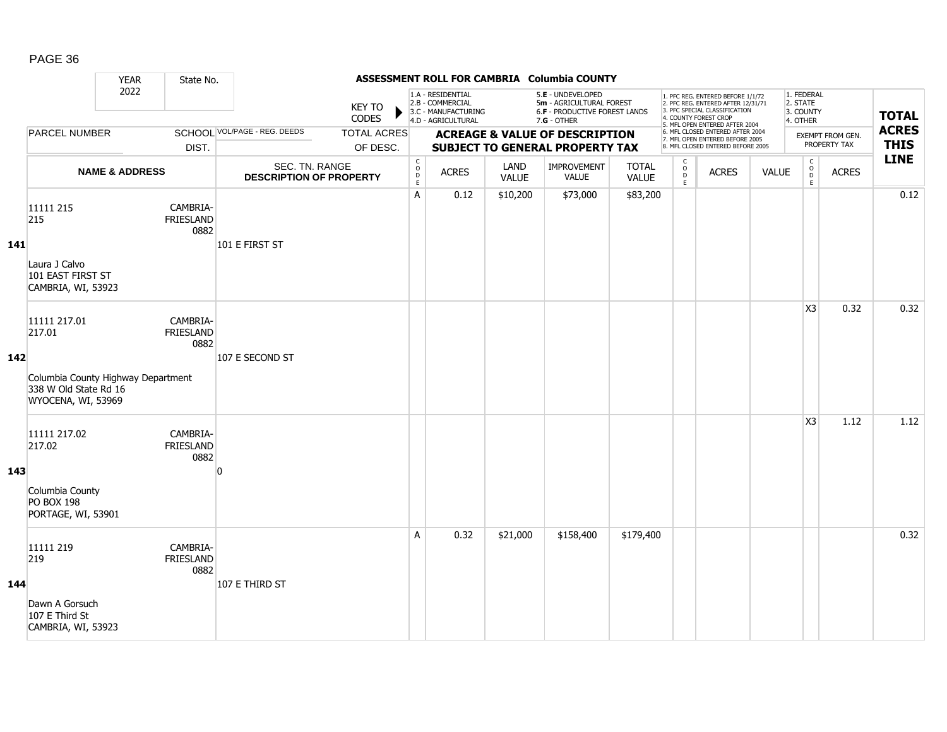|     |                                                                                                             | <b>YEAR</b>               | State No.                            |                                                  |                                |                                        |                                                                                    |                      | ASSESSMENT ROLL FOR CAMBRIA Columbia COUNTY                                                     |                              |                                     |                                                                                                                                                                     |              |                                                 |                                  |                             |
|-----|-------------------------------------------------------------------------------------------------------------|---------------------------|--------------------------------------|--------------------------------------------------|--------------------------------|----------------------------------------|------------------------------------------------------------------------------------|----------------------|-------------------------------------------------------------------------------------------------|------------------------------|-------------------------------------|---------------------------------------------------------------------------------------------------------------------------------------------------------------------|--------------|-------------------------------------------------|----------------------------------|-----------------------------|
|     |                                                                                                             | 2022                      |                                      |                                                  | <b>KEY TO</b><br><b>CODES</b>  |                                        | 1.A - RESIDENTIAL<br>2.B - COMMERCIAL<br>3.C - MANUFACTURING<br>4.D - AGRICULTURAL |                      | 5.E - UNDEVELOPED<br>5m - AGRICULTURAL FOREST<br>6.F - PRODUCTIVE FOREST LANDS<br>$7.G - OTHER$ |                              |                                     | 1. PFC REG. ENTERED BEFORE 1/1/72<br>2. PFC REG. ENTERED AFTER 12/31/71<br>3. PFC SPECIAL CLASSIFICATION<br>4. COUNTY FOREST CROP<br>5. MFL OPEN ENTERED AFTER 2004 |              | 1. FEDERAL<br>2. STATE<br>3. COUNTY<br>4. OTHER |                                  | <b>TOTAL</b>                |
|     | <b>PARCEL NUMBER</b>                                                                                        |                           | DIST.                                | SCHOOL VOL/PAGE - REG. DEEDS                     | <b>TOTAL ACRES</b><br>OF DESC. |                                        |                                                                                    |                      | <b>ACREAGE &amp; VALUE OF DESCRIPTION</b><br><b>SUBJECT TO GENERAL PROPERTY TAX</b>             |                              |                                     | 6. MFL CLOSED ENTERED AFTER 2004<br>7. MFL OPEN ENTERED BEFORE 2005<br>8. MFL CLOSED ENTERED BEFORE 2005                                                            |              |                                                 | EXEMPT FROM GEN.<br>PROPERTY TAX | <b>ACRES</b><br><b>THIS</b> |
|     |                                                                                                             | <b>NAME &amp; ADDRESS</b> |                                      | SEC. TN. RANGE<br><b>DESCRIPTION OF PROPERTY</b> |                                | C<br>$_{\rm D}^{\rm O}$<br>$\mathsf E$ | <b>ACRES</b>                                                                       | LAND<br><b>VALUE</b> | <b>IMPROVEMENT</b><br>VALUE                                                                     | <b>TOTAL</b><br><b>VALUE</b> | $\mathsf{C}$<br>$\int_{D}^{O}$<br>E | <b>ACRES</b>                                                                                                                                                        | <b>VALUE</b> | $\mathsf C$<br>$_{\rm D}^{\rm O}$<br>E          | <b>ACRES</b>                     | <b>LINE</b>                 |
| 141 | 11111 215<br>215<br>Laura J Calvo<br>101 EAST FIRST ST<br>CAMBRIA, WI, 53923                                |                           | CAMBRIA-<br>FRIESLAND<br>0882        | 101 E FIRST ST                                   |                                | A                                      | 0.12                                                                               | \$10,200             | \$73,000                                                                                        | \$83,200                     |                                     |                                                                                                                                                                     |              |                                                 |                                  | 0.12                        |
| 142 | 11111 217.01<br>217.01<br>Columbia County Highway Department<br>338 W Old State Rd 16<br>WYOCENA, WI, 53969 |                           | CAMBRIA-<br><b>FRIESLAND</b><br>0882 | 107 E SECOND ST                                  |                                |                                        |                                                                                    |                      |                                                                                                 |                              |                                     |                                                                                                                                                                     |              | X <sub>3</sub>                                  | 0.32                             | 0.32                        |
| 143 | 11111 217.02<br>217.02<br>Columbia County<br><b>PO BOX 198</b><br>PORTAGE, WI, 53901                        |                           | CAMBRIA-<br><b>FRIESLAND</b><br>0882 | n                                                |                                |                                        |                                                                                    |                      |                                                                                                 |                              |                                     |                                                                                                                                                                     |              | X <sub>3</sub>                                  | 1.12                             | 1.12                        |
| 144 | 11111 219<br>219<br>Dawn A Gorsuch<br>107 E Third St<br>CAMBRIA, WI, 53923                                  |                           | CAMBRIA-<br><b>FRIESLAND</b><br>0882 | 107 E THIRD ST                                   |                                | A                                      | 0.32                                                                               | \$21,000             | \$158,400                                                                                       | \$179,400                    |                                     |                                                                                                                                                                     |              |                                                 |                                  | 0.32                        |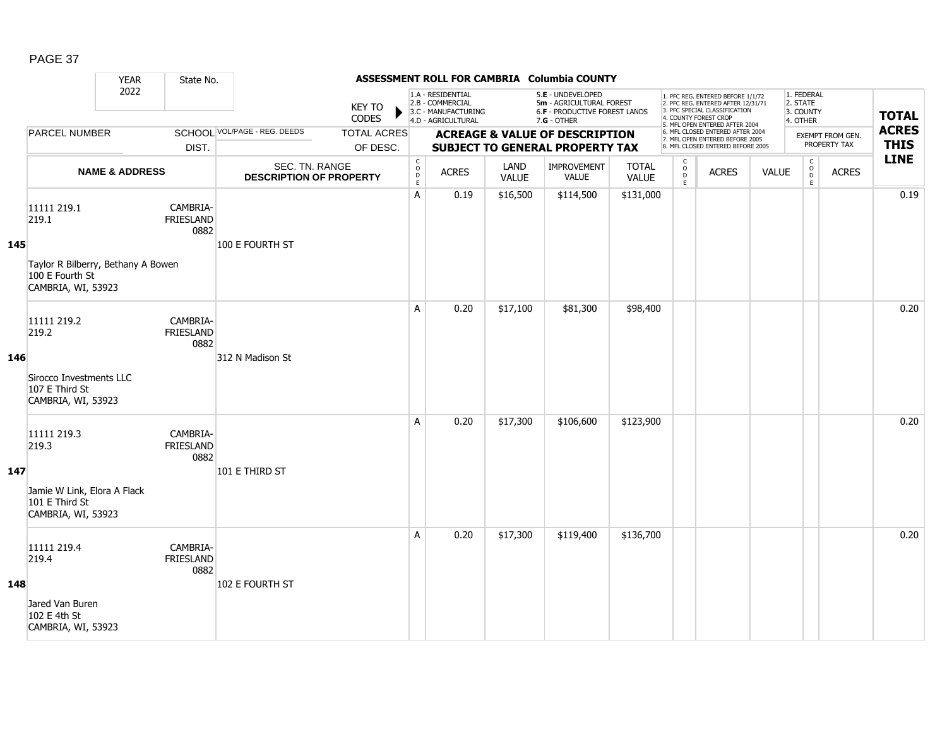|     |                                                                                                     | <b>YEAR</b>               | State No.                            |                                                  |                                |                                                          |                                                                                    |                      | ASSESSMENT ROLL FOR CAMBRIA Columbia COUNTY                                                     |                       |                                     |                                                                                                                                                                     |              |                                                 |                                         |                             |
|-----|-----------------------------------------------------------------------------------------------------|---------------------------|--------------------------------------|--------------------------------------------------|--------------------------------|----------------------------------------------------------|------------------------------------------------------------------------------------|----------------------|-------------------------------------------------------------------------------------------------|-----------------------|-------------------------------------|---------------------------------------------------------------------------------------------------------------------------------------------------------------------|--------------|-------------------------------------------------|-----------------------------------------|-----------------------------|
|     |                                                                                                     | 2022                      |                                      |                                                  | <b>KEY TO</b><br>CODES         |                                                          | 1.A - RESIDENTIAL<br>2.B - COMMERCIAL<br>3.C - MANUFACTURING<br>4.D - AGRICULTURAL |                      | 5.E - UNDEVELOPED<br>5m - AGRICULTURAL FOREST<br>6.F - PRODUCTIVE FOREST LANDS<br>$7.G - OTHER$ |                       |                                     | 1. PFC REG. ENTERED BEFORE 1/1/72<br>2. PFC REG. ENTERED AFTER 12/31/71<br>3. PFC SPECIAL CLASSIFICATION<br>4. COUNTY FOREST CROP<br>5. MFL OPEN ENTERED AFTER 2004 |              | 1. FEDERAL<br>2. STATE<br>3. COUNTY<br>4. OTHER |                                         | <b>TOTAL</b>                |
|     | <b>PARCEL NUMBER</b>                                                                                |                           | DIST.                                | SCHOOL VOL/PAGE - REG. DEEDS                     | <b>TOTAL ACRES</b><br>OF DESC. |                                                          |                                                                                    |                      | <b>ACREAGE &amp; VALUE OF DESCRIPTION</b><br><b>SUBJECT TO GENERAL PROPERTY TAX</b>             |                       |                                     | 6. MFL CLOSED ENTERED AFTER 2004<br>7. MFL OPEN ENTERED BEFORE 2005<br>8. MFL CLOSED ENTERED BEFORE 2005                                                            |              |                                                 | <b>EXEMPT FROM GEN.</b><br>PROPERTY TAX | <b>ACRES</b><br><b>THIS</b> |
|     |                                                                                                     | <b>NAME &amp; ADDRESS</b> |                                      | SEC. TN. RANGE<br><b>DESCRIPTION OF PROPERTY</b> |                                | $\begin{matrix} 0 \\ 0 \\ D \end{matrix}$<br>$\mathsf E$ | <b>ACRES</b>                                                                       | LAND<br><b>VALUE</b> | IMPROVEMENT<br><b>VALUE</b>                                                                     | <b>TOTAL</b><br>VALUE | $\mathsf{C}$<br>$\int_{D}^{O}$<br>E | <b>ACRES</b>                                                                                                                                                        | <b>VALUE</b> | $\mathsf C$<br>$_{\rm D}^{\rm O}$<br>E          | <b>ACRES</b>                            | <b>LINE</b>                 |
| 145 | 11111 219.1<br>219.1<br>Taylor R Bilberry, Bethany A Bowen<br>100 E Fourth St<br>CAMBRIA, WI, 53923 |                           | CAMBRIA-<br>FRIESLAND<br>0882        | 100 E FOURTH ST                                  |                                | Α                                                        | 0.19                                                                               | \$16,500             | \$114,500                                                                                       | \$131,000             |                                     |                                                                                                                                                                     |              |                                                 |                                         | 0.19                        |
| 146 | 11111 219.2<br>219.2<br>Sirocco Investments LLC<br>107 E Third St<br>CAMBRIA, WI, 53923             |                           | CAMBRIA-<br><b>FRIESLAND</b><br>0882 | 312 N Madison St                                 |                                | A                                                        | 0.20                                                                               | \$17,100             | \$81,300                                                                                        | \$98,400              |                                     |                                                                                                                                                                     |              |                                                 |                                         | 0.20                        |
| 147 | 11111 219.3<br>219.3<br>Jamie W Link, Elora A Flack<br>101 E Third St<br>CAMBRIA, WI, 53923         |                           | CAMBRIA-<br><b>FRIESLAND</b><br>0882 | 101 E THIRD ST                                   |                                | A                                                        | 0.20                                                                               | \$17,300             | \$106,600                                                                                       | \$123,900             |                                     |                                                                                                                                                                     |              |                                                 |                                         | 0.20                        |
| 148 | 11111 219.4<br>219.4<br>Jared Van Buren<br>102 E 4th St<br>CAMBRIA, WI, 53923                       |                           | CAMBRIA-<br>FRIESLAND<br>0882        | 102 E FOURTH ST                                  |                                | A                                                        | 0.20                                                                               | \$17,300             | \$119,400                                                                                       | \$136,700             |                                     |                                                                                                                                                                     |              |                                                 |                                         | 0.20                        |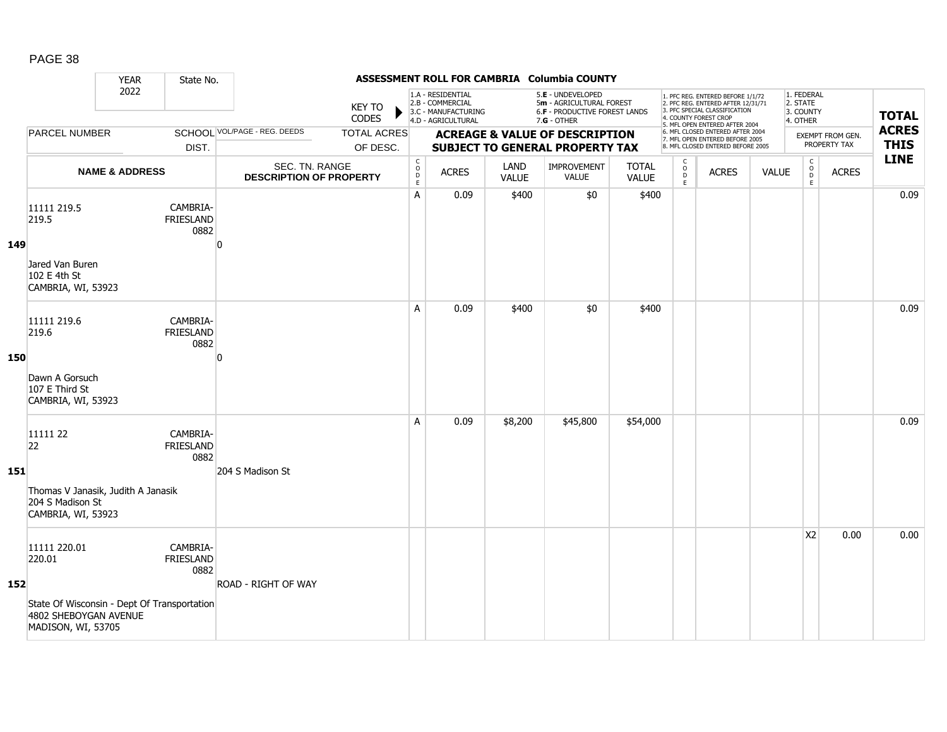|     |                                                                                                                      | <b>YEAR</b>               | State No.                            |                                                  |                                |                                                           |                                                                                    |               | ASSESSMENT ROLL FOR CAMBRIA Columbia COUNTY                                                            |                              |                                                |                                                                                                                                                                     |              |                                                           |                                  |                             |
|-----|----------------------------------------------------------------------------------------------------------------------|---------------------------|--------------------------------------|--------------------------------------------------|--------------------------------|-----------------------------------------------------------|------------------------------------------------------------------------------------|---------------|--------------------------------------------------------------------------------------------------------|------------------------------|------------------------------------------------|---------------------------------------------------------------------------------------------------------------------------------------------------------------------|--------------|-----------------------------------------------------------|----------------------------------|-----------------------------|
|     |                                                                                                                      | 2022                      |                                      |                                                  | KEY TO<br><b>CODES</b>         |                                                           | 1.A - RESIDENTIAL<br>2.B - COMMERCIAL<br>3.C - MANUFACTURING<br>4.D - AGRICULTURAL |               | 5.E - UNDEVELOPED<br>5m - AGRICULTURAL FOREST<br><b>6.F - PRODUCTIVE FOREST LANDS</b><br>$7.G - OTHER$ |                              |                                                | 1. PFC REG. ENTERED BEFORE 1/1/72<br>2. PFC REG. ENTERED AFTER 12/31/71<br>3. PFC SPECIAL CLASSIFICATION<br>4. COUNTY FOREST CROP<br>5. MFL OPEN ENTERED AFTER 2004 |              | 1. FEDERAL<br>2. STATE<br>3. COUNTY<br>4. OTHER           |                                  | <b>TOTAL</b>                |
|     | <b>PARCEL NUMBER</b>                                                                                                 |                           | DIST.                                | SCHOOL VOL/PAGE - REG. DEEDS                     | <b>TOTAL ACRES</b><br>OF DESC. |                                                           |                                                                                    |               | <b>ACREAGE &amp; VALUE OF DESCRIPTION</b><br><b>SUBJECT TO GENERAL PROPERTY TAX</b>                    |                              |                                                | 6. MFL CLOSED ENTERED AFTER 2004<br>7. MFL OPEN ENTERED BEFORE 2005<br>8. MFL CLOSED ENTERED BEFORE 2005                                                            |              |                                                           | EXEMPT FROM GEN.<br>PROPERTY TAX | <b>ACRES</b><br><b>THIS</b> |
|     |                                                                                                                      | <b>NAME &amp; ADDRESS</b> |                                      | SEC. TN. RANGE<br><b>DESCRIPTION OF PROPERTY</b> |                                | $\begin{array}{c} C \\ O \\ D \end{array}$<br>$\mathsf E$ | <b>ACRES</b>                                                                       | LAND<br>VALUE | <b>IMPROVEMENT</b><br><b>VALUE</b>                                                                     | <b>TOTAL</b><br><b>VALUE</b> | $\mathsf{C}$<br>$\ddot{\mathbf{O}}$<br>D<br>E. | <b>ACRES</b>                                                                                                                                                        | <b>VALUE</b> | $\begin{array}{c} C \\ O \\ D \end{array}$<br>$\mathsf E$ | <b>ACRES</b>                     | <b>LINE</b>                 |
| 149 | 11111 219.5<br>219.5<br>Jared Van Buren<br>102 E 4th St<br>CAMBRIA, WI, 53923                                        |                           | CAMBRIA-<br><b>FRIESLAND</b><br>0882 | n                                                |                                | A                                                         | 0.09                                                                               | \$400         | \$0                                                                                                    | \$400                        |                                                |                                                                                                                                                                     |              |                                                           |                                  | 0.09                        |
| 150 | 11111 219.6<br>219.6<br>Dawn A Gorsuch<br>107 E Third St<br>CAMBRIA, WI, 53923                                       |                           | CAMBRIA-<br><b>FRIESLAND</b><br>0882 | $\Omega$                                         |                                | A                                                         | 0.09                                                                               | \$400         | \$0                                                                                                    | \$400                        |                                                |                                                                                                                                                                     |              |                                                           |                                  | 0.09                        |
| 151 | 11111 22<br>22<br>Thomas V Janasik, Judith A Janasik<br>204 S Madison St<br>CAMBRIA, WI, 53923                       |                           | CAMBRIA-<br>FRIESLAND<br>0882        | 204 S Madison St                                 |                                | A                                                         | 0.09                                                                               | \$8,200       | \$45,800                                                                                               | \$54,000                     |                                                |                                                                                                                                                                     |              |                                                           |                                  | 0.09                        |
| 152 | 11111 220.01<br>220.01<br>State Of Wisconsin - Dept Of Transportation<br>4802 SHEBOYGAN AVENUE<br>MADISON, WI, 53705 |                           | CAMBRIA-<br><b>FRIESLAND</b><br>0882 | <b>ROAD - RIGHT OF WAY</b>                       |                                |                                                           |                                                                                    |               |                                                                                                        |                              |                                                |                                                                                                                                                                     |              | X <sub>2</sub>                                            | 0.00                             | 0.00                        |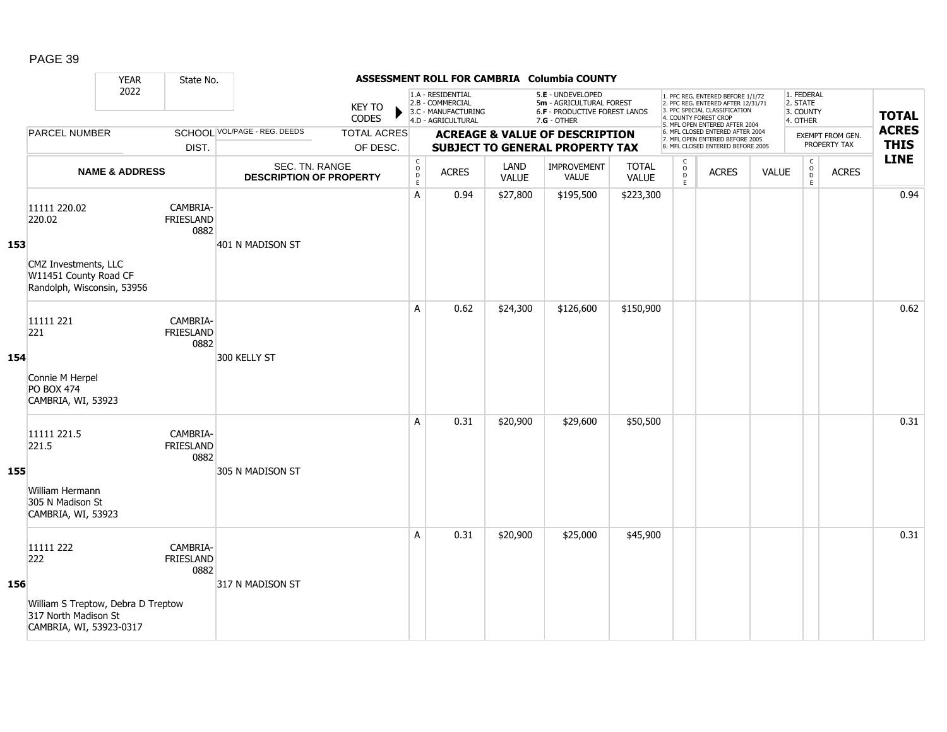|     |                                                                                                           | <b>YEAR</b>               | State No.                            |                                                  |                                |                                                          |                                                                                    |                      | ASSESSMENT ROLL FOR CAMBRIA Columbia COUNTY                                                     |                              |                                         |                                                                                                                                                                     |              |                                                 |                                  |                             |
|-----|-----------------------------------------------------------------------------------------------------------|---------------------------|--------------------------------------|--------------------------------------------------|--------------------------------|----------------------------------------------------------|------------------------------------------------------------------------------------|----------------------|-------------------------------------------------------------------------------------------------|------------------------------|-----------------------------------------|---------------------------------------------------------------------------------------------------------------------------------------------------------------------|--------------|-------------------------------------------------|----------------------------------|-----------------------------|
|     |                                                                                                           | 2022                      |                                      |                                                  | <b>KEY TO</b><br>CODES         |                                                          | 1.A - RESIDENTIAL<br>2.B - COMMERCIAL<br>3.C - MANUFACTURING<br>4.D - AGRICULTURAL |                      | 5.E - UNDEVELOPED<br>5m - AGRICULTURAL FOREST<br>6.F - PRODUCTIVE FOREST LANDS<br>$7.G - OTHER$ |                              |                                         | 1. PFC REG. ENTERED BEFORE 1/1/72<br>2. PFC REG. ENTERED AFTER 12/31/71<br>3. PFC SPECIAL CLASSIFICATION<br>4. COUNTY FOREST CROP<br>5. MFL OPEN ENTERED AFTER 2004 |              | 1. FEDERAL<br>2. STATE<br>3. COUNTY<br>4. OTHER |                                  | <b>TOTAL</b>                |
|     | <b>PARCEL NUMBER</b>                                                                                      |                           | DIST.                                | SCHOOL VOL/PAGE - REG. DEEDS                     | <b>TOTAL ACRES</b><br>OF DESC. |                                                          |                                                                                    |                      | <b>ACREAGE &amp; VALUE OF DESCRIPTION</b><br><b>SUBJECT TO GENERAL PROPERTY TAX</b>             |                              |                                         | 6. MFL CLOSED ENTERED AFTER 2004<br>7. MFL OPEN ENTERED BEFORE 2005<br>8. MFL CLOSED ENTERED BEFORE 2005                                                            |              |                                                 | EXEMPT FROM GEN.<br>PROPERTY TAX | <b>ACRES</b><br><b>THIS</b> |
|     |                                                                                                           | <b>NAME &amp; ADDRESS</b> |                                      | SEC. TN. RANGE<br><b>DESCRIPTION OF PROPERTY</b> |                                | $\begin{matrix} 0 \\ 0 \\ D \end{matrix}$<br>$\mathsf E$ | <b>ACRES</b>                                                                       | LAND<br><b>VALUE</b> | <b>IMPROVEMENT</b><br><b>VALUE</b>                                                              | <b>TOTAL</b><br><b>VALUE</b> | $\mathsf{C}$<br>$_{\rm D}^{\rm O}$<br>E | <b>ACRES</b>                                                                                                                                                        | <b>VALUE</b> | $\mathsf C$<br>$_{\rm D}^{\rm O}$<br>E          | <b>ACRES</b>                     | <b>LINE</b>                 |
| 153 | 11111 220.02<br>220.02<br>CMZ Investments, LLC<br>W11451 County Road CF<br>Randolph, Wisconsin, 53956     |                           | CAMBRIA-<br><b>FRIESLAND</b><br>0882 | 401 N MADISON ST                                 |                                | Α                                                        | 0.94                                                                               | \$27,800             | \$195,500                                                                                       | \$223,300                    |                                         |                                                                                                                                                                     |              |                                                 |                                  | 0.94                        |
| 154 | 11111 221<br>221<br>Connie M Herpel<br><b>PO BOX 474</b><br>CAMBRIA, WI, 53923                            |                           | CAMBRIA-<br>FRIESLAND<br>0882        | 300 KELLY ST                                     |                                | A                                                        | 0.62                                                                               | \$24,300             | \$126,600                                                                                       | \$150,900                    |                                         |                                                                                                                                                                     |              |                                                 |                                  | 0.62                        |
| 155 | 11111 221.5<br>221.5<br>William Hermann<br>305 N Madison St<br>CAMBRIA, WI, 53923                         |                           | CAMBRIA-<br>FRIESLAND<br>0882        | 305 N MADISON ST                                 |                                | A                                                        | 0.31                                                                               | \$20,900             | \$29,600                                                                                        | \$50,500                     |                                         |                                                                                                                                                                     |              |                                                 |                                  | 0.31                        |
| 156 | 11111 222<br>222<br>William S Treptow, Debra D Treptow<br>317 North Madison St<br>CAMBRIA, WI, 53923-0317 |                           | CAMBRIA-<br><b>FRIESLAND</b><br>0882 | 317 N MADISON ST                                 |                                | A                                                        | 0.31                                                                               | \$20,900             | \$25,000                                                                                        | \$45,900                     |                                         |                                                                                                                                                                     |              |                                                 |                                  | 0.31                        |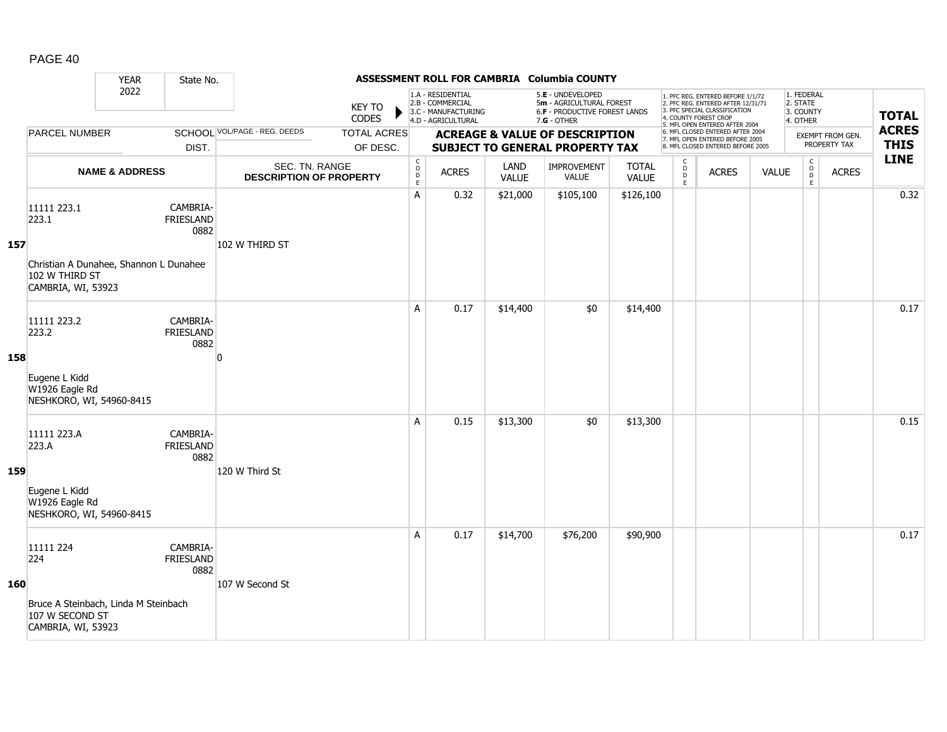|     |                                                                                                        | <b>YEAR</b>               | State No.                            |                                                  |                                |                                        |                                                                                    |                      | ASSESSMENT ROLL FOR CAMBRIA Columbia COUNTY                                                            |                              |                                         |                                                                                                                                                                     |              |                                                 |                                  |                             |
|-----|--------------------------------------------------------------------------------------------------------|---------------------------|--------------------------------------|--------------------------------------------------|--------------------------------|----------------------------------------|------------------------------------------------------------------------------------|----------------------|--------------------------------------------------------------------------------------------------------|------------------------------|-----------------------------------------|---------------------------------------------------------------------------------------------------------------------------------------------------------------------|--------------|-------------------------------------------------|----------------------------------|-----------------------------|
|     |                                                                                                        | 2022                      |                                      |                                                  | <b>KEY TO</b><br>CODES         |                                        | 1.A - RESIDENTIAL<br>2.B - COMMERCIAL<br>3.C - MANUFACTURING<br>4.D - AGRICULTURAL |                      | 5.E - UNDEVELOPED<br>5m - AGRICULTURAL FOREST<br><b>6.F - PRODUCTIVE FOREST LANDS</b><br>$7.G - OTHER$ |                              |                                         | 1. PFC REG. ENTERED BEFORE 1/1/72<br>2. PFC REG. ENTERED AFTER 12/31/71<br>3. PFC SPECIAL CLASSIFICATION<br>4. COUNTY FOREST CROP<br>5. MFL OPEN ENTERED AFTER 2004 |              | 1. FEDERAL<br>2. STATE<br>3. COUNTY<br>4. OTHER |                                  | <b>TOTAL</b>                |
|     | <b>PARCEL NUMBER</b>                                                                                   |                           | DIST.                                | SCHOOL VOL/PAGE - REG. DEEDS                     | <b>TOTAL ACRES</b><br>OF DESC. |                                        |                                                                                    |                      | <b>ACREAGE &amp; VALUE OF DESCRIPTION</b><br><b>SUBJECT TO GENERAL PROPERTY TAX</b>                    |                              |                                         | 6. MFL CLOSED ENTERED AFTER 2004<br>7. MFL OPEN ENTERED BEFORE 2005<br>8. MFL CLOSED ENTERED BEFORE 2005                                                            |              |                                                 | EXEMPT FROM GEN.<br>PROPERTY TAX | <b>ACRES</b><br><b>THIS</b> |
|     |                                                                                                        | <b>NAME &amp; ADDRESS</b> |                                      | SEC. TN. RANGE<br><b>DESCRIPTION OF PROPERTY</b> |                                | $_{\rm o}^{\rm c}$<br>D<br>$\mathsf E$ | <b>ACRES</b>                                                                       | LAND<br><b>VALUE</b> | <b>IMPROVEMENT</b><br><b>VALUE</b>                                                                     | <b>TOTAL</b><br><b>VALUE</b> | $_{\rm o}^{\rm c}$<br>$\mathsf{D}$<br>E | <b>ACRES</b>                                                                                                                                                        | <b>VALUE</b> | $\begin{matrix} 0 \\ 0 \\ 0 \end{matrix}$<br>E  | <b>ACRES</b>                     | <b>LINE</b>                 |
| 157 | 11111 223.1<br>223.1<br>Christian A Dunahee, Shannon L Dunahee<br>102 W THIRD ST<br>CAMBRIA, WI, 53923 |                           | CAMBRIA-<br><b>FRIESLAND</b><br>0882 | 102 W THIRD ST                                   |                                | Α                                      | 0.32                                                                               | \$21,000             | \$105,100                                                                                              | \$126,100                    |                                         |                                                                                                                                                                     |              |                                                 |                                  | 0.32                        |
| 158 | 11111 223.2<br>223.2<br>Eugene L Kidd<br>W1926 Eagle Rd<br>NESHKORO, WI, 54960-8415                    |                           | CAMBRIA-<br><b>FRIESLAND</b><br>0882 | $\Omega$                                         |                                | A                                      | 0.17                                                                               | \$14,400             | \$0                                                                                                    | \$14,400                     |                                         |                                                                                                                                                                     |              |                                                 |                                  | 0.17                        |
| 159 | 11111 223.A<br>223.A<br>Eugene L Kidd<br>W1926 Eagle Rd<br>NESHKORO, WI, 54960-8415                    |                           | CAMBRIA-<br>FRIESLAND<br>0882        | 120 W Third St                                   |                                | A                                      | 0.15                                                                               | \$13,300             | \$0                                                                                                    | \$13,300                     |                                         |                                                                                                                                                                     |              |                                                 |                                  | 0.15                        |
| 160 | 11111 224<br>224<br>Bruce A Steinbach, Linda M Steinbach<br>107 W SECOND ST<br>CAMBRIA, WI, 53923      |                           | CAMBRIA-<br><b>FRIESLAND</b><br>0882 | 107 W Second St                                  |                                | A                                      | 0.17                                                                               | \$14,700             | \$76,200                                                                                               | \$90,900                     |                                         |                                                                                                                                                                     |              |                                                 |                                  | 0.17                        |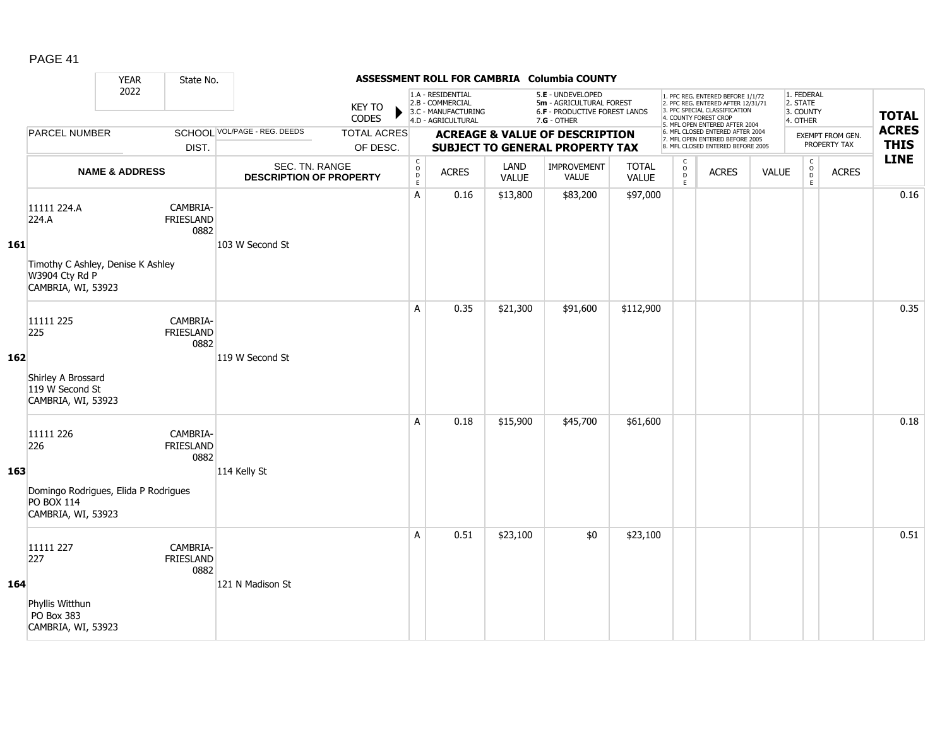|     |                                                                                                   | <b>YEAR</b>               | State No.                            |                                                  |                                |                                                          |                                                                                    |                      | ASSESSMENT ROLL FOR CAMBRIA Columbia COUNTY                                                     |                              |                                               |                                                                                                                                                                     |              |                                                 |                                         |                             |
|-----|---------------------------------------------------------------------------------------------------|---------------------------|--------------------------------------|--------------------------------------------------|--------------------------------|----------------------------------------------------------|------------------------------------------------------------------------------------|----------------------|-------------------------------------------------------------------------------------------------|------------------------------|-----------------------------------------------|---------------------------------------------------------------------------------------------------------------------------------------------------------------------|--------------|-------------------------------------------------|-----------------------------------------|-----------------------------|
|     |                                                                                                   | 2022                      |                                      |                                                  | <b>KEY TO</b><br>CODES         |                                                          | 1.A - RESIDENTIAL<br>2.B - COMMERCIAL<br>3.C - MANUFACTURING<br>4.D - AGRICULTURAL |                      | 5.E - UNDEVELOPED<br>5m - AGRICULTURAL FOREST<br>6.F - PRODUCTIVE FOREST LANDS<br>$7.G - OTHER$ |                              |                                               | 1. PFC REG. ENTERED BEFORE 1/1/72<br>2. PFC REG. ENTERED AFTER 12/31/71<br>3. PFC SPECIAL CLASSIFICATION<br>4. COUNTY FOREST CROP<br>5. MFL OPEN ENTERED AFTER 2004 |              | 1. FEDERAL<br>2. STATE<br>3. COUNTY<br>4. OTHER |                                         | <b>TOTAL</b>                |
|     | <b>PARCEL NUMBER</b>                                                                              |                           | DIST.                                | SCHOOL VOL/PAGE - REG. DEEDS                     | <b>TOTAL ACRES</b><br>OF DESC. |                                                          |                                                                                    |                      | <b>ACREAGE &amp; VALUE OF DESCRIPTION</b><br><b>SUBJECT TO GENERAL PROPERTY TAX</b>             |                              |                                               | 6. MFL CLOSED ENTERED AFTER 2004<br>7. MFL OPEN ENTERED BEFORE 2005<br>8. MFL CLOSED ENTERED BEFORE 2005                                                            |              |                                                 | <b>EXEMPT FROM GEN.</b><br>PROPERTY TAX | <b>ACRES</b><br><b>THIS</b> |
|     |                                                                                                   | <b>NAME &amp; ADDRESS</b> |                                      | SEC. TN. RANGE<br><b>DESCRIPTION OF PROPERTY</b> |                                | $\begin{matrix} 0 \\ 0 \\ D \end{matrix}$<br>$\mathsf E$ | <b>ACRES</b>                                                                       | LAND<br><b>VALUE</b> | IMPROVEMENT<br><b>VALUE</b>                                                                     | <b>TOTAL</b><br><b>VALUE</b> | $\mathsf{C}$<br>$_\mathrm{D}^\mathrm{O}$<br>E | <b>ACRES</b>                                                                                                                                                        | <b>VALUE</b> | $\mathsf C$<br>$_{\rm D}^{\rm O}$<br>E          | <b>ACRES</b>                            | <b>LINE</b>                 |
| 161 | 11111 224.A<br>224.A<br>Timothy C Ashley, Denise K Ashley<br>W3904 Cty Rd P<br>CAMBRIA, WI, 53923 |                           | CAMBRIA-<br><b>FRIESLAND</b><br>0882 | 103 W Second St                                  |                                | Α                                                        | 0.16                                                                               | \$13,800             | \$83,200                                                                                        | \$97,000                     |                                               |                                                                                                                                                                     |              |                                                 |                                         | 0.16                        |
| 162 | 11111 225<br>225<br>Shirley A Brossard<br>119 W Second St<br>CAMBRIA, WI, 53923                   |                           | CAMBRIA-<br><b>FRIESLAND</b><br>0882 | 119 W Second St                                  |                                | A                                                        | 0.35                                                                               | \$21,300             | \$91,600                                                                                        | \$112,900                    |                                               |                                                                                                                                                                     |              |                                                 |                                         | 0.35                        |
| 163 | 11111 226<br>226<br>Domingo Rodrigues, Elida P Rodrigues<br>PO BOX 114<br>CAMBRIA, WI, 53923      |                           | CAMBRIA-<br><b>FRIESLAND</b><br>0882 | 114 Kelly St                                     |                                | A                                                        | 0.18                                                                               | \$15,900             | \$45,700                                                                                        | \$61,600                     |                                               |                                                                                                                                                                     |              |                                                 |                                         | 0.18                        |
| 164 | 11111 227<br>227<br>Phyllis Witthun<br>PO Box 383<br>CAMBRIA, WI, 53923                           |                           | CAMBRIA-<br>FRIESLAND<br>0882        | 121 N Madison St                                 |                                | A                                                        | 0.51                                                                               | \$23,100             | \$0                                                                                             | \$23,100                     |                                               |                                                                                                                                                                     |              |                                                 |                                         | 0.51                        |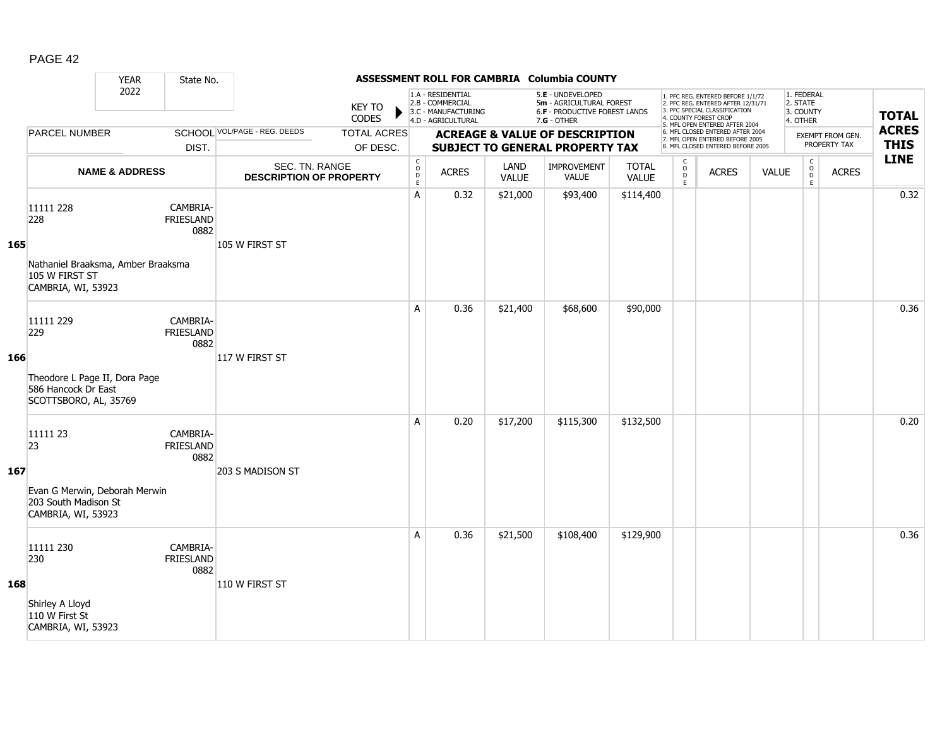|     |                                                                                                   | <b>YEAR</b>               | State No.                            |                                                  |                                |                                                          |                                                                                    |                      | ASSESSMENT ROLL FOR CAMBRIA Columbia COUNTY                                                            |                       |                         |                                                                                                                                                                     |              |                                                 |                                  |                             |
|-----|---------------------------------------------------------------------------------------------------|---------------------------|--------------------------------------|--------------------------------------------------|--------------------------------|----------------------------------------------------------|------------------------------------------------------------------------------------|----------------------|--------------------------------------------------------------------------------------------------------|-----------------------|-------------------------|---------------------------------------------------------------------------------------------------------------------------------------------------------------------|--------------|-------------------------------------------------|----------------------------------|-----------------------------|
|     |                                                                                                   | 2022                      |                                      |                                                  | KEY TO<br>CODES                |                                                          | 1.A - RESIDENTIAL<br>2.B - COMMERCIAL<br>3.C - MANUFACTURING<br>4.D - AGRICULTURAL |                      | 5.E - UNDEVELOPED<br>5m - AGRICULTURAL FOREST<br><b>6.F - PRODUCTIVE FOREST LANDS</b><br>$7.G - OTHER$ |                       |                         | 1. PFC REG. ENTERED BEFORE 1/1/72<br>2. PFC REG. ENTERED AFTER 12/31/71<br>3. PFC SPECIAL CLASSIFICATION<br>4. COUNTY FOREST CROP<br>5. MFL OPEN ENTERED AFTER 2004 |              | 1. FEDERAL<br>2. STATE<br>3. COUNTY<br>4. OTHER |                                  | <b>TOTAL</b>                |
|     | <b>PARCEL NUMBER</b>                                                                              |                           | DIST.                                | SCHOOL VOL/PAGE - REG. DEEDS                     | <b>TOTAL ACRES</b><br>OF DESC. |                                                          |                                                                                    |                      | <b>ACREAGE &amp; VALUE OF DESCRIPTION</b><br><b>SUBJECT TO GENERAL PROPERTY TAX</b>                    |                       |                         | 6. MFL CLOSED ENTERED AFTER 2004<br>7. MFL OPEN ENTERED BEFORE 2005<br>8. MFL CLOSED ENTERED BEFORE 2005                                                            |              |                                                 | EXEMPT FROM GEN.<br>PROPERTY TAX | <b>ACRES</b><br><b>THIS</b> |
|     |                                                                                                   | <b>NAME &amp; ADDRESS</b> |                                      | SEC. TN. RANGE<br><b>DESCRIPTION OF PROPERTY</b> |                                | $\begin{matrix} 0 \\ 0 \\ D \end{matrix}$<br>$\mathsf E$ | <b>ACRES</b>                                                                       | LAND<br><b>VALUE</b> | IMPROVEMENT<br><b>VALUE</b>                                                                            | <b>TOTAL</b><br>VALUE | $\frac{c}{0}$<br>D<br>E | <b>ACRES</b>                                                                                                                                                        | <b>VALUE</b> | $\begin{matrix} 0 \\ 0 \\ 0 \end{matrix}$<br>E  | <b>ACRES</b>                     | <b>LINE</b>                 |
| 165 | 11111 228<br>228<br>Nathaniel Braaksma, Amber Braaksma<br>105 W FIRST ST<br>CAMBRIA, WI, 53923    |                           | CAMBRIA-<br>FRIESLAND<br>0882        | 105 W FIRST ST                                   |                                | A                                                        | 0.32                                                                               | \$21,000             | \$93,400                                                                                               | \$114,400             |                         |                                                                                                                                                                     |              |                                                 |                                  | 0.32                        |
| 166 | 11111 229<br>229<br>Theodore L Page II, Dora Page<br>586 Hancock Dr East<br>SCOTTSBORO, AL, 35769 |                           | CAMBRIA-<br><b>FRIESLAND</b><br>0882 | 117 W FIRST ST                                   |                                | A                                                        | 0.36                                                                               | \$21,400             | \$68,600                                                                                               | \$90,000              |                         |                                                                                                                                                                     |              |                                                 |                                  | 0.36                        |
| 167 | 11111 23<br>23<br>Evan G Merwin, Deborah Merwin<br>203 South Madison St<br>CAMBRIA, WI, 53923     |                           | CAMBRIA-<br><b>FRIESLAND</b><br>0882 | 203 S MADISON ST                                 |                                | A                                                        | 0.20                                                                               | \$17,200             | \$115,300                                                                                              | \$132,500             |                         |                                                                                                                                                                     |              |                                                 |                                  | 0.20                        |
| 168 | 11111 230<br>230<br>Shirley A Lloyd<br>110 W First St<br>CAMBRIA, WI, 53923                       |                           | CAMBRIA-<br><b>FRIESLAND</b><br>0882 | 110 W FIRST ST                                   |                                | A                                                        | 0.36                                                                               | \$21,500             | \$108,400                                                                                              | \$129,900             |                         |                                                                                                                                                                     |              |                                                 |                                  | 0.36                        |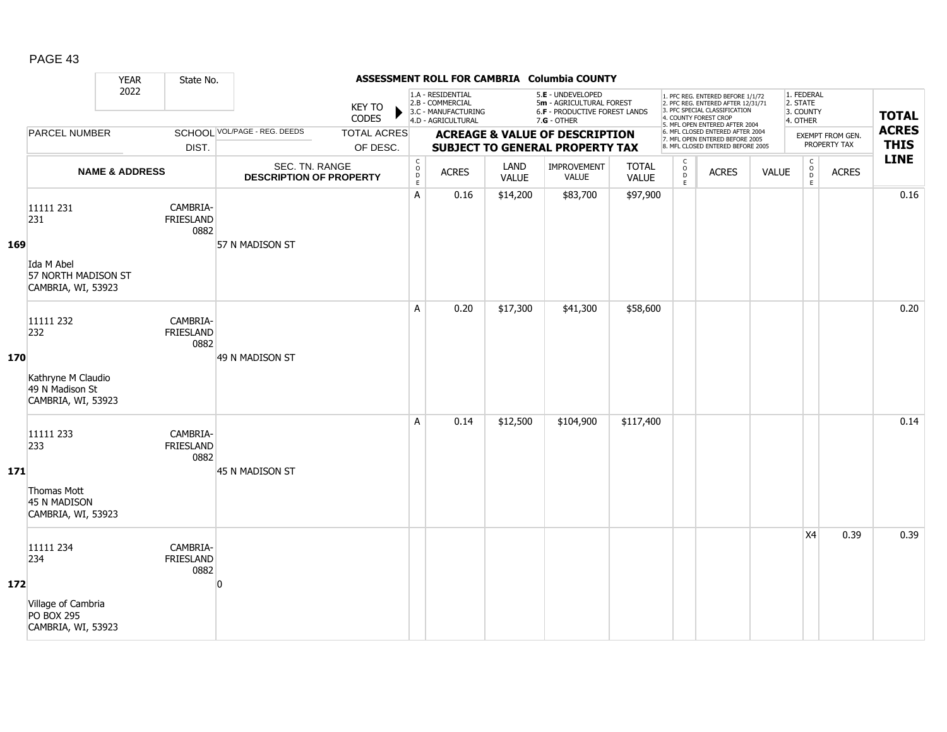|     |                                                                                   | <b>YEAR</b>               | State No.                            |                                                  |                                |                                                          |                                                                                    |                      | ASSESSMENT ROLL FOR CAMBRIA Columbia COUNTY                                                     |                              |                                     |                                                                                                                                                                     |              |                                                 |                                  |                             |
|-----|-----------------------------------------------------------------------------------|---------------------------|--------------------------------------|--------------------------------------------------|--------------------------------|----------------------------------------------------------|------------------------------------------------------------------------------------|----------------------|-------------------------------------------------------------------------------------------------|------------------------------|-------------------------------------|---------------------------------------------------------------------------------------------------------------------------------------------------------------------|--------------|-------------------------------------------------|----------------------------------|-----------------------------|
|     |                                                                                   | 2022                      |                                      |                                                  | <b>KEY TO</b><br>CODES         |                                                          | 1.A - RESIDENTIAL<br>2.B - COMMERCIAL<br>3.C - MANUFACTURING<br>4.D - AGRICULTURAL |                      | 5.E - UNDEVELOPED<br>5m - AGRICULTURAL FOREST<br>6.F - PRODUCTIVE FOREST LANDS<br>$7.G - OTHER$ |                              |                                     | 1. PFC REG. ENTERED BEFORE 1/1/72<br>2. PFC REG. ENTERED AFTER 12/31/71<br>3. PFC SPECIAL CLASSIFICATION<br>4. COUNTY FOREST CROP<br>5. MFL OPEN ENTERED AFTER 2004 |              | 1. FEDERAL<br>2. STATE<br>3. COUNTY<br>4. OTHER |                                  | <b>TOTAL</b>                |
|     | <b>PARCEL NUMBER</b>                                                              |                           | DIST.                                | SCHOOL VOL/PAGE - REG. DEEDS                     | <b>TOTAL ACRES</b><br>OF DESC. |                                                          |                                                                                    |                      | <b>ACREAGE &amp; VALUE OF DESCRIPTION</b><br><b>SUBJECT TO GENERAL PROPERTY TAX</b>             |                              |                                     | 6. MFL CLOSED ENTERED AFTER 2004<br>7. MFL OPEN ENTERED BEFORE 2005<br>8. MFL CLOSED ENTERED BEFORE 2005                                                            |              |                                                 | EXEMPT FROM GEN.<br>PROPERTY TAX | <b>ACRES</b><br><b>THIS</b> |
|     |                                                                                   | <b>NAME &amp; ADDRESS</b> |                                      | SEC. TN. RANGE<br><b>DESCRIPTION OF PROPERTY</b> |                                | $\begin{matrix} 0 \\ 0 \\ D \end{matrix}$<br>$\mathsf E$ | <b>ACRES</b>                                                                       | LAND<br><b>VALUE</b> | IMPROVEMENT<br>VALUE                                                                            | <b>TOTAL</b><br><b>VALUE</b> | $\mathsf{C}$<br>$\int_{D}^{O}$<br>E | <b>ACRES</b>                                                                                                                                                        | <b>VALUE</b> | $\mathsf C$<br>$_{\rm D}^{\rm O}$<br>E          | <b>ACRES</b>                     | <b>LINE</b>                 |
| 169 | 11111 231<br>231<br>Ida M Abel<br>57 NORTH MADISON ST<br>CAMBRIA, WI, 53923       |                           | CAMBRIA-<br>FRIESLAND<br>0882        | 57 N MADISON ST                                  |                                | Α                                                        | 0.16                                                                               | \$14,200             | \$83,700                                                                                        | \$97,900                     |                                     |                                                                                                                                                                     |              |                                                 |                                  | 0.16                        |
| 170 | 11111 232<br>232<br>Kathryne M Claudio<br>49 N Madison St<br>CAMBRIA, WI, 53923   |                           | CAMBRIA-<br><b>FRIESLAND</b><br>0882 | 49 N MADISON ST                                  |                                | A                                                        | 0.20                                                                               | \$17,300             | \$41,300                                                                                        | \$58,600                     |                                     |                                                                                                                                                                     |              |                                                 |                                  | 0.20                        |
| 171 | 11111 233<br>233<br>Thomas Mott<br>45 N MADISON<br>CAMBRIA, WI, 53923             |                           | CAMBRIA-<br><b>FRIESLAND</b><br>0882 | 45 N MADISON ST                                  |                                | A                                                        | 0.14                                                                               | \$12,500             | \$104,900                                                                                       | \$117,400                    |                                     |                                                                                                                                                                     |              |                                                 |                                  | 0.14                        |
| 172 | 11111 234<br>234<br>Village of Cambria<br><b>PO BOX 295</b><br>CAMBRIA, WI, 53923 |                           | CAMBRIA-<br><b>FRIESLAND</b><br>0882 | $\Omega$                                         |                                |                                                          |                                                                                    |                      |                                                                                                 |                              |                                     |                                                                                                                                                                     |              | X <sub>4</sub>                                  | 0.39                             | 0.39                        |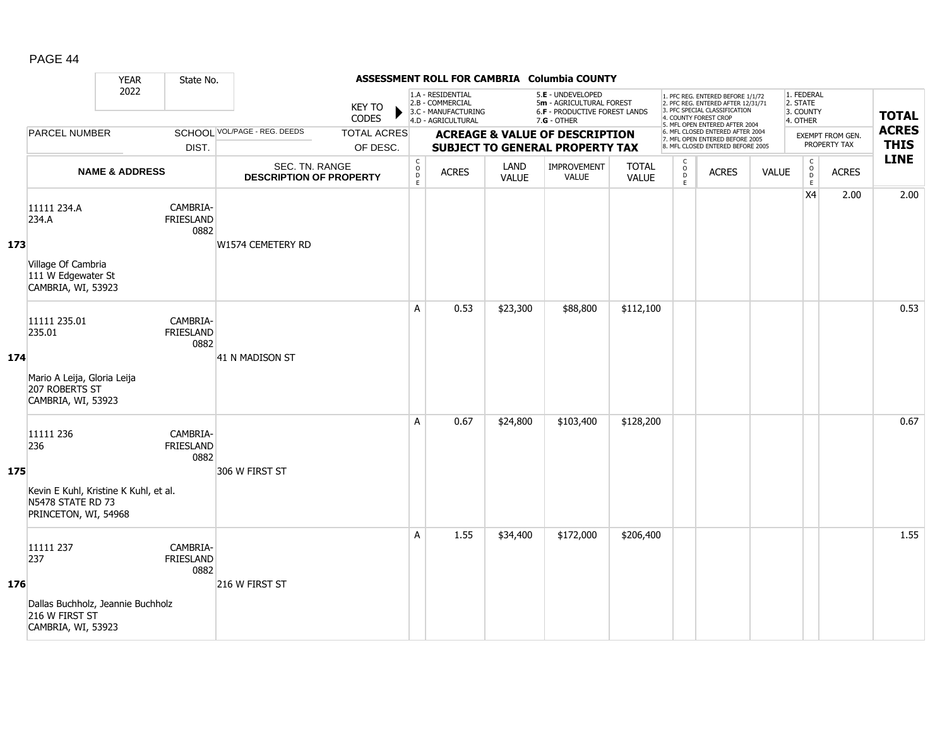|     |                                                                                                        | <b>YEAR</b>               | State No.                            |                                                  |                                |                                                |                                                                                    |                      | ASSESSMENT ROLL FOR CAMBRIA Columbia COUNTY                                                     |                              |                                               |                                                                                                                                                                     |              |                                                 |                                         |                             |
|-----|--------------------------------------------------------------------------------------------------------|---------------------------|--------------------------------------|--------------------------------------------------|--------------------------------|------------------------------------------------|------------------------------------------------------------------------------------|----------------------|-------------------------------------------------------------------------------------------------|------------------------------|-----------------------------------------------|---------------------------------------------------------------------------------------------------------------------------------------------------------------------|--------------|-------------------------------------------------|-----------------------------------------|-----------------------------|
|     |                                                                                                        | 2022                      |                                      |                                                  | <b>KEY TO</b><br>CODES         |                                                | 1.A - RESIDENTIAL<br>2.B - COMMERCIAL<br>3.C - MANUFACTURING<br>4.D - AGRICULTURAL |                      | 5.E - UNDEVELOPED<br>5m - AGRICULTURAL FOREST<br>6.F - PRODUCTIVE FOREST LANDS<br>$7.G - OTHER$ |                              |                                               | 1. PFC REG. ENTERED BEFORE 1/1/72<br>2. PFC REG. ENTERED AFTER 12/31/71<br>3. PFC SPECIAL CLASSIFICATION<br>4. COUNTY FOREST CROP<br>5. MFL OPEN ENTERED AFTER 2004 |              | 1. FEDERAL<br>2. STATE<br>3. COUNTY<br>4. OTHER |                                         | <b>TOTAL</b>                |
|     | <b>PARCEL NUMBER</b>                                                                                   |                           | DIST.                                | SCHOOL VOL/PAGE - REG. DEEDS                     | <b>TOTAL ACRES</b><br>OF DESC. |                                                |                                                                                    |                      | <b>ACREAGE &amp; VALUE OF DESCRIPTION</b><br><b>SUBJECT TO GENERAL PROPERTY TAX</b>             |                              |                                               | 6. MFL CLOSED ENTERED AFTER 2004<br>7. MFL OPEN ENTERED BEFORE 2005<br>8. MFL CLOSED ENTERED BEFORE 2005                                                            |              |                                                 | <b>EXEMPT FROM GEN.</b><br>PROPERTY TAX | <b>ACRES</b><br><b>THIS</b> |
|     |                                                                                                        | <b>NAME &amp; ADDRESS</b> |                                      | SEC. TN. RANGE<br><b>DESCRIPTION OF PROPERTY</b> |                                | $\begin{matrix} 0 \\ 0 \\ D \end{matrix}$<br>E | <b>ACRES</b>                                                                       | LAND<br><b>VALUE</b> | IMPROVEMENT<br><b>VALUE</b>                                                                     | <b>TOTAL</b><br><b>VALUE</b> | $\mathsf{C}$<br>$_\mathrm{D}^\mathrm{O}$<br>E | <b>ACRES</b>                                                                                                                                                        | <b>VALUE</b> | $\mathsf C$<br>$_{\rm D}^{\rm O}$<br>E          | <b>ACRES</b>                            | <b>LINE</b>                 |
| 173 | 11111 234.A<br>234.A<br>Village Of Cambria<br>111 W Edgewater St<br>CAMBRIA, WI, 53923                 |                           | CAMBRIA-<br>FRIESLAND<br>0882        | W1574 CEMETERY RD                                |                                |                                                |                                                                                    |                      |                                                                                                 |                              |                                               |                                                                                                                                                                     |              | X4                                              | 2.00                                    | 2.00                        |
| 174 | 11111 235.01<br>235.01<br>Mario A Leija, Gloria Leija<br>207 ROBERTS ST<br>CAMBRIA, WI, 53923          |                           | CAMBRIA-<br><b>FRIESLAND</b><br>0882 | 41 N MADISON ST                                  |                                | A                                              | 0.53                                                                               | \$23,300             | \$88,800                                                                                        | \$112,100                    |                                               |                                                                                                                                                                     |              |                                                 |                                         | 0.53                        |
| 175 | 11111 236<br>236<br>Kevin E Kuhl, Kristine K Kuhl, et al.<br>N5478 STATE RD 73<br>PRINCETON, WI, 54968 |                           | CAMBRIA-<br><b>FRIESLAND</b><br>0882 | 306 W FIRST ST                                   |                                | A                                              | 0.67                                                                               | \$24,800             | \$103,400                                                                                       | \$128,200                    |                                               |                                                                                                                                                                     |              |                                                 |                                         | 0.67                        |
| 176 | 11111 237<br>237<br>Dallas Buchholz, Jeannie Buchholz<br>216 W FIRST ST<br>CAMBRIA, WI, 53923          |                           | CAMBRIA-<br>FRIESLAND<br>0882        | 216 W FIRST ST                                   |                                | A                                              | 1.55                                                                               | \$34,400             | \$172,000                                                                                       | \$206,400                    |                                               |                                                                                                                                                                     |              |                                                 |                                         | 1.55                        |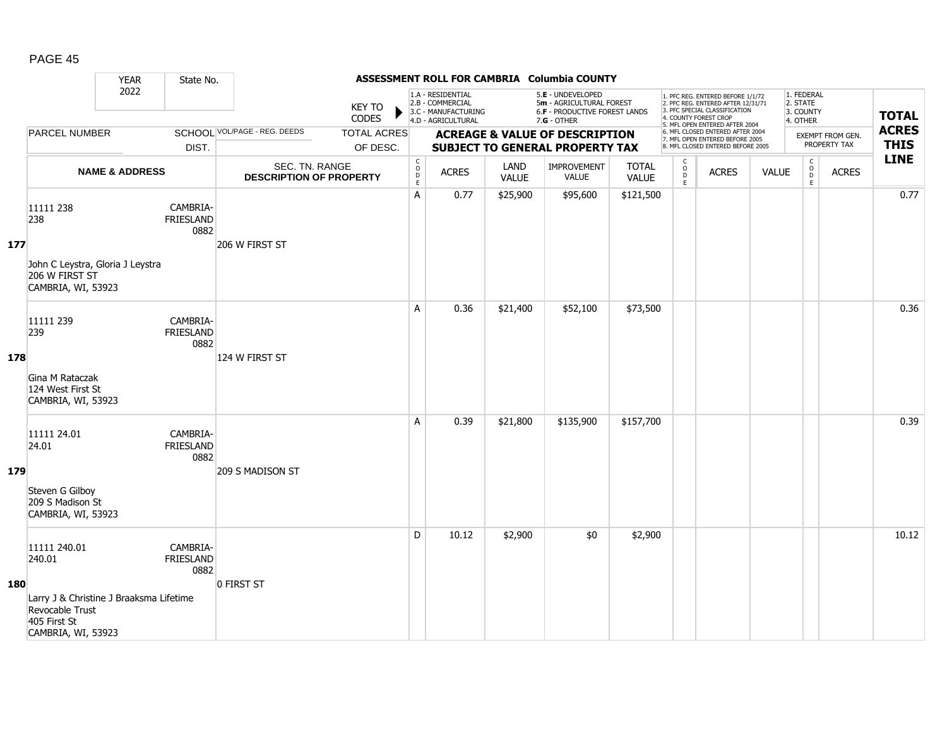|     |                                                                                                                            | <b>YEAR</b>               | State No.                            |                                                  |                                |                                                          |                                                                                    |                      | ASSESSMENT ROLL FOR CAMBRIA Columbia COUNTY                                                     |                       |                                                |                                                                                                                                                                     |              |                                                 |                                                        |                             |
|-----|----------------------------------------------------------------------------------------------------------------------------|---------------------------|--------------------------------------|--------------------------------------------------|--------------------------------|----------------------------------------------------------|------------------------------------------------------------------------------------|----------------------|-------------------------------------------------------------------------------------------------|-----------------------|------------------------------------------------|---------------------------------------------------------------------------------------------------------------------------------------------------------------------|--------------|-------------------------------------------------|--------------------------------------------------------|-----------------------------|
|     |                                                                                                                            | 2022                      |                                      |                                                  | <b>KEY TO</b><br>CODES         |                                                          | 1.A - RESIDENTIAL<br>2.B - COMMERCIAL<br>3.C - MANUFACTURING<br>4.D - AGRICULTURAL |                      | 5.E - UNDEVELOPED<br>5m - AGRICULTURAL FOREST<br>6.F - PRODUCTIVE FOREST LANDS<br>$7.G - OTHER$ |                       |                                                | 1. PFC REG. ENTERED BEFORE 1/1/72<br>2. PFC REG. ENTERED AFTER 12/31/71<br>3. PFC SPECIAL CLASSIFICATION<br>4. COUNTY FOREST CROP<br>5. MFL OPEN ENTERED AFTER 2004 |              | 1. FEDERAL<br>2. STATE<br>3. COUNTY<br>4. OTHER |                                                        | <b>TOTAL</b>                |
|     | <b>PARCEL NUMBER</b>                                                                                                       |                           | DIST.                                | SCHOOL VOL/PAGE - REG. DEEDS                     | <b>TOTAL ACRES</b><br>OF DESC. |                                                          |                                                                                    |                      | <b>ACREAGE &amp; VALUE OF DESCRIPTION</b><br><b>SUBJECT TO GENERAL PROPERTY TAX</b>             |                       |                                                | 6. MFL CLOSED ENTERED AFTER 2004<br>7. MFL OPEN ENTERED BEFORE 2005<br>8. MFL CLOSED ENTERED BEFORE 2005                                                            |              |                                                 | <b>EXEMPT FROM GEN.</b><br>PROPERTY TAX                | <b>ACRES</b><br><b>THIS</b> |
|     |                                                                                                                            | <b>NAME &amp; ADDRESS</b> |                                      | SEC. TN. RANGE<br><b>DESCRIPTION OF PROPERTY</b> |                                | $\begin{matrix} 0 \\ 0 \\ D \end{matrix}$<br>$\mathsf E$ | <b>ACRES</b>                                                                       | LAND<br><b>VALUE</b> | IMPROVEMENT<br><b>VALUE</b>                                                                     | <b>TOTAL</b><br>VALUE | $\mathsf{C}$<br>$\circ$<br>$\overline{D}$<br>E | <b>ACRES</b>                                                                                                                                                        | <b>VALUE</b> |                                                 | $\mathsf C$<br>$_{\rm D}^{\rm O}$<br><b>ACRES</b><br>E | <b>LINE</b>                 |
| 177 | 11111 238<br>238<br>John C Leystra, Gloria J Leystra<br>206 W FIRST ST<br>CAMBRIA, WI, 53923                               |                           | CAMBRIA-<br>FRIESLAND<br>0882        | 206 W FIRST ST                                   |                                | Α                                                        | 0.77                                                                               | \$25,900             | \$95,600                                                                                        | \$121,500             |                                                |                                                                                                                                                                     |              |                                                 |                                                        | 0.77                        |
| 178 | 11111 239<br>239<br>Gina M Rataczak<br>124 West First St<br>CAMBRIA, WI, 53923                                             |                           | CAMBRIA-<br><b>FRIESLAND</b><br>0882 | 124 W FIRST ST                                   |                                | A                                                        | 0.36                                                                               | \$21,400             | \$52,100                                                                                        | \$73,500              |                                                |                                                                                                                                                                     |              |                                                 |                                                        | 0.36                        |
| 179 | 11111 24.01<br>24.01<br>Steven G Gilboy<br>209 S Madison St<br>CAMBRIA, WI, 53923                                          |                           | CAMBRIA-<br><b>FRIESLAND</b><br>0882 | 209 S MADISON ST                                 |                                | A                                                        | 0.39                                                                               | \$21,800             | \$135,900                                                                                       | \$157,700             |                                                |                                                                                                                                                                     |              |                                                 |                                                        | 0.39                        |
| 180 | 11111 240.01<br>240.01<br>Larry J & Christine J Braaksma Lifetime<br>Revocable Trust<br>405 First St<br>CAMBRIA, WI, 53923 |                           | CAMBRIA-<br>FRIESLAND<br>0882        | 0 FIRST ST                                       |                                | D                                                        | 10.12                                                                              | \$2,900              | \$0                                                                                             | \$2,900               |                                                |                                                                                                                                                                     |              |                                                 |                                                        | 10.12                       |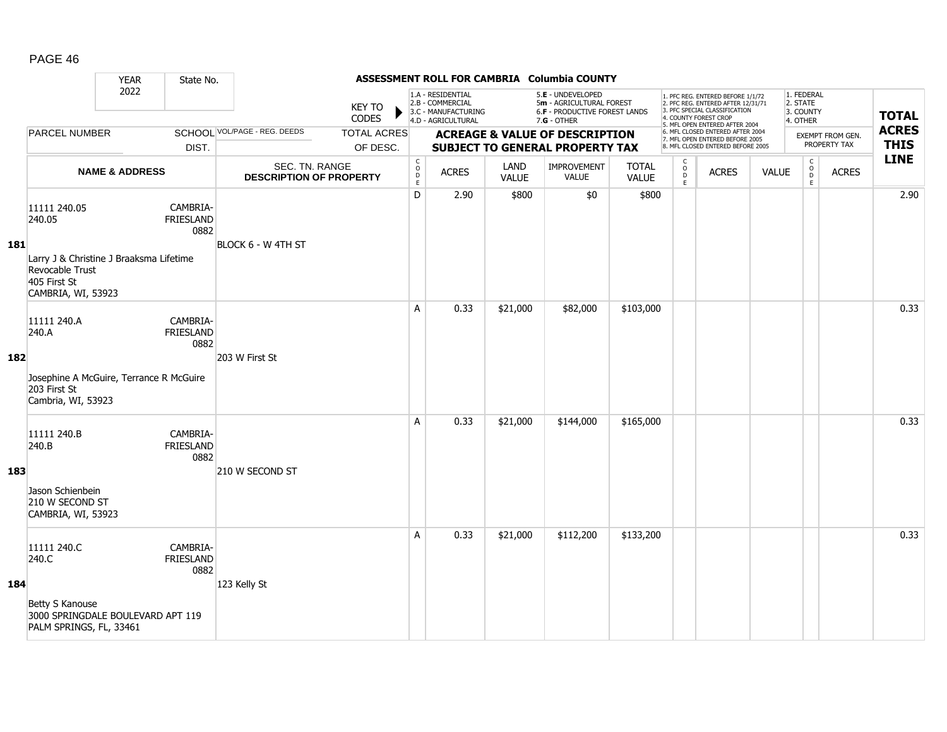|            |                                                                                                                            | <b>YEAR</b>               | State No.                     |                                                  |                                |                                        |                                                                                    |                      | ASSESSMENT ROLL FOR CAMBRIA Columbia COUNTY                                                            |                              |                                              |                                                                                                                                                                     |              |                                                 |                                  |                             |
|------------|----------------------------------------------------------------------------------------------------------------------------|---------------------------|-------------------------------|--------------------------------------------------|--------------------------------|----------------------------------------|------------------------------------------------------------------------------------|----------------------|--------------------------------------------------------------------------------------------------------|------------------------------|----------------------------------------------|---------------------------------------------------------------------------------------------------------------------------------------------------------------------|--------------|-------------------------------------------------|----------------------------------|-----------------------------|
|            |                                                                                                                            | 2022                      |                               |                                                  | <b>KEY TO</b><br>CODES         |                                        | 1.A - RESIDENTIAL<br>2.B - COMMERCIAL<br>3.C - MANUFACTURING<br>4.D - AGRICULTURAL |                      | 5.E - UNDEVELOPED<br>5m - AGRICULTURAL FOREST<br><b>6.F - PRODUCTIVE FOREST LANDS</b><br>$7.G - OTHER$ |                              |                                              | 1. PFC REG. ENTERED BEFORE 1/1/72<br>2. PFC REG. ENTERED AFTER 12/31/71<br>3. PFC SPECIAL CLASSIFICATION<br>4. COUNTY FOREST CROP<br>5. MFL OPEN ENTERED AFTER 2004 |              | 1. FEDERAL<br>2. STATE<br>3. COUNTY<br>4. OTHER |                                  | <b>TOTAL</b>                |
|            | <b>PARCEL NUMBER</b>                                                                                                       |                           | DIST.                         | SCHOOL VOL/PAGE - REG. DEEDS                     | <b>TOTAL ACRES</b><br>OF DESC. |                                        |                                                                                    |                      | <b>ACREAGE &amp; VALUE OF DESCRIPTION</b><br><b>SUBJECT TO GENERAL PROPERTY TAX</b>                    |                              |                                              | 6. MFL CLOSED ENTERED AFTER 2004<br>7. MFL OPEN ENTERED BEFORE 2005<br>8. MFL CLOSED ENTERED BEFORE 2005                                                            |              |                                                 | EXEMPT FROM GEN.<br>PROPERTY TAX | <b>ACRES</b><br><b>THIS</b> |
|            |                                                                                                                            | <b>NAME &amp; ADDRESS</b> |                               | SEC. TN. RANGE<br><b>DESCRIPTION OF PROPERTY</b> |                                | $_{\rm o}^{\rm c}$<br>D<br>$\mathsf E$ | <b>ACRES</b>                                                                       | LAND<br><b>VALUE</b> | <b>IMPROVEMENT</b><br><b>VALUE</b>                                                                     | <b>TOTAL</b><br><b>VALUE</b> | $\mathsf{C}$<br>$\circ$<br>$\mathsf{D}$<br>E | <b>ACRES</b>                                                                                                                                                        | <b>VALUE</b> | $\begin{matrix} 0 \\ 0 \\ D \end{matrix}$<br>E  | <b>ACRES</b>                     | <b>LINE</b>                 |
| <b>181</b> | 11111 240.05<br>240.05<br>Larry J & Christine J Braaksma Lifetime<br>Revocable Trust<br>405 First St<br>CAMBRIA, WI, 53923 |                           | CAMBRIA-<br>FRIESLAND<br>0882 | BLOCK 6 - W 4TH ST                               |                                | D                                      | 2.90                                                                               | \$800                | \$0                                                                                                    | \$800                        |                                              |                                                                                                                                                                     |              |                                                 |                                  | 2.90                        |
| 182        | 11111 240.A<br>240.A<br>Josephine A McGuire, Terrance R McGuire<br>203 First St<br>Cambria, WI, 53923                      |                           | CAMBRIA-<br>FRIESLAND<br>0882 | 203 W First St                                   |                                | A                                      | 0.33                                                                               | \$21,000             | \$82,000                                                                                               | \$103,000                    |                                              |                                                                                                                                                                     |              |                                                 |                                  | 0.33                        |
| 183        | 11111 240.B<br>240.B<br>Jason Schienbein<br>210 W SECOND ST<br>CAMBRIA, WI, 53923                                          |                           | CAMBRIA-<br>FRIESLAND<br>0882 | 210 W SECOND ST                                  |                                | A                                      | 0.33                                                                               | \$21,000             | \$144,000                                                                                              | \$165,000                    |                                              |                                                                                                                                                                     |              |                                                 |                                  | 0.33                        |
| 184        | 11111 240.C<br>240.C<br>Betty S Kanouse<br>3000 SPRINGDALE BOULEVARD APT 119<br>PALM SPRINGS, FL, 33461                    |                           | CAMBRIA-<br>FRIESLAND<br>0882 | 123 Kelly St                                     |                                | A                                      | 0.33                                                                               | \$21,000             | \$112,200                                                                                              | \$133,200                    |                                              |                                                                                                                                                                     |              |                                                 |                                  | 0.33                        |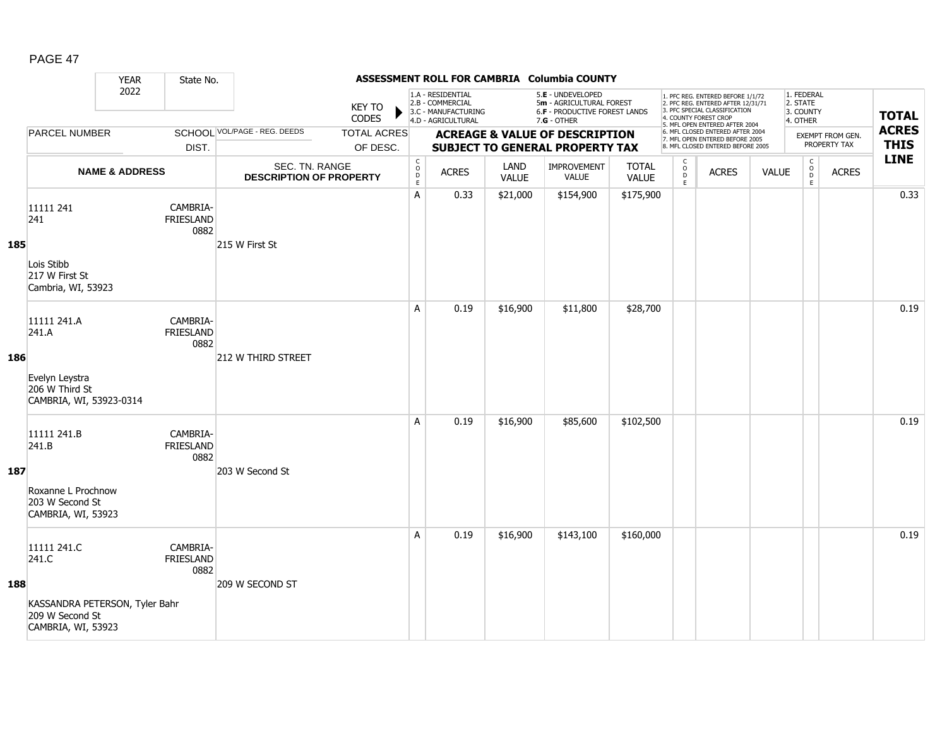|     |                                                                                                 | <b>YEAR</b>               | State No.                            |                                                  |                                |                                         |                                                                                    |                      | ASSESSMENT ROLL FOR CAMBRIA Columbia COUNTY                                                     |                              |                                                |                                                                                                                                                                     |              |                                                 |                                  |                             |
|-----|-------------------------------------------------------------------------------------------------|---------------------------|--------------------------------------|--------------------------------------------------|--------------------------------|-----------------------------------------|------------------------------------------------------------------------------------|----------------------|-------------------------------------------------------------------------------------------------|------------------------------|------------------------------------------------|---------------------------------------------------------------------------------------------------------------------------------------------------------------------|--------------|-------------------------------------------------|----------------------------------|-----------------------------|
|     |                                                                                                 | 2022                      |                                      |                                                  | <b>KEY TO</b><br>CODES         |                                         | 1.A - RESIDENTIAL<br>2.B - COMMERCIAL<br>3.C - MANUFACTURING<br>4.D - AGRICULTURAL |                      | 5.E - UNDEVELOPED<br>5m - AGRICULTURAL FOREST<br>6.F - PRODUCTIVE FOREST LANDS<br>$7.G - OTHER$ |                              |                                                | 1. PFC REG. ENTERED BEFORE 1/1/72<br>2. PFC REG. ENTERED AFTER 12/31/71<br>3. PFC SPECIAL CLASSIFICATION<br>4. COUNTY FOREST CROP<br>5. MFL OPEN ENTERED AFTER 2004 |              | 1. FEDERAL<br>2. STATE<br>3. COUNTY<br>4. OTHER |                                  | <b>TOTAL</b>                |
|     | <b>PARCEL NUMBER</b>                                                                            |                           | DIST.                                | <b>SCHOOL VOL/PAGE - REG. DEEDS</b>              | <b>TOTAL ACRES</b><br>OF DESC. |                                         |                                                                                    |                      | <b>ACREAGE &amp; VALUE OF DESCRIPTION</b><br><b>SUBJECT TO GENERAL PROPERTY TAX</b>             |                              |                                                | 6. MFL CLOSED ENTERED AFTER 2004<br>7. MFL OPEN ENTERED BEFORE 2005<br>8. MFL CLOSED ENTERED BEFORE 2005                                                            |              |                                                 | EXEMPT FROM GEN.<br>PROPERTY TAX | <b>ACRES</b><br><b>THIS</b> |
|     |                                                                                                 | <b>NAME &amp; ADDRESS</b> |                                      | SEC. TN. RANGE<br><b>DESCRIPTION OF PROPERTY</b> |                                | $\mathsf{C}$<br>$_{\rm D}^{\rm O}$<br>E | <b>ACRES</b>                                                                       | LAND<br><b>VALUE</b> | <b>IMPROVEMENT</b><br>VALUE                                                                     | <b>TOTAL</b><br><b>VALUE</b> | $\begin{matrix} 0 \\ 0 \\ D \end{matrix}$<br>E | <b>ACRES</b>                                                                                                                                                        | <b>VALUE</b> | $\mathsf{C}$<br>$_{\rm D}^{\rm O}$<br>E         | <b>ACRES</b>                     | <b>LINE</b>                 |
| 185 | 11111 241<br>241<br>Lois Stibb<br>217 W First St<br>Cambria, WI, 53923                          |                           | CAMBRIA-<br><b>FRIESLAND</b><br>0882 | 215 W First St                                   |                                | Α                                       | 0.33                                                                               | \$21,000             | \$154,900                                                                                       | \$175,900                    |                                                |                                                                                                                                                                     |              |                                                 |                                  | 0.33                        |
| 186 | 11111 241.A<br>241.A<br>Evelyn Leystra<br>206 W Third St<br>CAMBRIA, WI, 53923-0314             |                           | CAMBRIA-<br><b>FRIESLAND</b><br>0882 | <b>212 W THIRD STREET</b>                        |                                | Α                                       | 0.19                                                                               | \$16,900             | \$11,800                                                                                        | \$28,700                     |                                                |                                                                                                                                                                     |              |                                                 |                                  | 0.19                        |
| 187 | 11111 241.B<br>241.B<br>Roxanne L Prochnow<br>203 W Second St<br>CAMBRIA, WI, 53923             |                           | CAMBRIA-<br><b>FRIESLAND</b><br>0882 | 203 W Second St                                  |                                | A                                       | 0.19                                                                               | \$16,900             | \$85,600                                                                                        | \$102,500                    |                                                |                                                                                                                                                                     |              |                                                 |                                  | 0.19                        |
| 188 | 11111 241.C<br>241.C<br>KASSANDRA PETERSON, Tyler Bahr<br>209 W Second St<br>CAMBRIA, WI, 53923 |                           | CAMBRIA-<br><b>FRIESLAND</b><br>0882 | 209 W SECOND ST                                  |                                | A                                       | 0.19                                                                               | \$16,900             | \$143,100                                                                                       | \$160,000                    |                                                |                                                                                                                                                                     |              |                                                 |                                  | 0.19                        |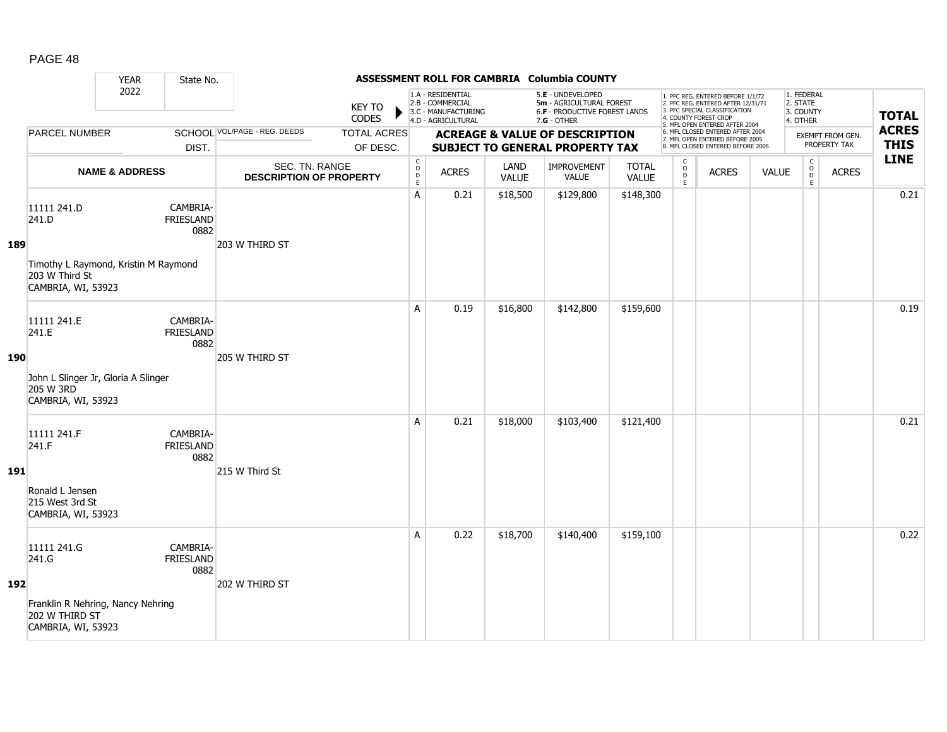|            |                                                                                                      | <b>YEAR</b>               | State No.                            |                                                  |                                |                                                          |                                                                                    |                      | ASSESSMENT ROLL FOR CAMBRIA Columbia COUNTY                                                            |                              |                              |                                                                                                                                                                     |              |                                                 |                                  |                             |
|------------|------------------------------------------------------------------------------------------------------|---------------------------|--------------------------------------|--------------------------------------------------|--------------------------------|----------------------------------------------------------|------------------------------------------------------------------------------------|----------------------|--------------------------------------------------------------------------------------------------------|------------------------------|------------------------------|---------------------------------------------------------------------------------------------------------------------------------------------------------------------|--------------|-------------------------------------------------|----------------------------------|-----------------------------|
|            |                                                                                                      | 2022                      |                                      |                                                  | <b>KEY TO</b><br>CODES         |                                                          | 1.A - RESIDENTIAL<br>2.B - COMMERCIAL<br>3.C - MANUFACTURING<br>4.D - AGRICULTURAL |                      | 5.E - UNDEVELOPED<br>5m - AGRICULTURAL FOREST<br><b>6.F - PRODUCTIVE FOREST LANDS</b><br>$7.G - OTHER$ |                              |                              | 1. PFC REG. ENTERED BEFORE 1/1/72<br>2. PFC REG. ENTERED AFTER 12/31/71<br>3. PFC SPECIAL CLASSIFICATION<br>4. COUNTY FOREST CROP<br>5. MFL OPEN ENTERED AFTER 2004 |              | 1. FEDERAL<br>2. STATE<br>3. COUNTY<br>4. OTHER |                                  | <b>TOTAL</b>                |
|            | <b>PARCEL NUMBER</b>                                                                                 |                           | DIST.                                | SCHOOL VOL/PAGE - REG. DEEDS                     | <b>TOTAL ACRES</b><br>OF DESC. |                                                          |                                                                                    |                      | <b>ACREAGE &amp; VALUE OF DESCRIPTION</b><br><b>SUBJECT TO GENERAL PROPERTY TAX</b>                    |                              |                              | 6. MFL CLOSED ENTERED AFTER 2004<br>7. MFL OPEN ENTERED BEFORE 2005<br>8. MFL CLOSED ENTERED BEFORE 2005                                                            |              |                                                 | EXEMPT FROM GEN.<br>PROPERTY TAX | <b>ACRES</b><br><b>THIS</b> |
|            |                                                                                                      | <b>NAME &amp; ADDRESS</b> |                                      | SEC. TN. RANGE<br><b>DESCRIPTION OF PROPERTY</b> |                                | $\begin{matrix} 0 \\ 0 \\ D \end{matrix}$<br>$\mathsf E$ | <b>ACRES</b>                                                                       | LAND<br><b>VALUE</b> | <b>IMPROVEMENT</b><br><b>VALUE</b>                                                                     | <b>TOTAL</b><br><b>VALUE</b> | $_{\rm o}^{\rm c}$<br>D<br>E | <b>ACRES</b>                                                                                                                                                        | <b>VALUE</b> | $\begin{matrix} 0 \\ 0 \\ D \end{matrix}$<br>E  | <b>ACRES</b>                     | <b>LINE</b>                 |
| 189        | 11111 241.D<br>241.D<br>Timothy L Raymond, Kristin M Raymond<br>203 W Third St<br>CAMBRIA, WI, 53923 |                           | CAMBRIA-<br>FRIESLAND<br>0882        | 203 W THIRD ST                                   |                                | A                                                        | 0.21                                                                               | \$18,500             | \$129,800                                                                                              | \$148,300                    |                              |                                                                                                                                                                     |              |                                                 |                                  | 0.21                        |
| <b>190</b> | 11111 241.E<br>241.E<br>John L Slinger Jr, Gloria A Slinger<br>205 W 3RD<br>CAMBRIA, WI, 53923       |                           | CAMBRIA-<br><b>FRIESLAND</b><br>0882 | 205 W THIRD ST                                   |                                | A                                                        | 0.19                                                                               | \$16,800             | \$142,800                                                                                              | \$159,600                    |                              |                                                                                                                                                                     |              |                                                 |                                  | 0.19                        |
| <b>191</b> | 11111 241.F<br>241.F<br>Ronald L Jensen<br>215 West 3rd St<br>CAMBRIA, WI, 53923                     |                           | CAMBRIA-<br><b>FRIESLAND</b><br>0882 | 215 W Third St                                   |                                | A                                                        | 0.21                                                                               | \$18,000             | \$103,400                                                                                              | \$121,400                    |                              |                                                                                                                                                                     |              |                                                 |                                  | 0.21                        |
| 192        | 11111 241.G<br>241.G<br>Franklin R Nehring, Nancy Nehring<br>202 W THIRD ST<br>CAMBRIA, WI, 53923    |                           | CAMBRIA-<br><b>FRIESLAND</b><br>0882 | 202 W THIRD ST                                   |                                | A                                                        | 0.22                                                                               | \$18,700             | \$140,400                                                                                              | \$159,100                    |                              |                                                                                                                                                                     |              |                                                 |                                  | 0.22                        |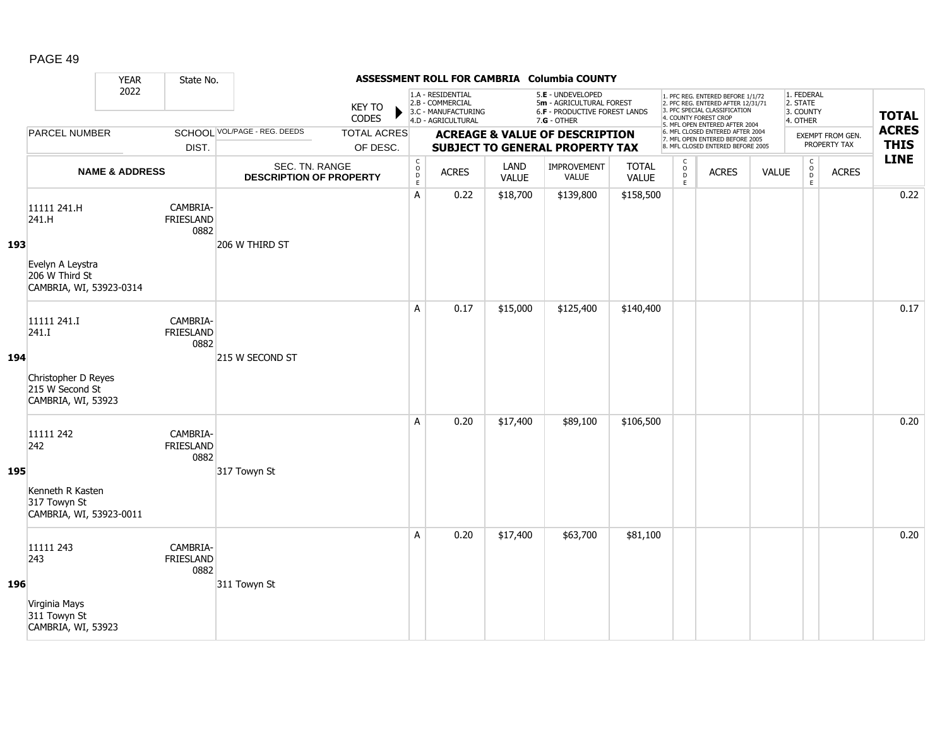|     |                                                                                       | <b>YEAR</b>               | State No.                            |                                                  |                                |                                                          |                                                                                    |                      | ASSESSMENT ROLL FOR CAMBRIA Columbia COUNTY                                                            |                              |                              |                                                                                                                                                                     |              |                                                 |                                  |                             |
|-----|---------------------------------------------------------------------------------------|---------------------------|--------------------------------------|--------------------------------------------------|--------------------------------|----------------------------------------------------------|------------------------------------------------------------------------------------|----------------------|--------------------------------------------------------------------------------------------------------|------------------------------|------------------------------|---------------------------------------------------------------------------------------------------------------------------------------------------------------------|--------------|-------------------------------------------------|----------------------------------|-----------------------------|
|     |                                                                                       | 2022                      |                                      |                                                  | <b>KEY TO</b><br>CODES         |                                                          | 1.A - RESIDENTIAL<br>2.B - COMMERCIAL<br>3.C - MANUFACTURING<br>4.D - AGRICULTURAL |                      | 5.E - UNDEVELOPED<br>5m - AGRICULTURAL FOREST<br><b>6.F - PRODUCTIVE FOREST LANDS</b><br>$7.G - OTHER$ |                              |                              | 1. PFC REG. ENTERED BEFORE 1/1/72<br>2. PFC REG. ENTERED AFTER 12/31/71<br>3. PFC SPECIAL CLASSIFICATION<br>4. COUNTY FOREST CROP<br>5. MFL OPEN ENTERED AFTER 2004 |              | 1. FEDERAL<br>2. STATE<br>3. COUNTY<br>4. OTHER |                                  | <b>TOTAL</b>                |
|     | <b>PARCEL NUMBER</b>                                                                  |                           | DIST.                                | SCHOOL VOL/PAGE - REG. DEEDS                     | <b>TOTAL ACRES</b><br>OF DESC. |                                                          |                                                                                    |                      | <b>ACREAGE &amp; VALUE OF DESCRIPTION</b><br><b>SUBJECT TO GENERAL PROPERTY TAX</b>                    |                              |                              | 6. MFL CLOSED ENTERED AFTER 2004<br>7. MFL OPEN ENTERED BEFORE 2005<br>8. MFL CLOSED ENTERED BEFORE 2005                                                            |              |                                                 | EXEMPT FROM GEN.<br>PROPERTY TAX | <b>ACRES</b><br><b>THIS</b> |
|     |                                                                                       | <b>NAME &amp; ADDRESS</b> |                                      | SEC. TN. RANGE<br><b>DESCRIPTION OF PROPERTY</b> |                                | $\begin{matrix} 0 \\ 0 \\ D \end{matrix}$<br>$\mathsf E$ | <b>ACRES</b>                                                                       | LAND<br><b>VALUE</b> | IMPROVEMENT<br><b>VALUE</b>                                                                            | <b>TOTAL</b><br><b>VALUE</b> | $_{\rm o}^{\rm c}$<br>D<br>E | <b>ACRES</b>                                                                                                                                                        | <b>VALUE</b> | $\begin{matrix} 0 \\ 0 \\ 0 \end{matrix}$<br>E  | <b>ACRES</b>                     | <b>LINE</b>                 |
| 193 | 11111 241.H<br>241.H<br>Evelyn A Leystra<br>206 W Third St<br>CAMBRIA, WI, 53923-0314 |                           | CAMBRIA-<br>FRIESLAND<br>0882        | 206 W THIRD ST                                   |                                | A                                                        | 0.22                                                                               | \$18,700             | \$139,800                                                                                              | \$158,500                    |                              |                                                                                                                                                                     |              |                                                 |                                  | 0.22                        |
| 194 | 11111 241.I<br>241.I<br>Christopher D Reyes<br>215 W Second St<br>CAMBRIA, WI, 53923  |                           | CAMBRIA-<br><b>FRIESLAND</b><br>0882 | 215 W SECOND ST                                  |                                | A                                                        | 0.17                                                                               | \$15,000             | \$125,400                                                                                              | \$140,400                    |                              |                                                                                                                                                                     |              |                                                 |                                  | 0.17                        |
| 195 | 11111 242<br>242<br>Kenneth R Kasten<br>317 Towyn St<br>CAMBRIA, WI, 53923-0011       |                           | CAMBRIA-<br><b>FRIESLAND</b><br>0882 | 317 Towyn St                                     |                                | Α                                                        | 0.20                                                                               | \$17,400             | \$89,100                                                                                               | \$106,500                    |                              |                                                                                                                                                                     |              |                                                 |                                  | 0.20                        |
| 196 | 11111 243<br>243<br>Virginia Mays<br>311 Towyn St<br>CAMBRIA, WI, 53923               |                           | CAMBRIA-<br><b>FRIESLAND</b><br>0882 | 311 Towyn St                                     |                                | A                                                        | 0.20                                                                               | \$17,400             | \$63,700                                                                                               | \$81,100                     |                              |                                                                                                                                                                     |              |                                                 |                                  | 0.20                        |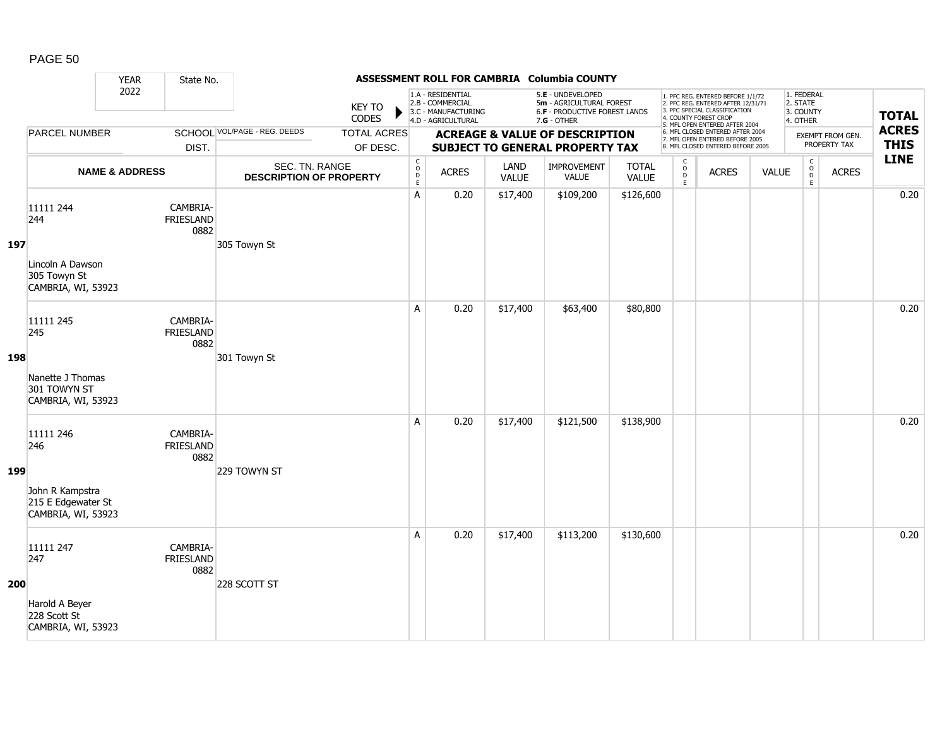|     |                                                                                 | <b>YEAR</b>               | State No.                            |                                                  |                                |                  |                                                                                    |                      | ASSESSMENT ROLL FOR CAMBRIA Columbia COUNTY                                                     |                              |                                                    |                                                                                                                                                                     |              |                                                 |                                  |                             |
|-----|---------------------------------------------------------------------------------|---------------------------|--------------------------------------|--------------------------------------------------|--------------------------------|------------------|------------------------------------------------------------------------------------|----------------------|-------------------------------------------------------------------------------------------------|------------------------------|----------------------------------------------------|---------------------------------------------------------------------------------------------------------------------------------------------------------------------|--------------|-------------------------------------------------|----------------------------------|-----------------------------|
|     |                                                                                 | 2022                      |                                      |                                                  | <b>KEY TO</b><br>CODES         |                  | 1.A - RESIDENTIAL<br>2.B - COMMERCIAL<br>3.C - MANUFACTURING<br>4.D - AGRICULTURAL |                      | 5.E - UNDEVELOPED<br>5m - AGRICULTURAL FOREST<br>6.F - PRODUCTIVE FOREST LANDS<br>$7.G - OTHER$ |                              |                                                    | 1. PFC REG. ENTERED BEFORE 1/1/72<br>2. PFC REG. ENTERED AFTER 12/31/71<br>3. PFC SPECIAL CLASSIFICATION<br>4. COUNTY FOREST CROP<br>5. MFL OPEN ENTERED AFTER 2004 |              | 1. FEDERAL<br>2. STATE<br>3. COUNTY<br>4. OTHER |                                  | <b>TOTAL</b>                |
|     | <b>PARCEL NUMBER</b>                                                            |                           | DIST.                                | SCHOOL VOL/PAGE - REG. DEEDS                     | <b>TOTAL ACRES</b><br>OF DESC. |                  |                                                                                    |                      | <b>ACREAGE &amp; VALUE OF DESCRIPTION</b><br><b>SUBJECT TO GENERAL PROPERTY TAX</b>             |                              |                                                    | 6. MFL CLOSED ENTERED AFTER 2004<br>7. MFL OPEN ENTERED BEFORE 2005<br>8. MFL CLOSED ENTERED BEFORE 2005                                                            |              |                                                 | EXEMPT FROM GEN.<br>PROPERTY TAX | <b>ACRES</b><br><b>THIS</b> |
|     |                                                                                 | <b>NAME &amp; ADDRESS</b> |                                      | SEC. TN. RANGE<br><b>DESCRIPTION OF PROPERTY</b> |                                | C<br>D<br>D<br>E | <b>ACRES</b>                                                                       | LAND<br><b>VALUE</b> | <b>IMPROVEMENT</b><br><b>VALUE</b>                                                              | <b>TOTAL</b><br><b>VALUE</b> | $\mathsf{C}$<br>$_{\rm D}^{\rm O}$<br>$\mathsf{E}$ | <b>ACRES</b>                                                                                                                                                        | <b>VALUE</b> | $\mathsf C$<br>$_{\rm D}^{\rm O}$<br>E          | <b>ACRES</b>                     | <b>LINE</b>                 |
| 197 | 11111 244<br>244<br>Lincoln A Dawson<br>305 Towyn St<br>CAMBRIA, WI, 53923      |                           | CAMBRIA-<br><b>FRIESLAND</b><br>0882 | 305 Towyn St                                     |                                | A                | 0.20                                                                               | \$17,400             | \$109,200                                                                                       | \$126,600                    |                                                    |                                                                                                                                                                     |              |                                                 |                                  | 0.20                        |
| 198 | 11111 245<br>245<br>Nanette J Thomas<br>301 TOWYN ST<br>CAMBRIA, WI, 53923      |                           | CAMBRIA-<br>FRIESLAND<br>0882        | 301 Towyn St                                     |                                | A                | 0.20                                                                               | \$17,400             | \$63,400                                                                                        | \$80,800                     |                                                    |                                                                                                                                                                     |              |                                                 |                                  | 0.20                        |
| 199 | 11111 246<br>246<br>John R Kampstra<br>215 E Edgewater St<br>CAMBRIA, WI, 53923 |                           | CAMBRIA-<br>FRIESLAND<br>0882        | 229 TOWYN ST                                     |                                | A                | 0.20                                                                               | \$17,400             | \$121,500                                                                                       | \$138,900                    |                                                    |                                                                                                                                                                     |              |                                                 |                                  | 0.20                        |
| 200 | 11111 247<br>247<br>Harold A Beyer<br>228 Scott St<br>CAMBRIA, WI, 53923        |                           | CAMBRIA-<br><b>FRIESLAND</b><br>0882 | 228 SCOTT ST                                     |                                | Α                | 0.20                                                                               | \$17,400             | \$113,200                                                                                       | \$130,600                    |                                                    |                                                                                                                                                                     |              |                                                 |                                  | 0.20                        |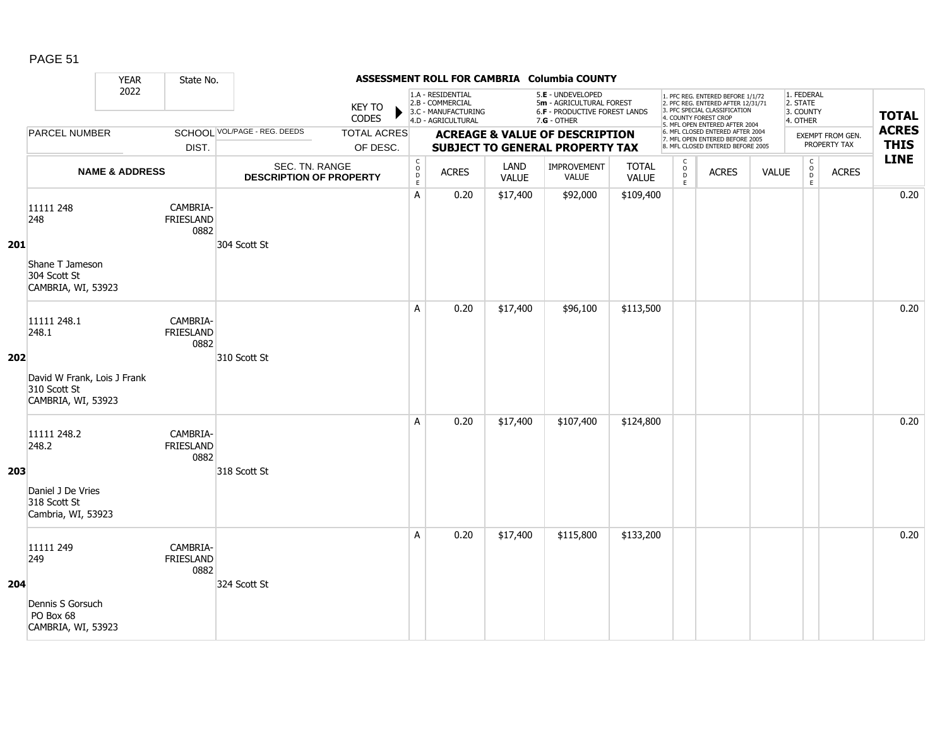|     |                                                                                           | <b>YEAR</b>               | State No.                            |                                                  |                                |                                                          |                                                                                    |                             | ASSESSMENT ROLL FOR CAMBRIA Columbia COUNTY                                                     |                              |                            |                                                                                                                                                                     |              |                                                 |                                  |                             |
|-----|-------------------------------------------------------------------------------------------|---------------------------|--------------------------------------|--------------------------------------------------|--------------------------------|----------------------------------------------------------|------------------------------------------------------------------------------------|-----------------------------|-------------------------------------------------------------------------------------------------|------------------------------|----------------------------|---------------------------------------------------------------------------------------------------------------------------------------------------------------------|--------------|-------------------------------------------------|----------------------------------|-----------------------------|
|     |                                                                                           | 2022                      |                                      |                                                  | <b>KEY TO</b><br>CODES         |                                                          | 1.A - RESIDENTIAL<br>2.B - COMMERCIAL<br>3.C - MANUFACTURING<br>4.D - AGRICULTURAL |                             | 5.E - UNDEVELOPED<br>5m - AGRICULTURAL FOREST<br>6.F - PRODUCTIVE FOREST LANDS<br>$7.G - OTHER$ |                              |                            | 1. PFC REG. ENTERED BEFORE 1/1/72<br>2. PFC REG. ENTERED AFTER 12/31/71<br>3. PFC SPECIAL CLASSIFICATION<br>4. COUNTY FOREST CROP<br>5. MFL OPEN ENTERED AFTER 2004 |              | 1. FEDERAL<br>2. STATE<br>3. COUNTY<br>4. OTHER |                                  | <b>TOTAL</b>                |
|     | <b>PARCEL NUMBER</b>                                                                      |                           | DIST.                                | SCHOOL VOL/PAGE - REG. DEEDS                     | <b>TOTAL ACRES</b><br>OF DESC. |                                                          |                                                                                    |                             | <b>ACREAGE &amp; VALUE OF DESCRIPTION</b><br><b>SUBJECT TO GENERAL PROPERTY TAX</b>             |                              |                            | 6. MFL CLOSED ENTERED AFTER 2004<br>7. MFL OPEN ENTERED BEFORE 2005<br>8. MFL CLOSED ENTERED BEFORE 2005                                                            |              |                                                 | EXEMPT FROM GEN.<br>PROPERTY TAX | <b>ACRES</b><br><b>THIS</b> |
|     |                                                                                           | <b>NAME &amp; ADDRESS</b> |                                      | SEC. TN. RANGE<br><b>DESCRIPTION OF PROPERTY</b> |                                | $\mathsf{C}$<br>$\mathsf O$<br>$\mathsf{D}_{\mathsf{E}}$ | <b>ACRES</b>                                                                       | <b>LAND</b><br><b>VALUE</b> | IMPROVEMENT<br><b>VALUE</b>                                                                     | <b>TOTAL</b><br><b>VALUE</b> | C<br>$\mathsf O$<br>D<br>E | <b>ACRES</b>                                                                                                                                                        | <b>VALUE</b> | $\mathsf C$<br>$_\mathrm{D}^\mathrm{O}$<br>E    | <b>ACRES</b>                     | <b>LINE</b>                 |
| 201 | 11111 248<br>248<br>Shane T Jameson<br>304 Scott St<br>CAMBRIA, WI, 53923                 |                           | CAMBRIA-<br><b>FRIESLAND</b><br>0882 | 304 Scott St                                     |                                | Α                                                        | 0.20                                                                               | \$17,400                    | \$92,000                                                                                        | \$109,400                    |                            |                                                                                                                                                                     |              |                                                 |                                  | 0.20                        |
| 202 | 11111 248.1<br>248.1<br>David W Frank, Lois J Frank<br>310 Scott St<br>CAMBRIA, WI, 53923 |                           | CAMBRIA-<br><b>FRIESLAND</b><br>0882 | 310 Scott St                                     |                                | A                                                        | 0.20                                                                               | \$17,400                    | \$96,100                                                                                        | \$113,500                    |                            |                                                                                                                                                                     |              |                                                 |                                  | 0.20                        |
| 203 | 11111 248.2<br>248.2<br>Daniel J De Vries<br>318 Scott St<br>Cambria, WI, 53923           |                           | CAMBRIA-<br>FRIESLAND<br>0882        | 318 Scott St                                     |                                | A                                                        | 0.20                                                                               | \$17,400                    | \$107,400                                                                                       | \$124,800                    |                            |                                                                                                                                                                     |              |                                                 |                                  | 0.20                        |
| 204 | 11111 249<br>249<br>Dennis S Gorsuch<br>PO Box 68<br>CAMBRIA, WI, 53923                   |                           | CAMBRIA-<br>FRIESLAND<br>0882        | 324 Scott St                                     |                                | A                                                        | 0.20                                                                               | \$17,400                    | \$115,800                                                                                       | \$133,200                    |                            |                                                                                                                                                                     |              |                                                 |                                  | 0.20                        |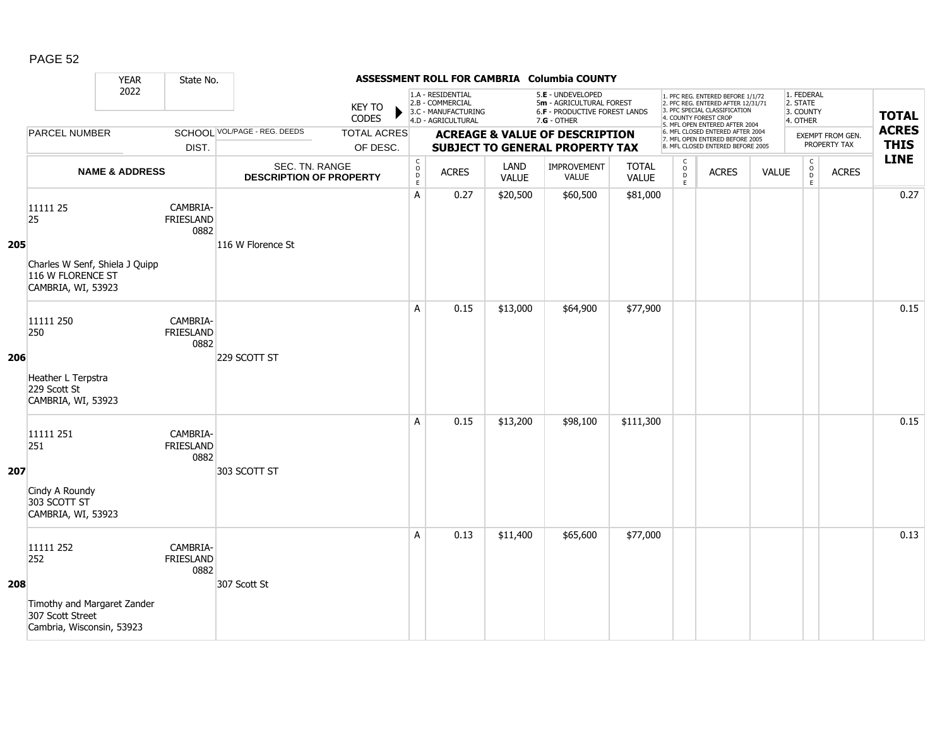|     |                                                                                                  | <b>YEAR</b>               | State No.                            |                                                  |                                |                                                          |                                                                                    |                      | ASSESSMENT ROLL FOR CAMBRIA Columbia COUNTY                                                            |                              |                              |                                                                                                                                                                     |              |                                                 |                                  |                             |
|-----|--------------------------------------------------------------------------------------------------|---------------------------|--------------------------------------|--------------------------------------------------|--------------------------------|----------------------------------------------------------|------------------------------------------------------------------------------------|----------------------|--------------------------------------------------------------------------------------------------------|------------------------------|------------------------------|---------------------------------------------------------------------------------------------------------------------------------------------------------------------|--------------|-------------------------------------------------|----------------------------------|-----------------------------|
|     |                                                                                                  | 2022                      |                                      |                                                  | <b>KEY TO</b><br>CODES         |                                                          | 1.A - RESIDENTIAL<br>2.B - COMMERCIAL<br>3.C - MANUFACTURING<br>4.D - AGRICULTURAL |                      | 5.E - UNDEVELOPED<br>5m - AGRICULTURAL FOREST<br><b>6.F - PRODUCTIVE FOREST LANDS</b><br>$7.G - OTHER$ |                              |                              | 1. PFC REG. ENTERED BEFORE 1/1/72<br>2. PFC REG. ENTERED AFTER 12/31/71<br>3. PFC SPECIAL CLASSIFICATION<br>4. COUNTY FOREST CROP<br>5. MFL OPEN ENTERED AFTER 2004 |              | 1. FEDERAL<br>2. STATE<br>3. COUNTY<br>4. OTHER |                                  | <b>TOTAL</b>                |
|     | <b>PARCEL NUMBER</b>                                                                             |                           | DIST.                                | SCHOOL VOL/PAGE - REG. DEEDS                     | <b>TOTAL ACRES</b><br>OF DESC. |                                                          |                                                                                    |                      | <b>ACREAGE &amp; VALUE OF DESCRIPTION</b><br><b>SUBJECT TO GENERAL PROPERTY TAX</b>                    |                              |                              | 6. MFL CLOSED ENTERED AFTER 2004<br>7. MFL OPEN ENTERED BEFORE 2005<br>8. MFL CLOSED ENTERED BEFORE 2005                                                            |              |                                                 | EXEMPT FROM GEN.<br>PROPERTY TAX | <b>ACRES</b><br><b>THIS</b> |
|     |                                                                                                  | <b>NAME &amp; ADDRESS</b> |                                      | SEC. TN. RANGE<br><b>DESCRIPTION OF PROPERTY</b> |                                | $\begin{matrix} 0 \\ 0 \\ D \end{matrix}$<br>$\mathsf E$ | <b>ACRES</b>                                                                       | LAND<br><b>VALUE</b> | <b>IMPROVEMENT</b><br><b>VALUE</b>                                                                     | <b>TOTAL</b><br><b>VALUE</b> | $_{\rm o}^{\rm c}$<br>D<br>E | <b>ACRES</b>                                                                                                                                                        | <b>VALUE</b> | $\begin{matrix} 0 \\ 0 \end{matrix}$<br>E       | <b>ACRES</b>                     | <b>LINE</b>                 |
| 205 | 11111 25<br>25<br>Charles W Senf, Shiela J Quipp<br>116 W FLORENCE ST<br>CAMBRIA, WI, 53923      |                           | CAMBRIA-<br><b>FRIESLAND</b><br>0882 | 116 W Florence St                                |                                | A                                                        | 0.27                                                                               | \$20,500             | \$60,500                                                                                               | \$81,000                     |                              |                                                                                                                                                                     |              |                                                 |                                  | 0.27                        |
| 206 | 11111 250<br>250<br>Heather L Terpstra<br>229 Scott St<br>CAMBRIA, WI, 53923                     |                           | CAMBRIA-<br><b>FRIESLAND</b><br>0882 | 229 SCOTT ST                                     |                                | A                                                        | 0.15                                                                               | \$13,000             | \$64,900                                                                                               | \$77,900                     |                              |                                                                                                                                                                     |              |                                                 |                                  | 0.15                        |
| 207 | 11111 251<br>251<br>Cindy A Roundy<br>303 SCOTT ST<br>CAMBRIA, WI, 53923                         |                           | CAMBRIA-<br><b>FRIESLAND</b><br>0882 | 303 SCOTT ST                                     |                                | A                                                        | 0.15                                                                               | \$13,200             | \$98,100                                                                                               | \$111,300                    |                              |                                                                                                                                                                     |              |                                                 |                                  | 0.15                        |
| 208 | 11111 252<br>252<br>Timothy and Margaret Zander<br>307 Scott Street<br>Cambria, Wisconsin, 53923 |                           | CAMBRIA-<br><b>FRIESLAND</b><br>0882 | 307 Scott St                                     |                                | A                                                        | 0.13                                                                               | \$11,400             | \$65,600                                                                                               | \$77,000                     |                              |                                                                                                                                                                     |              |                                                 |                                  | 0.13                        |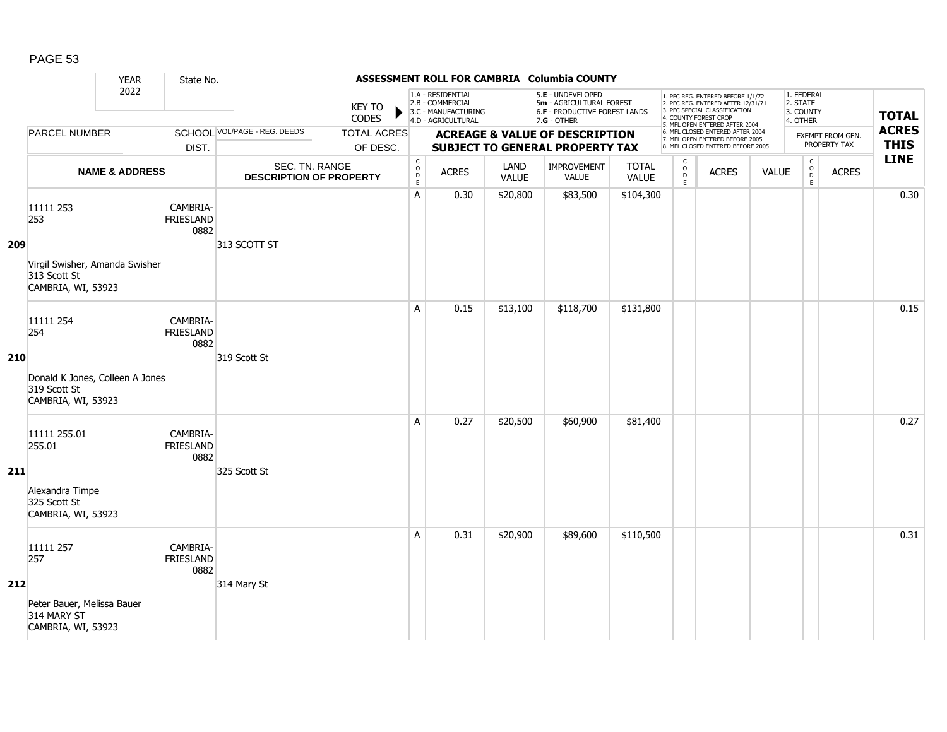|     |                                                                                           | <b>YEAR</b>               | State No.                            |                                                  |                                |                                                          |                                                                                    |                      | ASSESSMENT ROLL FOR CAMBRIA Columbia COUNTY                                                     |                              |                                               |                                                                                                                                                                     |              |                                                 |                                         |                             |
|-----|-------------------------------------------------------------------------------------------|---------------------------|--------------------------------------|--------------------------------------------------|--------------------------------|----------------------------------------------------------|------------------------------------------------------------------------------------|----------------------|-------------------------------------------------------------------------------------------------|------------------------------|-----------------------------------------------|---------------------------------------------------------------------------------------------------------------------------------------------------------------------|--------------|-------------------------------------------------|-----------------------------------------|-----------------------------|
|     |                                                                                           | 2022                      |                                      |                                                  | <b>KEY TO</b><br>CODES         |                                                          | 1.A - RESIDENTIAL<br>2.B - COMMERCIAL<br>3.C - MANUFACTURING<br>4.D - AGRICULTURAL |                      | 5.E - UNDEVELOPED<br>5m - AGRICULTURAL FOREST<br>6.F - PRODUCTIVE FOREST LANDS<br>$7.G - OTHER$ |                              |                                               | 1. PFC REG. ENTERED BEFORE 1/1/72<br>2. PFC REG. ENTERED AFTER 12/31/71<br>3. PFC SPECIAL CLASSIFICATION<br>4. COUNTY FOREST CROP<br>5. MFL OPEN ENTERED AFTER 2004 |              | 1. FEDERAL<br>2. STATE<br>3. COUNTY<br>4. OTHER |                                         | <b>TOTAL</b>                |
|     | <b>PARCEL NUMBER</b>                                                                      |                           | DIST.                                | SCHOOL VOL/PAGE - REG. DEEDS                     | <b>TOTAL ACRES</b><br>OF DESC. |                                                          |                                                                                    |                      | <b>ACREAGE &amp; VALUE OF DESCRIPTION</b><br><b>SUBJECT TO GENERAL PROPERTY TAX</b>             |                              |                                               | 6. MFL CLOSED ENTERED AFTER 2004<br>7. MFL OPEN ENTERED BEFORE 2005<br>8. MFL CLOSED ENTERED BEFORE 2005                                                            |              |                                                 | <b>EXEMPT FROM GEN.</b><br>PROPERTY TAX | <b>ACRES</b><br><b>THIS</b> |
|     |                                                                                           | <b>NAME &amp; ADDRESS</b> |                                      | SEC. TN. RANGE<br><b>DESCRIPTION OF PROPERTY</b> |                                | $\begin{matrix} 0 \\ 0 \\ D \end{matrix}$<br>$\mathsf E$ | <b>ACRES</b>                                                                       | LAND<br><b>VALUE</b> | IMPROVEMENT<br>VALUE                                                                            | <b>TOTAL</b><br><b>VALUE</b> | $\mathsf{C}$<br>$_\mathrm{D}^\mathrm{O}$<br>E | <b>ACRES</b>                                                                                                                                                        | <b>VALUE</b> | $\mathsf C$<br>$_{\rm D}^{\rm O}$<br>E          | <b>ACRES</b>                            | <b>LINE</b>                 |
| 209 | 11111 253<br>253<br>Virgil Swisher, Amanda Swisher<br>313 Scott St<br>CAMBRIA, WI, 53923  |                           | CAMBRIA-<br>FRIESLAND<br>0882        | 313 SCOTT ST                                     |                                | Α                                                        | 0.30                                                                               | \$20,800             | \$83,500                                                                                        | \$104,300                    |                                               |                                                                                                                                                                     |              |                                                 |                                         | 0.30                        |
| 210 | 11111 254<br>254<br>Donald K Jones, Colleen A Jones<br>319 Scott St<br>CAMBRIA, WI, 53923 |                           | CAMBRIA-<br><b>FRIESLAND</b><br>0882 | 319 Scott St                                     |                                | A                                                        | 0.15                                                                               | \$13,100             | \$118,700                                                                                       | \$131,800                    |                                               |                                                                                                                                                                     |              |                                                 |                                         | 0.15                        |
| 211 | 11111 255.01<br>255.01<br>Alexandra Timpe<br>325 Scott St<br>CAMBRIA, WI, 53923           |                           | CAMBRIA-<br><b>FRIESLAND</b><br>0882 | 325 Scott St                                     |                                | A                                                        | 0.27                                                                               | \$20,500             | \$60,900                                                                                        | \$81,400                     |                                               |                                                                                                                                                                     |              |                                                 |                                         | 0.27                        |
| 212 | 11111 257<br>257<br>Peter Bauer, Melissa Bauer<br>314 MARY ST<br>CAMBRIA, WI, 53923       |                           | CAMBRIA-<br><b>FRIESLAND</b><br>0882 | 314 Mary St                                      |                                | A                                                        | 0.31                                                                               | \$20,900             | \$89,600                                                                                        | \$110,500                    |                                               |                                                                                                                                                                     |              |                                                 |                                         | 0.31                        |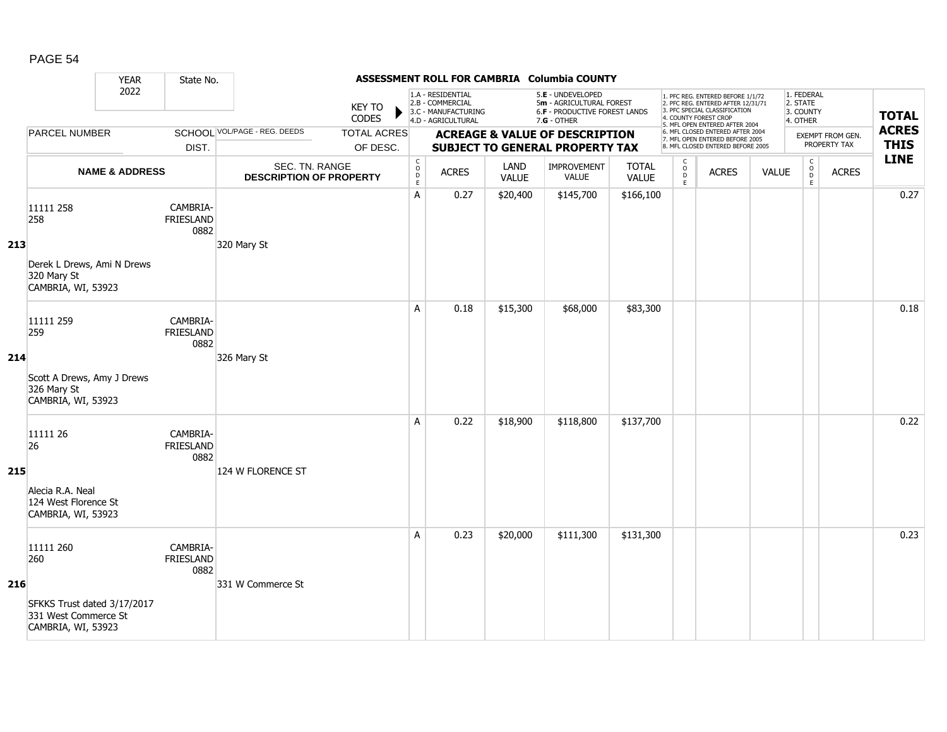|     |                                                                                               | <b>YEAR</b>               | State No.                            |                                                  |                                |                                                          |                                                                                    |                      | ASSESSMENT ROLL FOR CAMBRIA Columbia COUNTY                                                     |                              |                                               |                                                                                                                                                                     |              |                                                 |                                  |                             |
|-----|-----------------------------------------------------------------------------------------------|---------------------------|--------------------------------------|--------------------------------------------------|--------------------------------|----------------------------------------------------------|------------------------------------------------------------------------------------|----------------------|-------------------------------------------------------------------------------------------------|------------------------------|-----------------------------------------------|---------------------------------------------------------------------------------------------------------------------------------------------------------------------|--------------|-------------------------------------------------|----------------------------------|-----------------------------|
|     |                                                                                               | 2022                      |                                      |                                                  | <b>KEY TO</b><br>CODES         |                                                          | 1.A - RESIDENTIAL<br>2.B - COMMERCIAL<br>3.C - MANUFACTURING<br>4.D - AGRICULTURAL |                      | 5.E - UNDEVELOPED<br>5m - AGRICULTURAL FOREST<br>6.F - PRODUCTIVE FOREST LANDS<br>$7.G - OTHER$ |                              |                                               | 1. PFC REG. ENTERED BEFORE 1/1/72<br>2. PFC REG. ENTERED AFTER 12/31/71<br>3. PFC SPECIAL CLASSIFICATION<br>4. COUNTY FOREST CROP<br>5. MFL OPEN ENTERED AFTER 2004 |              | 1. FEDERAL<br>2. STATE<br>3. COUNTY<br>4. OTHER |                                  | <b>TOTAL</b>                |
|     | <b>PARCEL NUMBER</b>                                                                          |                           | DIST.                                | SCHOOL VOL/PAGE - REG. DEEDS                     | <b>TOTAL ACRES</b><br>OF DESC. |                                                          |                                                                                    |                      | <b>ACREAGE &amp; VALUE OF DESCRIPTION</b><br><b>SUBJECT TO GENERAL PROPERTY TAX</b>             |                              |                                               | 6. MFL CLOSED ENTERED AFTER 2004<br>7. MFL OPEN ENTERED BEFORE 2005<br>8. MFL CLOSED ENTERED BEFORE 2005                                                            |              |                                                 | EXEMPT FROM GEN.<br>PROPERTY TAX | <b>ACRES</b><br><b>THIS</b> |
|     |                                                                                               | <b>NAME &amp; ADDRESS</b> |                                      | SEC. TN. RANGE<br><b>DESCRIPTION OF PROPERTY</b> |                                | $\begin{matrix} 0 \\ 0 \\ D \end{matrix}$<br>$\mathsf E$ | <b>ACRES</b>                                                                       | LAND<br><b>VALUE</b> | IMPROVEMENT<br><b>VALUE</b>                                                                     | <b>TOTAL</b><br><b>VALUE</b> | $\mathsf{C}$<br>$_\mathrm{D}^\mathrm{O}$<br>E | <b>ACRES</b>                                                                                                                                                        | <b>VALUE</b> | $\mathsf C$<br>$_{\rm D}^{\rm O}$<br>E          | <b>ACRES</b>                     | <b>LINE</b>                 |
| 213 | 11111 258<br>258<br>Derek L Drews, Ami N Drews<br>320 Mary St<br>CAMBRIA, WI, 53923           |                           | CAMBRIA-<br><b>FRIESLAND</b><br>0882 | 320 Mary St                                      |                                | A                                                        | 0.27                                                                               | \$20,400             | \$145,700                                                                                       | \$166,100                    |                                               |                                                                                                                                                                     |              |                                                 |                                  | 0.27                        |
| 214 | 11111 259<br>259<br>Scott A Drews, Amy J Drews<br>326 Mary St<br>CAMBRIA, WI, 53923           |                           | CAMBRIA-<br><b>FRIESLAND</b><br>0882 | 326 Mary St                                      |                                | A                                                        | 0.18                                                                               | \$15,300             | \$68,000                                                                                        | \$83,300                     |                                               |                                                                                                                                                                     |              |                                                 |                                  | 0.18                        |
| 215 | 11111 26<br>26<br>Alecia R.A. Neal<br>124 West Florence St<br>CAMBRIA, WI, 53923              |                           | CAMBRIA-<br>FRIESLAND<br>0882        | 124 W FLORENCE ST                                |                                | A                                                        | 0.22                                                                               | \$18,900             | \$118,800                                                                                       | \$137,700                    |                                               |                                                                                                                                                                     |              |                                                 |                                  | 0.22                        |
| 216 | 11111 260<br>260<br>SFKKS Trust dated 3/17/2017<br>331 West Commerce St<br>CAMBRIA, WI, 53923 |                           | CAMBRIA-<br><b>FRIESLAND</b><br>0882 | 331 W Commerce St                                |                                | A                                                        | 0.23                                                                               | \$20,000             | \$111,300                                                                                       | \$131,300                    |                                               |                                                                                                                                                                     |              |                                                 |                                  | 0.23                        |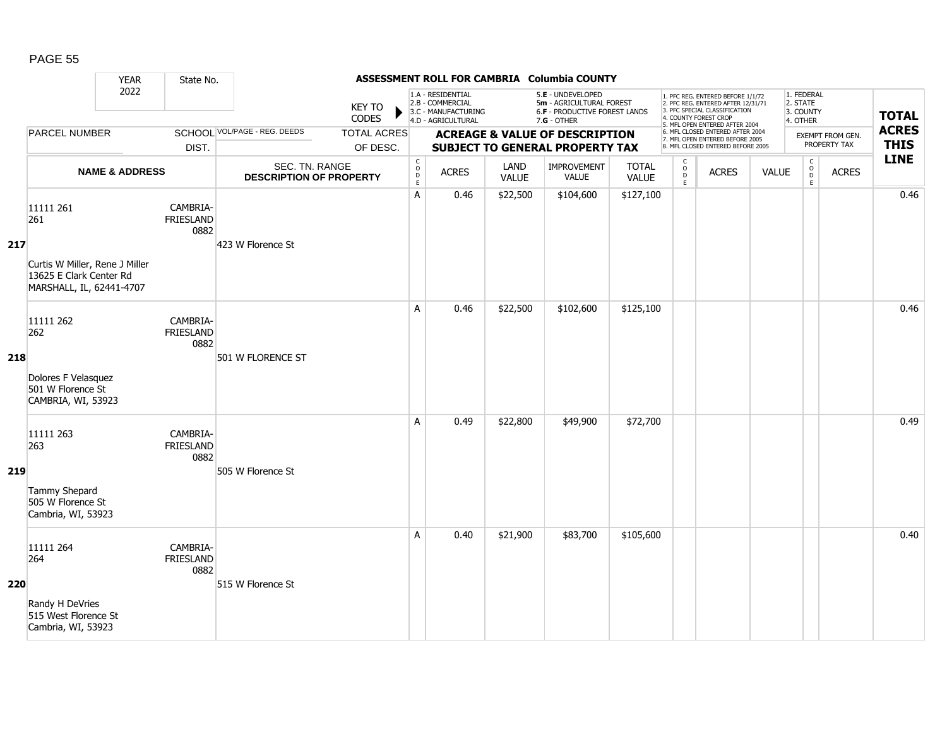|     |                                                                                                           | <b>YEAR</b>               | State No.                            |                                                  |                                |                                                            |                                                                                    |                      | ASSESSMENT ROLL FOR CAMBRIA Columbia COUNTY                                                     |                              |                                                |                                                                                                                                                                     |              |                                                 |                                         |                             |
|-----|-----------------------------------------------------------------------------------------------------------|---------------------------|--------------------------------------|--------------------------------------------------|--------------------------------|------------------------------------------------------------|------------------------------------------------------------------------------------|----------------------|-------------------------------------------------------------------------------------------------|------------------------------|------------------------------------------------|---------------------------------------------------------------------------------------------------------------------------------------------------------------------|--------------|-------------------------------------------------|-----------------------------------------|-----------------------------|
|     |                                                                                                           | 2022                      |                                      |                                                  | <b>KEY TO</b><br><b>CODES</b>  |                                                            | 1.A - RESIDENTIAL<br>2.B - COMMERCIAL<br>3.C - MANUFACTURING<br>4.D - AGRICULTURAL |                      | 5.E - UNDEVELOPED<br>5m - AGRICULTURAL FOREST<br>6.F - PRODUCTIVE FOREST LANDS<br>$7.G - OTHER$ |                              |                                                | 1. PFC REG. ENTERED BEFORE 1/1/72<br>2. PFC REG. ENTERED AFTER 12/31/71<br>3. PFC SPECIAL CLASSIFICATION<br>4. COUNTY FOREST CROP<br>5. MFL OPEN ENTERED AFTER 2004 |              | 1. FEDERAL<br>2. STATE<br>3. COUNTY<br>4. OTHER |                                         | <b>TOTAL</b>                |
|     | <b>PARCEL NUMBER</b>                                                                                      |                           | DIST.                                | <b>SCHOOL VOL/PAGE - REG. DEEDS</b>              | <b>TOTAL ACRES</b><br>OF DESC. |                                                            |                                                                                    |                      | <b>ACREAGE &amp; VALUE OF DESCRIPTION</b><br><b>SUBJECT TO GENERAL PROPERTY TAX</b>             |                              |                                                | 6. MFL CLOSED ENTERED AFTER 2004<br>7. MFL OPEN ENTERED BEFORE 2005<br>8. MFL CLOSED ENTERED BEFORE 2005                                                            |              |                                                 | <b>EXEMPT FROM GEN.</b><br>PROPERTY TAX | <b>ACRES</b><br><b>THIS</b> |
|     |                                                                                                           | <b>NAME &amp; ADDRESS</b> |                                      | SEC. TN. RANGE<br><b>DESCRIPTION OF PROPERTY</b> |                                | $\begin{smallmatrix} C\\ O\\ O\\ D \end{smallmatrix}$<br>E | <b>ACRES</b>                                                                       | LAND<br><b>VALUE</b> | <b>IMPROVEMENT</b><br>VALUE                                                                     | <b>TOTAL</b><br><b>VALUE</b> | $\begin{matrix} 0 \\ 0 \\ D \end{matrix}$<br>E | <b>ACRES</b>                                                                                                                                                        | <b>VALUE</b> | $\mathsf C$<br>$_{\rm D}^{\rm O}$<br>E          | <b>ACRES</b>                            | <b>LINE</b>                 |
| 217 | 11111 261<br>261<br>Curtis W Miller, Rene J Miller<br>13625 E Clark Center Rd<br>MARSHALL, IL, 62441-4707 |                           | CAMBRIA-<br><b>FRIESLAND</b><br>0882 | 423 W Florence St                                |                                | A                                                          | 0.46                                                                               | \$22,500             | \$104,600                                                                                       | \$127,100                    |                                                |                                                                                                                                                                     |              |                                                 |                                         | 0.46                        |
| 218 | 11111 262<br>262<br>Dolores F Velasquez<br>501 W Florence St<br>CAMBRIA, WI, 53923                        |                           | CAMBRIA-<br><b>FRIESLAND</b><br>0882 | 501 W FLORENCE ST                                |                                | A                                                          | 0.46                                                                               | \$22,500             | \$102,600                                                                                       | \$125,100                    |                                                |                                                                                                                                                                     |              |                                                 |                                         | 0.46                        |
| 219 | 11111 263<br>263<br>Tammy Shepard<br>505 W Florence St<br>Cambria, WI, 53923                              |                           | CAMBRIA-<br><b>FRIESLAND</b><br>0882 | 505 W Florence St                                |                                | A                                                          | 0.49                                                                               | \$22,800             | \$49,900                                                                                        | \$72,700                     |                                                |                                                                                                                                                                     |              |                                                 |                                         | 0.49                        |
| 220 | 11111 264<br>264<br>Randy H DeVries<br>515 West Florence St<br>Cambria, WI, 53923                         |                           | CAMBRIA-<br><b>FRIESLAND</b><br>0882 | 515 W Florence St                                |                                | A                                                          | 0.40                                                                               | \$21,900             | \$83,700                                                                                        | \$105,600                    |                                                |                                                                                                                                                                     |              |                                                 |                                         | 0.40                        |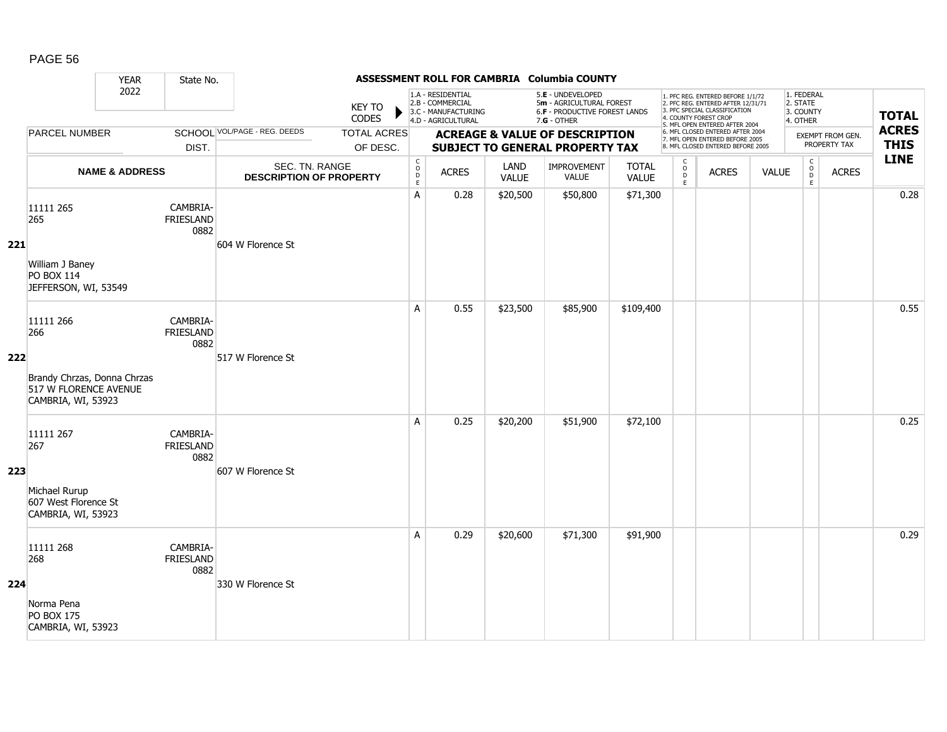|     |                                                                                                | <b>YEAR</b>               | State No.                            |                                                  |                                |                                                          |                                                                                    |                      | ASSESSMENT ROLL FOR CAMBRIA Columbia COUNTY                                                     |                              |                                     |                                                                                                                                                                     |              |                                                 |                                  |                             |
|-----|------------------------------------------------------------------------------------------------|---------------------------|--------------------------------------|--------------------------------------------------|--------------------------------|----------------------------------------------------------|------------------------------------------------------------------------------------|----------------------|-------------------------------------------------------------------------------------------------|------------------------------|-------------------------------------|---------------------------------------------------------------------------------------------------------------------------------------------------------------------|--------------|-------------------------------------------------|----------------------------------|-----------------------------|
|     |                                                                                                | 2022                      |                                      |                                                  | <b>KEY TO</b><br>CODES         |                                                          | 1.A - RESIDENTIAL<br>2.B - COMMERCIAL<br>3.C - MANUFACTURING<br>4.D - AGRICULTURAL |                      | 5.E - UNDEVELOPED<br>5m - AGRICULTURAL FOREST<br>6.F - PRODUCTIVE FOREST LANDS<br>$7.G - OTHER$ |                              |                                     | 1. PFC REG. ENTERED BEFORE 1/1/72<br>2. PFC REG. ENTERED AFTER 12/31/71<br>3. PFC SPECIAL CLASSIFICATION<br>4. COUNTY FOREST CROP<br>5. MFL OPEN ENTERED AFTER 2004 |              | 1. FEDERAL<br>2. STATE<br>3. COUNTY<br>4. OTHER |                                  | <b>TOTAL</b>                |
|     | <b>PARCEL NUMBER</b>                                                                           |                           | DIST.                                | SCHOOL VOL/PAGE - REG. DEEDS                     | <b>TOTAL ACRES</b><br>OF DESC. |                                                          |                                                                                    |                      | <b>ACREAGE &amp; VALUE OF DESCRIPTION</b><br><b>SUBJECT TO GENERAL PROPERTY TAX</b>             |                              |                                     | 6. MFL CLOSED ENTERED AFTER 2004<br>7. MFL OPEN ENTERED BEFORE 2005<br>8. MFL CLOSED ENTERED BEFORE 2005                                                            |              |                                                 | EXEMPT FROM GEN.<br>PROPERTY TAX | <b>ACRES</b><br><b>THIS</b> |
|     |                                                                                                | <b>NAME &amp; ADDRESS</b> |                                      | SEC. TN. RANGE<br><b>DESCRIPTION OF PROPERTY</b> |                                | $\begin{matrix} 0 \\ 0 \\ D \end{matrix}$<br>$\mathsf E$ | <b>ACRES</b>                                                                       | LAND<br><b>VALUE</b> | IMPROVEMENT<br><b>VALUE</b>                                                                     | <b>TOTAL</b><br><b>VALUE</b> | $\mathsf{C}$<br>$\int_{D}^{O}$<br>E | <b>ACRES</b>                                                                                                                                                        | <b>VALUE</b> | $\mathsf C$<br>$_{\rm D}^{\rm O}$<br>E          | <b>ACRES</b>                     | <b>LINE</b>                 |
| 221 | 11111 265<br>265<br>William J Baney<br>PO BOX 114<br>JEFFERSON, WI, 53549                      |                           | CAMBRIA-<br>FRIESLAND<br>0882        | 604 W Florence St                                |                                | Α                                                        | 0.28                                                                               | \$20,500             | \$50,800                                                                                        | \$71,300                     |                                     |                                                                                                                                                                     |              |                                                 |                                  | 0.28                        |
| 222 | 11111 266<br>266<br>Brandy Chrzas, Donna Chrzas<br>517 W FLORENCE AVENUE<br>CAMBRIA, WI, 53923 |                           | CAMBRIA-<br><b>FRIESLAND</b><br>0882 | 517 W Florence St                                |                                | A                                                        | 0.55                                                                               | \$23,500             | \$85,900                                                                                        | \$109,400                    |                                     |                                                                                                                                                                     |              |                                                 |                                  | 0.55                        |
| 223 | 11111 267<br>267<br>Michael Rurup<br>607 West Florence St<br>CAMBRIA, WI, 53923                |                           | CAMBRIA-<br><b>FRIESLAND</b><br>0882 | 607 W Florence St                                |                                | A                                                        | 0.25                                                                               | \$20,200             | \$51,900                                                                                        | \$72,100                     |                                     |                                                                                                                                                                     |              |                                                 |                                  | 0.25                        |
| 224 | 11111 268<br>268<br>Norma Pena<br><b>PO BOX 175</b><br>CAMBRIA, WI, 53923                      |                           | CAMBRIA-<br>FRIESLAND<br>0882        | 330 W Florence St                                |                                | A                                                        | 0.29                                                                               | \$20,600             | \$71,300                                                                                        | \$91,900                     |                                     |                                                                                                                                                                     |              |                                                 |                                  | 0.29                        |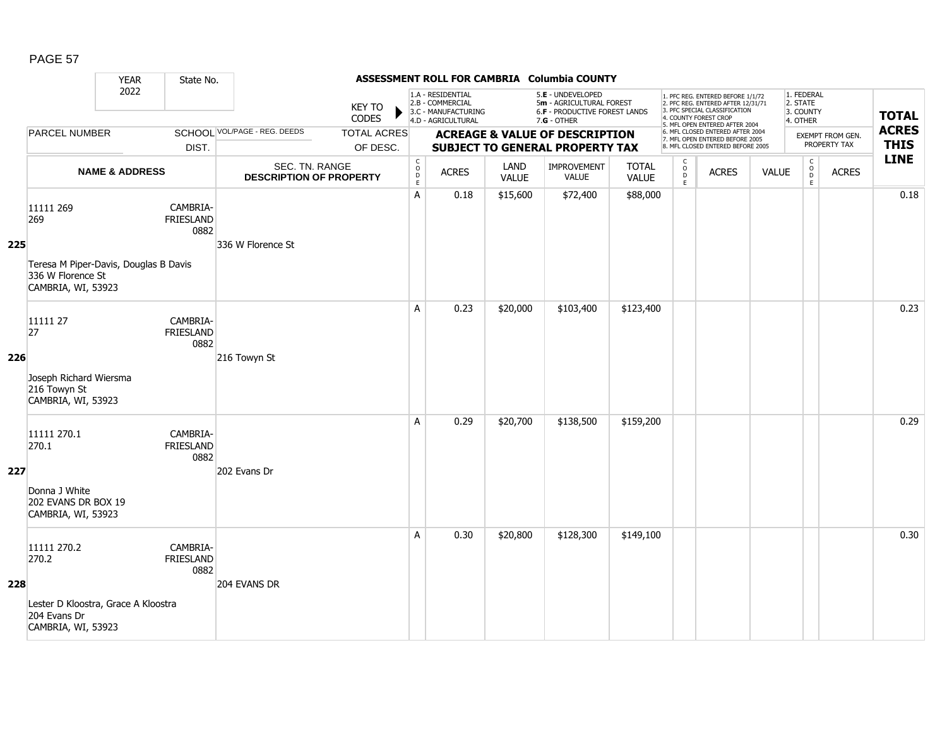|     |                                                                                                      | <b>YEAR</b>               | State No.                            |                                                  |                                |                                                          |                                                                                    |                      | ASSESSMENT ROLL FOR CAMBRIA Columbia COUNTY                                                     |                              |                                               |                                                                                                                                                                     |              |                                                 |                                  |                             |
|-----|------------------------------------------------------------------------------------------------------|---------------------------|--------------------------------------|--------------------------------------------------|--------------------------------|----------------------------------------------------------|------------------------------------------------------------------------------------|----------------------|-------------------------------------------------------------------------------------------------|------------------------------|-----------------------------------------------|---------------------------------------------------------------------------------------------------------------------------------------------------------------------|--------------|-------------------------------------------------|----------------------------------|-----------------------------|
|     |                                                                                                      | 2022                      |                                      |                                                  | <b>KEY TO</b><br>CODES         |                                                          | 1.A - RESIDENTIAL<br>2.B - COMMERCIAL<br>3.C - MANUFACTURING<br>4.D - AGRICULTURAL |                      | 5.E - UNDEVELOPED<br>5m - AGRICULTURAL FOREST<br>6.F - PRODUCTIVE FOREST LANDS<br>$7.G - OTHER$ |                              |                                               | 1. PFC REG. ENTERED BEFORE 1/1/72<br>2. PFC REG. ENTERED AFTER 12/31/71<br>3. PFC SPECIAL CLASSIFICATION<br>4. COUNTY FOREST CROP<br>5. MFL OPEN ENTERED AFTER 2004 |              | 1. FEDERAL<br>2. STATE<br>3. COUNTY<br>4. OTHER |                                  | <b>TOTAL</b>                |
|     | <b>PARCEL NUMBER</b>                                                                                 |                           | DIST.                                | SCHOOL VOL/PAGE - REG. DEEDS                     | <b>TOTAL ACRES</b><br>OF DESC. |                                                          |                                                                                    |                      | <b>ACREAGE &amp; VALUE OF DESCRIPTION</b><br><b>SUBJECT TO GENERAL PROPERTY TAX</b>             |                              |                                               | 6. MFL CLOSED ENTERED AFTER 2004<br>7. MFL OPEN ENTERED BEFORE 2005<br>8. MFL CLOSED ENTERED BEFORE 2005                                                            |              |                                                 | EXEMPT FROM GEN.<br>PROPERTY TAX | <b>ACRES</b><br><b>THIS</b> |
|     |                                                                                                      | <b>NAME &amp; ADDRESS</b> |                                      | SEC. TN. RANGE<br><b>DESCRIPTION OF PROPERTY</b> |                                | $\begin{matrix} 0 \\ 0 \\ D \end{matrix}$<br>$\mathsf E$ | <b>ACRES</b>                                                                       | LAND<br><b>VALUE</b> | IMPROVEMENT<br><b>VALUE</b>                                                                     | <b>TOTAL</b><br><b>VALUE</b> | $\mathsf{C}$<br>$_\mathrm{D}^\mathrm{O}$<br>E | <b>ACRES</b>                                                                                                                                                        | <b>VALUE</b> | $\mathsf C$<br>$_{\rm D}^{\rm O}$<br>E          | <b>ACRES</b>                     | <b>LINE</b>                 |
| 225 | 11111 269<br>269<br>Teresa M Piper-Davis, Douglas B Davis<br>336 W Florence St<br>CAMBRIA, WI, 53923 |                           | CAMBRIA-<br>FRIESLAND<br>0882        | 336 W Florence St                                |                                | Α                                                        | 0.18                                                                               | \$15,600             | \$72,400                                                                                        | \$88,000                     |                                               |                                                                                                                                                                     |              |                                                 |                                  | 0.18                        |
| 226 | 11111 27<br>27<br>Joseph Richard Wiersma<br>216 Towyn St<br>CAMBRIA, WI, 53923                       |                           | CAMBRIA-<br><b>FRIESLAND</b><br>0882 | 216 Towyn St                                     |                                | A                                                        | 0.23                                                                               | \$20,000             | \$103,400                                                                                       | \$123,400                    |                                               |                                                                                                                                                                     |              |                                                 |                                  | 0.23                        |
| 227 | 11111 270.1<br>270.1<br>Donna J White<br>202 EVANS DR BOX 19<br>CAMBRIA, WI, 53923                   |                           | CAMBRIA-<br><b>FRIESLAND</b><br>0882 | 202 Evans Dr                                     |                                | A                                                        | 0.29                                                                               | \$20,700             | \$138,500                                                                                       | \$159,200                    |                                               |                                                                                                                                                                     |              |                                                 |                                  | 0.29                        |
| 228 | 11111 270.2<br>270.2<br>Lester D Kloostra, Grace A Kloostra<br>204 Evans Dr<br>CAMBRIA, WI, 53923    |                           | CAMBRIA-<br>FRIESLAND<br>0882        | 204 EVANS DR                                     |                                | A                                                        | 0.30                                                                               | \$20,800             | \$128,300                                                                                       | \$149,100                    |                                               |                                                                                                                                                                     |              |                                                 |                                  | 0.30                        |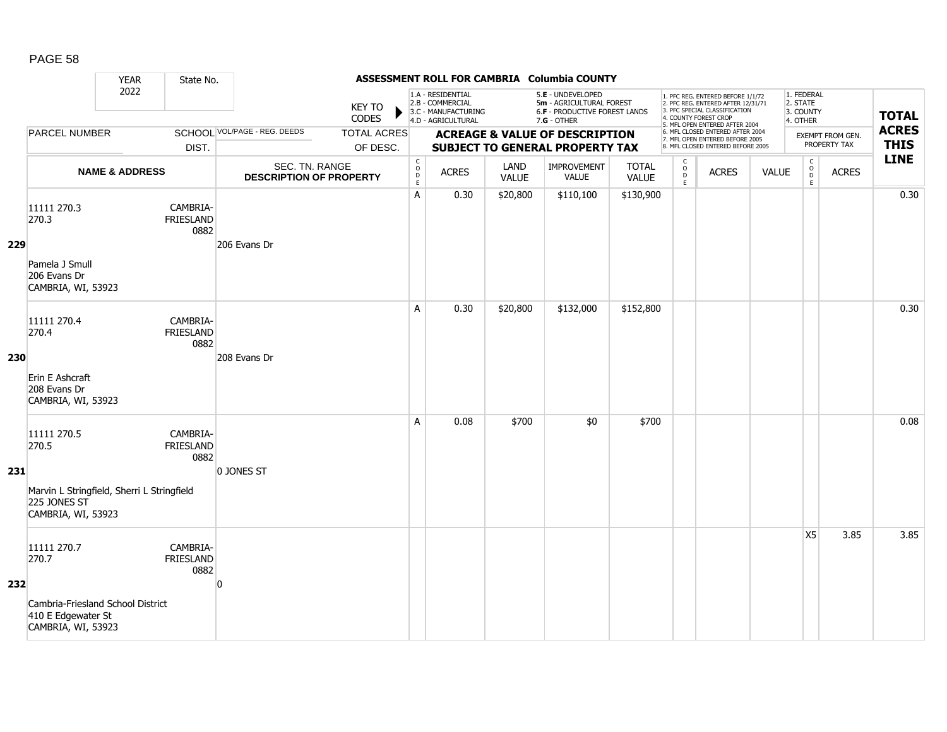|     |                                                                                                          | <b>YEAR</b>               | State No.                            |                                                  |                                |                                                          |                                                                                    |                      | ASSESSMENT ROLL FOR CAMBRIA Columbia COUNTY                                                     |                              |                                     |                                                                                                                                                                     |              |                                                 |                                  |                             |
|-----|----------------------------------------------------------------------------------------------------------|---------------------------|--------------------------------------|--------------------------------------------------|--------------------------------|----------------------------------------------------------|------------------------------------------------------------------------------------|----------------------|-------------------------------------------------------------------------------------------------|------------------------------|-------------------------------------|---------------------------------------------------------------------------------------------------------------------------------------------------------------------|--------------|-------------------------------------------------|----------------------------------|-----------------------------|
|     |                                                                                                          | 2022                      |                                      |                                                  | <b>KEY TO</b><br>CODES         |                                                          | 1.A - RESIDENTIAL<br>2.B - COMMERCIAL<br>3.C - MANUFACTURING<br>4.D - AGRICULTURAL |                      | 5.E - UNDEVELOPED<br>5m - AGRICULTURAL FOREST<br>6.F - PRODUCTIVE FOREST LANDS<br>$7.G - OTHER$ |                              |                                     | 1. PFC REG. ENTERED BEFORE 1/1/72<br>2. PFC REG. ENTERED AFTER 12/31/71<br>3. PFC SPECIAL CLASSIFICATION<br>4. COUNTY FOREST CROP<br>5. MFL OPEN ENTERED AFTER 2004 |              | 1. FEDERAL<br>2. STATE<br>3. COUNTY<br>4. OTHER |                                  | <b>TOTAL</b>                |
|     | <b>PARCEL NUMBER</b>                                                                                     |                           | DIST.                                | SCHOOL VOL/PAGE - REG. DEEDS                     | <b>TOTAL ACRES</b><br>OF DESC. |                                                          |                                                                                    |                      | <b>ACREAGE &amp; VALUE OF DESCRIPTION</b><br><b>SUBJECT TO GENERAL PROPERTY TAX</b>             |                              |                                     | 6. MFL CLOSED ENTERED AFTER 2004<br>7. MFL OPEN ENTERED BEFORE 2005<br>8. MFL CLOSED ENTERED BEFORE 2005                                                            |              |                                                 | EXEMPT FROM GEN.<br>PROPERTY TAX | <b>ACRES</b><br><b>THIS</b> |
|     |                                                                                                          | <b>NAME &amp; ADDRESS</b> |                                      | SEC. TN. RANGE<br><b>DESCRIPTION OF PROPERTY</b> |                                | $\begin{matrix} 0 \\ 0 \\ D \end{matrix}$<br>$\mathsf E$ | <b>ACRES</b>                                                                       | LAND<br><b>VALUE</b> | IMPROVEMENT<br><b>VALUE</b>                                                                     | <b>TOTAL</b><br><b>VALUE</b> | $\mathsf{C}$<br>$\int_{D}^{O}$<br>E | <b>ACRES</b>                                                                                                                                                        | <b>VALUE</b> | $\mathsf C$<br>$_{\rm D}^{\rm O}$<br>E          | <b>ACRES</b>                     | <b>LINE</b>                 |
| 229 | 11111 270.3<br>270.3<br>Pamela J Smull<br>206 Evans Dr<br>CAMBRIA, WI, 53923                             |                           | CAMBRIA-<br>FRIESLAND<br>0882        | 206 Evans Dr                                     |                                | A                                                        | 0.30                                                                               | \$20,800             | \$110,100                                                                                       | \$130,900                    |                                     |                                                                                                                                                                     |              |                                                 |                                  | 0.30                        |
| 230 | 11111 270.4<br>270.4<br>Erin E Ashcraft<br>208 Evans Dr<br>CAMBRIA, WI, 53923                            |                           | CAMBRIA-<br>FRIESLAND<br>0882        | 208 Evans Dr                                     |                                | A                                                        | 0.30                                                                               | \$20,800             | \$132,000                                                                                       | \$152,800                    |                                     |                                                                                                                                                                     |              |                                                 |                                  | 0.30                        |
| 231 | 11111 270.5<br>270.5<br>Marvin L Stringfield, Sherri L Stringfield<br>225 JONES ST<br>CAMBRIA, WI, 53923 |                           | CAMBRIA-<br>FRIESLAND<br>0882        | 0 JONES ST                                       |                                | A                                                        | 0.08                                                                               | \$700                | \$0                                                                                             | \$700                        |                                     |                                                                                                                                                                     |              |                                                 |                                  | 0.08                        |
| 232 | 11111 270.7<br>270.7<br>Cambria-Friesland School District<br>410 E Edgewater St<br>CAMBRIA, WI, 53923    |                           | CAMBRIA-<br><b>FRIESLAND</b><br>0882 | $\overline{0}$                                   |                                |                                                          |                                                                                    |                      |                                                                                                 |                              |                                     |                                                                                                                                                                     |              | X <sub>5</sub>                                  | 3.85                             | 3.85                        |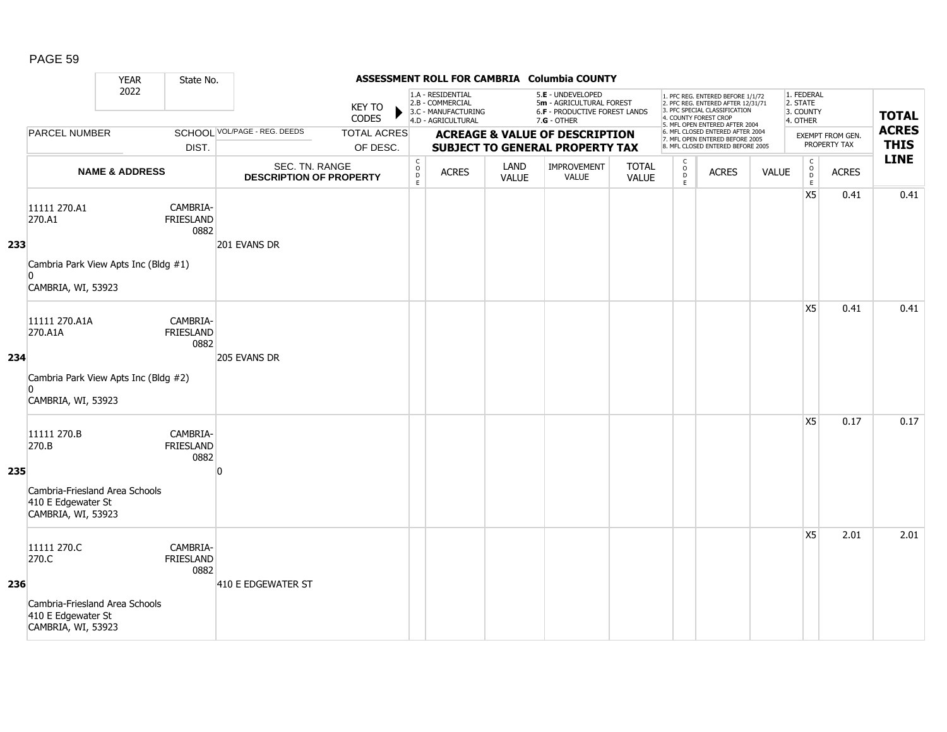|     |                                                                                                    | <b>YEAR</b>               | State No.                            |                                                  |                                |                                                              |                                                                                    |                      | ASSESSMENT ROLL FOR CAMBRIA Columbia COUNTY                                                   |                              |                                                   |                                                                                                                                                                     |              |                                                             |                                         |                             |
|-----|----------------------------------------------------------------------------------------------------|---------------------------|--------------------------------------|--------------------------------------------------|--------------------------------|--------------------------------------------------------------|------------------------------------------------------------------------------------|----------------------|-----------------------------------------------------------------------------------------------|------------------------------|---------------------------------------------------|---------------------------------------------------------------------------------------------------------------------------------------------------------------------|--------------|-------------------------------------------------------------|-----------------------------------------|-----------------------------|
|     |                                                                                                    | 2022                      |                                      |                                                  | <b>KEY TO</b><br><b>CODES</b>  |                                                              | 1.A - RESIDENTIAL<br>2.B - COMMERCIAL<br>3.C - MANUFACTURING<br>4.D - AGRICULTURAL |                      | 5.E - UNDEVELOPED<br>5m - AGRICULTURAL FOREST<br>6.F - PRODUCTIVE FOREST LANDS<br>7.G - OTHER |                              |                                                   | 1. PFC REG. ENTERED BEFORE 1/1/72<br>2. PFC REG. ENTERED AFTER 12/31/71<br>3. PFC SPECIAL CLASSIFICATION<br>4. COUNTY FOREST CROP<br>5. MFL OPEN ENTERED AFTER 2004 |              | 1. FEDERAL<br>2. STATE<br>3. COUNTY<br>4. OTHER             |                                         | <b>TOTAL</b>                |
|     | <b>PARCEL NUMBER</b>                                                                               |                           | DIST.                                | SCHOOL VOL/PAGE - REG. DEEDS                     | <b>TOTAL ACRES</b><br>OF DESC. |                                                              |                                                                                    |                      | <b>ACREAGE &amp; VALUE OF DESCRIPTION</b><br>SUBJECT TO GENERAL PROPERTY TAX                  |                              |                                                   | 6. MFL CLOSED ENTERED AFTER 2004<br>7. MFL OPEN ENTERED BEFORE 2005<br>8. MFL CLOSED ENTERED BEFORE 2005                                                            |              |                                                             | <b>EXEMPT FROM GEN.</b><br>PROPERTY TAX | <b>ACRES</b><br><b>THIS</b> |
|     |                                                                                                    | <b>NAME &amp; ADDRESS</b> |                                      | SEC. TN. RANGE<br><b>DESCRIPTION OF PROPERTY</b> |                                | $\mathsf{C}$<br>$\begin{array}{c}\n0 \\ D \\ E\n\end{array}$ | <b>ACRES</b>                                                                       | LAND<br><b>VALUE</b> | IMPROVEMENT<br><b>VALUE</b>                                                                   | <b>TOTAL</b><br><b>VALUE</b> | C<br>$\begin{array}{c}\n0 \\ D \\ E\n\end{array}$ | <b>ACRES</b>                                                                                                                                                        | <b>VALUE</b> | $\mathsf C$<br>$\begin{array}{c}\n0 \\ D \\ E\n\end{array}$ | <b>ACRES</b>                            | <b>LINE</b>                 |
| 233 | 11111 270.A1<br>270.A1<br>Cambria Park View Apts Inc (Bldg #1)<br>n<br>CAMBRIA, WI, 53923          |                           | CAMBRIA-<br><b>FRIESLAND</b><br>0882 | 201 EVANS DR                                     |                                |                                                              |                                                                                    |                      |                                                                                               |                              |                                                   |                                                                                                                                                                     |              | X <sub>5</sub>                                              | 0.41                                    | 0.41                        |
| 234 | 11111 270.A1A<br>270.A1A<br>Cambria Park View Apts Inc (Bldg #2)<br>$\Omega$<br>CAMBRIA, WI, 53923 |                           | CAMBRIA-<br><b>FRIESLAND</b><br>0882 | 205 EVANS DR                                     |                                |                                                              |                                                                                    |                      |                                                                                               |                              |                                                   |                                                                                                                                                                     |              | X5                                                          | 0.41                                    | 0.41                        |
| 235 | 11111 270.B<br>270.B<br>Cambria-Friesland Area Schools<br>410 E Edgewater St<br>CAMBRIA, WI, 53923 |                           | CAMBRIA-<br><b>FRIESLAND</b><br>0882 | n                                                |                                |                                                              |                                                                                    |                      |                                                                                               |                              |                                                   |                                                                                                                                                                     |              | X <sub>5</sub>                                              | 0.17                                    | 0.17                        |
| 236 | 11111 270.C<br>270.C<br>Cambria-Friesland Area Schools<br>410 E Edgewater St<br>CAMBRIA, WI, 53923 |                           | CAMBRIA-<br><b>FRIESLAND</b><br>0882 | 410 E EDGEWATER ST                               |                                |                                                              |                                                                                    |                      |                                                                                               |                              |                                                   |                                                                                                                                                                     |              | X5                                                          | 2.01                                    | 2.01                        |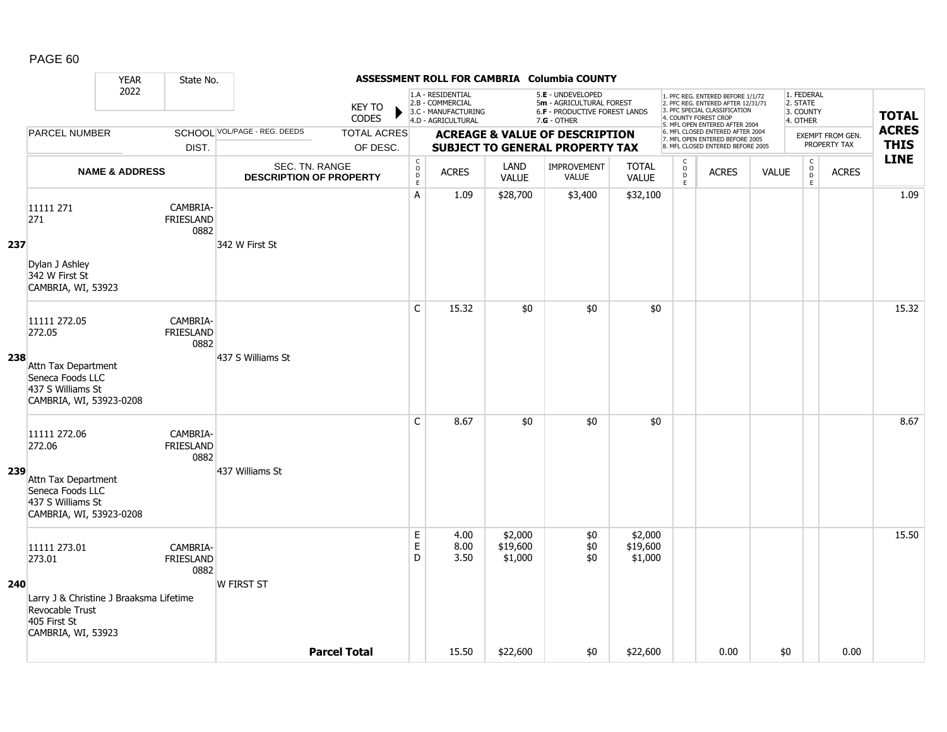|     |                                                                                                  | <b>YEAR</b>               | State No.                            |                                                  |                        |                                                                   |                                                                                    |                                | ASSESSMENT ROLL FOR CAMBRIA Columbia COUNTY                                                     |                                |                                   |                                                                                                                                   |              |                                                 |                         |                            |
|-----|--------------------------------------------------------------------------------------------------|---------------------------|--------------------------------------|--------------------------------------------------|------------------------|-------------------------------------------------------------------|------------------------------------------------------------------------------------|--------------------------------|-------------------------------------------------------------------------------------------------|--------------------------------|-----------------------------------|-----------------------------------------------------------------------------------------------------------------------------------|--------------|-------------------------------------------------|-------------------------|----------------------------|
|     |                                                                                                  | 2022                      |                                      |                                                  | KEY TO<br><b>CODES</b> |                                                                   | 1.A - RESIDENTIAL<br>2.B - COMMERCIAL<br>3.C - MANUFACTURING<br>4.D - AGRICULTURAL |                                | 5.E - UNDEVELOPED<br>5m - AGRICULTURAL FOREST<br>6.F - PRODUCTIVE FOREST LANDS<br>$7.G - OTHER$ |                                |                                   | 1. PFC REG. ENTERED BEFORE 1/1/72<br>2. PFC REG. ENTERED AFTER 12/31/71<br>3. PFC SPECIAL CLASSIFICATION<br>4. COUNTY FOREST CROP |              | 1. FEDERAL<br>2. STATE<br>3. COUNTY<br>4. OTHER |                         | <b>TOTAL</b>               |
|     | <b>PARCEL NUMBER</b>                                                                             |                           |                                      | SCHOOL VOL/PAGE - REG. DEEDS                     | <b>TOTAL ACRES</b>     |                                                                   |                                                                                    |                                | <b>ACREAGE &amp; VALUE OF DESCRIPTION</b>                                                       |                                |                                   | 5. MFL OPEN ENTERED AFTER 2004<br>6. MFL CLOSED ENTERED AFTER 2004<br>7. MFL OPEN ENTERED BEFORE 2005                             |              |                                                 | <b>EXEMPT FROM GEN.</b> | <b>ACRES</b>               |
|     |                                                                                                  |                           | DIST.                                |                                                  | OF DESC.               |                                                                   |                                                                                    |                                | <b>SUBJECT TO GENERAL PROPERTY TAX</b>                                                          |                                |                                   | 8. MFL CLOSED ENTERED BEFORE 2005                                                                                                 |              |                                                 | PROPERTY TAX            | <b>THIS</b><br><b>LINE</b> |
|     |                                                                                                  | <b>NAME &amp; ADDRESS</b> |                                      | SEC. TN. RANGE<br><b>DESCRIPTION OF PROPERTY</b> |                        | $\mathsf{C}$<br>$\overset{\circ}{\phantom{\circ}}$<br>$\mathsf E$ | <b>ACRES</b>                                                                       | LAND<br><b>VALUE</b>           | <b>IMPROVEMENT</b><br><b>VALUE</b>                                                              | <b>TOTAL</b><br><b>VALUE</b>   | $\mathsf{C}$<br>$\circ$<br>D<br>E | <b>ACRES</b>                                                                                                                      | <b>VALUE</b> | $\begin{matrix} 0 \\ 0 \\ 0 \end{matrix}$<br>E  | <b>ACRES</b>            |                            |
| 237 | 11111 271<br>271                                                                                 |                           | CAMBRIA-<br><b>FRIESLAND</b><br>0882 | 342 W First St                                   |                        | Α                                                                 | 1.09                                                                               | \$28,700                       | \$3,400                                                                                         | \$32,100                       |                                   |                                                                                                                                   |              |                                                 |                         | 1.09                       |
|     | Dylan J Ashley<br>342 W First St<br>CAMBRIA, WI, 53923                                           |                           |                                      |                                                  |                        |                                                                   |                                                                                    |                                |                                                                                                 |                                |                                   |                                                                                                                                   |              |                                                 |                         |                            |
|     | 11111 272.05<br>272.05                                                                           |                           | CAMBRIA-<br><b>FRIESLAND</b><br>0882 |                                                  |                        | C                                                                 | 15.32                                                                              | \$0                            | \$0                                                                                             | \$0                            |                                   |                                                                                                                                   |              |                                                 |                         | 15.32                      |
| 238 | Attn Tax Department<br>Seneca Foods LLC<br>437 S Williams St<br>CAMBRIA, WI, 53923-0208          |                           |                                      | 437 S Williams St                                |                        |                                                                   |                                                                                    |                                |                                                                                                 |                                |                                   |                                                                                                                                   |              |                                                 |                         |                            |
|     | 11111 272.06<br>272.06                                                                           |                           | CAMBRIA-<br><b>FRIESLAND</b><br>0882 |                                                  |                        | $\mathsf{C}$                                                      | 8.67                                                                               | \$0                            | \$0                                                                                             | \$0                            |                                   |                                                                                                                                   |              |                                                 |                         | 8.67                       |
| 239 | Attn Tax Department<br>Seneca Foods LLC<br>437 S Williams St<br>CAMBRIA, WI, 53923-0208          |                           |                                      | 437 Williams St                                  |                        |                                                                   |                                                                                    |                                |                                                                                                 |                                |                                   |                                                                                                                                   |              |                                                 |                         |                            |
|     | 11111 273.01<br>273.01                                                                           |                           | CAMBRIA-<br><b>FRIESLAND</b><br>0882 |                                                  |                        | $\mathsf E$<br>E<br>D                                             | 4.00<br>8.00<br>3.50                                                               | \$2,000<br>\$19,600<br>\$1,000 | \$0<br>\$0<br>\$0                                                                               | \$2,000<br>\$19,600<br>\$1,000 |                                   |                                                                                                                                   |              |                                                 |                         | 15.50                      |
| 240 | Larry J & Christine J Braaksma Lifetime<br>Revocable Trust<br>405 First St<br>CAMBRIA, WI, 53923 |                           |                                      | <b>W FIRST ST</b>                                |                        |                                                                   |                                                                                    |                                |                                                                                                 |                                |                                   |                                                                                                                                   |              |                                                 |                         |                            |
|     |                                                                                                  |                           |                                      |                                                  | <b>Parcel Total</b>    |                                                                   | 15.50                                                                              | \$22,600                       | \$0                                                                                             | \$22,600                       |                                   | 0.00                                                                                                                              | \$0          |                                                 | 0.00                    |                            |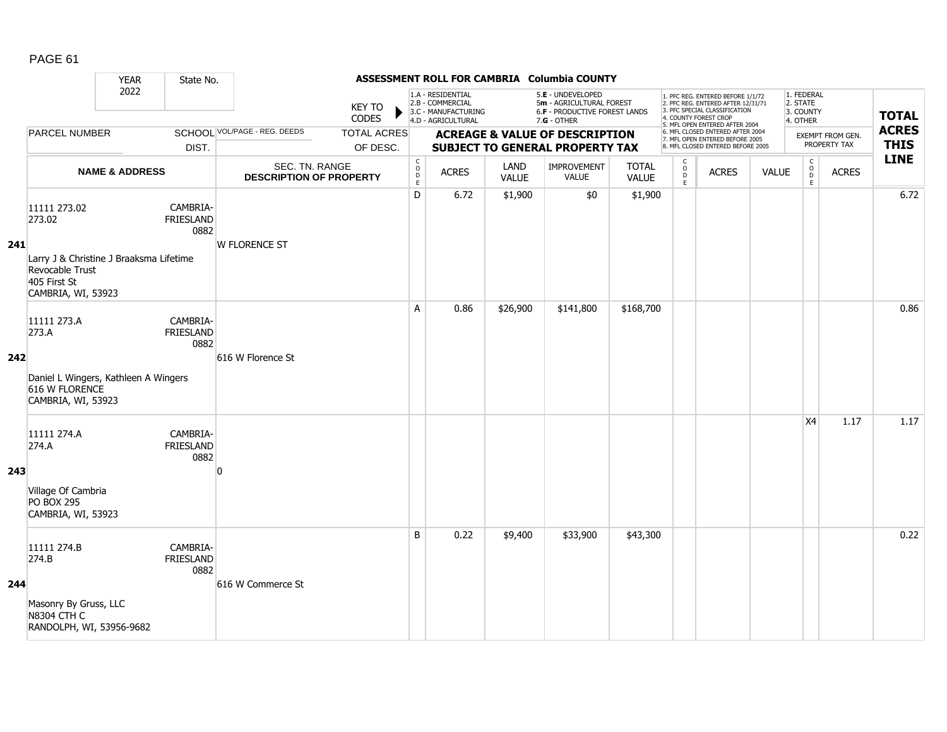|     |                                                                                                                            | <b>YEAR</b>               | State No.                            |                                                  |                                |                                                          |                                                                                    |                      | ASSESSMENT ROLL FOR CAMBRIA Columbia COUNTY                                                            |                              |                        |                                                                                                                                                                     |              |                                                 |                                  |                             |
|-----|----------------------------------------------------------------------------------------------------------------------------|---------------------------|--------------------------------------|--------------------------------------------------|--------------------------------|----------------------------------------------------------|------------------------------------------------------------------------------------|----------------------|--------------------------------------------------------------------------------------------------------|------------------------------|------------------------|---------------------------------------------------------------------------------------------------------------------------------------------------------------------|--------------|-------------------------------------------------|----------------------------------|-----------------------------|
|     |                                                                                                                            | 2022                      |                                      |                                                  | <b>KEY TO</b><br><b>CODES</b>  |                                                          | 1.A - RESIDENTIAL<br>2.B - COMMERCIAL<br>3.C - MANUFACTURING<br>4.D - AGRICULTURAL |                      | 5.E - UNDEVELOPED<br>5m - AGRICULTURAL FOREST<br><b>6.F - PRODUCTIVE FOREST LANDS</b><br>$7.G - OTHER$ |                              |                        | 1. PFC REG. ENTERED BEFORE 1/1/72<br>2. PFC REG. ENTERED AFTER 12/31/71<br>3. PFC SPECIAL CLASSIFICATION<br>4. COUNTY FOREST CROP<br>5. MFL OPEN ENTERED AFTER 2004 |              | 1. FEDERAL<br>2. STATE<br>3. COUNTY<br>4. OTHER |                                  | <b>TOTAL</b>                |
|     | <b>PARCEL NUMBER</b>                                                                                                       |                           | DIST.                                | SCHOOL VOL/PAGE - REG. DEEDS                     | <b>TOTAL ACRES</b><br>OF DESC. |                                                          |                                                                                    |                      | <b>ACREAGE &amp; VALUE OF DESCRIPTION</b><br><b>SUBJECT TO GENERAL PROPERTY TAX</b>                    |                              |                        | 6. MFL CLOSED ENTERED AFTER 2004<br>7. MFL OPEN ENTERED BEFORE 2005<br>8. MFL CLOSED ENTERED BEFORE 2005                                                            |              |                                                 | EXEMPT FROM GEN.<br>PROPERTY TAX | <b>ACRES</b><br><b>THIS</b> |
|     |                                                                                                                            | <b>NAME &amp; ADDRESS</b> |                                      | SEC. TN. RANGE<br><b>DESCRIPTION OF PROPERTY</b> |                                | $\begin{matrix} 0 \\ 0 \\ D \end{matrix}$<br>$\mathsf E$ | <b>ACRES</b>                                                                       | LAND<br><b>VALUE</b> | IMPROVEMENT<br><b>VALUE</b>                                                                            | <b>TOTAL</b><br><b>VALUE</b> | C<br>$\circ$<br>D<br>E | <b>ACRES</b>                                                                                                                                                        | <b>VALUE</b> | $\mathsf C$<br>$_{\rm D}^{\rm O}$<br>E          | <b>ACRES</b>                     | <b>LINE</b>                 |
| 241 | 11111 273.02<br>273.02<br>Larry J & Christine J Braaksma Lifetime<br>Revocable Trust<br>405 First St<br>CAMBRIA, WI, 53923 |                           | CAMBRIA-<br>FRIESLAND<br>0882        | <b>W FLORENCE ST</b>                             |                                | D                                                        | 6.72                                                                               | \$1,900              | \$0                                                                                                    | \$1,900                      |                        |                                                                                                                                                                     |              |                                                 |                                  | 6.72                        |
| 242 | 11111 273.A<br>273.A<br>Daniel L Wingers, Kathleen A Wingers<br>616 W FLORENCE<br>CAMBRIA, WI, 53923                       |                           | CAMBRIA-<br>FRIESLAND<br>0882        | 616 W Florence St                                |                                | A                                                        | 0.86                                                                               | \$26,900             | \$141,800                                                                                              | \$168,700                    |                        |                                                                                                                                                                     |              |                                                 |                                  | 0.86                        |
| 243 | 11111 274.A<br>274.A<br>Village Of Cambria<br><b>PO BOX 295</b><br>CAMBRIA, WI, 53923                                      |                           | CAMBRIA-<br><b>FRIESLAND</b><br>0882 | n                                                |                                |                                                          |                                                                                    |                      |                                                                                                        |                              |                        |                                                                                                                                                                     |              | X4                                              | 1.17                             | 1.17                        |
| 244 | 11111 274.B<br>274.B<br>Masonry By Gruss, LLC<br><b>N8304 CTH C</b><br>RANDOLPH, WI, 53956-9682                            |                           | CAMBRIA-<br>FRIESLAND<br>0882        | 616 W Commerce St                                |                                | B                                                        | 0.22                                                                               | \$9,400              | \$33,900                                                                                               | \$43,300                     |                        |                                                                                                                                                                     |              |                                                 |                                  | 0.22                        |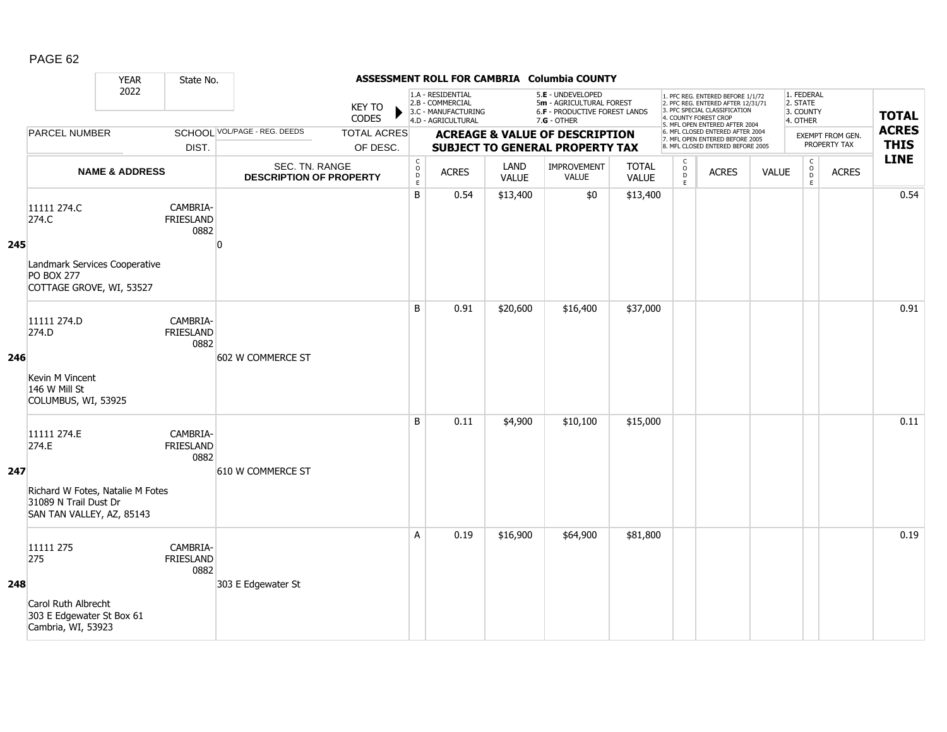|     |                                                                                                                | <b>YEAR</b>               | State No.                            |                                                  |                                |                                            |                                                                                    |                      | ASSESSMENT ROLL FOR CAMBRIA Columbia COUNTY                                                   |                              |                                               |                                                                                                                                                                     |              |                                                 |                                  |                             |
|-----|----------------------------------------------------------------------------------------------------------------|---------------------------|--------------------------------------|--------------------------------------------------|--------------------------------|--------------------------------------------|------------------------------------------------------------------------------------|----------------------|-----------------------------------------------------------------------------------------------|------------------------------|-----------------------------------------------|---------------------------------------------------------------------------------------------------------------------------------------------------------------------|--------------|-------------------------------------------------|----------------------------------|-----------------------------|
|     |                                                                                                                | 2022                      |                                      |                                                  | <b>KEY TO</b><br>CODES         |                                            | 1.A - RESIDENTIAL<br>2.B - COMMERCIAL<br>3.C - MANUFACTURING<br>4.D - AGRICULTURAL |                      | 5.E - UNDEVELOPED<br>5m - AGRICULTURAL FOREST<br>6.F - PRODUCTIVE FOREST LANDS<br>7.G - OTHER |                              |                                               | 1. PFC REG. ENTERED BEFORE 1/1/72<br>2. PFC REG. ENTERED AFTER 12/31/71<br>3. PFC SPECIAL CLASSIFICATION<br>4. COUNTY FOREST CROP<br>5. MFL OPEN ENTERED AFTER 2004 |              | 1. FEDERAL<br>2. STATE<br>3. COUNTY<br>4. OTHER |                                  | <b>TOTAL</b>                |
|     | <b>PARCEL NUMBER</b>                                                                                           |                           | DIST.                                | SCHOOL VOL/PAGE - REG. DEEDS                     | <b>TOTAL ACRES</b><br>OF DESC. |                                            |                                                                                    |                      | <b>ACREAGE &amp; VALUE OF DESCRIPTION</b><br>SUBJECT TO GENERAL PROPERTY TAX                  |                              |                                               | 6. MFL CLOSED ENTERED AFTER 2004<br>7. MFL OPEN ENTERED BEFORE 2005<br>8. MFL CLOSED ENTERED BEFORE 2005                                                            |              |                                                 | EXEMPT FROM GEN.<br>PROPERTY TAX | <b>ACRES</b><br><b>THIS</b> |
|     |                                                                                                                | <b>NAME &amp; ADDRESS</b> |                                      | SEC. TN. RANGE<br><b>DESCRIPTION OF PROPERTY</b> |                                | $\begin{array}{c} C \\ O \\ E \end{array}$ | <b>ACRES</b>                                                                       | LAND<br><b>VALUE</b> | IMPROVEMENT<br>VALUE                                                                          | <b>TOTAL</b><br><b>VALUE</b> | $\mathsf{C}$<br>$_\mathrm{D}^\mathrm{O}$<br>E | <b>ACRES</b>                                                                                                                                                        | <b>VALUE</b> | $\mathsf{C}$<br>$_{\rm D}^{\rm O}$<br>E         | <b>ACRES</b>                     | <b>LINE</b>                 |
| 245 | 11111 274.C<br>274.C<br>Landmark Services Cooperative<br><b>PO BOX 277</b><br>COTTAGE GROVE, WI, 53527         |                           | CAMBRIA-<br><b>FRIESLAND</b><br>0882 | n                                                |                                | B                                          | 0.54                                                                               | \$13,400             | \$0                                                                                           | \$13,400                     |                                               |                                                                                                                                                                     |              |                                                 |                                  | 0.54                        |
| 246 | 11111 274.D<br>274.D<br>Kevin M Vincent<br>146 W Mill St<br>COLUMBUS, WI, 53925                                |                           | CAMBRIA-<br><b>FRIESLAND</b><br>0882 | 602 W COMMERCE ST                                |                                | B                                          | 0.91                                                                               | \$20,600             | \$16,400                                                                                      | \$37,000                     |                                               |                                                                                                                                                                     |              |                                                 |                                  | 0.91                        |
| 247 | 11111 274.E<br>274.E<br>Richard W Fotes, Natalie M Fotes<br>31089 N Trail Dust Dr<br>SAN TAN VALLEY, AZ, 85143 |                           | CAMBRIA-<br><b>FRIESLAND</b><br>0882 | 610 W COMMERCE ST                                |                                | B                                          | 0.11                                                                               | \$4,900              | \$10,100                                                                                      | \$15,000                     |                                               |                                                                                                                                                                     |              |                                                 |                                  | 0.11                        |
| 248 | 11111 275<br>275<br>Carol Ruth Albrecht<br>303 E Edgewater St Box 61<br>Cambria, WI, 53923                     |                           | CAMBRIA-<br><b>FRIESLAND</b><br>0882 | 303 E Edgewater St                               |                                | A                                          | 0.19                                                                               | \$16,900             | \$64,900                                                                                      | \$81,800                     |                                               |                                                                                                                                                                     |              |                                                 |                                  | 0.19                        |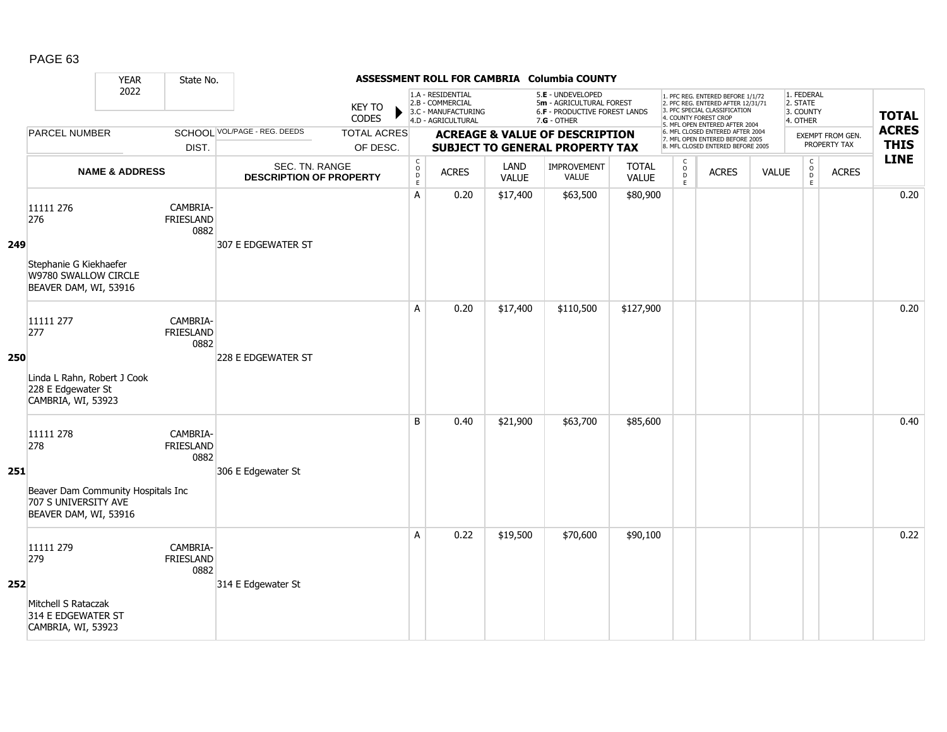|     |                                                                                                         | <b>YEAR</b>               | State No.                            |                                                  |                                |                                              |                                                                                    |                      | ASSESSMENT ROLL FOR CAMBRIA Columbia COUNTY                                                   |                              |                                       |                                                                                                                                                                     |              |                                                 |                                                  |                  |                             |
|-----|---------------------------------------------------------------------------------------------------------|---------------------------|--------------------------------------|--------------------------------------------------|--------------------------------|----------------------------------------------|------------------------------------------------------------------------------------|----------------------|-----------------------------------------------------------------------------------------------|------------------------------|---------------------------------------|---------------------------------------------------------------------------------------------------------------------------------------------------------------------|--------------|-------------------------------------------------|--------------------------------------------------|------------------|-----------------------------|
|     |                                                                                                         | 2022                      |                                      |                                                  | <b>KEY TO</b><br><b>CODES</b>  |                                              | 1.A - RESIDENTIAL<br>2.B - COMMERCIAL<br>3.C - MANUFACTURING<br>4.D - AGRICULTURAL |                      | 5.E - UNDEVELOPED<br>5m - AGRICULTURAL FOREST<br>6.F - PRODUCTIVE FOREST LANDS<br>7.G - OTHER |                              |                                       | 1. PFC REG. ENTERED BEFORE 1/1/72<br>2. PFC REG. ENTERED AFTER 12/31/71<br>3. PFC SPECIAL CLASSIFICATION<br>4. COUNTY FOREST CROP<br>5. MFL OPEN ENTERED AFTER 2004 |              | 1. FEDERAL<br>2. STATE<br>3. COUNTY<br>4. OTHER |                                                  |                  | <b>TOTAL</b>                |
|     | <b>PARCEL NUMBER</b>                                                                                    |                           | DIST.                                | <b>SCHOOL VOL/PAGE - REG. DEEDS</b>              | <b>TOTAL ACRES</b><br>OF DESC. |                                              |                                                                                    |                      | <b>ACREAGE &amp; VALUE OF DESCRIPTION</b><br><b>SUBJECT TO GENERAL PROPERTY TAX</b>           |                              |                                       | 6. MFL CLOSED ENTERED AFTER 2004<br>7. MFL OPEN ENTERED BEFORE 2005<br>8. MFL CLOSED ENTERED BEFORE 2005                                                            |              |                                                 | PROPERTY TAX                                     | EXEMPT FROM GEN. | <b>ACRES</b><br><b>THIS</b> |
|     |                                                                                                         | <b>NAME &amp; ADDRESS</b> |                                      | SEC. TN. RANGE<br><b>DESCRIPTION OF PROPERTY</b> |                                | $\begin{array}{c}\nC \\ O \\ E\n\end{array}$ | <b>ACRES</b>                                                                       | LAND<br><b>VALUE</b> | IMPROVEMENT<br><b>VALUE</b>                                                                   | <b>TOTAL</b><br><b>VALUE</b> | C<br>$\mathsf O$<br>D<br>$\mathsf{E}$ | <b>ACRES</b>                                                                                                                                                        | <b>VALUE</b> |                                                 | $\mathsf C$<br>$_{\rm D}^{\rm O}$<br>$\mathsf E$ | <b>ACRES</b>     | <b>LINE</b>                 |
| 249 | 11111 276<br>276<br>Stephanie G Kiekhaefer<br>W9780 SWALLOW CIRCLE<br>BEAVER DAM, WI, 53916             |                           | CAMBRIA-<br><b>FRIESLAND</b><br>0882 | 307 E EDGEWATER ST                               |                                | A                                            | 0.20                                                                               | \$17,400             | \$63,500                                                                                      | \$80,900                     |                                       |                                                                                                                                                                     |              |                                                 |                                                  |                  | 0.20                        |
| 250 | 11111 277<br>277<br>Linda L Rahn, Robert J Cook<br>228 E Edgewater St<br>CAMBRIA, WI, 53923             |                           | CAMBRIA-<br><b>FRIESLAND</b><br>0882 | 228 E EDGEWATER ST                               |                                | A                                            | 0.20                                                                               | \$17,400             | \$110,500                                                                                     | \$127,900                    |                                       |                                                                                                                                                                     |              |                                                 |                                                  |                  | 0.20                        |
| 251 | 11111 278<br>278<br>Beaver Dam Community Hospitals Inc<br>707 S UNIVERSITY AVE<br>BEAVER DAM, WI, 53916 |                           | CAMBRIA-<br><b>FRIESLAND</b><br>0882 | 306 E Edgewater St                               |                                | B                                            | 0.40                                                                               | \$21,900             | \$63,700                                                                                      | \$85,600                     |                                       |                                                                                                                                                                     |              |                                                 |                                                  |                  | 0.40                        |
| 252 | 11111 279<br>279<br>Mitchell S Rataczak<br>314 E EDGEWATER ST<br>CAMBRIA, WI, 53923                     |                           | CAMBRIA-<br><b>FRIESLAND</b><br>0882 | 314 E Edgewater St                               |                                | A                                            | 0.22                                                                               | \$19,500             | \$70,600                                                                                      | \$90,100                     |                                       |                                                                                                                                                                     |              |                                                 |                                                  |                  | 0.22                        |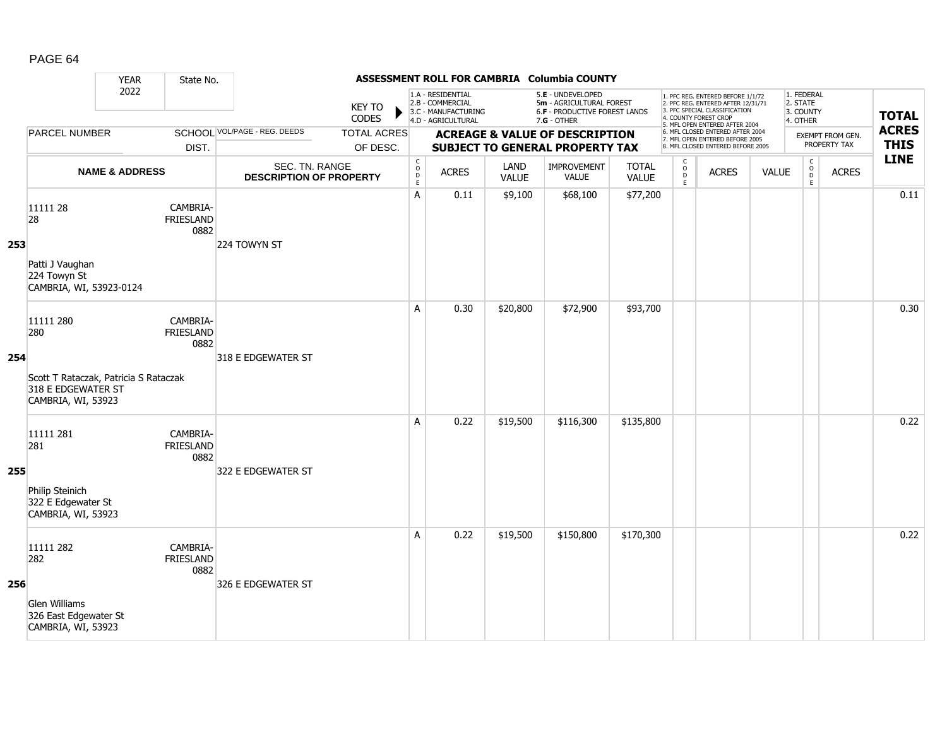|     |                                                                                                       | <b>YEAR</b>               | State No.                            |                                                  |                                |                                                          |                                                                                    |                      | ASSESSMENT ROLL FOR CAMBRIA Columbia COUNTY                                                     |                              |                                     |                                                                                                                                                                     |              |                                                 |                                  |                             |
|-----|-------------------------------------------------------------------------------------------------------|---------------------------|--------------------------------------|--------------------------------------------------|--------------------------------|----------------------------------------------------------|------------------------------------------------------------------------------------|----------------------|-------------------------------------------------------------------------------------------------|------------------------------|-------------------------------------|---------------------------------------------------------------------------------------------------------------------------------------------------------------------|--------------|-------------------------------------------------|----------------------------------|-----------------------------|
|     |                                                                                                       | 2022                      |                                      |                                                  | <b>KEY TO</b><br>CODES         |                                                          | 1.A - RESIDENTIAL<br>2.B - COMMERCIAL<br>3.C - MANUFACTURING<br>4.D - AGRICULTURAL |                      | 5.E - UNDEVELOPED<br>5m - AGRICULTURAL FOREST<br>6.F - PRODUCTIVE FOREST LANDS<br>$7.G - OTHER$ |                              |                                     | 1. PFC REG. ENTERED BEFORE 1/1/72<br>2. PFC REG. ENTERED AFTER 12/31/71<br>3. PFC SPECIAL CLASSIFICATION<br>4. COUNTY FOREST CROP<br>5. MFL OPEN ENTERED AFTER 2004 |              | 1. FEDERAL<br>2. STATE<br>3. COUNTY<br>4. OTHER |                                  | <b>TOTAL</b>                |
|     | <b>PARCEL NUMBER</b>                                                                                  |                           | DIST.                                | SCHOOL VOL/PAGE - REG. DEEDS                     | <b>TOTAL ACRES</b><br>OF DESC. |                                                          |                                                                                    |                      | <b>ACREAGE &amp; VALUE OF DESCRIPTION</b><br><b>SUBJECT TO GENERAL PROPERTY TAX</b>             |                              |                                     | 6. MFL CLOSED ENTERED AFTER 2004<br>7. MFL OPEN ENTERED BEFORE 2005<br>8. MFL CLOSED ENTERED BEFORE 2005                                                            |              |                                                 | EXEMPT FROM GEN.<br>PROPERTY TAX | <b>ACRES</b><br><b>THIS</b> |
|     |                                                                                                       | <b>NAME &amp; ADDRESS</b> |                                      | SEC. TN. RANGE<br><b>DESCRIPTION OF PROPERTY</b> |                                | $\begin{matrix} 0 \\ 0 \\ D \end{matrix}$<br>$\mathsf E$ | <b>ACRES</b>                                                                       | LAND<br><b>VALUE</b> | IMPROVEMENT<br><b>VALUE</b>                                                                     | <b>TOTAL</b><br><b>VALUE</b> | $\mathsf{C}$<br>$\int_{D}^{O}$<br>E | <b>ACRES</b>                                                                                                                                                        | <b>VALUE</b> | $\mathsf C$<br>$_{\rm D}^{\rm O}$<br>E          | <b>ACRES</b>                     | <b>LINE</b>                 |
| 253 | 11111 28<br>28<br>Patti J Vaughan<br>224 Towyn St<br>CAMBRIA, WI, 53923-0124                          |                           | CAMBRIA-<br>FRIESLAND<br>0882        | 224 TOWYN ST                                     |                                | A                                                        | 0.11                                                                               | \$9,100              | \$68,100                                                                                        | \$77,200                     |                                     |                                                                                                                                                                     |              |                                                 |                                  | 0.11                        |
| 254 | 11111 280<br>280<br>Scott T Rataczak, Patricia S Rataczak<br>318 E EDGEWATER ST<br>CAMBRIA, WI, 53923 |                           | CAMBRIA-<br><b>FRIESLAND</b><br>0882 | 318 E EDGEWATER ST                               |                                | A                                                        | 0.30                                                                               | \$20,800             | \$72,900                                                                                        | \$93,700                     |                                     |                                                                                                                                                                     |              |                                                 |                                  | 0.30                        |
| 255 | 11111 281<br>281<br>Philip Steinich<br>322 E Edgewater St<br>CAMBRIA, WI, 53923                       |                           | CAMBRIA-<br><b>FRIESLAND</b><br>0882 | 322 E EDGEWATER ST                               |                                | A                                                        | 0.22                                                                               | \$19,500             | \$116,300                                                                                       | \$135,800                    |                                     |                                                                                                                                                                     |              |                                                 |                                  | 0.22                        |
| 256 | 11111 282<br>282<br><b>Glen Williams</b><br>326 East Edgewater St<br>CAMBRIA, WI, 53923               |                           | CAMBRIA-<br>FRIESLAND<br>0882        | 326 E EDGEWATER ST                               |                                | A                                                        | 0.22                                                                               | \$19,500             | \$150,800                                                                                       | \$170,300                    |                                     |                                                                                                                                                                     |              |                                                 |                                  | 0.22                        |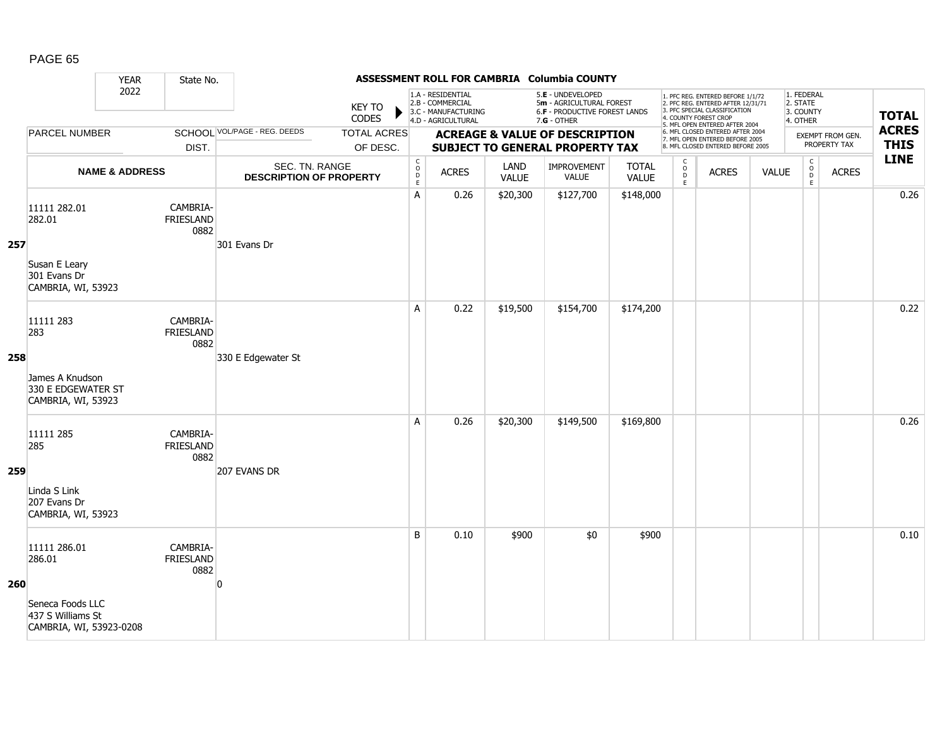|     |                                                                                            | <b>YEAR</b>               | State No.                            |                                                  |                                |                                        |                                                                                    |                      | ASSESSMENT ROLL FOR CAMBRIA Columbia COUNTY                                                     |                              |                                                    |                                                                                                                                                                     |              |                                                 |                                  |                             |
|-----|--------------------------------------------------------------------------------------------|---------------------------|--------------------------------------|--------------------------------------------------|--------------------------------|----------------------------------------|------------------------------------------------------------------------------------|----------------------|-------------------------------------------------------------------------------------------------|------------------------------|----------------------------------------------------|---------------------------------------------------------------------------------------------------------------------------------------------------------------------|--------------|-------------------------------------------------|----------------------------------|-----------------------------|
|     |                                                                                            | 2022                      |                                      |                                                  | <b>KEY TO</b><br>CODES         |                                        | 1.A - RESIDENTIAL<br>2.B - COMMERCIAL<br>3.C - MANUFACTURING<br>4.D - AGRICULTURAL |                      | 5.E - UNDEVELOPED<br>5m - AGRICULTURAL FOREST<br>6.F - PRODUCTIVE FOREST LANDS<br>$7.G - OTHER$ |                              |                                                    | 1. PFC REG. ENTERED BEFORE 1/1/72<br>2. PFC REG. ENTERED AFTER 12/31/71<br>3. PFC SPECIAL CLASSIFICATION<br>4. COUNTY FOREST CROP<br>5. MFL OPEN ENTERED AFTER 2004 |              | 1. FEDERAL<br>2. STATE<br>3. COUNTY<br>4. OTHER |                                  | <b>TOTAL</b>                |
|     | <b>PARCEL NUMBER</b>                                                                       |                           | DIST.                                | <b>SCHOOL VOL/PAGE - REG. DEEDS</b>              | <b>TOTAL ACRES</b><br>OF DESC. |                                        |                                                                                    |                      | <b>ACREAGE &amp; VALUE OF DESCRIPTION</b><br><b>SUBJECT TO GENERAL PROPERTY TAX</b>             |                              |                                                    | 6. MFL CLOSED ENTERED AFTER 2004<br>7. MFL OPEN ENTERED BEFORE 2005<br>8. MFL CLOSED ENTERED BEFORE 2005                                                            |              |                                                 | EXEMPT FROM GEN.<br>PROPERTY TAX | <b>ACRES</b><br><b>THIS</b> |
|     |                                                                                            | <b>NAME &amp; ADDRESS</b> |                                      | SEC. TN. RANGE<br><b>DESCRIPTION OF PROPERTY</b> |                                | C<br>$_{\rm D}^{\rm O}$<br>$\mathsf E$ | <b>ACRES</b>                                                                       | LAND<br><b>VALUE</b> | <b>IMPROVEMENT</b><br><b>VALUE</b>                                                              | <b>TOTAL</b><br><b>VALUE</b> | $\mathsf{C}$<br>$_{\rm D}^{\rm O}$<br>$\mathsf{E}$ | <b>ACRES</b>                                                                                                                                                        | <b>VALUE</b> | $\mathsf C$<br>$_{\rm D}^{\rm O}$<br>E          | <b>ACRES</b>                     | <b>LINE</b>                 |
| 257 | 11111 282.01<br>282.01<br>Susan E Leary<br>301 Evans Dr<br>CAMBRIA, WI, 53923              |                           | CAMBRIA-<br>FRIESLAND<br>0882        | 301 Evans Dr                                     |                                | A                                      | 0.26                                                                               | \$20,300             | \$127,700                                                                                       | \$148,000                    |                                                    |                                                                                                                                                                     |              |                                                 |                                  | 0.26                        |
| 258 | 11111 283<br>283<br>James A Knudson<br>330 E EDGEWATER ST<br>CAMBRIA, WI, 53923            |                           | CAMBRIA-<br><b>FRIESLAND</b><br>0882 | 330 E Edgewater St                               |                                | A                                      | 0.22                                                                               | \$19,500             | \$154,700                                                                                       | \$174,200                    |                                                    |                                                                                                                                                                     |              |                                                 |                                  | 0.22                        |
| 259 | 11111 285<br>285<br>Linda S Link<br>207 Evans Dr<br>CAMBRIA, WI, 53923                     |                           | CAMBRIA-<br>FRIESLAND<br>0882        | 207 EVANS DR                                     |                                | A                                      | 0.26                                                                               | \$20,300             | \$149,500                                                                                       | \$169,800                    |                                                    |                                                                                                                                                                     |              |                                                 |                                  | 0.26                        |
| 260 | 11111 286.01<br>286.01<br>Seneca Foods LLC<br>437 S Williams St<br>CAMBRIA, WI, 53923-0208 |                           | CAMBRIA-<br><b>FRIESLAND</b><br>0882 | O                                                |                                | B                                      | 0.10                                                                               | \$900                | \$0                                                                                             | \$900                        |                                                    |                                                                                                                                                                     |              |                                                 |                                  | 0.10                        |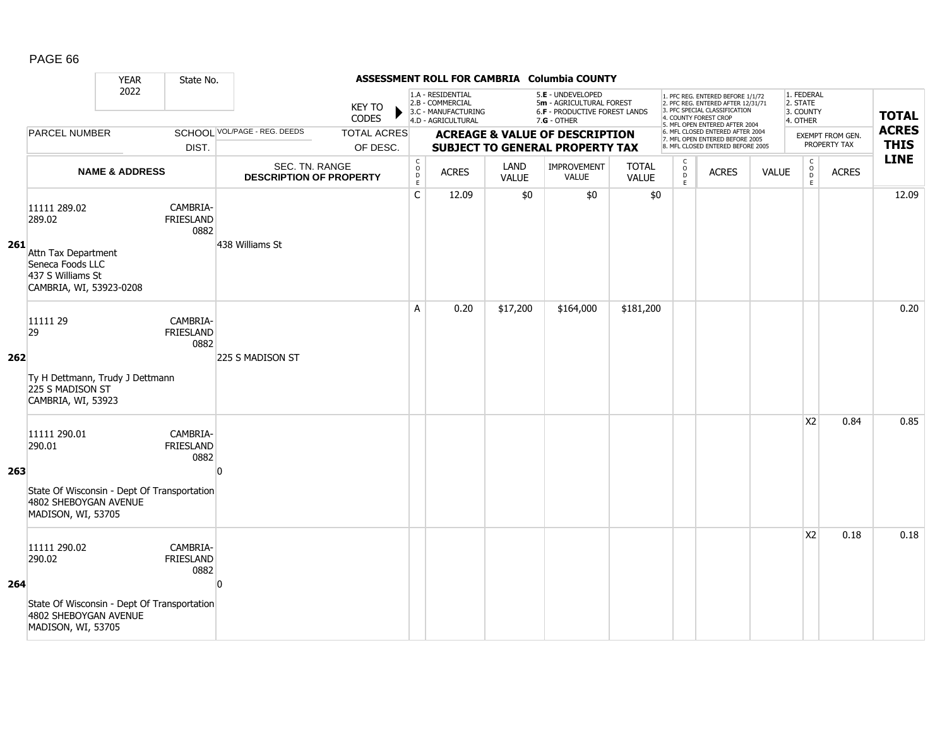|     |                                                                                                                      | <b>YEAR</b>               | State No.                            |                                                  |                                |                                                          |                                                                                    |                      | ASSESSMENT ROLL FOR CAMBRIA Columbia COUNTY                                                     |                              |                                         |                                                                                                                                                                     |              |                                                 |                                  |                             |
|-----|----------------------------------------------------------------------------------------------------------------------|---------------------------|--------------------------------------|--------------------------------------------------|--------------------------------|----------------------------------------------------------|------------------------------------------------------------------------------------|----------------------|-------------------------------------------------------------------------------------------------|------------------------------|-----------------------------------------|---------------------------------------------------------------------------------------------------------------------------------------------------------------------|--------------|-------------------------------------------------|----------------------------------|-----------------------------|
|     |                                                                                                                      | 2022                      |                                      |                                                  | <b>KEY TO</b><br>CODES         |                                                          | 1.A - RESIDENTIAL<br>2.B - COMMERCIAL<br>3.C - MANUFACTURING<br>4.D - AGRICULTURAL |                      | 5.E - UNDEVELOPED<br>5m - AGRICULTURAL FOREST<br>6.F - PRODUCTIVE FOREST LANDS<br>$7.G - OTHER$ |                              |                                         | 1. PFC REG. ENTERED BEFORE 1/1/72<br>2. PFC REG. ENTERED AFTER 12/31/71<br>3. PFC SPECIAL CLASSIFICATION<br>4. COUNTY FOREST CROP<br>5. MFL OPEN ENTERED AFTER 2004 |              | 1. FEDERAL<br>2. STATE<br>3. COUNTY<br>4. OTHER |                                  | <b>TOTAL</b>                |
|     | <b>PARCEL NUMBER</b>                                                                                                 |                           | DIST.                                | SCHOOL VOL/PAGE - REG. DEEDS                     | <b>TOTAL ACRES</b><br>OF DESC. |                                                          |                                                                                    |                      | <b>ACREAGE &amp; VALUE OF DESCRIPTION</b><br><b>SUBJECT TO GENERAL PROPERTY TAX</b>             |                              |                                         | 6. MFL CLOSED ENTERED AFTER 2004<br>7. MFL OPEN ENTERED BEFORE 2005<br>8. MFL CLOSED ENTERED BEFORE 2005                                                            |              |                                                 | EXEMPT FROM GEN.<br>PROPERTY TAX | <b>ACRES</b><br><b>THIS</b> |
|     |                                                                                                                      | <b>NAME &amp; ADDRESS</b> |                                      | SEC. TN. RANGE<br><b>DESCRIPTION OF PROPERTY</b> |                                | $\begin{matrix} 0 \\ 0 \\ D \end{matrix}$<br>$\mathsf E$ | <b>ACRES</b>                                                                       | LAND<br><b>VALUE</b> | <b>IMPROVEMENT</b><br><b>VALUE</b>                                                              | <b>TOTAL</b><br><b>VALUE</b> | $\mathsf{C}$<br>$_{\rm D}^{\rm O}$<br>E | <b>ACRES</b>                                                                                                                                                        | <b>VALUE</b> | $\mathsf C$<br>$_{\rm D}^{\rm O}$<br>E          | <b>ACRES</b>                     | <b>LINE</b>                 |
| 261 | 11111 289.02<br>289.02<br>Attn Tax Department<br>Seneca Foods LLC<br>437 S Williams St<br>CAMBRIA, WI, 53923-0208    |                           | CAMBRIA-<br><b>FRIESLAND</b><br>0882 | 438 Williams St                                  |                                | $\mathsf C$                                              | 12.09                                                                              | \$0                  | \$0                                                                                             | \$0                          |                                         |                                                                                                                                                                     |              |                                                 |                                  | 12.09                       |
| 262 | 11111 29<br>29<br>Ty H Dettmann, Trudy J Dettmann<br>225 S MADISON ST<br>CAMBRIA, WI, 53923                          |                           | CAMBRIA-<br><b>FRIESLAND</b><br>0882 | 225 S MADISON ST                                 |                                | A                                                        | 0.20                                                                               | \$17,200             | \$164,000                                                                                       | \$181,200                    |                                         |                                                                                                                                                                     |              |                                                 |                                  | 0.20                        |
| 263 | 11111 290.01<br>290.01<br>State Of Wisconsin - Dept Of Transportation<br>4802 SHEBOYGAN AVENUE<br>MADISON, WI, 53705 |                           | CAMBRIA-<br>FRIESLAND<br>0882        | $\Omega$                                         |                                |                                                          |                                                                                    |                      |                                                                                                 |                              |                                         |                                                                                                                                                                     |              | X <sub>2</sub>                                  | 0.84                             | 0.85                        |
| 264 | 11111 290.02<br>290.02<br>State Of Wisconsin - Dept Of Transportation<br>4802 SHEBOYGAN AVENUE<br>MADISON, WI, 53705 |                           | CAMBRIA-<br><b>FRIESLAND</b><br>0882 | $\overline{0}$                                   |                                |                                                          |                                                                                    |                      |                                                                                                 |                              |                                         |                                                                                                                                                                     |              | X <sub>2</sub>                                  | 0.18                             | 0.18                        |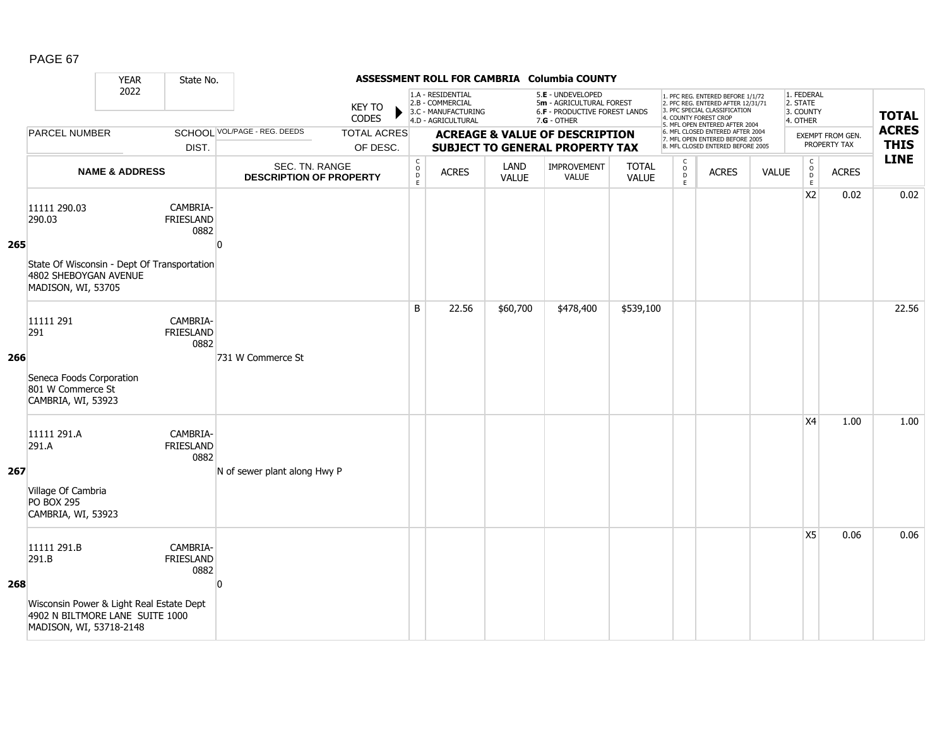|     |                                                                                                                                | <b>YEAR</b>               | State No.                            |                                                  |                                |                                                                                    |              |                                                                                                 | ASSESSMENT ROLL FOR CAMBRIA Columbia COUNTY                                         |                       |                                                                                                                                                                     |                                                                                                          |                                                 |                                                        |                                  |                             |
|-----|--------------------------------------------------------------------------------------------------------------------------------|---------------------------|--------------------------------------|--------------------------------------------------|--------------------------------|------------------------------------------------------------------------------------|--------------|-------------------------------------------------------------------------------------------------|-------------------------------------------------------------------------------------|-----------------------|---------------------------------------------------------------------------------------------------------------------------------------------------------------------|----------------------------------------------------------------------------------------------------------|-------------------------------------------------|--------------------------------------------------------|----------------------------------|-----------------------------|
|     | 2022<br><b>PARCEL NUMBER</b>                                                                                                   |                           |                                      | <b>KEY TO</b><br>CODES                           |                                | 1.A - RESIDENTIAL<br>2.B - COMMERCIAL<br>3.C - MANUFACTURING<br>4.D - AGRICULTURAL |              | 5.E - UNDEVELOPED<br>5m - AGRICULTURAL FOREST<br>6.F - PRODUCTIVE FOREST LANDS<br>$7.G - OTHER$ |                                                                                     |                       | 1. PFC REG. ENTERED BEFORE 1/1/72<br>2. PFC REG. ENTERED AFTER 12/31/71<br>3. PFC SPECIAL CLASSIFICATION<br>4. COUNTY FOREST CROP<br>5. MFL OPEN ENTERED AFTER 2004 |                                                                                                          | 1. FEDERAL<br>2. STATE<br>3. COUNTY<br>4. OTHER |                                                        | <b>TOTAL</b>                     |                             |
|     |                                                                                                                                |                           | DIST.                                | <b>SCHOOL VOL/PAGE - REG. DEEDS</b>              | <b>TOTAL ACRES</b><br>OF DESC. |                                                                                    |              |                                                                                                 | <b>ACREAGE &amp; VALUE OF DESCRIPTION</b><br><b>SUBJECT TO GENERAL PROPERTY TAX</b> |                       |                                                                                                                                                                     | 6. MFL CLOSED ENTERED AFTER 2004<br>7. MFL OPEN ENTERED BEFORE 2005<br>8. MFL CLOSED ENTERED BEFORE 2005 |                                                 |                                                        | EXEMPT FROM GEN.<br>PROPERTY TAX | <b>ACRES</b><br><b>THIS</b> |
|     |                                                                                                                                | <b>NAME &amp; ADDRESS</b> |                                      | SEC. TN. RANGE<br><b>DESCRIPTION OF PROPERTY</b> |                                | $\begin{matrix} 0 \\ 0 \\ D \end{matrix}$<br>$\mathsf E$                           | <b>ACRES</b> | LAND<br><b>VALUE</b>                                                                            | IMPROVEMENT<br><b>VALUE</b>                                                         | <b>TOTAL</b><br>VALUE | $\mathsf{C}$<br>$_{\rm D}^{\rm O}$<br>$\mathsf E$                                                                                                                   | <b>ACRES</b>                                                                                             | <b>VALUE</b>                                    | $\mathsf C$<br>$_\mathrm{D}^\mathrm{O}$<br>$\mathsf E$ | <b>ACRES</b>                     | <b>LINE</b>                 |
| 265 | 11111 290.03<br>290.03<br>State Of Wisconsin - Dept Of Transportation<br>4802 SHEBOYGAN AVENUE<br>MADISON, WI, 53705           |                           | CAMBRIA-<br><b>FRIESLAND</b><br>0882 | $\Omega$                                         |                                |                                                                                    |              |                                                                                                 |                                                                                     |                       |                                                                                                                                                                     |                                                                                                          |                                                 | X <sub>2</sub>                                         | 0.02                             | 0.02                        |
| 266 | 11111 291<br>291<br>Seneca Foods Corporation<br>801 W Commerce St<br>CAMBRIA, WI, 53923                                        |                           | CAMBRIA-<br><b>FRIESLAND</b><br>0882 | 731 W Commerce St                                |                                | B                                                                                  | 22.56        | \$60,700                                                                                        | \$478,400                                                                           | \$539,100             |                                                                                                                                                                     |                                                                                                          |                                                 |                                                        |                                  | 22.56                       |
| 267 | 11111 291.A<br>291.A<br>Village Of Cambria<br><b>PO BOX 295</b><br>CAMBRIA, WI, 53923                                          |                           | CAMBRIA-<br><b>FRIESLAND</b><br>0882 | N of sewer plant along Hwy P                     |                                |                                                                                    |              |                                                                                                 |                                                                                     |                       |                                                                                                                                                                     |                                                                                                          |                                                 | X <sub>4</sub>                                         | 1.00                             | 1.00                        |
| 268 | 11111 291.B<br>291.B<br>Wisconsin Power & Light Real Estate Dept<br>4902 N BILTMORE LANE SUITE 1000<br>MADISON, WI, 53718-2148 |                           | CAMBRIA-<br><b>FRIESLAND</b><br>0882 | $\overline{0}$                                   |                                |                                                                                    |              |                                                                                                 |                                                                                     |                       |                                                                                                                                                                     |                                                                                                          |                                                 | X <sub>5</sub>                                         | 0.06                             | 0.06                        |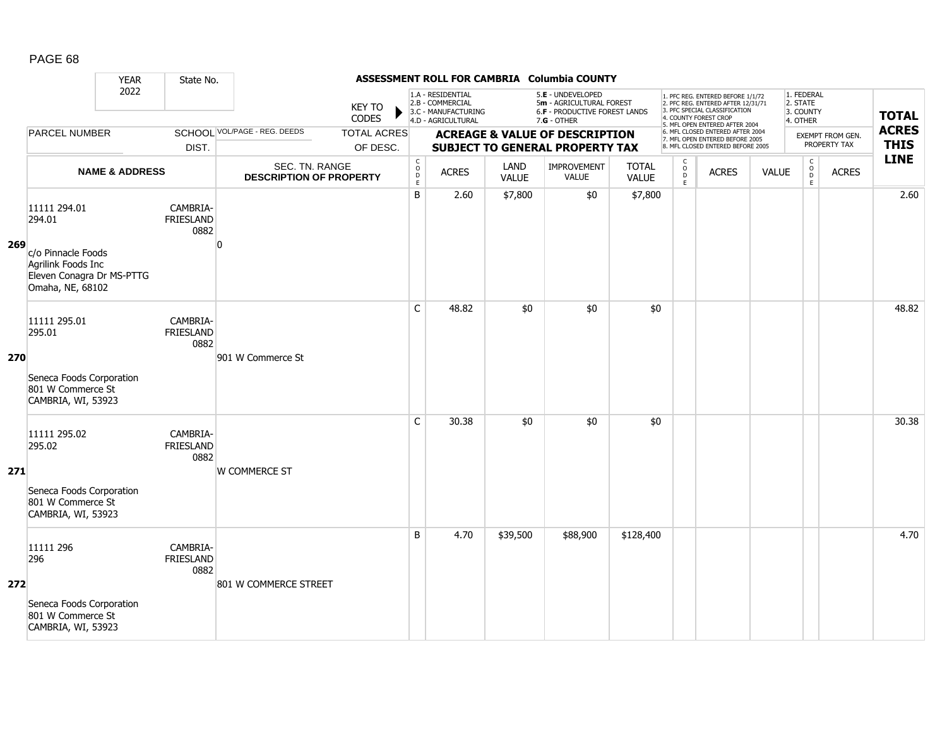|     |                                                                     | <b>YEAR</b>               | State No.                            |                                                  |                                |                                                          |                                                                                    |                      | ASSESSMENT ROLL FOR CAMBRIA Columbia COUNTY                                                     |                              |                                     |                                                                                                                                                                     |              |                                                 |                                  |                             |
|-----|---------------------------------------------------------------------|---------------------------|--------------------------------------|--------------------------------------------------|--------------------------------|----------------------------------------------------------|------------------------------------------------------------------------------------|----------------------|-------------------------------------------------------------------------------------------------|------------------------------|-------------------------------------|---------------------------------------------------------------------------------------------------------------------------------------------------------------------|--------------|-------------------------------------------------|----------------------------------|-----------------------------|
|     |                                                                     | 2022                      |                                      |                                                  | <b>KEY TO</b><br>CODES         |                                                          | 1.A - RESIDENTIAL<br>2.B - COMMERCIAL<br>3.C - MANUFACTURING<br>4.D - AGRICULTURAL |                      | 5.E - UNDEVELOPED<br>5m - AGRICULTURAL FOREST<br>6.F - PRODUCTIVE FOREST LANDS<br>$7.G - OTHER$ |                              |                                     | 1. PFC REG. ENTERED BEFORE 1/1/72<br>2. PFC REG. ENTERED AFTER 12/31/71<br>3. PFC SPECIAL CLASSIFICATION<br>4. COUNTY FOREST CROP<br>5. MFL OPEN ENTERED AFTER 2004 |              | 1. FEDERAL<br>2. STATE<br>3. COUNTY<br>4. OTHER |                                  | <b>TOTAL</b>                |
|     | <b>PARCEL NUMBER</b>                                                |                           | DIST.                                | SCHOOL VOL/PAGE - REG. DEEDS                     | <b>TOTAL ACRES</b><br>OF DESC. |                                                          |                                                                                    |                      | <b>ACREAGE &amp; VALUE OF DESCRIPTION</b><br><b>SUBJECT TO GENERAL PROPERTY TAX</b>             |                              |                                     | 6. MFL CLOSED ENTERED AFTER 2004<br>7. MFL OPEN ENTERED BEFORE 2005<br>8. MFL CLOSED ENTERED BEFORE 2005                                                            |              |                                                 | EXEMPT FROM GEN.<br>PROPERTY TAX | <b>ACRES</b><br><b>THIS</b> |
|     |                                                                     | <b>NAME &amp; ADDRESS</b> |                                      | SEC. TN. RANGE<br><b>DESCRIPTION OF PROPERTY</b> |                                | $\begin{matrix} 0 \\ 0 \\ D \end{matrix}$<br>$\mathsf E$ | <b>ACRES</b>                                                                       | LAND<br><b>VALUE</b> | IMPROVEMENT<br>VALUE                                                                            | <b>TOTAL</b><br><b>VALUE</b> | $\mathsf{C}$<br>$\int_{D}^{O}$<br>E | <b>ACRES</b>                                                                                                                                                        | <b>VALUE</b> | $\mathsf C$<br>$_{\rm D}^{\rm O}$<br>E          | <b>ACRES</b>                     | <b>LINE</b>                 |
| 269 | 11111 294.01<br>294.01<br>c/o Pinnacle Foods                        |                           | CAMBRIA-<br><b>FRIESLAND</b><br>0882 | ŋ                                                |                                | B                                                        | 2.60                                                                               | \$7,800              | \$0                                                                                             | \$7,800                      |                                     |                                                                                                                                                                     |              |                                                 |                                  | 2.60                        |
|     | Agrilink Foods Inc<br>Eleven Conagra Dr MS-PTTG<br>Omaha, NE, 68102 |                           |                                      |                                                  |                                |                                                          |                                                                                    |                      |                                                                                                 |                              |                                     |                                                                                                                                                                     |              |                                                 |                                  |                             |
| 270 | 11111 295.01<br>295.01                                              |                           | CAMBRIA-<br>FRIESLAND<br>0882        | 901 W Commerce St                                |                                | $\mathsf{C}$                                             | 48.82                                                                              | \$0                  | \$0                                                                                             | \$0                          |                                     |                                                                                                                                                                     |              |                                                 |                                  | 48.82                       |
|     | Seneca Foods Corporation<br>801 W Commerce St<br>CAMBRIA, WI, 53923 |                           |                                      |                                                  |                                |                                                          |                                                                                    |                      |                                                                                                 |                              |                                     |                                                                                                                                                                     |              |                                                 |                                  |                             |
| 271 | 11111 295.02<br>295.02                                              |                           | CAMBRIA-<br>FRIESLAND<br>0882        | <b>W COMMERCE ST</b>                             |                                | $\mathsf{C}$                                             | 30.38                                                                              | \$0                  | \$0                                                                                             | \$0                          |                                     |                                                                                                                                                                     |              |                                                 |                                  | 30.38                       |
|     | Seneca Foods Corporation<br>801 W Commerce St<br>CAMBRIA, WI, 53923 |                           |                                      |                                                  |                                |                                                          |                                                                                    |                      |                                                                                                 |                              |                                     |                                                                                                                                                                     |              |                                                 |                                  |                             |
| 272 | 11111 296<br>296                                                    |                           | CAMBRIA-<br><b>FRIESLAND</b><br>0882 | 801 W COMMERCE STREET                            |                                | B                                                        | 4.70                                                                               | \$39,500             | \$88,900                                                                                        | \$128,400                    |                                     |                                                                                                                                                                     |              |                                                 |                                  | 4.70                        |
|     | Seneca Foods Corporation<br>801 W Commerce St<br>CAMBRIA, WI, 53923 |                           |                                      |                                                  |                                |                                                          |                                                                                    |                      |                                                                                                 |                              |                                     |                                                                                                                                                                     |              |                                                 |                                  |                             |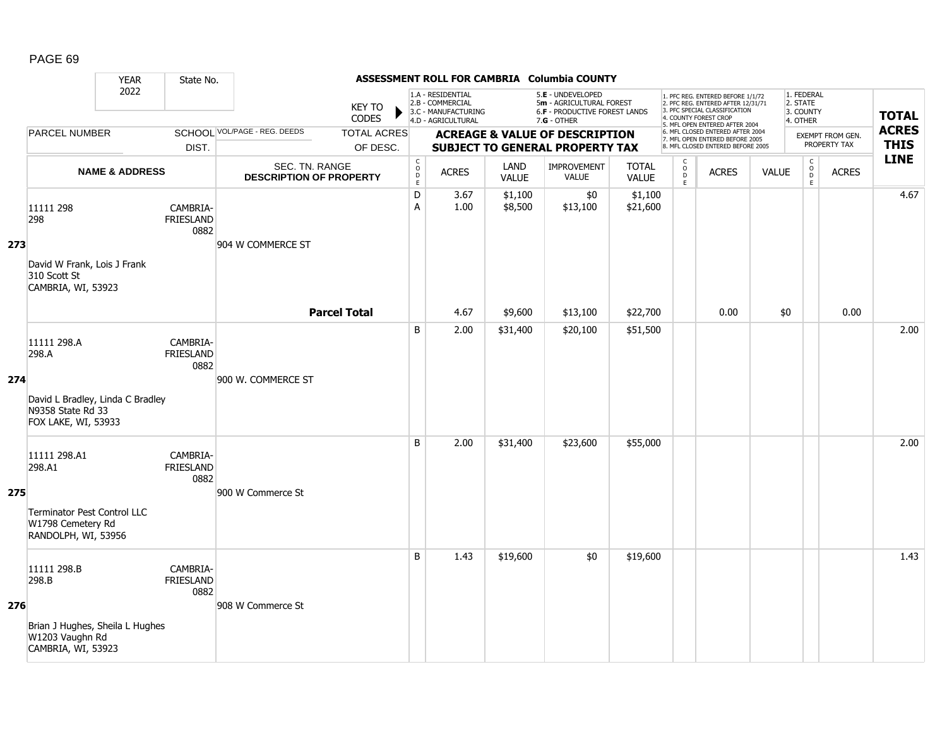|     |                                                                              | <b>YEAR</b>               | State No.                            |                                                  |                                |                                                          |                                                                                    |                      | ASSESSMENT ROLL FOR CAMBRIA Columbia COUNTY                                                     |                              |                                     |                                                                                                                                                                     |              |                                                 |                                         |                             |
|-----|------------------------------------------------------------------------------|---------------------------|--------------------------------------|--------------------------------------------------|--------------------------------|----------------------------------------------------------|------------------------------------------------------------------------------------|----------------------|-------------------------------------------------------------------------------------------------|------------------------------|-------------------------------------|---------------------------------------------------------------------------------------------------------------------------------------------------------------------|--------------|-------------------------------------------------|-----------------------------------------|-----------------------------|
|     |                                                                              | 2022                      |                                      |                                                  | KEY TO<br><b>CODES</b>         |                                                          | 1.A - RESIDENTIAL<br>2.B - COMMERCIAL<br>3.C - MANUFACTURING<br>4.D - AGRICULTURAL |                      | 5.E - UNDEVELOPED<br>5m - AGRICULTURAL FOREST<br>6.F - PRODUCTIVE FOREST LANDS<br>$7.G - OTHER$ |                              |                                     | 1. PFC REG. ENTERED BEFORE 1/1/72<br>2. PFC REG. ENTERED AFTER 12/31/71<br>3. PFC SPECIAL CLASSIFICATION<br>4. COUNTY FOREST CROP<br>5. MFL OPEN ENTERED AFTER 2004 |              | 1. FEDERAL<br>2. STATE<br>3. COUNTY<br>4. OTHER |                                         | <b>TOTAL</b>                |
|     | <b>PARCEL NUMBER</b>                                                         |                           | DIST.                                | SCHOOL VOL/PAGE - REG. DEEDS                     | <b>TOTAL ACRES</b><br>OF DESC. |                                                          |                                                                                    |                      | <b>ACREAGE &amp; VALUE OF DESCRIPTION</b><br><b>SUBJECT TO GENERAL PROPERTY TAX</b>             |                              |                                     | 6. MFL CLOSED ENTERED AFTER 2004<br>7. MFL OPEN ENTERED BEFORE 2005<br>8. MFL CLOSED ENTERED BEFORE 2005                                                            |              |                                                 | <b>EXEMPT FROM GEN.</b><br>PROPERTY TAX | <b>ACRES</b><br><b>THIS</b> |
|     |                                                                              | <b>NAME &amp; ADDRESS</b> |                                      | SEC. TN. RANGE<br><b>DESCRIPTION OF PROPERTY</b> |                                | $\begin{matrix} 0 \\ 0 \\ D \end{matrix}$<br>$\mathsf E$ | <b>ACRES</b>                                                                       | LAND<br><b>VALUE</b> | <b>IMPROVEMENT</b><br><b>VALUE</b>                                                              | <b>TOTAL</b><br><b>VALUE</b> | $\mathsf{C}$<br>$\overline{D}$<br>E | <b>ACRES</b>                                                                                                                                                        | <b>VALUE</b> | $\begin{matrix} 0 \\ 0 \\ D \end{matrix}$<br>E  | <b>ACRES</b>                            | <b>LINE</b>                 |
|     | 11111 298<br>298                                                             |                           | CAMBRIA-<br><b>FRIESLAND</b><br>0882 |                                                  |                                | D<br>A                                                   | 3.67<br>1.00                                                                       | \$1,100<br>\$8,500   | \$0<br>\$13,100                                                                                 | \$1,100<br>\$21,600          |                                     |                                                                                                                                                                     |              |                                                 |                                         | 4.67                        |
| 273 | David W Frank, Lois J Frank<br>310 Scott St<br>CAMBRIA, WI, 53923            |                           |                                      | 904 W COMMERCE ST                                |                                |                                                          |                                                                                    |                      |                                                                                                 |                              |                                     |                                                                                                                                                                     |              |                                                 |                                         |                             |
|     |                                                                              |                           |                                      |                                                  | <b>Parcel Total</b>            |                                                          | 4.67                                                                               | \$9,600              | \$13,100                                                                                        | \$22,700                     |                                     | 0.00                                                                                                                                                                | \$0          |                                                 | 0.00                                    |                             |
|     | 11111 298.A<br>298.A                                                         |                           | CAMBRIA-<br>FRIESLAND<br>0882        |                                                  |                                | B                                                        | 2.00                                                                               | \$31,400             | \$20,100                                                                                        | \$51,500                     |                                     |                                                                                                                                                                     |              |                                                 |                                         | 2.00                        |
| 274 | David L Bradley, Linda C Bradley<br>N9358 State Rd 33<br>FOX LAKE, WI, 53933 |                           |                                      | 900 W. COMMERCE ST                               |                                |                                                          |                                                                                    |                      |                                                                                                 |                              |                                     |                                                                                                                                                                     |              |                                                 |                                         |                             |
| 275 | 11111 298.A1<br>298.A1                                                       |                           | CAMBRIA-<br><b>FRIESLAND</b><br>0882 | 900 W Commerce St                                |                                | B                                                        | 2.00                                                                               | \$31,400             | \$23,600                                                                                        | \$55,000                     |                                     |                                                                                                                                                                     |              |                                                 |                                         | 2.00                        |
|     | Terminator Pest Control LLC<br>W1798 Cemetery Rd<br>RANDOLPH, WI, 53956      |                           |                                      |                                                  |                                |                                                          |                                                                                    |                      |                                                                                                 |                              |                                     |                                                                                                                                                                     |              |                                                 |                                         |                             |
|     | 11111 298.B<br>298.B                                                         |                           | CAMBRIA-<br>FRIESLAND<br>0882        |                                                  |                                | B                                                        | 1.43                                                                               | \$19,600             | \$0                                                                                             | \$19,600                     |                                     |                                                                                                                                                                     |              |                                                 |                                         | 1.43                        |
| 276 | Brian J Hughes, Sheila L Hughes<br>W1203 Vaughn Rd<br>CAMBRIA, WI, 53923     |                           |                                      | 908 W Commerce St                                |                                |                                                          |                                                                                    |                      |                                                                                                 |                              |                                     |                                                                                                                                                                     |              |                                                 |                                         |                             |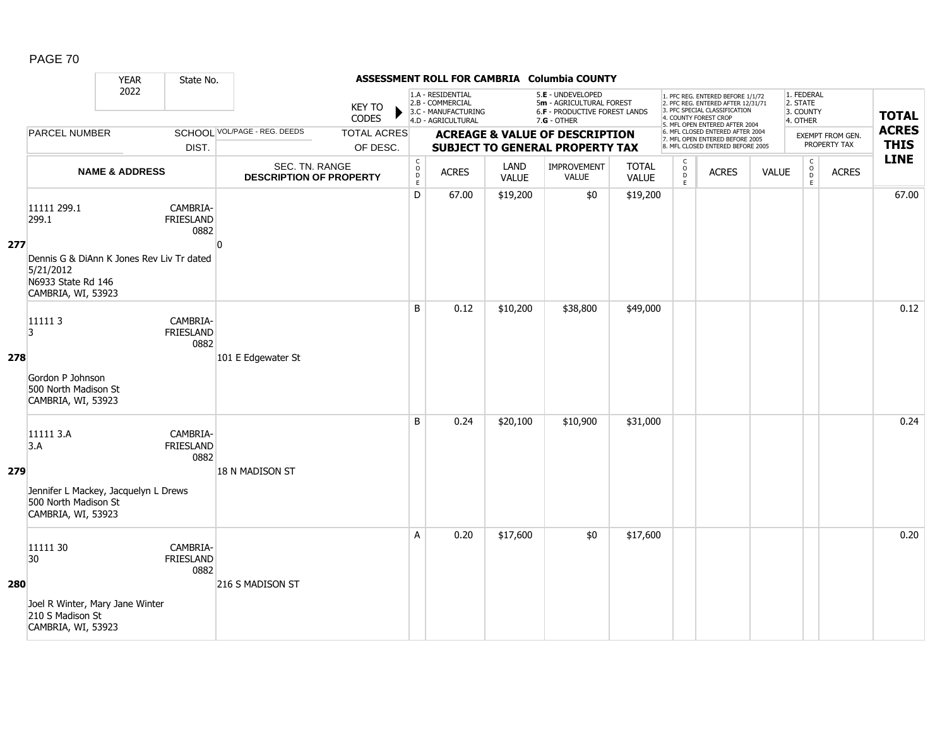|     |                                                                                | <b>YEAR</b>               | State No.                            |                                                  |                                |                                                      |                                                                                    |                      | ASSESSMENT ROLL FOR CAMBRIA Columbia COUNTY                                                     |                              |                        |                                                                                                                                                                     |              |                                                    |                                  |                             |
|-----|--------------------------------------------------------------------------------|---------------------------|--------------------------------------|--------------------------------------------------|--------------------------------|------------------------------------------------------|------------------------------------------------------------------------------------|----------------------|-------------------------------------------------------------------------------------------------|------------------------------|------------------------|---------------------------------------------------------------------------------------------------------------------------------------------------------------------|--------------|----------------------------------------------------|----------------------------------|-----------------------------|
|     |                                                                                | 2022                      |                                      |                                                  | <b>KEY TO</b><br>CODES         |                                                      | 1.A - RESIDENTIAL<br>2.B - COMMERCIAL<br>3.C - MANUFACTURING<br>4.D - AGRICULTURAL |                      | 5.E - UNDEVELOPED<br>5m - AGRICULTURAL FOREST<br>6.F - PRODUCTIVE FOREST LANDS<br>$7.G - OTHER$ |                              |                        | 1. PFC REG. ENTERED BEFORE 1/1/72<br>2. PFC REG. ENTERED AFTER 12/31/71<br>3. PFC SPECIAL CLASSIFICATION<br>4. COUNTY FOREST CROP<br>5. MFL OPEN ENTERED AFTER 2004 |              | 1. FEDERAL<br>2. STATE<br>3. COUNTY<br>4. OTHER    |                                  | <b>TOTAL</b>                |
|     | <b>PARCEL NUMBER</b>                                                           |                           | DIST.                                | SCHOOL VOL/PAGE - REG. DEEDS                     | <b>TOTAL ACRES</b><br>OF DESC. |                                                      |                                                                                    |                      | <b>ACREAGE &amp; VALUE OF DESCRIPTION</b><br><b>SUBJECT TO GENERAL PROPERTY TAX</b>             |                              |                        | 6. MFL CLOSED ENTERED AFTER 2004<br>7. MFL OPEN ENTERED BEFORE 2005<br>8. MFL CLOSED ENTERED BEFORE 2005                                                            |              |                                                    | EXEMPT FROM GEN.<br>PROPERTY TAX | <b>ACRES</b><br><b>THIS</b> |
|     |                                                                                | <b>NAME &amp; ADDRESS</b> |                                      | SEC. TN. RANGE<br><b>DESCRIPTION OF PROPERTY</b> |                                | $\mathsf{C}$<br>$\circ$<br>$\mathsf{D}_{\mathsf{E}}$ | <b>ACRES</b>                                                                       | LAND<br><b>VALUE</b> | <b>IMPROVEMENT</b><br>VALUE                                                                     | <b>TOTAL</b><br><b>VALUE</b> | C<br>$\circ$<br>D<br>E | <b>ACRES</b>                                                                                                                                                        | <b>VALUE</b> | $\mathsf{C}$<br>$\overset{\circ}{\mathsf{D}}$<br>E | <b>ACRES</b>                     | <b>LINE</b>                 |
| 277 | 11111 299.1<br>299.1<br>Dennis G & DiAnn K Jones Rev Liv Tr dated<br>5/21/2012 |                           | CAMBRIA-<br><b>FRIESLAND</b><br>0882 | ŋ                                                |                                | D                                                    | 67.00                                                                              | \$19,200             | \$0                                                                                             | \$19,200                     |                        |                                                                                                                                                                     |              |                                                    |                                  | 67.00                       |
|     | N6933 State Rd 146<br>CAMBRIA, WI, 53923<br>111113<br>3                        |                           | CAMBRIA-<br><b>FRIESLAND</b>         |                                                  |                                | B                                                    | 0.12                                                                               | \$10,200             | \$38,800                                                                                        | \$49,000                     |                        |                                                                                                                                                                     |              |                                                    |                                  | 0.12                        |
| 278 | Gordon P Johnson<br>500 North Madison St<br>CAMBRIA, WI, 53923                 |                           | 0882                                 | 101 E Edgewater St                               |                                |                                                      |                                                                                    |                      |                                                                                                 |                              |                        |                                                                                                                                                                     |              |                                                    |                                  |                             |
| 279 | 11111 3.A<br>3.A<br>Jennifer L Mackey, Jacquelyn L Drews                       |                           | CAMBRIA-<br>FRIESLAND<br>0882        | 18 N MADISON ST                                  |                                | B                                                    | 0.24                                                                               | \$20,100             | \$10,900                                                                                        | \$31,000                     |                        |                                                                                                                                                                     |              |                                                    |                                  | 0.24                        |
| 280 | 500 North Madison St<br>CAMBRIA, WI, 53923<br>11111 30<br>30                   |                           | CAMBRIA-<br>FRIESLAND<br>0882        | 216 S MADISON ST                                 |                                | A                                                    | 0.20                                                                               | \$17,600             | \$0                                                                                             | \$17,600                     |                        |                                                                                                                                                                     |              |                                                    |                                  | 0.20                        |
|     | Joel R Winter, Mary Jane Winter<br>210 S Madison St<br>CAMBRIA, WI, 53923      |                           |                                      |                                                  |                                |                                                      |                                                                                    |                      |                                                                                                 |                              |                        |                                                                                                                                                                     |              |                                                    |                                  |                             |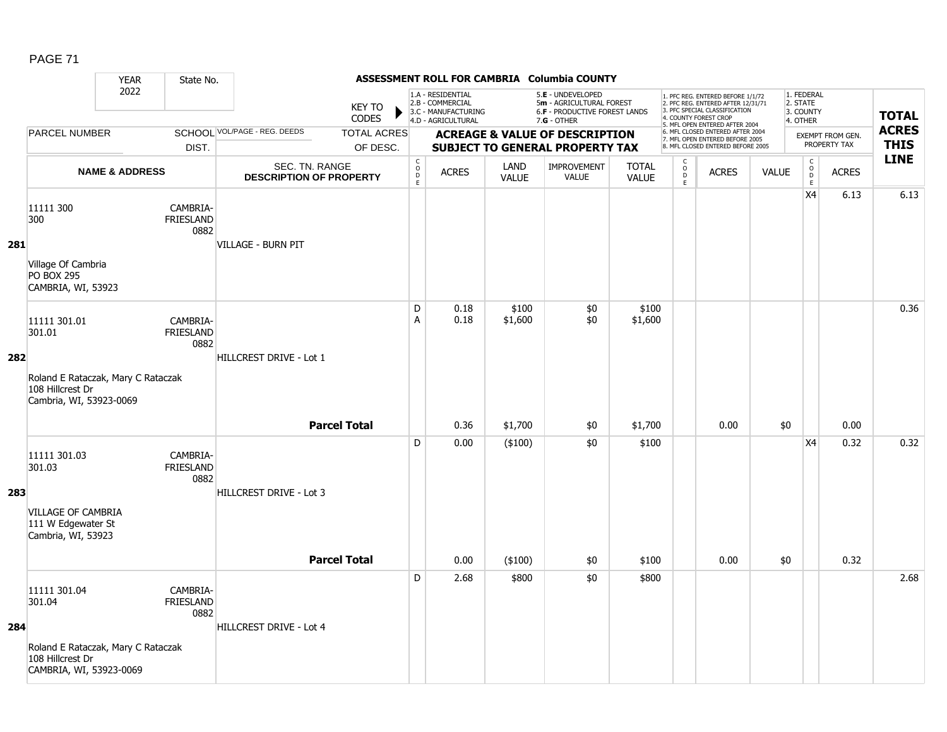|     |                                                                                                             | <b>YEAR</b>               | State No.                            |                                                  |                               |                                     |                                                                                    |                      | ASSESSMENT ROLL FOR CAMBRIA Columbia COUNTY                                                     |                              |                                                |                                                                                                                                                                     |       |                                                 |                         |                            |
|-----|-------------------------------------------------------------------------------------------------------------|---------------------------|--------------------------------------|--------------------------------------------------|-------------------------------|-------------------------------------|------------------------------------------------------------------------------------|----------------------|-------------------------------------------------------------------------------------------------|------------------------------|------------------------------------------------|---------------------------------------------------------------------------------------------------------------------------------------------------------------------|-------|-------------------------------------------------|-------------------------|----------------------------|
|     |                                                                                                             | 2022                      |                                      |                                                  | <b>KEY TO</b><br><b>CODES</b> |                                     | 1.A - RESIDENTIAL<br>2.B - COMMERCIAL<br>3.C - MANUFACTURING<br>4.D - AGRICULTURAL |                      | 5.E - UNDEVELOPED<br>5m - AGRICULTURAL FOREST<br>6.F - PRODUCTIVE FOREST LANDS<br>$7.G - OTHER$ |                              |                                                | 1. PFC REG. ENTERED BEFORE 1/1/72<br>2. PFC REG. ENTERED AFTER 12/31/71<br>3. PFC SPECIAL CLASSIFICATION<br>4. COUNTY FOREST CROP<br>5. MFL OPEN ENTERED AFTER 2004 |       | 1. FEDERAL<br>2. STATE<br>3. COUNTY<br>4. OTHER |                         | <b>TOTAL</b>               |
|     | <b>PARCEL NUMBER</b>                                                                                        |                           |                                      | SCHOOL VOL/PAGE - REG. DEEDS                     | <b>TOTAL ACRES</b>            |                                     |                                                                                    |                      | <b>ACREAGE &amp; VALUE OF DESCRIPTION</b>                                                       |                              |                                                | 6. MFL CLOSED ENTERED AFTER 2004<br>7. MFL OPEN ENTERED BEFORE 2005                                                                                                 |       |                                                 | <b>EXEMPT FROM GEN.</b> | <b>ACRES</b>               |
|     |                                                                                                             |                           | DIST.                                |                                                  | OF DESC.                      |                                     |                                                                                    |                      | <b>SUBJECT TO GENERAL PROPERTY TAX</b>                                                          |                              |                                                | 8. MFL CLOSED ENTERED BEFORE 2005                                                                                                                                   |       |                                                 | PROPERTY TAX            | <b>THIS</b><br><b>LINE</b> |
|     |                                                                                                             | <b>NAME &amp; ADDRESS</b> |                                      | SEC. TN. RANGE<br><b>DESCRIPTION OF PROPERTY</b> |                               | $\mathsf{C}$<br>$\overline{D}$<br>E | <b>ACRES</b>                                                                       | LAND<br><b>VALUE</b> | <b>IMPROVEMENT</b><br><b>VALUE</b>                                                              | <b>TOTAL</b><br><b>VALUE</b> | $\begin{matrix} 0 \\ 0 \\ D \end{matrix}$<br>E | <b>ACRES</b>                                                                                                                                                        | VALUE | $\mathsf{C}$<br>$_\mathrm{D}^\mathrm{O}$<br>E   | <b>ACRES</b>            |                            |
| 281 | 11111 300<br>300                                                                                            |                           | CAMBRIA-<br><b>FRIESLAND</b><br>0882 | VILLAGE - BURN PIT                               |                               |                                     |                                                                                    |                      |                                                                                                 |                              |                                                |                                                                                                                                                                     |       | X4                                              | 6.13                    | 6.13                       |
|     | Village Of Cambria<br><b>PO BOX 295</b><br>CAMBRIA, WI, 53923                                               |                           |                                      |                                                  |                               |                                     |                                                                                    |                      |                                                                                                 |                              |                                                |                                                                                                                                                                     |       |                                                 |                         |                            |
|     | 11111 301.01<br>301.01                                                                                      |                           | CAMBRIA-<br><b>FRIESLAND</b><br>0882 |                                                  |                               | D<br>A                              | 0.18<br>0.18                                                                       | \$100<br>\$1,600     | \$0<br>\$0                                                                                      | \$100<br>\$1,600             |                                                |                                                                                                                                                                     |       |                                                 |                         | 0.36                       |
| 282 | Roland E Rataczak, Mary C Rataczak<br>108 Hillcrest Dr<br>Cambria, WI, 53923-0069                           |                           |                                      | HILLCREST DRIVE - Lot 1                          |                               |                                     |                                                                                    |                      |                                                                                                 |                              |                                                |                                                                                                                                                                     |       |                                                 |                         |                            |
|     |                                                                                                             |                           |                                      |                                                  | <b>Parcel Total</b>           |                                     | 0.36                                                                               | \$1,700              | \$0                                                                                             | \$1,700                      |                                                | 0.00                                                                                                                                                                | \$0   |                                                 | 0.00                    |                            |
| 283 | 11111 301.03<br>301.03                                                                                      |                           | CAMBRIA-<br>FRIESLAND<br>0882        | HILLCREST DRIVE - Lot 3                          |                               | D                                   | 0.00                                                                               | $(*100)$             | \$0                                                                                             | \$100                        |                                                |                                                                                                                                                                     |       | X4                                              | 0.32                    | 0.32                       |
|     | <b>VILLAGE OF CAMBRIA</b><br>111 W Edgewater St<br>Cambria, WI, 53923                                       |                           |                                      |                                                  | <b>Parcel Total</b>           |                                     | 0.00                                                                               | (\$100)              | \$0                                                                                             | \$100                        |                                                | 0.00                                                                                                                                                                | \$0   |                                                 | 0.32                    |                            |
|     |                                                                                                             |                           |                                      |                                                  |                               |                                     |                                                                                    |                      |                                                                                                 |                              |                                                |                                                                                                                                                                     |       |                                                 |                         |                            |
| 284 | 11111 301.04<br>301.04<br>Roland E Rataczak, Mary C Rataczak<br>108 Hillcrest Dr<br>CAMBRIA, WI, 53923-0069 |                           | CAMBRIA-<br><b>FRIESLAND</b><br>0882 | HILLCREST DRIVE - Lot 4                          |                               | D                                   | 2.68                                                                               | \$800                | \$0                                                                                             | \$800                        |                                                |                                                                                                                                                                     |       |                                                 |                         | 2.68                       |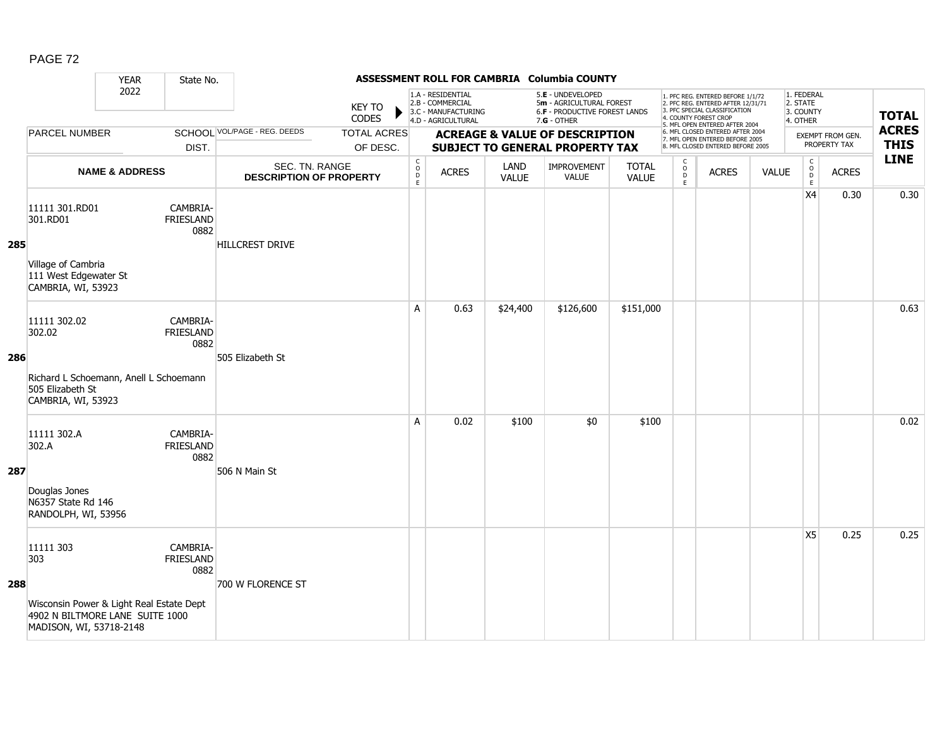|     |                                                                                                                            | <b>YEAR</b>               | State No.                            |                                                  |                                |                                                |                                                                                    |                      | ASSESSMENT ROLL FOR CAMBRIA Columbia COUNTY                                                     |                              |                                                                     |                                                                                                                                                                     |              |                                                 |                                  |                             |
|-----|----------------------------------------------------------------------------------------------------------------------------|---------------------------|--------------------------------------|--------------------------------------------------|--------------------------------|------------------------------------------------|------------------------------------------------------------------------------------|----------------------|-------------------------------------------------------------------------------------------------|------------------------------|---------------------------------------------------------------------|---------------------------------------------------------------------------------------------------------------------------------------------------------------------|--------------|-------------------------------------------------|----------------------------------|-----------------------------|
|     |                                                                                                                            | 2022                      |                                      |                                                  | <b>KEY TO</b><br>CODES         |                                                | 1.A - RESIDENTIAL<br>2.B - COMMERCIAL<br>3.C - MANUFACTURING<br>4.D - AGRICULTURAL |                      | 5.E - UNDEVELOPED<br>5m - AGRICULTURAL FOREST<br>6.F - PRODUCTIVE FOREST LANDS<br>$7.G - OTHER$ |                              |                                                                     | 1. PFC REG. ENTERED BEFORE 1/1/72<br>2. PFC REG. ENTERED AFTER 12/31/71<br>3. PFC SPECIAL CLASSIFICATION<br>4. COUNTY FOREST CROP<br>5. MFL OPEN ENTERED AFTER 2004 |              | 1. FEDERAL<br>2. STATE<br>3. COUNTY<br>4. OTHER |                                  | <b>TOTAL</b>                |
|     | <b>PARCEL NUMBER</b>                                                                                                       |                           | DIST.                                | <b>SCHOOL VOL/PAGE - REG. DEEDS</b>              | <b>TOTAL ACRES</b><br>OF DESC. |                                                |                                                                                    |                      | <b>ACREAGE &amp; VALUE OF DESCRIPTION</b><br><b>SUBJECT TO GENERAL PROPERTY TAX</b>             |                              |                                                                     | 6. MFL CLOSED ENTERED AFTER 2004<br>7. MFL OPEN ENTERED BEFORE 2005<br>8. MFL CLOSED ENTERED BEFORE 2005                                                            |              |                                                 | EXEMPT FROM GEN.<br>PROPERTY TAX | <b>ACRES</b><br><b>THIS</b> |
|     |                                                                                                                            | <b>NAME &amp; ADDRESS</b> |                                      | SEC. TN. RANGE<br><b>DESCRIPTION OF PROPERTY</b> |                                | $\begin{matrix} 0 \\ 0 \\ D \end{matrix}$<br>E | <b>ACRES</b>                                                                       | LAND<br><b>VALUE</b> | IMPROVEMENT<br><b>VALUE</b>                                                                     | <b>TOTAL</b><br><b>VALUE</b> | $\begin{smallmatrix} C \\ O \\ D \end{smallmatrix}$<br>$\mathsf{E}$ | <b>ACRES</b>                                                                                                                                                        | <b>VALUE</b> | $\begin{matrix} 0 \\ 0 \\ 0 \end{matrix}$<br>E  | <b>ACRES</b>                     | <b>LINE</b>                 |
| 285 | 11111 301.RD01<br>301.RD01<br>Village of Cambria<br>111 West Edgewater St<br>CAMBRIA, WI, 53923                            |                           | CAMBRIA-<br><b>FRIESLAND</b><br>0882 | <b>HILLCREST DRIVE</b>                           |                                |                                                |                                                                                    |                      |                                                                                                 |                              |                                                                     |                                                                                                                                                                     |              | X4                                              | 0.30                             | 0.30                        |
| 286 | 11111 302.02<br>302.02<br>Richard L Schoemann, Anell L Schoemann<br>505 Elizabeth St<br>CAMBRIA, WI, 53923                 |                           | CAMBRIA-<br><b>FRIESLAND</b><br>0882 | 505 Elizabeth St                                 |                                | $\overline{A}$                                 | 0.63                                                                               | \$24,400             | \$126,600                                                                                       | \$151,000                    |                                                                     |                                                                                                                                                                     |              |                                                 |                                  | 0.63                        |
| 287 | 11111 302.A<br>302.A<br>Douglas Jones<br>N6357 State Rd 146<br>RANDOLPH, WI, 53956                                         |                           | CAMBRIA-<br><b>FRIESLAND</b><br>0882 | 506 N Main St                                    |                                | A                                              | 0.02                                                                               | \$100                | \$0                                                                                             | \$100                        |                                                                     |                                                                                                                                                                     |              |                                                 |                                  | 0.02                        |
| 288 | 11111 303<br>303<br>Wisconsin Power & Light Real Estate Dept<br>4902 N BILTMORE LANE SUITE 1000<br>MADISON, WI, 53718-2148 |                           | CAMBRIA-<br><b>FRIESLAND</b><br>0882 | 700 W FLORENCE ST                                |                                |                                                |                                                                                    |                      |                                                                                                 |                              |                                                                     |                                                                                                                                                                     |              | X5                                              | 0.25                             | 0.25                        |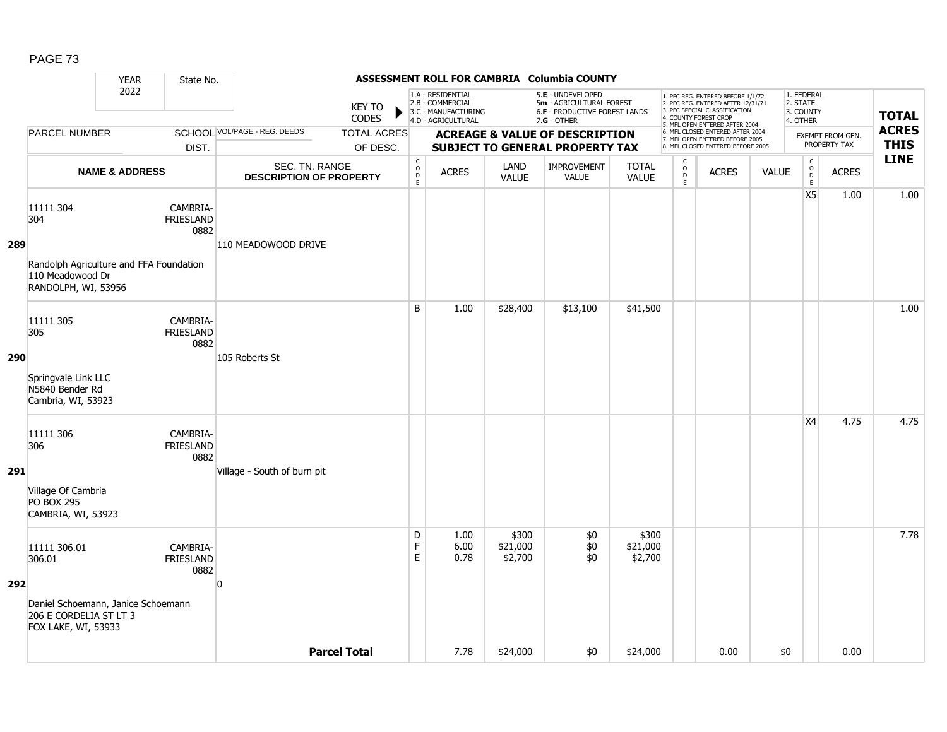|     |                                                                                     | <b>YEAR</b>               | State No.                            |                                                  |                                |                                       |                                                                                    |                              | ASSESSMENT ROLL FOR CAMBRIA Columbia COUNTY                                                     |                              |                                         |                                                                                                                                            |              |                                                   |                                         |                             |
|-----|-------------------------------------------------------------------------------------|---------------------------|--------------------------------------|--------------------------------------------------|--------------------------------|---------------------------------------|------------------------------------------------------------------------------------|------------------------------|-------------------------------------------------------------------------------------------------|------------------------------|-----------------------------------------|--------------------------------------------------------------------------------------------------------------------------------------------|--------------|---------------------------------------------------|-----------------------------------------|-----------------------------|
|     |                                                                                     | 2022                      |                                      |                                                  | <b>KEY TO</b><br><b>CODES</b>  |                                       | 1.A - RESIDENTIAL<br>2.B - COMMERCIAL<br>3.C - MANUFACTURING<br>4.D - AGRICULTURAL |                              | 5.E - UNDEVELOPED<br>5m - AGRICULTURAL FOREST<br>6.F - PRODUCTIVE FOREST LANDS<br>$7.G - OTHER$ |                              |                                         | 1. PFC REG. ENTERED BEFORE 1/1/72<br>2. PFC REG. ENTERED AFTER 12/31/71<br>3. PFC SPECIAL CLASSIFICATION<br>4. COUNTY FOREST CROP          |              | 1. FEDERAL<br>2. STATE<br>3. COUNTY<br>4. OTHER   |                                         | <b>TOTAL</b>                |
|     | PARCEL NUMBER                                                                       |                           | DIST.                                | SCHOOL VOL/PAGE - REG. DEEDS                     | <b>TOTAL ACRES</b><br>OF DESC. |                                       |                                                                                    |                              | <b>ACREAGE &amp; VALUE OF DESCRIPTION</b><br><b>SUBJECT TO GENERAL PROPERTY TAX</b>             |                              |                                         | 5. MFL OPEN ENTERED AFTER 2004<br>6. MFL CLOSED ENTERED AFTER 2004<br>7. MFL OPEN ENTERED BEFORE 2005<br>8. MFL CLOSED ENTERED BEFORE 2005 |              |                                                   | <b>EXEMPT FROM GEN.</b><br>PROPERTY TAX | <b>ACRES</b><br><b>THIS</b> |
|     |                                                                                     | <b>NAME &amp; ADDRESS</b> |                                      | SEC. TN. RANGE<br><b>DESCRIPTION OF PROPERTY</b> |                                | $\mathsf{C}$<br>$\mathsf O$<br>D<br>E | <b>ACRES</b>                                                                       | LAND<br><b>VALUE</b>         | IMPROVEMENT<br><b>VALUE</b>                                                                     | <b>TOTAL</b><br><b>VALUE</b> | $\mathsf{C}$<br>$_{\rm D}^{\rm O}$<br>E | <b>ACRES</b>                                                                                                                               | <b>VALUE</b> | $\mathsf{C}$<br>$_{\rm D}^{\rm O}$<br>$\mathsf E$ | <b>ACRES</b>                            | <b>LINE</b>                 |
| 289 | 11111 304<br>304<br>Randolph Agriculture and FFA Foundation                         |                           | CAMBRIA-<br><b>FRIESLAND</b><br>0882 | 110 MEADOWOOD DRIVE                              |                                |                                       |                                                                                    |                              |                                                                                                 |                              |                                         |                                                                                                                                            |              | X5                                                | 1.00                                    | 1.00                        |
|     | 110 Meadowood Dr<br>RANDOLPH, WI, 53956                                             |                           |                                      |                                                  |                                |                                       |                                                                                    |                              |                                                                                                 |                              |                                         |                                                                                                                                            |              |                                                   |                                         |                             |
| 290 | 11111 305<br>305                                                                    |                           | CAMBRIA-<br><b>FRIESLAND</b><br>0882 | 105 Roberts St                                   |                                | B                                     | 1.00                                                                               | \$28,400                     | \$13,100                                                                                        | \$41,500                     |                                         |                                                                                                                                            |              |                                                   |                                         | 1.00                        |
|     | Springvale Link LLC<br>N5840 Bender Rd<br>Cambria, WI, 53923                        |                           |                                      |                                                  |                                |                                       |                                                                                    |                              |                                                                                                 |                              |                                         |                                                                                                                                            |              |                                                   |                                         |                             |
| 291 | 11111 306<br>306                                                                    |                           | CAMBRIA-<br><b>FRIESLAND</b><br>0882 | Village - South of burn pit                      |                                |                                       |                                                                                    |                              |                                                                                                 |                              |                                         |                                                                                                                                            |              | X4                                                | 4.75                                    | 4.75                        |
|     | Village Of Cambria<br><b>PO BOX 295</b><br>CAMBRIA, WI, 53923                       |                           |                                      |                                                  |                                |                                       |                                                                                    |                              |                                                                                                 |                              |                                         |                                                                                                                                            |              |                                                   |                                         |                             |
|     | 11111 306.01<br>306.01                                                              |                           | CAMBRIA-<br><b>FRIESLAND</b><br>0882 |                                                  |                                | D<br>F<br>$\mathsf E$                 | 1.00<br>6.00<br>0.78                                                               | \$300<br>\$21,000<br>\$2,700 | \$0<br>\$0<br>\$0                                                                               | \$300<br>\$21,000<br>\$2,700 |                                         |                                                                                                                                            |              |                                                   |                                         | 7.78                        |
| 292 | Daniel Schoemann, Janice Schoemann<br>206 E CORDELIA ST LT 3<br>FOX LAKE, WI, 53933 |                           |                                      | $\Omega$                                         |                                |                                       |                                                                                    |                              |                                                                                                 |                              |                                         |                                                                                                                                            |              |                                                   |                                         |                             |
|     |                                                                                     |                           |                                      |                                                  | <b>Parcel Total</b>            |                                       | 7.78                                                                               | \$24,000                     | \$0                                                                                             | \$24,000                     |                                         | 0.00                                                                                                                                       | \$0          |                                                   | 0.00                                    |                             |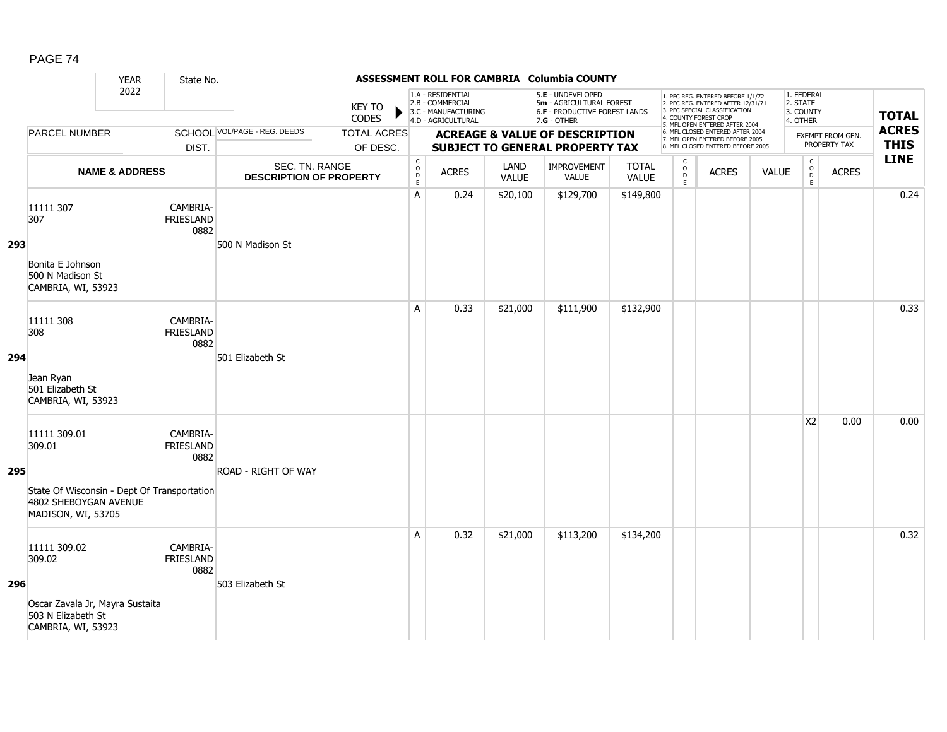|     |                                                                                                                      | <b>YEAR</b>               | State No.                            |                                                  |                                |                                                          |                                                                                    |                             | ASSESSMENT ROLL FOR CAMBRIA Columbia COUNTY                                                     |                              |                                         |                                                                                                                                                                     |              |                                                 |                                  |                             |
|-----|----------------------------------------------------------------------------------------------------------------------|---------------------------|--------------------------------------|--------------------------------------------------|--------------------------------|----------------------------------------------------------|------------------------------------------------------------------------------------|-----------------------------|-------------------------------------------------------------------------------------------------|------------------------------|-----------------------------------------|---------------------------------------------------------------------------------------------------------------------------------------------------------------------|--------------|-------------------------------------------------|----------------------------------|-----------------------------|
|     |                                                                                                                      | 2022                      |                                      |                                                  | <b>KEY TO</b><br>CODES         |                                                          | 1.A - RESIDENTIAL<br>2.B - COMMERCIAL<br>3.C - MANUFACTURING<br>4.D - AGRICULTURAL |                             | 5.E - UNDEVELOPED<br>5m - AGRICULTURAL FOREST<br>6.F - PRODUCTIVE FOREST LANDS<br>$7.G - OTHER$ |                              |                                         | 1. PFC REG. ENTERED BEFORE 1/1/72<br>2. PFC REG. ENTERED AFTER 12/31/71<br>3. PFC SPECIAL CLASSIFICATION<br>4. COUNTY FOREST CROP<br>5. MFL OPEN ENTERED AFTER 2004 |              | 1. FEDERAL<br>2. STATE<br>3. COUNTY<br>4. OTHER |                                  | <b>TOTAL</b>                |
|     | <b>PARCEL NUMBER</b>                                                                                                 |                           | DIST.                                | <b>SCHOOL VOL/PAGE - REG. DEEDS</b>              | <b>TOTAL ACRES</b><br>OF DESC. |                                                          |                                                                                    |                             | <b>ACREAGE &amp; VALUE OF DESCRIPTION</b><br><b>SUBJECT TO GENERAL PROPERTY TAX</b>             |                              |                                         | 6. MFL CLOSED ENTERED AFTER 2004<br>7. MFL OPEN ENTERED BEFORE 2005<br>8. MFL CLOSED ENTERED BEFORE 2005                                                            |              |                                                 | EXEMPT FROM GEN.<br>PROPERTY TAX | <b>ACRES</b><br><b>THIS</b> |
|     |                                                                                                                      | <b>NAME &amp; ADDRESS</b> |                                      | SEC. TN. RANGE<br><b>DESCRIPTION OF PROPERTY</b> |                                | $\mathsf{C}$<br>$\mathsf O$<br>$\mathsf{D}_{\mathsf{E}}$ | <b>ACRES</b>                                                                       | <b>LAND</b><br><b>VALUE</b> | IMPROVEMENT<br><b>VALUE</b>                                                                     | <b>TOTAL</b><br><b>VALUE</b> | $\mathsf{C}$<br>$_{\rm D}^{\rm O}$<br>E | <b>ACRES</b>                                                                                                                                                        | <b>VALUE</b> | $\mathsf C$<br>$_{\rm D}^{\rm O}$<br>E          | <b>ACRES</b>                     | <b>LINE</b>                 |
| 293 | 11111 307<br>307<br>Bonita E Johnson<br>500 N Madison St<br>CAMBRIA, WI, 53923                                       |                           | CAMBRIA-<br><b>FRIESLAND</b><br>0882 | 500 N Madison St                                 |                                | A                                                        | 0.24                                                                               | \$20,100                    | \$129,700                                                                                       | \$149,800                    |                                         |                                                                                                                                                                     |              |                                                 |                                  | 0.24                        |
| 294 | 11111 308<br>308<br>Jean Ryan<br>501 Elizabeth St<br>CAMBRIA, WI, 53923                                              |                           | CAMBRIA-<br><b>FRIESLAND</b><br>0882 | 501 Elizabeth St                                 |                                | A                                                        | 0.33                                                                               | \$21,000                    | \$111,900                                                                                       | \$132,900                    |                                         |                                                                                                                                                                     |              |                                                 |                                  | 0.33                        |
| 295 | 11111 309.01<br>309.01<br>State Of Wisconsin - Dept Of Transportation<br>4802 SHEBOYGAN AVENUE<br>MADISON, WI, 53705 |                           | CAMBRIA-<br>FRIESLAND<br>0882        | <b>ROAD - RIGHT OF WAY</b>                       |                                |                                                          |                                                                                    |                             |                                                                                                 |                              |                                         |                                                                                                                                                                     |              | X <sub>2</sub>                                  | 0.00                             | 0.00                        |
| 296 | 11111 309.02<br>309.02<br>Oscar Zavala Jr, Mayra Sustaita<br>503 N Elizabeth St<br>CAMBRIA, WI, 53923                |                           | CAMBRIA-<br><b>FRIESLAND</b><br>0882 | 503 Elizabeth St                                 |                                | A                                                        | 0.32                                                                               | \$21,000                    | \$113,200                                                                                       | \$134,200                    |                                         |                                                                                                                                                                     |              |                                                 |                                  | 0.32                        |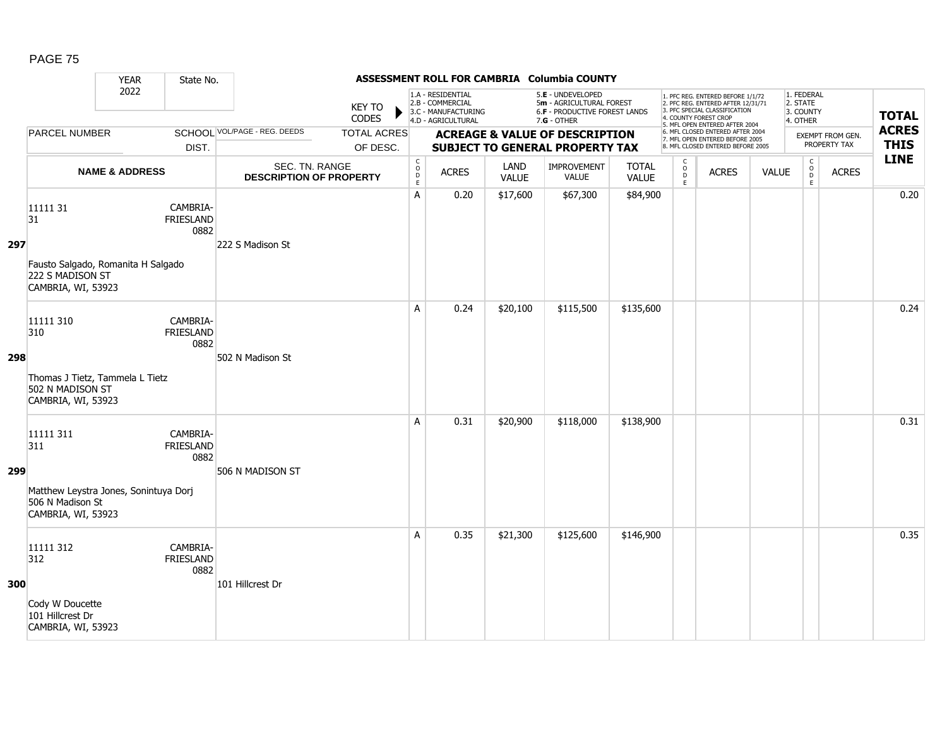|     |                                                                                                     | <b>YEAR</b>               | State No.                            |                                                  |                                |                                                           |                                                                                    |                      | ASSESSMENT ROLL FOR CAMBRIA Columbia COUNTY                                                     |                              |                                         |                                                                                                                                                                     |              |                                                 |                                  |                             |
|-----|-----------------------------------------------------------------------------------------------------|---------------------------|--------------------------------------|--------------------------------------------------|--------------------------------|-----------------------------------------------------------|------------------------------------------------------------------------------------|----------------------|-------------------------------------------------------------------------------------------------|------------------------------|-----------------------------------------|---------------------------------------------------------------------------------------------------------------------------------------------------------------------|--------------|-------------------------------------------------|----------------------------------|-----------------------------|
|     |                                                                                                     | 2022                      |                                      |                                                  | <b>KEY TO</b><br>CODES         |                                                           | 1.A - RESIDENTIAL<br>2.B - COMMERCIAL<br>3.C - MANUFACTURING<br>4.D - AGRICULTURAL |                      | 5.E - UNDEVELOPED<br>5m - AGRICULTURAL FOREST<br>6.F - PRODUCTIVE FOREST LANDS<br>$7.G - OTHER$ |                              |                                         | 1. PFC REG. ENTERED BEFORE 1/1/72<br>2. PFC REG. ENTERED AFTER 12/31/71<br>3. PFC SPECIAL CLASSIFICATION<br>4. COUNTY FOREST CROP<br>5. MFL OPEN ENTERED AFTER 2004 |              | 1. FEDERAL<br>2. STATE<br>3. COUNTY<br>4. OTHER |                                  | <b>TOTAL</b>                |
|     | <b>PARCEL NUMBER</b>                                                                                |                           | DIST.                                | <b>SCHOOL VOL/PAGE - REG. DEEDS</b>              | <b>TOTAL ACRES</b><br>OF DESC. |                                                           |                                                                                    |                      | <b>ACREAGE &amp; VALUE OF DESCRIPTION</b><br><b>SUBJECT TO GENERAL PROPERTY TAX</b>             |                              |                                         | 6. MFL CLOSED ENTERED AFTER 2004<br>7. MFL OPEN ENTERED BEFORE 2005<br>8. MFL CLOSED ENTERED BEFORE 2005                                                            |              |                                                 | EXEMPT FROM GEN.<br>PROPERTY TAX | <b>ACRES</b><br><b>THIS</b> |
|     |                                                                                                     | <b>NAME &amp; ADDRESS</b> |                                      | SEC. TN. RANGE<br><b>DESCRIPTION OF PROPERTY</b> |                                | $\mathsf{C}$<br>$\mathsf{o}$<br>$\mathsf{D}_{\mathsf{E}}$ | <b>ACRES</b>                                                                       | LAND<br><b>VALUE</b> | IMPROVEMENT<br><b>VALUE</b>                                                                     | <b>TOTAL</b><br><b>VALUE</b> | $\mathsf{C}$<br>$_{\rm D}^{\rm O}$<br>E | <b>ACRES</b>                                                                                                                                                        | <b>VALUE</b> | $\mathsf C$<br>$_{\rm D}^{\rm O}$<br>E          | <b>ACRES</b>                     | <b>LINE</b>                 |
| 297 | 11111 31<br>31<br>Fausto Salgado, Romanita H Salgado<br>222 S MADISON ST<br>CAMBRIA, WI, 53923      |                           | CAMBRIA-<br><b>FRIESLAND</b><br>0882 | 222 S Madison St                                 |                                | A                                                         | 0.20                                                                               | \$17,600             | \$67,300                                                                                        | \$84,900                     |                                         |                                                                                                                                                                     |              |                                                 |                                  | 0.20                        |
| 298 | 11111 310<br>310<br>Thomas J Tietz, Tammela L Tietz<br>502 N MADISON ST<br>CAMBRIA, WI, 53923       |                           | CAMBRIA-<br><b>FRIESLAND</b><br>0882 | 502 N Madison St                                 |                                | A                                                         | 0.24                                                                               | \$20,100             | \$115,500                                                                                       | \$135,600                    |                                         |                                                                                                                                                                     |              |                                                 |                                  | 0.24                        |
| 299 | 11111 311<br>311<br>Matthew Leystra Jones, Sonintuya Dorj<br>506 N Madison St<br>CAMBRIA, WI, 53923 |                           | CAMBRIA-<br>FRIESLAND<br>0882        | 506 N MADISON ST                                 |                                | A                                                         | 0.31                                                                               | \$20,900             | \$118,000                                                                                       | \$138,900                    |                                         |                                                                                                                                                                     |              |                                                 |                                  | 0.31                        |
| 300 | 11111 312<br>312<br>Cody W Doucette<br>101 Hillcrest Dr<br>CAMBRIA, WI, 53923                       |                           | CAMBRIA-<br>FRIESLAND<br>0882        | 101 Hillcrest Dr                                 |                                | A                                                         | 0.35                                                                               | \$21,300             | \$125,600                                                                                       | \$146,900                    |                                         |                                                                                                                                                                     |              |                                                 |                                  | 0.35                        |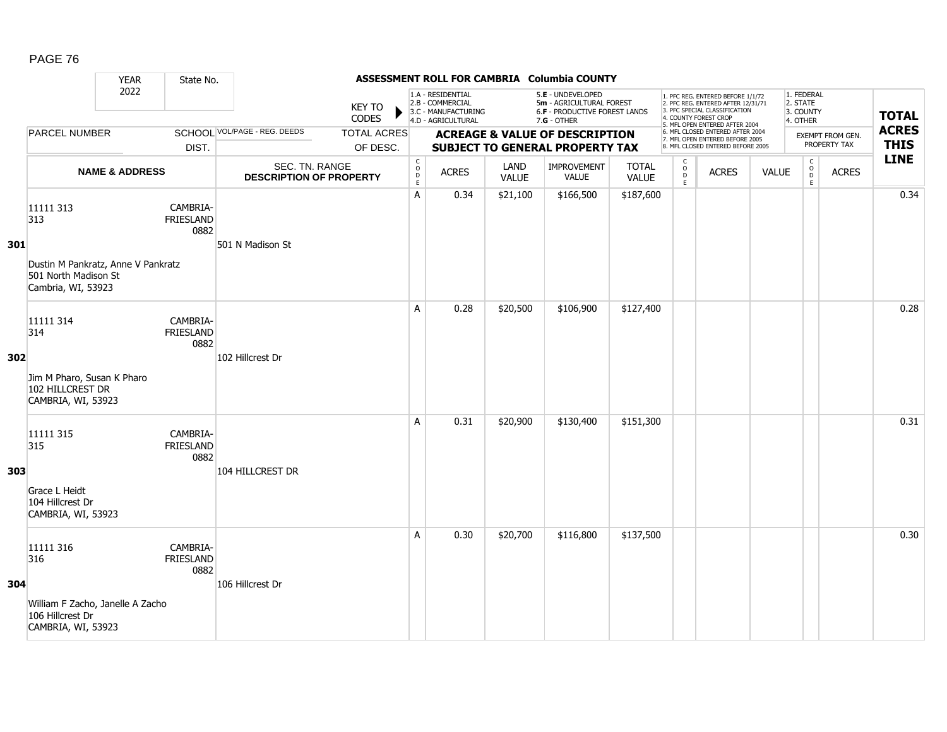|     |                                                                                                      | <b>YEAR</b>               | State No.                            |                                                  |                                |                                                          |                                                                                    |                      | ASSESSMENT ROLL FOR CAMBRIA Columbia COUNTY                                                     |                              |                                     |                                                                                                                                                                     |              |                                                 |                                  |                             |
|-----|------------------------------------------------------------------------------------------------------|---------------------------|--------------------------------------|--------------------------------------------------|--------------------------------|----------------------------------------------------------|------------------------------------------------------------------------------------|----------------------|-------------------------------------------------------------------------------------------------|------------------------------|-------------------------------------|---------------------------------------------------------------------------------------------------------------------------------------------------------------------|--------------|-------------------------------------------------|----------------------------------|-----------------------------|
|     |                                                                                                      | 2022                      |                                      |                                                  | <b>KEY TO</b><br>CODES         |                                                          | 1.A - RESIDENTIAL<br>2.B - COMMERCIAL<br>3.C - MANUFACTURING<br>4.D - AGRICULTURAL |                      | 5.E - UNDEVELOPED<br>5m - AGRICULTURAL FOREST<br>6.F - PRODUCTIVE FOREST LANDS<br>$7.G - OTHER$ |                              |                                     | 1. PFC REG. ENTERED BEFORE 1/1/72<br>2. PFC REG. ENTERED AFTER 12/31/71<br>3. PFC SPECIAL CLASSIFICATION<br>4. COUNTY FOREST CROP<br>5. MFL OPEN ENTERED AFTER 2004 |              | 1. FEDERAL<br>2. STATE<br>3. COUNTY<br>4. OTHER |                                  | <b>TOTAL</b>                |
|     | <b>PARCEL NUMBER</b>                                                                                 |                           | DIST.                                | SCHOOL VOL/PAGE - REG. DEEDS                     | <b>TOTAL ACRES</b><br>OF DESC. |                                                          |                                                                                    |                      | <b>ACREAGE &amp; VALUE OF DESCRIPTION</b><br><b>SUBJECT TO GENERAL PROPERTY TAX</b>             |                              |                                     | 6. MFL CLOSED ENTERED AFTER 2004<br>7. MFL OPEN ENTERED BEFORE 2005<br>8. MFL CLOSED ENTERED BEFORE 2005                                                            |              |                                                 | EXEMPT FROM GEN.<br>PROPERTY TAX | <b>ACRES</b><br><b>THIS</b> |
|     |                                                                                                      | <b>NAME &amp; ADDRESS</b> |                                      | SEC. TN. RANGE<br><b>DESCRIPTION OF PROPERTY</b> |                                | $\begin{matrix} 0 \\ 0 \\ D \end{matrix}$<br>$\mathsf E$ | <b>ACRES</b>                                                                       | LAND<br><b>VALUE</b> | IMPROVEMENT<br><b>VALUE</b>                                                                     | <b>TOTAL</b><br><b>VALUE</b> | $\mathsf{C}$<br>$\int_{D}^{O}$<br>E | <b>ACRES</b>                                                                                                                                                        | <b>VALUE</b> | $\mathsf C$<br>$_{\rm D}^{\rm O}$<br>E          | <b>ACRES</b>                     | <b>LINE</b>                 |
| 301 | 11111 313<br>313<br>Dustin M Pankratz, Anne V Pankratz<br>501 North Madison St<br>Cambria, WI, 53923 |                           | CAMBRIA-<br>FRIESLAND<br>0882        | 501 N Madison St                                 |                                | A                                                        | 0.34                                                                               | \$21,100             | \$166,500                                                                                       | \$187,600                    |                                     |                                                                                                                                                                     |              |                                                 |                                  | 0.34                        |
| 302 | 11111 314<br>314<br>Jim M Pharo, Susan K Pharo<br>102 HILLCREST DR<br>CAMBRIA, WI, 53923             |                           | CAMBRIA-<br><b>FRIESLAND</b><br>0882 | 102 Hillcrest Dr                                 |                                | A                                                        | 0.28                                                                               | \$20,500             | \$106,900                                                                                       | \$127,400                    |                                     |                                                                                                                                                                     |              |                                                 |                                  | 0.28                        |
| 303 | 11111 315<br>315<br>Grace L Heidt<br>104 Hillcrest Dr<br>CAMBRIA, WI, 53923                          |                           | CAMBRIA-<br><b>FRIESLAND</b><br>0882 | 104 HILLCREST DR                                 |                                | A                                                        | 0.31                                                                               | \$20,900             | \$130,400                                                                                       | \$151,300                    |                                     |                                                                                                                                                                     |              |                                                 |                                  | 0.31                        |
| 304 | 11111 316<br>316<br>William F Zacho, Janelle A Zacho<br>106 Hillcrest Dr<br>CAMBRIA, WI, 53923       |                           | CAMBRIA-<br>FRIESLAND<br>0882        | 106 Hillcrest Dr                                 |                                | A                                                        | 0.30                                                                               | \$20,700             | \$116,800                                                                                       | \$137,500                    |                                     |                                                                                                                                                                     |              |                                                 |                                  | 0.30                        |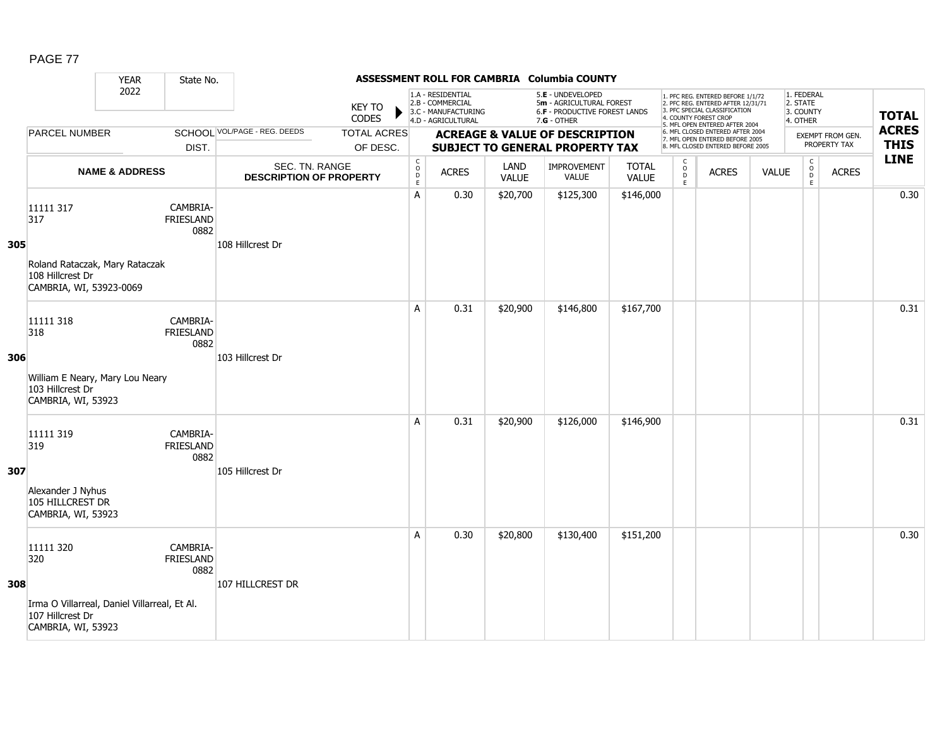| AG<br>г |  |
|---------|--|
|         |  |

|     |                                                                                                            | <b>YEAR</b>               | State No.                            |                                                  |                                |                                                      |                                                                                    |                      | ASSESSMENT ROLL FOR CAMBRIA Columbia COUNTY                                                     |                              |                          |                                                                                                                                                                     |              |                                                          |                                  |                             |
|-----|------------------------------------------------------------------------------------------------------------|---------------------------|--------------------------------------|--------------------------------------------------|--------------------------------|------------------------------------------------------|------------------------------------------------------------------------------------|----------------------|-------------------------------------------------------------------------------------------------|------------------------------|--------------------------|---------------------------------------------------------------------------------------------------------------------------------------------------------------------|--------------|----------------------------------------------------------|----------------------------------|-----------------------------|
|     |                                                                                                            | 2022                      |                                      |                                                  | <b>KEY TO</b><br><b>CODES</b>  |                                                      | 1.A - RESIDENTIAL<br>2.B - COMMERCIAL<br>3.C - MANUFACTURING<br>4.D - AGRICULTURAL |                      | 5.E - UNDEVELOPED<br>5m - AGRICULTURAL FOREST<br>6.F - PRODUCTIVE FOREST LANDS<br>$7.G - OTHER$ |                              |                          | 1. PFC REG. ENTERED BEFORE 1/1/72<br>2. PFC REG. ENTERED AFTER 12/31/71<br>3. PFC SPECIAL CLASSIFICATION<br>4. COUNTY FOREST CROP<br>5. MFL OPEN ENTERED AFTER 2004 |              | 1. FEDERAL<br>2. STATE<br>3. COUNTY<br>4. OTHER          |                                  | <b>TOTAL</b>                |
|     | <b>PARCEL NUMBER</b>                                                                                       |                           | DIST.                                | SCHOOL VOL/PAGE - REG. DEEDS                     | <b>TOTAL ACRES</b><br>OF DESC. |                                                      |                                                                                    |                      | <b>ACREAGE &amp; VALUE OF DESCRIPTION</b><br><b>SUBJECT TO GENERAL PROPERTY TAX</b>             |                              |                          | 6. MFL CLOSED ENTERED AFTER 2004<br>7. MFL OPEN ENTERED BEFORE 2005<br>8. MFL CLOSED ENTERED BEFORE 2005                                                            |              |                                                          | EXEMPT FROM GEN.<br>PROPERTY TAX | <b>ACRES</b><br><b>THIS</b> |
|     |                                                                                                            | <b>NAME &amp; ADDRESS</b> |                                      | SEC. TN. RANGE<br><b>DESCRIPTION OF PROPERTY</b> |                                | $\mathsf C$<br>$\circ$<br>$\mathsf D$<br>$\mathsf E$ | <b>ACRES</b>                                                                       | LAND<br><b>VALUE</b> | <b>IMPROVEMENT</b><br>VALUE                                                                     | <b>TOTAL</b><br><b>VALUE</b> | C<br>$\overline{D}$<br>E | <b>ACRES</b>                                                                                                                                                        | <b>VALUE</b> | $\mathsf{C}$<br>$\overset{\circ}{\phantom{\circ}}$<br>E. | <b>ACRES</b>                     | <b>LINE</b>                 |
| 305 | 11111 317<br>317<br>Roland Rataczak, Mary Rataczak<br>108 Hillcrest Dr<br>CAMBRIA, WI, 53923-0069          |                           | CAMBRIA-<br><b>FRIESLAND</b><br>0882 | 108 Hillcrest Dr                                 |                                | A                                                    | 0.30                                                                               | \$20,700             | \$125,300                                                                                       | \$146,000                    |                          |                                                                                                                                                                     |              |                                                          |                                  | 0.30                        |
| 306 | 11111 318<br>318<br>William E Neary, Mary Lou Neary<br>103 Hillcrest Dr<br>CAMBRIA, WI, 53923              |                           | CAMBRIA-<br><b>FRIESLAND</b><br>0882 | 103 Hillcrest Dr                                 |                                | A                                                    | 0.31                                                                               | \$20,900             | \$146,800                                                                                       | \$167,700                    |                          |                                                                                                                                                                     |              |                                                          |                                  | 0.31                        |
| 307 | 11111 319<br>319<br>Alexander J Nyhus<br>105 HILLCREST DR<br>CAMBRIA, WI, 53923                            |                           | CAMBRIA-<br><b>FRIESLAND</b><br>0882 | 105 Hillcrest Dr                                 |                                | A                                                    | 0.31                                                                               | \$20,900             | \$126,000                                                                                       | \$146,900                    |                          |                                                                                                                                                                     |              |                                                          |                                  | 0.31                        |
| 308 | 11111 320<br>320<br>Irma O Villarreal, Daniel Villarreal, Et Al.<br>107 Hillcrest Dr<br>CAMBRIA, WI, 53923 |                           | CAMBRIA-<br><b>FRIESLAND</b><br>0882 | 107 HILLCREST DR                                 |                                | A                                                    | 0.30                                                                               | \$20,800             | \$130,400                                                                                       | \$151,200                    |                          |                                                                                                                                                                     |              |                                                          |                                  | 0.30                        |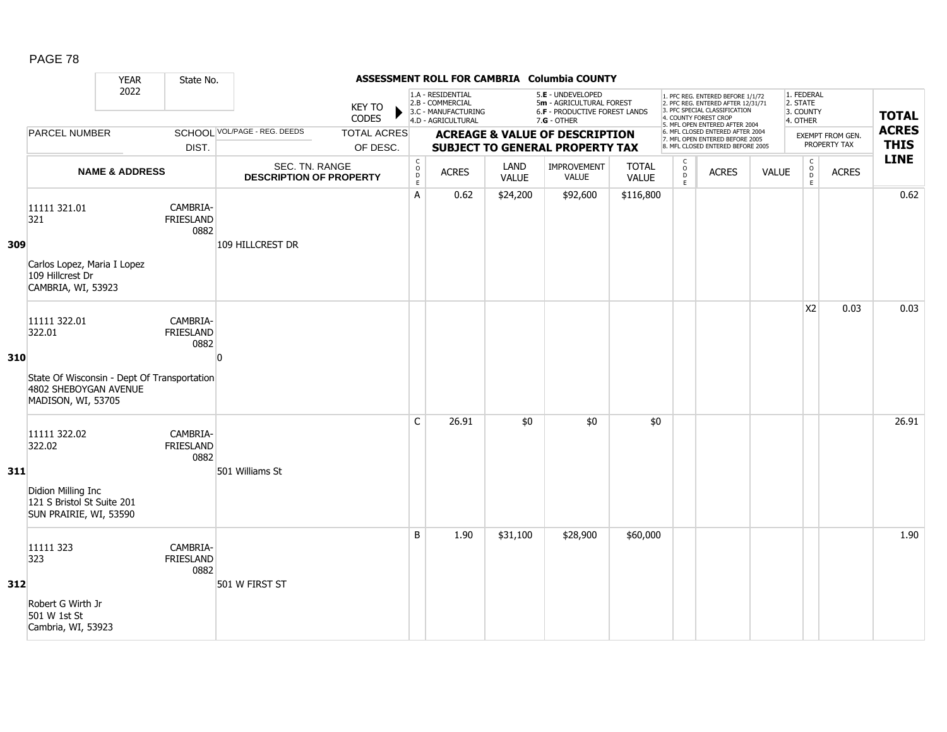|     |                                                                                                                      | <b>YEAR</b>               | State No.                            |                                                  |                                |                                                          |                                                                                    |                      | ASSESSMENT ROLL FOR CAMBRIA Columbia COUNTY                                                            |                       |                                   |                                                                                                                                                                     |              |                                                 |                                  |                             |
|-----|----------------------------------------------------------------------------------------------------------------------|---------------------------|--------------------------------------|--------------------------------------------------|--------------------------------|----------------------------------------------------------|------------------------------------------------------------------------------------|----------------------|--------------------------------------------------------------------------------------------------------|-----------------------|-----------------------------------|---------------------------------------------------------------------------------------------------------------------------------------------------------------------|--------------|-------------------------------------------------|----------------------------------|-----------------------------|
|     |                                                                                                                      | 2022                      |                                      |                                                  | KEY TO<br>CODES                |                                                          | 1.A - RESIDENTIAL<br>2.B - COMMERCIAL<br>3.C - MANUFACTURING<br>4.D - AGRICULTURAL |                      | 5.E - UNDEVELOPED<br>5m - AGRICULTURAL FOREST<br><b>6.F - PRODUCTIVE FOREST LANDS</b><br>$7.G - OTHER$ |                       |                                   | 1. PFC REG. ENTERED BEFORE 1/1/72<br>2. PFC REG. ENTERED AFTER 12/31/71<br>3. PFC SPECIAL CLASSIFICATION<br>4. COUNTY FOREST CROP<br>5. MFL OPEN ENTERED AFTER 2004 |              | 1. FEDERAL<br>2. STATE<br>3. COUNTY<br>4. OTHER |                                  | <b>TOTAL</b>                |
|     | <b>PARCEL NUMBER</b>                                                                                                 |                           | DIST.                                | SCHOOL VOL/PAGE - REG. DEEDS                     | <b>TOTAL ACRES</b><br>OF DESC. |                                                          |                                                                                    |                      | <b>ACREAGE &amp; VALUE OF DESCRIPTION</b><br><b>SUBJECT TO GENERAL PROPERTY TAX</b>                    |                       |                                   | 6. MFL CLOSED ENTERED AFTER 2004<br>7. MFL OPEN ENTERED BEFORE 2005<br>8. MFL CLOSED ENTERED BEFORE 2005                                                            |              |                                                 | EXEMPT FROM GEN.<br>PROPERTY TAX | <b>ACRES</b><br><b>THIS</b> |
|     |                                                                                                                      | <b>NAME &amp; ADDRESS</b> |                                      | SEC. TN. RANGE<br><b>DESCRIPTION OF PROPERTY</b> |                                | $\begin{matrix} 0 \\ 0 \\ D \end{matrix}$<br>$\mathsf E$ | <b>ACRES</b>                                                                       | LAND<br><b>VALUE</b> | IMPROVEMENT<br><b>VALUE</b>                                                                            | <b>TOTAL</b><br>VALUE | $\mathsf{C}$<br>$\circ$<br>D<br>E | <b>ACRES</b>                                                                                                                                                        | <b>VALUE</b> | $\mathsf C$<br>$_{\rm D}^{\rm O}$<br>E          | <b>ACRES</b>                     | <b>LINE</b>                 |
| 309 | 11111 321.01<br>321<br>Carlos Lopez, Maria I Lopez<br>109 Hillcrest Dr<br>CAMBRIA, WI, 53923                         |                           | CAMBRIA-<br>FRIESLAND<br>0882        | 109 HILLCREST DR                                 |                                | A                                                        | 0.62                                                                               | \$24,200             | \$92,600                                                                                               | \$116,800             |                                   |                                                                                                                                                                     |              |                                                 |                                  | 0.62                        |
| 310 | 11111 322.01<br>322.01<br>State Of Wisconsin - Dept Of Transportation<br>4802 SHEBOYGAN AVENUE<br>MADISON, WI, 53705 |                           | CAMBRIA-<br><b>FRIESLAND</b><br>0882 | $\Omega$                                         |                                |                                                          |                                                                                    |                      |                                                                                                        |                       |                                   |                                                                                                                                                                     |              | X <sub>2</sub>                                  | 0.03                             | 0.03                        |
| 311 | 11111 322.02<br>322.02<br>Didion Milling Inc<br>121 S Bristol St Suite 201<br>SUN PRAIRIE, WI, 53590                 |                           | CAMBRIA-<br>FRIESLAND<br>0882        | 501 Williams St                                  |                                | $\mathsf{C}$                                             | 26.91                                                                              | \$0                  | \$0                                                                                                    | \$0                   |                                   |                                                                                                                                                                     |              |                                                 |                                  | 26.91                       |
| 312 | 11111 323<br>323<br>Robert G Wirth Jr<br>501 W 1st St<br>Cambria, WI, 53923                                          |                           | CAMBRIA-<br><b>FRIESLAND</b><br>0882 | 501 W FIRST ST                                   |                                | B                                                        | 1.90                                                                               | \$31,100             | \$28,900                                                                                               | \$60,000              |                                   |                                                                                                                                                                     |              |                                                 |                                  | 1.90                        |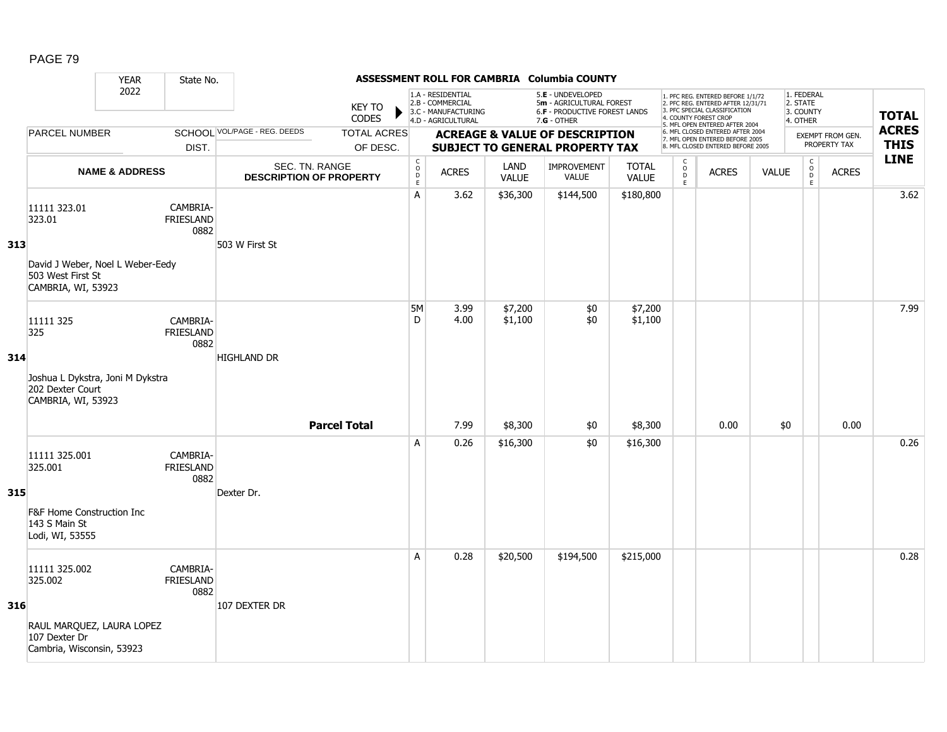|     |                                                                             | <b>YEAR</b>               | State No.                            |                                                  |                                |                                                 |                                                                                    |                      | ASSESSMENT ROLL FOR CAMBRIA Columbia COUNTY                                                     |                              |                                   |                                                                                                                                                                     |              |                                                 |                                  |                             |
|-----|-----------------------------------------------------------------------------|---------------------------|--------------------------------------|--------------------------------------------------|--------------------------------|-------------------------------------------------|------------------------------------------------------------------------------------|----------------------|-------------------------------------------------------------------------------------------------|------------------------------|-----------------------------------|---------------------------------------------------------------------------------------------------------------------------------------------------------------------|--------------|-------------------------------------------------|----------------------------------|-----------------------------|
|     |                                                                             | 2022                      |                                      |                                                  | KEY TO<br><b>CODES</b>         |                                                 | 1.A - RESIDENTIAL<br>2.B - COMMERCIAL<br>3.C - MANUFACTURING<br>4.D - AGRICULTURAL |                      | 5.E - UNDEVELOPED<br>5m - AGRICULTURAL FOREST<br>6.F - PRODUCTIVE FOREST LANDS<br>$7.G - OTHER$ |                              |                                   | 1. PFC REG. ENTERED BEFORE 1/1/72<br>2. PFC REG. ENTERED AFTER 12/31/71<br>3. PFC SPECIAL CLASSIFICATION<br>4. COUNTY FOREST CROP<br>5. MFL OPEN ENTERED AFTER 2004 |              | 1. FEDERAL<br>2. STATE<br>3. COUNTY<br>4. OTHER |                                  | <b>TOTAL</b>                |
|     | <b>PARCEL NUMBER</b>                                                        |                           | DIST.                                | SCHOOL VOL/PAGE - REG. DEEDS                     | <b>TOTAL ACRES</b><br>OF DESC. |                                                 |                                                                                    |                      | <b>ACREAGE &amp; VALUE OF DESCRIPTION</b><br><b>SUBJECT TO GENERAL PROPERTY TAX</b>             |                              |                                   | 6. MFL CLOSED ENTERED AFTER 2004<br>7. MFL OPEN ENTERED BEFORE 2005<br>8. MFL CLOSED ENTERED BEFORE 2005                                                            |              |                                                 | EXEMPT FROM GEN.<br>PROPERTY TAX | <b>ACRES</b><br><b>THIS</b> |
|     |                                                                             | <b>NAME &amp; ADDRESS</b> |                                      | SEC. TN. RANGE<br><b>DESCRIPTION OF PROPERTY</b> |                                | $\mathsf C$<br>$\mathsf{o}$<br>D<br>$\mathsf E$ | <b>ACRES</b>                                                                       | LAND<br><b>VALUE</b> | IMPROVEMENT<br><b>VALUE</b>                                                                     | <b>TOTAL</b><br><b>VALUE</b> | C<br>$\circ$<br>$\mathsf D$<br>E. | <b>ACRES</b>                                                                                                                                                        | <b>VALUE</b> | C<br>$\overline{D}$<br>E                        | <b>ACRES</b>                     | <b>LINE</b>                 |
| 313 | 11111 323.01<br>323.01                                                      |                           | CAMBRIA-<br><b>FRIESLAND</b><br>0882 | 503 W First St                                   |                                | Α                                               | 3.62                                                                               | \$36,300             | \$144,500                                                                                       | \$180,800                    |                                   |                                                                                                                                                                     |              |                                                 |                                  | 3.62                        |
|     | David J Weber, Noel L Weber-Eedy<br>503 West First St<br>CAMBRIA, WI, 53923 |                           |                                      |                                                  |                                |                                                 |                                                                                    |                      |                                                                                                 |                              |                                   |                                                                                                                                                                     |              |                                                 |                                  |                             |
|     | 11111 325<br>325                                                            |                           | CAMBRIA-<br><b>FRIESLAND</b><br>0882 | <b>HIGHLAND DR</b>                               |                                | 5M<br>D                                         | 3.99<br>4.00                                                                       | \$7,200<br>\$1,100   | \$0<br>\$0                                                                                      | \$7,200<br>\$1,100           |                                   |                                                                                                                                                                     |              |                                                 |                                  | 7.99                        |
| 314 | Joshua L Dykstra, Joni M Dykstra<br>202 Dexter Court<br>CAMBRIA, WI, 53923  |                           |                                      |                                                  |                                |                                                 |                                                                                    |                      |                                                                                                 |                              |                                   |                                                                                                                                                                     |              |                                                 |                                  |                             |
|     |                                                                             |                           |                                      |                                                  | <b>Parcel Total</b>            |                                                 | 7.99                                                                               | \$8,300              | \$0                                                                                             | \$8,300                      |                                   | 0.00                                                                                                                                                                | \$0          |                                                 | 0.00                             |                             |
| 315 | 11111 325.001<br>325.001                                                    |                           | CAMBRIA-<br><b>FRIESLAND</b><br>0882 | Dexter Dr.                                       |                                | A                                               | 0.26                                                                               | \$16,300             | \$0                                                                                             | \$16,300                     |                                   |                                                                                                                                                                     |              |                                                 |                                  | 0.26                        |
|     | <b>F&amp;F Home Construction Inc</b><br>143 S Main St<br>Lodi, WI, 53555    |                           |                                      |                                                  |                                |                                                 |                                                                                    |                      |                                                                                                 |                              |                                   |                                                                                                                                                                     |              |                                                 |                                  |                             |
|     | 11111 325.002<br>325.002                                                    |                           | CAMBRIA-<br><b>FRIESLAND</b><br>0882 |                                                  |                                | A                                               | 0.28                                                                               | \$20,500             | \$194,500                                                                                       | \$215,000                    |                                   |                                                                                                                                                                     |              |                                                 |                                  | 0.28                        |
| 316 | RAUL MARQUEZ, LAURA LOPEZ<br>107 Dexter Dr<br>Cambria, Wisconsin, 53923     |                           |                                      | 107 DEXTER DR                                    |                                |                                                 |                                                                                    |                      |                                                                                                 |                              |                                   |                                                                                                                                                                     |              |                                                 |                                  |                             |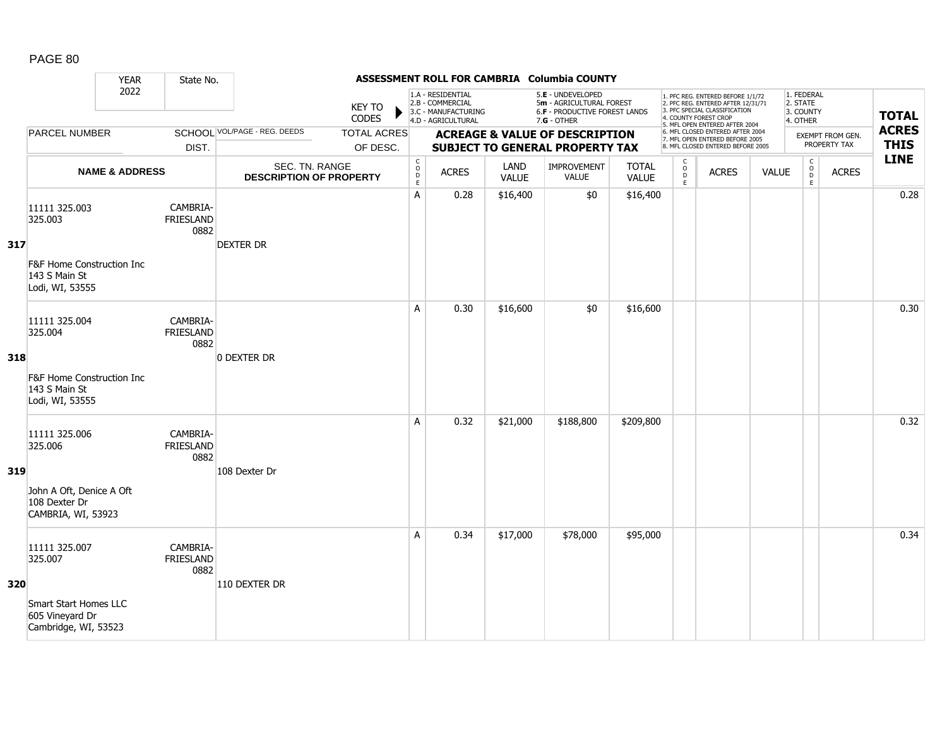|     |                                                                                                       | <b>YEAR</b>               | State No.                            |                                                  |                                |                                                     |                                                                                    |                      | ASSESSMENT ROLL FOR CAMBRIA Columbia COUNTY                                                            |                              |                            |                                                                                                                                                                     |              |                                                 |                                  |                             |
|-----|-------------------------------------------------------------------------------------------------------|---------------------------|--------------------------------------|--------------------------------------------------|--------------------------------|-----------------------------------------------------|------------------------------------------------------------------------------------|----------------------|--------------------------------------------------------------------------------------------------------|------------------------------|----------------------------|---------------------------------------------------------------------------------------------------------------------------------------------------------------------|--------------|-------------------------------------------------|----------------------------------|-----------------------------|
|     |                                                                                                       | 2022                      |                                      |                                                  | <b>KEY TO</b><br>CODES         |                                                     | 1.A - RESIDENTIAL<br>2.B - COMMERCIAL<br>3.C - MANUFACTURING<br>4.D - AGRICULTURAL |                      | 5.E - UNDEVELOPED<br>5m - AGRICULTURAL FOREST<br><b>6.F - PRODUCTIVE FOREST LANDS</b><br>$7.G - OTHER$ |                              |                            | 1. PFC REG. ENTERED BEFORE 1/1/72<br>2. PFC REG. ENTERED AFTER 12/31/71<br>3. PFC SPECIAL CLASSIFICATION<br>4. COUNTY FOREST CROP<br>5. MFL OPEN ENTERED AFTER 2004 |              | 1. FEDERAL<br>2. STATE<br>3. COUNTY<br>4. OTHER |                                  | <b>TOTAL</b>                |
|     | <b>PARCEL NUMBER</b>                                                                                  |                           | DIST.                                | SCHOOL VOL/PAGE - REG. DEEDS                     | <b>TOTAL ACRES</b><br>OF DESC. |                                                     |                                                                                    |                      | <b>ACREAGE &amp; VALUE OF DESCRIPTION</b><br><b>SUBJECT TO GENERAL PROPERTY TAX</b>                    |                              |                            | 6. MFL CLOSED ENTERED AFTER 2004<br>7. MFL OPEN ENTERED BEFORE 2005<br>8. MFL CLOSED ENTERED BEFORE 2005                                                            |              |                                                 | EXEMPT FROM GEN.<br>PROPERTY TAX | <b>ACRES</b><br><b>THIS</b> |
|     |                                                                                                       | <b>NAME &amp; ADDRESS</b> |                                      | SEC. TN. RANGE<br><b>DESCRIPTION OF PROPERTY</b> |                                | $_{\rm o}^{\rm c}$<br>$\overline{D}$<br>$\mathsf E$ | <b>ACRES</b>                                                                       | LAND<br><b>VALUE</b> | IMPROVEMENT<br><b>VALUE</b>                                                                            | <b>TOTAL</b><br><b>VALUE</b> | $\rm\frac{C}{O}$<br>D<br>E | <b>ACRES</b>                                                                                                                                                        | <b>VALUE</b> | $\begin{matrix} 0 \\ 0 \end{matrix}$<br>E       | <b>ACRES</b>                     | <b>LINE</b>                 |
| 317 | 11111 325.003<br>325.003<br><b>F&amp;F Home Construction Inc</b><br>143 S Main St<br>Lodi, WI, 53555  |                           | CAMBRIA-<br><b>FRIESLAND</b><br>0882 | <b>DEXTER DR</b>                                 |                                | A                                                   | 0.28                                                                               | \$16,400             | \$0                                                                                                    | \$16,400                     |                            |                                                                                                                                                                     |              |                                                 |                                  | 0.28                        |
| 318 | 11111 325.004<br>325.004<br><b>F&amp;F Home Construction Inc.</b><br>143 S Main St<br>Lodi, WI, 53555 |                           | CAMBRIA-<br><b>FRIESLAND</b><br>0882 | 0 DEXTER DR                                      |                                | A                                                   | 0.30                                                                               | \$16,600             | \$0                                                                                                    | \$16,600                     |                            |                                                                                                                                                                     |              |                                                 |                                  | 0.30                        |
| 319 | 11111 325.006<br>325.006<br>John A Oft, Denice A Oft<br>108 Dexter Dr<br>CAMBRIA, WI, 53923           |                           | CAMBRIA-<br>FRIESLAND<br>0882        | 108 Dexter Dr                                    |                                | A                                                   | 0.32                                                                               | \$21,000             | \$188,800                                                                                              | \$209,800                    |                            |                                                                                                                                                                     |              |                                                 |                                  | 0.32                        |
| 320 | 11111 325.007<br>325.007<br>Smart Start Homes LLC<br>605 Vineyard Dr<br>Cambridge, WI, 53523          |                           | CAMBRIA-<br><b>FRIESLAND</b><br>0882 | 110 DEXTER DR                                    |                                | A                                                   | 0.34                                                                               | \$17,000             | \$78,000                                                                                               | \$95,000                     |                            |                                                                                                                                                                     |              |                                                 |                                  | 0.34                        |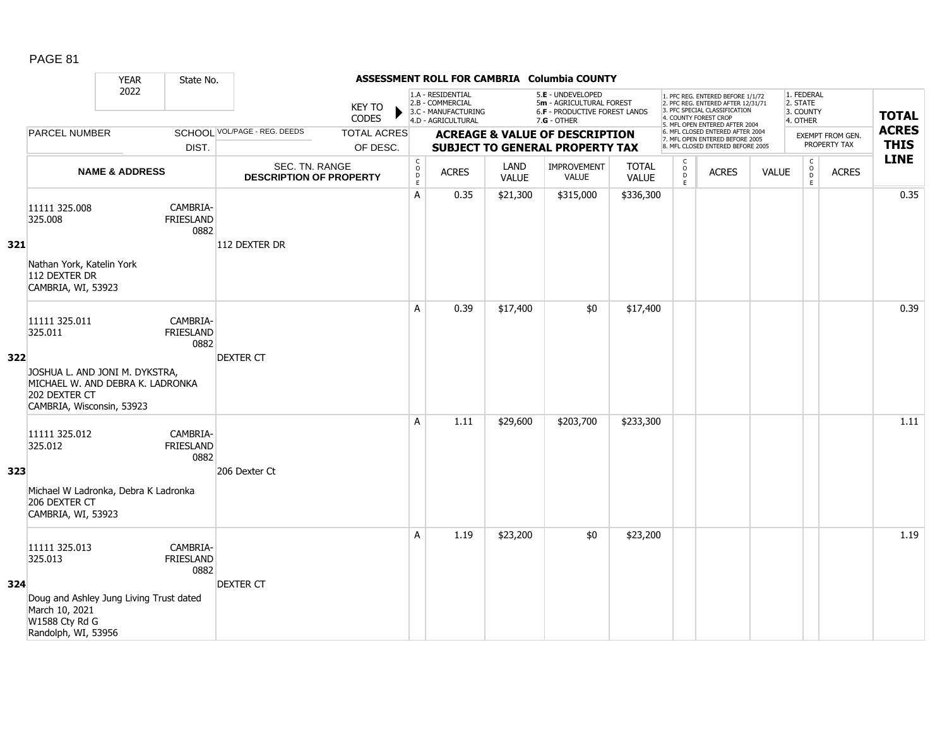|     |                                                                                                                                              | <b>YEAR</b>               | State No.                            |                                                  |                                |                                                           |                                                                                    |                      | ASSESSMENT ROLL FOR CAMBRIA Columbia COUNTY                                                     |                              |                                    |                                                                                                                                                                     |              |                                                 |                                  |                             |
|-----|----------------------------------------------------------------------------------------------------------------------------------------------|---------------------------|--------------------------------------|--------------------------------------------------|--------------------------------|-----------------------------------------------------------|------------------------------------------------------------------------------------|----------------------|-------------------------------------------------------------------------------------------------|------------------------------|------------------------------------|---------------------------------------------------------------------------------------------------------------------------------------------------------------------|--------------|-------------------------------------------------|----------------------------------|-----------------------------|
|     |                                                                                                                                              | 2022                      |                                      |                                                  | <b>KEY TO</b><br>CODES         |                                                           | 1.A - RESIDENTIAL<br>2.B - COMMERCIAL<br>3.C - MANUFACTURING<br>4.D - AGRICULTURAL |                      | 5.E - UNDEVELOPED<br>5m - AGRICULTURAL FOREST<br>6.F - PRODUCTIVE FOREST LANDS<br>$7.G - OTHER$ |                              |                                    | 1. PFC REG. ENTERED BEFORE 1/1/72<br>2. PFC REG. ENTERED AFTER 12/31/71<br>3. PFC SPECIAL CLASSIFICATION<br>4. COUNTY FOREST CROP<br>5. MFL OPEN ENTERED AFTER 2004 |              | 1. FEDERAL<br>2. STATE<br>3. COUNTY<br>4. OTHER |                                  | <b>TOTAL</b>                |
|     | <b>PARCEL NUMBER</b>                                                                                                                         |                           | DIST.                                | SCHOOL VOL/PAGE - REG. DEEDS                     | <b>TOTAL ACRES</b><br>OF DESC. |                                                           |                                                                                    |                      | <b>ACREAGE &amp; VALUE OF DESCRIPTION</b><br><b>SUBJECT TO GENERAL PROPERTY TAX</b>             |                              |                                    | 6. MFL CLOSED ENTERED AFTER 2004<br>7. MFL OPEN ENTERED BEFORE 2005<br>8. MFL CLOSED ENTERED BEFORE 2005                                                            |              |                                                 | EXEMPT FROM GEN.<br>PROPERTY TAX | <b>ACRES</b><br><b>THIS</b> |
|     |                                                                                                                                              | <b>NAME &amp; ADDRESS</b> |                                      | SEC. TN. RANGE<br><b>DESCRIPTION OF PROPERTY</b> |                                | $\begin{array}{c} C \\ O \\ D \end{array}$<br>$\mathsf E$ | <b>ACRES</b>                                                                       | LAND<br><b>VALUE</b> | <b>IMPROVEMENT</b><br><b>VALUE</b>                                                              | <b>TOTAL</b><br><b>VALUE</b> | $\mathsf{C}$<br>$\circ$<br>D<br>E. | <b>ACRES</b>                                                                                                                                                        | <b>VALUE</b> | $\mathsf{C}$<br>$\overline{0}$<br>E             | <b>ACRES</b>                     | <b>LINE</b>                 |
| 321 | 11111 325.008<br>325.008<br>Nathan York, Katelin York<br>112 DEXTER DR<br>CAMBRIA, WI, 53923                                                 |                           | CAMBRIA-<br><b>FRIESLAND</b><br>0882 | 112 DEXTER DR                                    |                                | A                                                         | 0.35                                                                               | \$21,300             | \$315,000                                                                                       | \$336,300                    |                                    |                                                                                                                                                                     |              |                                                 |                                  | 0.35                        |
| 322 | 11111 325.011<br>325.011<br>JOSHUA L. AND JONI M. DYKSTRA,<br>MICHAEL W. AND DEBRA K. LADRONKA<br>202 DEXTER CT<br>CAMBRIA, Wisconsin, 53923 |                           | CAMBRIA-<br><b>FRIESLAND</b><br>0882 | <b>DEXTER CT</b>                                 |                                | A                                                         | 0.39                                                                               | \$17,400             | \$0                                                                                             | \$17,400                     |                                    |                                                                                                                                                                     |              |                                                 |                                  | 0.39                        |
| 323 | 11111 325.012<br>325.012<br>Michael W Ladronka, Debra K Ladronka<br>206 DEXTER CT<br>CAMBRIA, WI, 53923                                      |                           | CAMBRIA-<br><b>FRIESLAND</b><br>0882 | 206 Dexter Ct                                    |                                | A                                                         | 1.11                                                                               | \$29,600             | \$203,700                                                                                       | \$233,300                    |                                    |                                                                                                                                                                     |              |                                                 |                                  | 1.11                        |
| 324 | 11111 325.013<br>325.013<br>Doug and Ashley Jung Living Trust dated<br>March 10, 2021<br>W1588 Cty Rd G<br>Randolph, WI, 53956               |                           | CAMBRIA-<br><b>FRIESLAND</b><br>0882 | <b>DEXTER CT</b>                                 |                                | A                                                         | 1.19                                                                               | \$23,200             | \$0                                                                                             | \$23,200                     |                                    |                                                                                                                                                                     |              |                                                 |                                  | 1.19                        |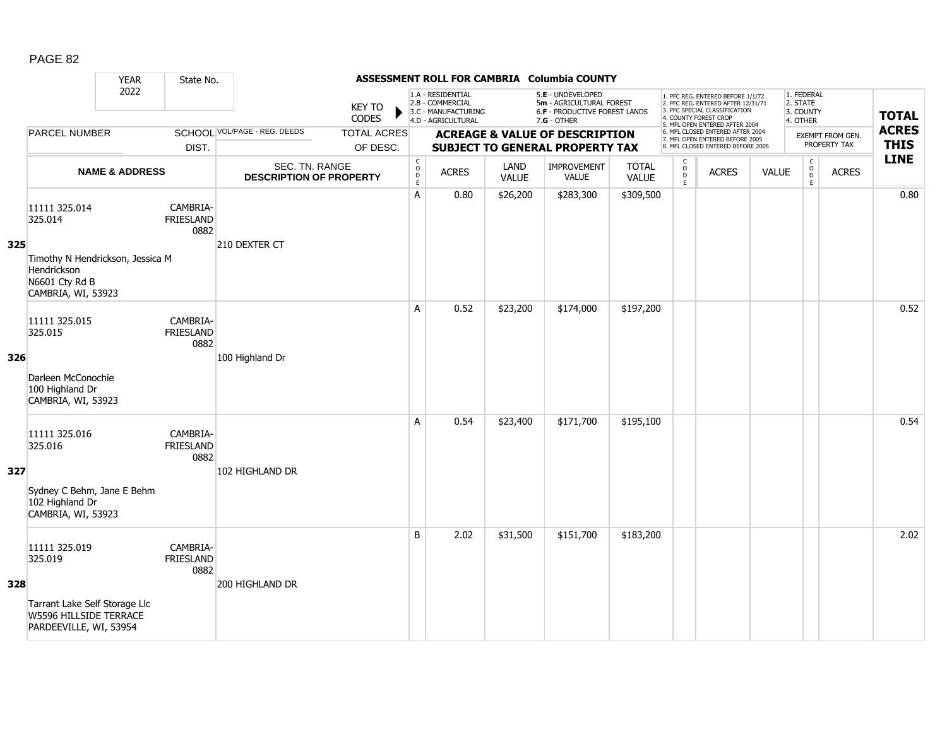|     |                                                                                                                     | <b>YEAR</b>               | State No.                            |                                                  |                                |                                        |                                                                                    |                      | ASSESSMENT ROLL FOR CAMBRIA Columbia COUNTY                                                            |                              |                                   |                                                                                                                                                                     |              |                                                    |                                  |                             |
|-----|---------------------------------------------------------------------------------------------------------------------|---------------------------|--------------------------------------|--------------------------------------------------|--------------------------------|----------------------------------------|------------------------------------------------------------------------------------|----------------------|--------------------------------------------------------------------------------------------------------|------------------------------|-----------------------------------|---------------------------------------------------------------------------------------------------------------------------------------------------------------------|--------------|----------------------------------------------------|----------------------------------|-----------------------------|
|     |                                                                                                                     | 2022                      |                                      |                                                  | <b>KEY TO</b><br>CODES         |                                        | 1.A - RESIDENTIAL<br>2.B - COMMERCIAL<br>3.C - MANUFACTURING<br>4.D - AGRICULTURAL |                      | 5.E - UNDEVELOPED<br>5m - AGRICULTURAL FOREST<br><b>6.F - PRODUCTIVE FOREST LANDS</b><br>$7.G - OTHER$ |                              |                                   | 1. PFC REG. ENTERED BEFORE 1/1/72<br>2. PFC REG. ENTERED AFTER 12/31/71<br>3. PFC SPECIAL CLASSIFICATION<br>4. COUNTY FOREST CROP<br>5. MFL OPEN ENTERED AFTER 2004 |              | 1. FEDERAL<br>2. STATE<br>3. COUNTY<br>4. OTHER    |                                  | <b>TOTAL</b>                |
|     | <b>PARCEL NUMBER</b>                                                                                                |                           | DIST.                                | SCHOOL VOL/PAGE - REG. DEEDS                     | <b>TOTAL ACRES</b><br>OF DESC. |                                        |                                                                                    |                      | <b>ACREAGE &amp; VALUE OF DESCRIPTION</b><br><b>SUBJECT TO GENERAL PROPERTY TAX</b>                    |                              |                                   | 6. MFL CLOSED ENTERED AFTER 2004<br>7. MFL OPEN ENTERED BEFORE 2005<br>8. MFL CLOSED ENTERED BEFORE 2005                                                            |              |                                                    | EXEMPT FROM GEN.<br>PROPERTY TAX | <b>ACRES</b><br><b>THIS</b> |
|     |                                                                                                                     | <b>NAME &amp; ADDRESS</b> |                                      | SEC. TN. RANGE<br><b>DESCRIPTION OF PROPERTY</b> |                                | $_{\rm o}^{\rm c}$<br>D<br>$\mathsf E$ | <b>ACRES</b>                                                                       | LAND<br><b>VALUE</b> | IMPROVEMENT<br><b>VALUE</b>                                                                            | <b>TOTAL</b><br><b>VALUE</b> | $\mathsf{C}$<br>$\circ$<br>D<br>E | <b>ACRES</b>                                                                                                                                                        | <b>VALUE</b> | $\mathsf{C}$<br>$\overset{\circ}{\mathsf{D}}$<br>E | <b>ACRES</b>                     | <b>LINE</b>                 |
| 325 | 11111 325.014<br>325.014<br>Timothy N Hendrickson, Jessica M<br>Hendrickson<br>N6601 Cty Rd B<br>CAMBRIA, WI, 53923 |                           | CAMBRIA-<br><b>FRIESLAND</b><br>0882 | 210 DEXTER CT                                    |                                | A                                      | 0.80                                                                               | \$26,200             | \$283,300                                                                                              | \$309,500                    |                                   |                                                                                                                                                                     |              |                                                    |                                  | 0.80                        |
| 326 | 11111 325.015<br>325.015<br>Darleen McConochie<br>100 Highland Dr<br>CAMBRIA, WI, 53923                             |                           | CAMBRIA-<br><b>FRIESLAND</b><br>0882 | 100 Highland Dr                                  |                                | A                                      | 0.52                                                                               | \$23,200             | \$174,000                                                                                              | \$197,200                    |                                   |                                                                                                                                                                     |              |                                                    |                                  | 0.52                        |
| 327 | 11111 325.016<br>325.016<br>Sydney C Behm, Jane E Behm<br>102 Highland Dr<br>CAMBRIA, WI, 53923                     |                           | CAMBRIA-<br><b>FRIESLAND</b><br>0882 | 102 HIGHLAND DR                                  |                                | A                                      | 0.54                                                                               | \$23,400             | \$171,700                                                                                              | \$195,100                    |                                   |                                                                                                                                                                     |              |                                                    |                                  | 0.54                        |
| 328 | 11111 325.019<br>325.019<br>Tarrant Lake Self Storage Llc<br>W5596 HILLSIDE TERRACE<br>PARDEEVILLE, WI, 53954       |                           | CAMBRIA-<br><b>FRIESLAND</b><br>0882 | 200 HIGHLAND DR                                  |                                | B                                      | 2.02                                                                               | \$31,500             | \$151,700                                                                                              | \$183,200                    |                                   |                                                                                                                                                                     |              |                                                    |                                  | 2.02                        |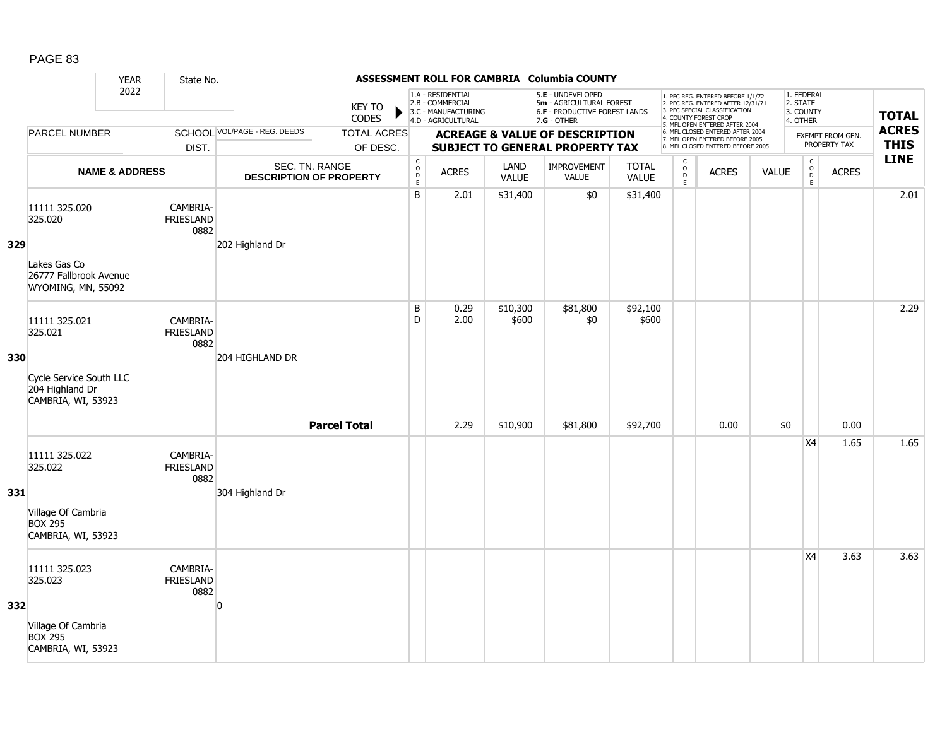|     |                                                                  | <b>YEAR</b>               | State No.                            |                                                  |                                |                                                  |                                                                                    |                      | ASSESSMENT ROLL FOR CAMBRIA Columbia COUNTY                                                     |                              |                                         |                                                                                                                                                                     |              |                                                 |                                         |                             |
|-----|------------------------------------------------------------------|---------------------------|--------------------------------------|--------------------------------------------------|--------------------------------|--------------------------------------------------|------------------------------------------------------------------------------------|----------------------|-------------------------------------------------------------------------------------------------|------------------------------|-----------------------------------------|---------------------------------------------------------------------------------------------------------------------------------------------------------------------|--------------|-------------------------------------------------|-----------------------------------------|-----------------------------|
|     |                                                                  | 2022                      |                                      |                                                  | <b>KEY TO</b><br><b>CODES</b>  |                                                  | 1.A - RESIDENTIAL<br>2.B - COMMERCIAL<br>3.C - MANUFACTURING<br>4.D - AGRICULTURAL |                      | 5.E - UNDEVELOPED<br>5m - AGRICULTURAL FOREST<br>6.F - PRODUCTIVE FOREST LANDS<br>$7.G - OTHER$ |                              |                                         | 1. PFC REG. ENTERED BEFORE 1/1/72<br>2. PFC REG. ENTERED AFTER 12/31/71<br>3. PFC SPECIAL CLASSIFICATION<br>4. COUNTY FOREST CROP<br>5. MFL OPEN ENTERED AFTER 2004 |              | 1. FEDERAL<br>2. STATE<br>3. COUNTY<br>4. OTHER |                                         | <b>TOTAL</b>                |
|     | PARCEL NUMBER                                                    |                           | DIST.                                | <b>SCHOOL VOL/PAGE - REG. DEEDS</b>              | <b>TOTAL ACRES</b><br>OF DESC. |                                                  |                                                                                    |                      | <b>ACREAGE &amp; VALUE OF DESCRIPTION</b><br><b>SUBJECT TO GENERAL PROPERTY TAX</b>             |                              |                                         | 6. MFL CLOSED ENTERED AFTER 2004<br>7. MFL OPEN ENTERED BEFORE 2005<br>8. MFL CLOSED ENTERED BEFORE 2005                                                            |              |                                                 | <b>EXEMPT FROM GEN.</b><br>PROPERTY TAX | <b>ACRES</b><br><b>THIS</b> |
|     |                                                                  | <b>NAME &amp; ADDRESS</b> |                                      | SEC. TN. RANGE<br><b>DESCRIPTION OF PROPERTY</b> |                                | $\mathsf{C}$<br>$\mathsf{o}$<br>D<br>$\mathsf E$ | <b>ACRES</b>                                                                       | LAND<br><b>VALUE</b> | <b>IMPROVEMENT</b><br><b>VALUE</b>                                                              | <b>TOTAL</b><br><b>VALUE</b> | $\mathsf{C}$<br>$_{\rm D}^{\rm O}$<br>E | <b>ACRES</b>                                                                                                                                                        | <b>VALUE</b> | $\begin{matrix} 0 \\ 0 \\ 0 \end{matrix}$<br>E  | <b>ACRES</b>                            | <b>LINE</b>                 |
| 329 | 11111 325.020<br>325.020                                         |                           | CAMBRIA-<br><b>FRIESLAND</b><br>0882 | 202 Highland Dr                                  |                                | B                                                | 2.01                                                                               | \$31,400             | \$0                                                                                             | \$31,400                     |                                         |                                                                                                                                                                     |              |                                                 |                                         | 2.01                        |
|     | Lakes Gas Co<br>26777 Fallbrook Avenue<br>WYOMING, MN, 55092     |                           |                                      |                                                  |                                |                                                  |                                                                                    |                      |                                                                                                 |                              |                                         |                                                                                                                                                                     |              |                                                 |                                         |                             |
| 330 | 11111 325.021<br>325.021                                         |                           | CAMBRIA-<br><b>FRIESLAND</b><br>0882 | 204 HIGHLAND DR                                  |                                | B<br>D                                           | 0.29<br>2.00                                                                       | \$10,300<br>\$600    | \$81,800<br>\$0                                                                                 | \$92,100<br>\$600            |                                         |                                                                                                                                                                     |              |                                                 |                                         | 2.29                        |
|     | Cycle Service South LLC<br>204 Highland Dr<br>CAMBRIA, WI, 53923 |                           |                                      |                                                  |                                |                                                  |                                                                                    |                      |                                                                                                 |                              |                                         |                                                                                                                                                                     |              |                                                 |                                         |                             |
|     |                                                                  |                           |                                      |                                                  | <b>Parcel Total</b>            |                                                  | 2.29                                                                               | \$10,900             | \$81,800                                                                                        | \$92,700                     |                                         | 0.00                                                                                                                                                                | \$0          |                                                 | 0.00                                    |                             |
| 331 | 11111 325.022<br>325.022                                         |                           | CAMBRIA-<br><b>FRIESLAND</b><br>0882 | 304 Highland Dr                                  |                                |                                                  |                                                                                    |                      |                                                                                                 |                              |                                         |                                                                                                                                                                     |              | X4                                              | 1.65                                    | 1.65                        |
|     | Village Of Cambria<br><b>BOX 295</b><br>CAMBRIA, WI, 53923       |                           |                                      |                                                  |                                |                                                  |                                                                                    |                      |                                                                                                 |                              |                                         |                                                                                                                                                                     |              |                                                 |                                         |                             |
| 332 | 11111 325.023<br>325.023                                         |                           | CAMBRIA-<br>FRIESLAND<br>0882        | n                                                |                                |                                                  |                                                                                    |                      |                                                                                                 |                              |                                         |                                                                                                                                                                     |              | X4                                              | 3.63                                    | 3.63                        |
|     | Village Of Cambria<br><b>BOX 295</b><br>CAMBRIA, WI, 53923       |                           |                                      |                                                  |                                |                                                  |                                                                                    |                      |                                                                                                 |                              |                                         |                                                                                                                                                                     |              |                                                 |                                         |                             |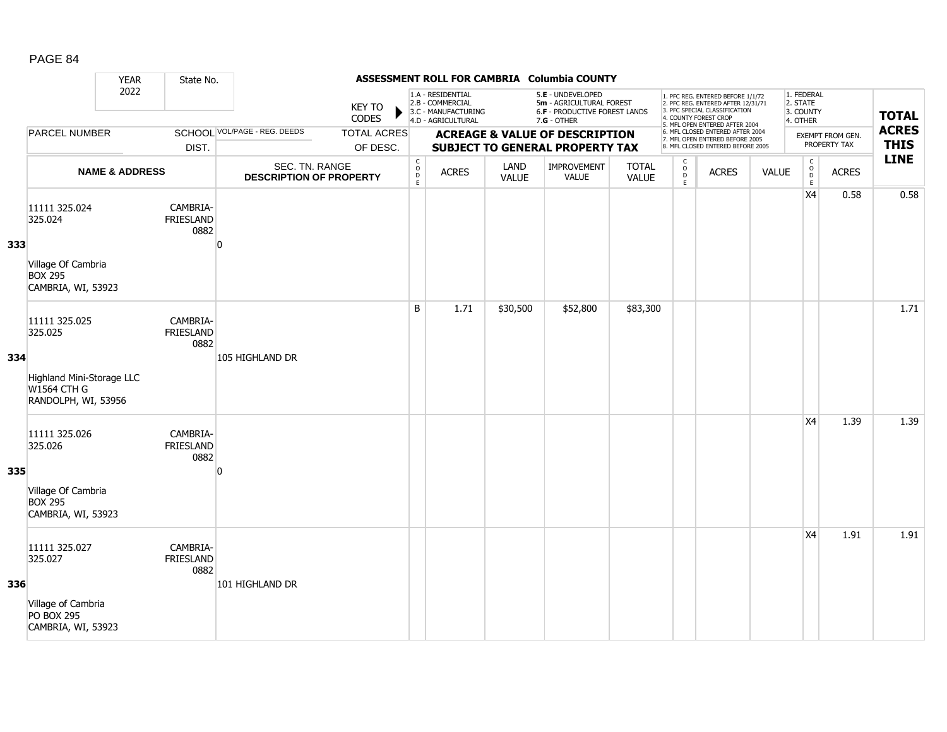|     |                                                                        | <b>YEAR</b>               | State No.                            |                                                  |                                |                                                         |                                                                                    |               | ASSESSMENT ROLL FOR CAMBRIA Columbia COUNTY                                                            |                              |                                       |                                                                                                                                                                     |              |                                                  |                                  |                             |
|-----|------------------------------------------------------------------------|---------------------------|--------------------------------------|--------------------------------------------------|--------------------------------|---------------------------------------------------------|------------------------------------------------------------------------------------|---------------|--------------------------------------------------------------------------------------------------------|------------------------------|---------------------------------------|---------------------------------------------------------------------------------------------------------------------------------------------------------------------|--------------|--------------------------------------------------|----------------------------------|-----------------------------|
|     |                                                                        | 2022                      |                                      |                                                  | <b>KEY TO</b><br>CODES         |                                                         | 1.A - RESIDENTIAL<br>2.B - COMMERCIAL<br>3.C - MANUFACTURING<br>4.D - AGRICULTURAL |               | 5.E - UNDEVELOPED<br>5m - AGRICULTURAL FOREST<br><b>6.F - PRODUCTIVE FOREST LANDS</b><br>$7.G - OTHER$ |                              |                                       | 1. PFC REG. ENTERED BEFORE 1/1/72<br>2. PFC REG. ENTERED AFTER 12/31/71<br>3. PFC SPECIAL CLASSIFICATION<br>4. COUNTY FOREST CROP<br>5. MFL OPEN ENTERED AFTER 2004 |              | 1. FEDERAL<br>2. STATE<br>3. COUNTY<br>4. OTHER  |                                  | <b>TOTAL</b>                |
|     | PARCEL NUMBER                                                          |                           | DIST.                                | <b>SCHOOL VOL/PAGE - REG. DEEDS</b>              | <b>TOTAL ACRES</b><br>OF DESC. |                                                         |                                                                                    |               | <b>ACREAGE &amp; VALUE OF DESCRIPTION</b><br><b>SUBJECT TO GENERAL PROPERTY TAX</b>                    |                              |                                       | 6. MFL CLOSED ENTERED AFTER 2004<br>7. MFL OPEN ENTERED BEFORE 2005<br>8. MFL CLOSED ENTERED BEFORE 2005                                                            |              |                                                  | EXEMPT FROM GEN.<br>PROPERTY TAX | <b>ACRES</b><br><b>THIS</b> |
|     |                                                                        | <b>NAME &amp; ADDRESS</b> |                                      | SEC. TN. RANGE<br><b>DESCRIPTION OF PROPERTY</b> |                                | $\mathsf{C}$<br>$\overset{\mathsf{O}}{\mathsf{D}}$<br>E | <b>ACRES</b>                                                                       | LAND<br>VALUE | IMPROVEMENT<br>VALUE                                                                                   | <b>TOTAL</b><br><b>VALUE</b> | C<br>$\mathsf{o}$<br>$\mathsf D$<br>E | <b>ACRES</b>                                                                                                                                                        | <b>VALUE</b> | $\mathsf C$<br>$_{\rm D}^{\rm O}$<br>$\mathsf E$ | <b>ACRES</b>                     | <b>LINE</b>                 |
| 333 | 11111 325.024<br>325.024<br>Village Of Cambria<br><b>BOX 295</b>       |                           | CAMBRIA-<br><b>FRIESLAND</b><br>0882 | n                                                |                                |                                                         |                                                                                    |               |                                                                                                        |                              |                                       |                                                                                                                                                                     |              | X4                                               | 0.58                             | 0.58                        |
|     | CAMBRIA, WI, 53923                                                     |                           |                                      |                                                  |                                | B                                                       |                                                                                    |               |                                                                                                        |                              |                                       |                                                                                                                                                                     |              |                                                  |                                  |                             |
| 334 | 11111 325.025<br>325.025                                               |                           | CAMBRIA-<br><b>FRIESLAND</b><br>0882 | 105 HIGHLAND DR                                  |                                |                                                         | 1.71                                                                               | \$30,500      | \$52,800                                                                                               | \$83,300                     |                                       |                                                                                                                                                                     |              |                                                  |                                  | 1.71                        |
|     | Highland Mini-Storage LLC<br><b>W1564 CTH G</b><br>RANDOLPH, WI, 53956 |                           |                                      |                                                  |                                |                                                         |                                                                                    |               |                                                                                                        |                              |                                       |                                                                                                                                                                     |              |                                                  |                                  |                             |
| 335 | 11111 325.026<br>325.026                                               |                           | CAMBRIA-<br><b>FRIESLAND</b><br>0882 | ŋ                                                |                                |                                                         |                                                                                    |               |                                                                                                        |                              |                                       |                                                                                                                                                                     |              | X <sub>4</sub>                                   | 1.39                             | 1.39                        |
|     | Village Of Cambria<br><b>BOX 295</b><br>CAMBRIA, WI, 53923             |                           |                                      |                                                  |                                |                                                         |                                                                                    |               |                                                                                                        |                              |                                       |                                                                                                                                                                     |              |                                                  |                                  |                             |
|     | 11111 325.027<br>325.027                                               |                           | CAMBRIA-<br><b>FRIESLAND</b><br>0882 |                                                  |                                |                                                         |                                                                                    |               |                                                                                                        |                              |                                       |                                                                                                                                                                     |              | <b>X4</b>                                        | 1.91                             | 1.91                        |
| 336 | Village of Cambria<br><b>PO BOX 295</b><br>CAMBRIA, WI, 53923          |                           |                                      | 101 HIGHLAND DR                                  |                                |                                                         |                                                                                    |               |                                                                                                        |                              |                                       |                                                                                                                                                                     |              |                                                  |                                  |                             |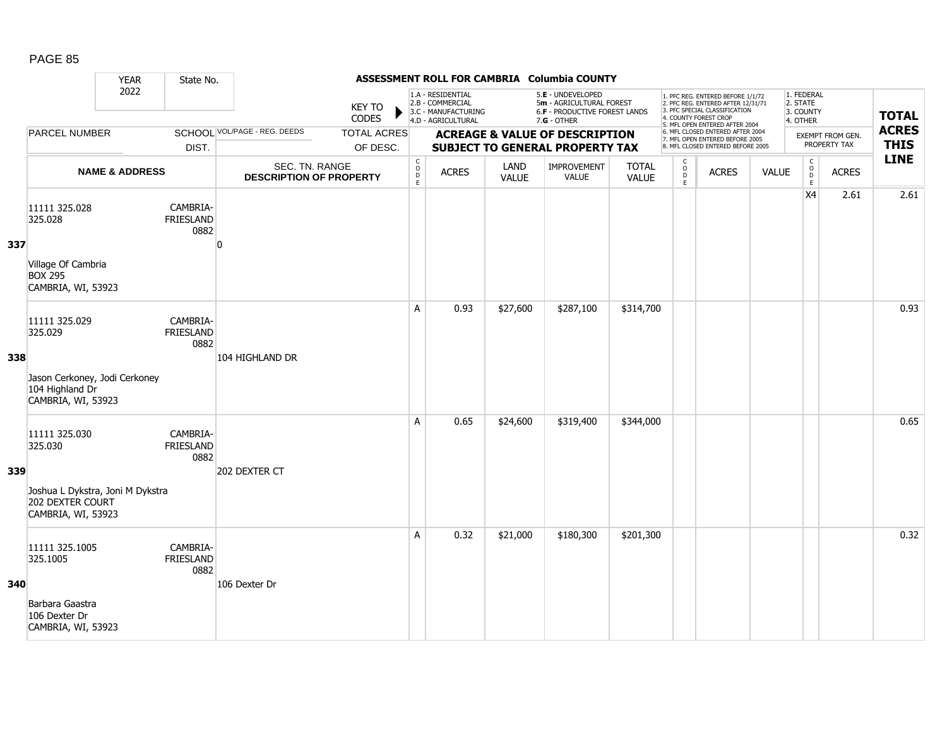|     |                                                                                                        | <b>YEAR</b>               | State No.                            |                                                  |                                |                                                |                                                                                    |                      | ASSESSMENT ROLL FOR CAMBRIA Columbia COUNTY                                                     |                              |                                               |                                                                                                                                                                     |              |                                                 |                                         |                             |
|-----|--------------------------------------------------------------------------------------------------------|---------------------------|--------------------------------------|--------------------------------------------------|--------------------------------|------------------------------------------------|------------------------------------------------------------------------------------|----------------------|-------------------------------------------------------------------------------------------------|------------------------------|-----------------------------------------------|---------------------------------------------------------------------------------------------------------------------------------------------------------------------|--------------|-------------------------------------------------|-----------------------------------------|-----------------------------|
|     |                                                                                                        | 2022                      |                                      |                                                  | <b>KEY TO</b><br>CODES         |                                                | 1.A - RESIDENTIAL<br>2.B - COMMERCIAL<br>3.C - MANUFACTURING<br>4.D - AGRICULTURAL |                      | 5.E - UNDEVELOPED<br>5m - AGRICULTURAL FOREST<br>6.F - PRODUCTIVE FOREST LANDS<br>$7.G - OTHER$ |                              |                                               | 1. PFC REG. ENTERED BEFORE 1/1/72<br>2. PFC REG. ENTERED AFTER 12/31/71<br>3. PFC SPECIAL CLASSIFICATION<br>4. COUNTY FOREST CROP<br>5. MFL OPEN ENTERED AFTER 2004 |              | 1. FEDERAL<br>2. STATE<br>3. COUNTY<br>4. OTHER |                                         | <b>TOTAL</b>                |
|     | <b>PARCEL NUMBER</b>                                                                                   |                           | DIST.                                | <b>SCHOOL VOL/PAGE - REG. DEEDS</b>              | <b>TOTAL ACRES</b><br>OF DESC. |                                                |                                                                                    |                      | <b>ACREAGE &amp; VALUE OF DESCRIPTION</b><br><b>SUBJECT TO GENERAL PROPERTY TAX</b>             |                              |                                               | 6. MFL CLOSED ENTERED AFTER 2004<br>7. MFL OPEN ENTERED BEFORE 2005<br>8. MFL CLOSED ENTERED BEFORE 2005                                                            |              |                                                 | <b>EXEMPT FROM GEN.</b><br>PROPERTY TAX | <b>ACRES</b><br><b>THIS</b> |
|     |                                                                                                        | <b>NAME &amp; ADDRESS</b> |                                      | SEC. TN. RANGE<br><b>DESCRIPTION OF PROPERTY</b> |                                | $\begin{matrix} 0 \\ 0 \\ D \end{matrix}$<br>E | <b>ACRES</b>                                                                       | LAND<br><b>VALUE</b> | IMPROVEMENT<br><b>VALUE</b>                                                                     | <b>TOTAL</b><br><b>VALUE</b> | $\mathsf{C}$<br>$_\mathrm{D}^\mathrm{O}$<br>E | <b>ACRES</b>                                                                                                                                                        | <b>VALUE</b> | $\mathsf C$<br>$_{\rm D}^{\rm O}$<br>E          | <b>ACRES</b>                            | <b>LINE</b>                 |
| 337 | 11111 325.028<br>325.028<br>Village Of Cambria<br><b>BOX 295</b><br>CAMBRIA, WI, 53923                 |                           | CAMBRIA-<br><b>FRIESLAND</b><br>0882 | n                                                |                                |                                                |                                                                                    |                      |                                                                                                 |                              |                                               |                                                                                                                                                                     |              | X4                                              | 2.61                                    | 2.61                        |
| 338 | 11111 325.029<br>325.029<br>Jason Cerkoney, Jodi Cerkoney<br>104 Highland Dr<br>CAMBRIA, WI, 53923     |                           | CAMBRIA-<br><b>FRIESLAND</b><br>0882 | 104 HIGHLAND DR                                  |                                | A                                              | 0.93                                                                               | \$27,600             | \$287,100                                                                                       | \$314,700                    |                                               |                                                                                                                                                                     |              |                                                 |                                         | 0.93                        |
| 339 | 11111 325.030<br>325.030<br>Joshua L Dykstra, Joni M Dykstra<br>202 DEXTER COURT<br>CAMBRIA, WI, 53923 |                           | CAMBRIA-<br><b>FRIESLAND</b><br>0882 | 202 DEXTER CT                                    |                                | A                                              | 0.65                                                                               | \$24,600             | \$319,400                                                                                       | \$344,000                    |                                               |                                                                                                                                                                     |              |                                                 |                                         | 0.65                        |
| 340 | 11111 325.1005<br>325.1005<br>Barbara Gaastra<br>106 Dexter Dr<br>CAMBRIA, WI, 53923                   |                           | CAMBRIA-<br>FRIESLAND<br>0882        | 106 Dexter Dr                                    |                                | A                                              | 0.32                                                                               | \$21,000             | \$180,300                                                                                       | \$201,300                    |                                               |                                                                                                                                                                     |              |                                                 |                                         | 0.32                        |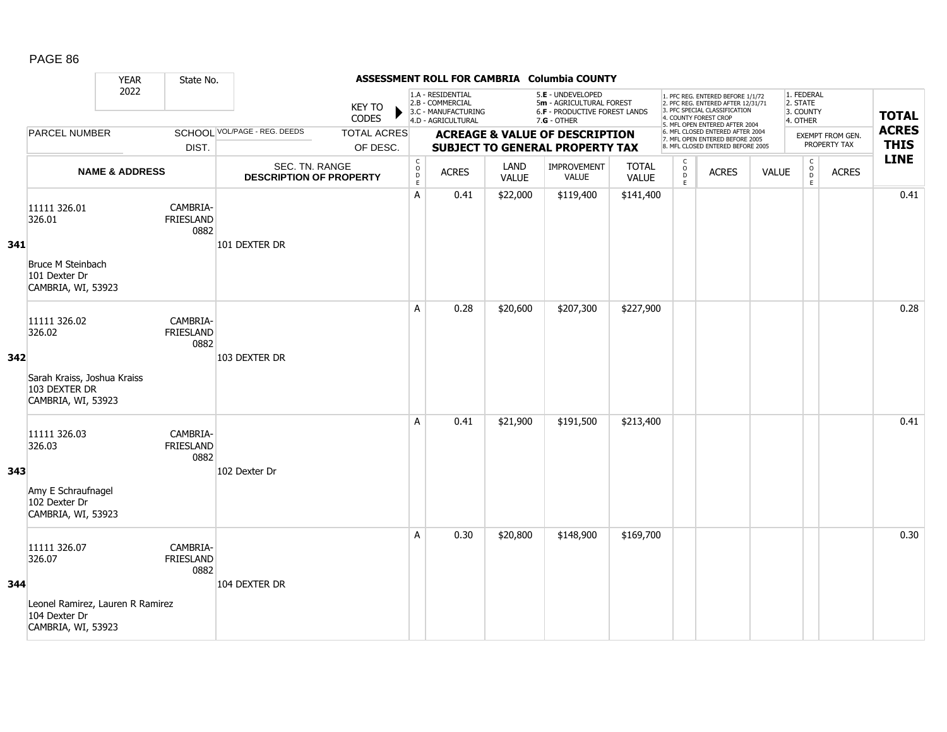|     |                                                                                                   | <b>YEAR</b>               | State No.                            |                                                  |                                |                                                           |                                                                                    |                      | ASSESSMENT ROLL FOR CAMBRIA Columbia COUNTY                                                   |                              |                                               |                                                                                                                                                                     |              |                                                 |                                  |                             |
|-----|---------------------------------------------------------------------------------------------------|---------------------------|--------------------------------------|--------------------------------------------------|--------------------------------|-----------------------------------------------------------|------------------------------------------------------------------------------------|----------------------|-----------------------------------------------------------------------------------------------|------------------------------|-----------------------------------------------|---------------------------------------------------------------------------------------------------------------------------------------------------------------------|--------------|-------------------------------------------------|----------------------------------|-----------------------------|
|     |                                                                                                   | 2022                      |                                      |                                                  | <b>KEY TO</b><br>CODES         |                                                           | 1.A - RESIDENTIAL<br>2.B - COMMERCIAL<br>3.C - MANUFACTURING<br>4.D - AGRICULTURAL |                      | 5.E - UNDEVELOPED<br>5m - AGRICULTURAL FOREST<br>6.F - PRODUCTIVE FOREST LANDS<br>7.G - OTHER |                              |                                               | 1. PFC REG. ENTERED BEFORE 1/1/72<br>2. PFC REG. ENTERED AFTER 12/31/71<br>3. PFC SPECIAL CLASSIFICATION<br>4. COUNTY FOREST CROP<br>5. MFL OPEN ENTERED AFTER 2004 |              | 1. FEDERAL<br>2. STATE<br>3. COUNTY<br>4. OTHER |                                  | <b>TOTAL</b>                |
|     | <b>PARCEL NUMBER</b>                                                                              |                           | DIST.                                | SCHOOL VOL/PAGE - REG. DEEDS                     | <b>TOTAL ACRES</b><br>OF DESC. |                                                           |                                                                                    |                      | <b>ACREAGE &amp; VALUE OF DESCRIPTION</b><br><b>SUBJECT TO GENERAL PROPERTY TAX</b>           |                              |                                               | 6. MFL CLOSED ENTERED AFTER 2004<br>7. MFL OPEN ENTERED BEFORE 2005<br>8. MFL CLOSED ENTERED BEFORE 2005                                                            |              |                                                 | EXEMPT FROM GEN.<br>PROPERTY TAX | <b>ACRES</b><br><b>THIS</b> |
|     |                                                                                                   | <b>NAME &amp; ADDRESS</b> |                                      | SEC. TN. RANGE<br><b>DESCRIPTION OF PROPERTY</b> |                                | $\begin{array}{c} C \\ O \\ D \end{array}$<br>$\mathsf E$ | <b>ACRES</b>                                                                       | LAND<br><b>VALUE</b> | IMPROVEMENT<br>VALUE                                                                          | <b>TOTAL</b><br><b>VALUE</b> | $\mathsf{C}$<br>$_\mathrm{D}^\mathrm{O}$<br>E | <b>ACRES</b>                                                                                                                                                        | <b>VALUE</b> | $\mathsf{C}$<br>$_{\rm D}^{\rm O}$<br>E         | <b>ACRES</b>                     | <b>LINE</b>                 |
| 341 | 11111 326.01<br>326.01<br>Bruce M Steinbach<br>101 Dexter Dr<br>CAMBRIA, WI, 53923                |                           | CAMBRIA-<br><b>FRIESLAND</b><br>0882 | 101 DEXTER DR                                    |                                | A                                                         | 0.41                                                                               | \$22,000             | \$119,400                                                                                     | \$141,400                    |                                               |                                                                                                                                                                     |              |                                                 |                                  | 0.41                        |
| 342 | 11111 326.02<br>326.02<br>Sarah Kraiss, Joshua Kraiss<br>103 DEXTER DR<br>CAMBRIA, WI, 53923      |                           | CAMBRIA-<br><b>FRIESLAND</b><br>0882 | 103 DEXTER DR                                    |                                | A                                                         | 0.28                                                                               | \$20,600             | \$207,300                                                                                     | \$227,900                    |                                               |                                                                                                                                                                     |              |                                                 |                                  | 0.28                        |
| 343 | 11111 326.03<br>326.03<br>Amy E Schraufnagel<br>102 Dexter Dr<br>CAMBRIA, WI, 53923               |                           | CAMBRIA-<br><b>FRIESLAND</b><br>0882 | 102 Dexter Dr                                    |                                | A                                                         | 0.41                                                                               | \$21,900             | \$191,500                                                                                     | \$213,400                    |                                               |                                                                                                                                                                     |              |                                                 |                                  | 0.41                        |
| 344 | 11111 326.07<br>326.07<br>Leonel Ramirez, Lauren R Ramirez<br>104 Dexter Dr<br>CAMBRIA, WI, 53923 |                           | CAMBRIA-<br><b>FRIESLAND</b><br>0882 | 104 DEXTER DR                                    |                                | A                                                         | 0.30                                                                               | \$20,800             | \$148,900                                                                                     | \$169,700                    |                                               |                                                                                                                                                                     |              |                                                 |                                  | 0.30                        |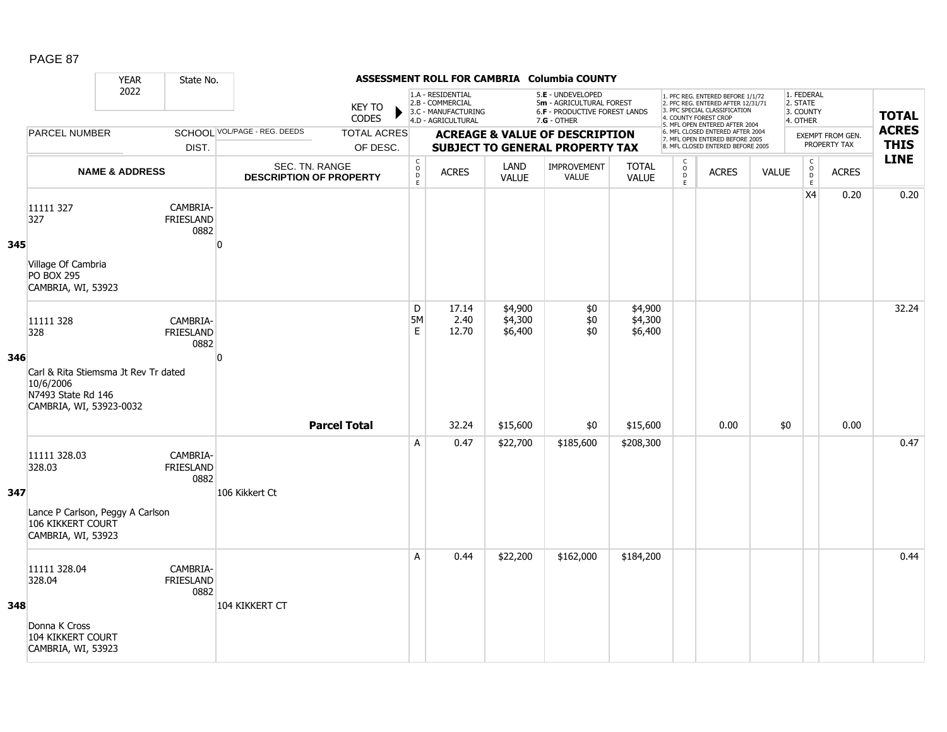|     |                                                                                                    | <b>YEAR</b>               | State No.                            |                                                  |                               |                               |                                                                                    |                               | ASSESSMENT ROLL FOR CAMBRIA Columbia COUNTY                                                     |                               |                                |                                                                                                                                   |              |                                                 |                                         |                             |
|-----|----------------------------------------------------------------------------------------------------|---------------------------|--------------------------------------|--------------------------------------------------|-------------------------------|-------------------------------|------------------------------------------------------------------------------------|-------------------------------|-------------------------------------------------------------------------------------------------|-------------------------------|--------------------------------|-----------------------------------------------------------------------------------------------------------------------------------|--------------|-------------------------------------------------|-----------------------------------------|-----------------------------|
|     |                                                                                                    | 2022                      |                                      |                                                  | <b>KEY TO</b><br><b>CODES</b> |                               | 1.A - RESIDENTIAL<br>2.B - COMMERCIAL<br>3.C - MANUFACTURING<br>4.D - AGRICULTURAL |                               | 5.E - UNDEVELOPED<br>5m - AGRICULTURAL FOREST<br>6.F - PRODUCTIVE FOREST LANDS<br>$7.G - OTHER$ |                               |                                | 1. PFC REG. ENTERED BEFORE 1/1/72<br>2. PFC REG. ENTERED AFTER 12/31/71<br>3. PFC SPECIAL CLASSIFICATION<br>4. COUNTY FOREST CROP |              | 1. FEDERAL<br>2. STATE<br>3. COUNTY<br>4. OTHER |                                         | <b>TOTAL</b>                |
|     | <b>PARCEL NUMBER</b>                                                                               |                           |                                      | SCHOOL VOL/PAGE - REG. DEEDS                     | <b>TOTAL ACRES</b>            |                               |                                                                                    |                               | <b>ACREAGE &amp; VALUE OF DESCRIPTION</b>                                                       |                               |                                | 5. MFL OPEN ENTERED AFTER 2004<br>6. MFL CLOSED ENTERED AFTER 2004<br>7. MFL OPEN ENTERED BEFORE 2005                             |              |                                                 | <b>EXEMPT FROM GEN.</b><br>PROPERTY TAX | <b>ACRES</b><br><b>THIS</b> |
|     |                                                                                                    |                           | DIST.                                |                                                  | OF DESC.                      | $\mathsf C$                   |                                                                                    |                               | <b>SUBJECT TO GENERAL PROPERTY TAX</b>                                                          |                               | C                              | 8. MFL CLOSED ENTERED BEFORE 2005                                                                                                 |              | $\mathsf{C}$                                    |                                         | <b>LINE</b>                 |
|     |                                                                                                    | <b>NAME &amp; ADDRESS</b> |                                      | SEC. TN. RANGE<br><b>DESCRIPTION OF PROPERTY</b> |                               | $\overline{0}$<br>$\mathsf E$ | <b>ACRES</b>                                                                       | LAND<br><b>VALUE</b>          | IMPROVEMENT<br><b>VALUE</b>                                                                     | <b>TOTAL</b><br><b>VALUE</b>  | $\overset{\mathsf{O}}{D}$<br>E | <b>ACRES</b>                                                                                                                      | <b>VALUE</b> | $\overset{\circ}{\phantom{\circ}}$<br>E         | <b>ACRES</b>                            |                             |
| 345 | 11111 327<br>327                                                                                   |                           | CAMBRIA-<br><b>FRIESLAND</b><br>0882 | $\Omega$                                         |                               |                               |                                                                                    |                               |                                                                                                 |                               |                                |                                                                                                                                   |              | X4                                              | 0.20                                    | 0.20                        |
|     | Village Of Cambria<br><b>PO BOX 295</b><br>CAMBRIA, WI, 53923                                      |                           |                                      |                                                  |                               |                               |                                                                                    |                               |                                                                                                 |                               |                                |                                                                                                                                   |              |                                                 |                                         |                             |
| 346 | 11111 328<br>328                                                                                   |                           | CAMBRIA-<br><b>FRIESLAND</b><br>0882 | $\Omega$                                         |                               | D<br>5M<br>E                  | 17.14<br>2.40<br>12.70                                                             | \$4,900<br>\$4,300<br>\$6,400 | \$0<br>\$0<br>\$0                                                                               | \$4,900<br>\$4,300<br>\$6,400 |                                |                                                                                                                                   |              |                                                 |                                         | 32.24                       |
|     | Carl & Rita Stiemsma Jt Rev Tr dated<br>10/6/2006<br>N7493 State Rd 146<br>CAMBRIA, WI, 53923-0032 |                           |                                      |                                                  | <b>Parcel Total</b>           |                               | 32.24                                                                              | \$15,600                      | \$0                                                                                             | \$15,600                      |                                | 0.00                                                                                                                              | \$0          |                                                 | 0.00                                    |                             |
| 347 | 11111 328.03<br>328.03                                                                             |                           | CAMBRIA-<br><b>FRIESLAND</b><br>0882 | 106 Kikkert Ct                                   |                               | A                             | 0.47                                                                               | \$22,700                      | \$185,600                                                                                       | \$208,300                     |                                |                                                                                                                                   |              |                                                 |                                         | 0.47                        |
|     | Lance P Carlson, Peggy A Carlson<br><b>106 KIKKERT COURT</b><br>CAMBRIA, WI, 53923                 |                           |                                      |                                                  |                               |                               |                                                                                    |                               |                                                                                                 |                               |                                |                                                                                                                                   |              |                                                 |                                         |                             |
| 348 | 11111 328.04<br>328.04                                                                             |                           | CAMBRIA-<br><b>FRIESLAND</b><br>0882 | 104 KIKKERT CT                                   |                               | A                             | 0.44                                                                               | \$22,200                      | \$162,000                                                                                       | \$184,200                     |                                |                                                                                                                                   |              |                                                 |                                         | 0.44                        |
|     | Donna K Cross<br><b>104 KIKKERT COURT</b><br>CAMBRIA, WI, 53923                                    |                           |                                      |                                                  |                               |                               |                                                                                    |                               |                                                                                                 |                               |                                |                                                                                                                                   |              |                                                 |                                         |                             |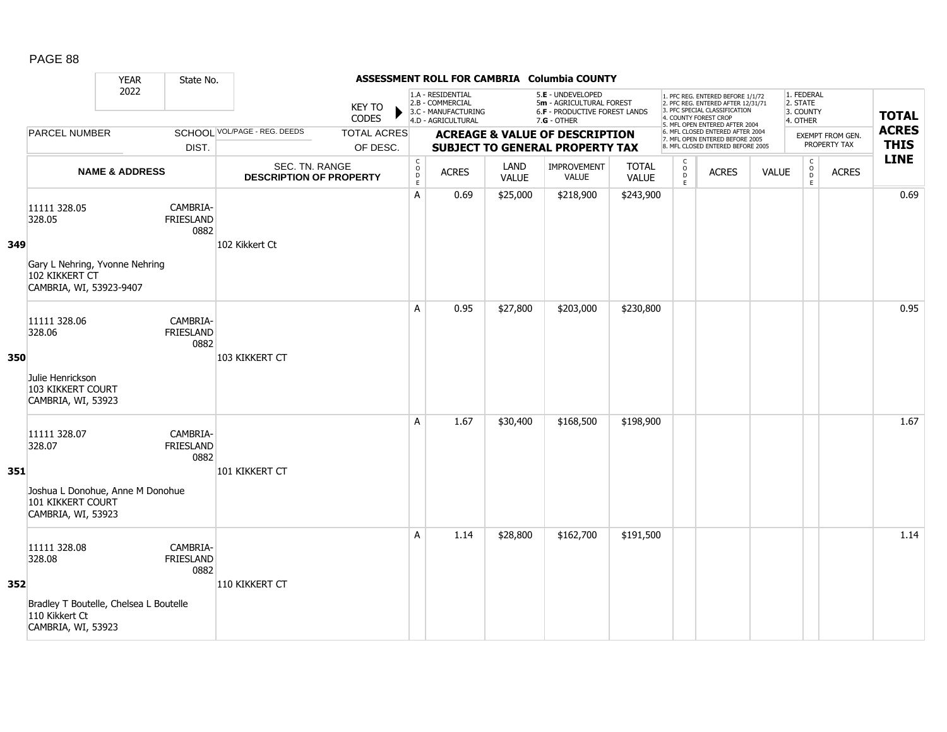|     |                                                                                                          | <b>YEAR</b>               | State No.                            |                                                  |                                |                                        |                                                                                    |                      | ASSESSMENT ROLL FOR CAMBRIA Columbia COUNTY                                                            |                       |                                              |                                                                                                                                                                     |              |                                                 |                                  |                             |
|-----|----------------------------------------------------------------------------------------------------------|---------------------------|--------------------------------------|--------------------------------------------------|--------------------------------|----------------------------------------|------------------------------------------------------------------------------------|----------------------|--------------------------------------------------------------------------------------------------------|-----------------------|----------------------------------------------|---------------------------------------------------------------------------------------------------------------------------------------------------------------------|--------------|-------------------------------------------------|----------------------------------|-----------------------------|
|     |                                                                                                          | 2022                      |                                      |                                                  | <b>KEY TO</b><br>CODES         |                                        | 1.A - RESIDENTIAL<br>2.B - COMMERCIAL<br>3.C - MANUFACTURING<br>4.D - AGRICULTURAL |                      | 5.E - UNDEVELOPED<br>5m - AGRICULTURAL FOREST<br><b>6.F - PRODUCTIVE FOREST LANDS</b><br>$7.G - OTHER$ |                       |                                              | 1. PFC REG. ENTERED BEFORE 1/1/72<br>2. PFC REG. ENTERED AFTER 12/31/71<br>3. PFC SPECIAL CLASSIFICATION<br>4. COUNTY FOREST CROP<br>5. MFL OPEN ENTERED AFTER 2004 |              | 1. FEDERAL<br>2. STATE<br>3. COUNTY<br>4. OTHER |                                  | <b>TOTAL</b>                |
|     | <b>PARCEL NUMBER</b>                                                                                     |                           | DIST.                                | SCHOOL VOL/PAGE - REG. DEEDS                     | <b>TOTAL ACRES</b><br>OF DESC. |                                        |                                                                                    |                      | <b>ACREAGE &amp; VALUE OF DESCRIPTION</b><br><b>SUBJECT TO GENERAL PROPERTY TAX</b>                    |                       |                                              | 6. MFL CLOSED ENTERED AFTER 2004<br>7. MFL OPEN ENTERED BEFORE 2005<br>8. MFL CLOSED ENTERED BEFORE 2005                                                            |              |                                                 | EXEMPT FROM GEN.<br>PROPERTY TAX | <b>ACRES</b><br><b>THIS</b> |
|     |                                                                                                          | <b>NAME &amp; ADDRESS</b> |                                      | SEC. TN. RANGE<br><b>DESCRIPTION OF PROPERTY</b> |                                | $_{\rm o}^{\rm c}$<br>D<br>$\mathsf E$ | <b>ACRES</b>                                                                       | LAND<br><b>VALUE</b> | <b>IMPROVEMENT</b><br><b>VALUE</b>                                                                     | <b>TOTAL</b><br>VALUE | $\mathsf{C}$<br>$\circ$<br>$\mathsf{D}$<br>E | <b>ACRES</b>                                                                                                                                                        | <b>VALUE</b> | $\begin{matrix} 0 \\ 0 \\ D \end{matrix}$<br>E  | <b>ACRES</b>                     | <b>LINE</b>                 |
| 349 | 11111 328.05<br>328.05<br>Gary L Nehring, Yvonne Nehring<br>102 KIKKERT CT<br>CAMBRIA, WI, 53923-9407    |                           | CAMBRIA-<br><b>FRIESLAND</b><br>0882 | 102 Kikkert Ct                                   |                                | Α                                      | 0.69                                                                               | \$25,000             | \$218,900                                                                                              | \$243,900             |                                              |                                                                                                                                                                     |              |                                                 |                                  | 0.69                        |
| 350 | 11111 328.06<br>328.06<br>Julie Henrickson<br>103 KIKKERT COURT<br>CAMBRIA, WI, 53923                    |                           | CAMBRIA-<br><b>FRIESLAND</b><br>0882 | 103 KIKKERT CT                                   |                                | A                                      | 0.95                                                                               | \$27,800             | \$203,000                                                                                              | \$230,800             |                                              |                                                                                                                                                                     |              |                                                 |                                  | 0.95                        |
| 351 | 11111 328.07<br>328.07<br>Joshua L Donohue, Anne M Donohue<br>101 KIKKERT COURT<br>CAMBRIA, WI, 53923    |                           | CAMBRIA-<br>FRIESLAND<br>0882        | 101 KIKKERT CT                                   |                                | A                                      | 1.67                                                                               | \$30,400             | \$168,500                                                                                              | \$198,900             |                                              |                                                                                                                                                                     |              |                                                 |                                  | 1.67                        |
| 352 | 11111 328.08<br>328.08<br>Bradley T Boutelle, Chelsea L Boutelle<br>110 Kikkert Ct<br>CAMBRIA, WI, 53923 |                           | CAMBRIA-<br>FRIESLAND<br>0882        | 110 KIKKERT CT                                   |                                | A                                      | 1.14                                                                               | \$28,800             | \$162,700                                                                                              | \$191,500             |                                              |                                                                                                                                                                     |              |                                                 |                                  | 1.14                        |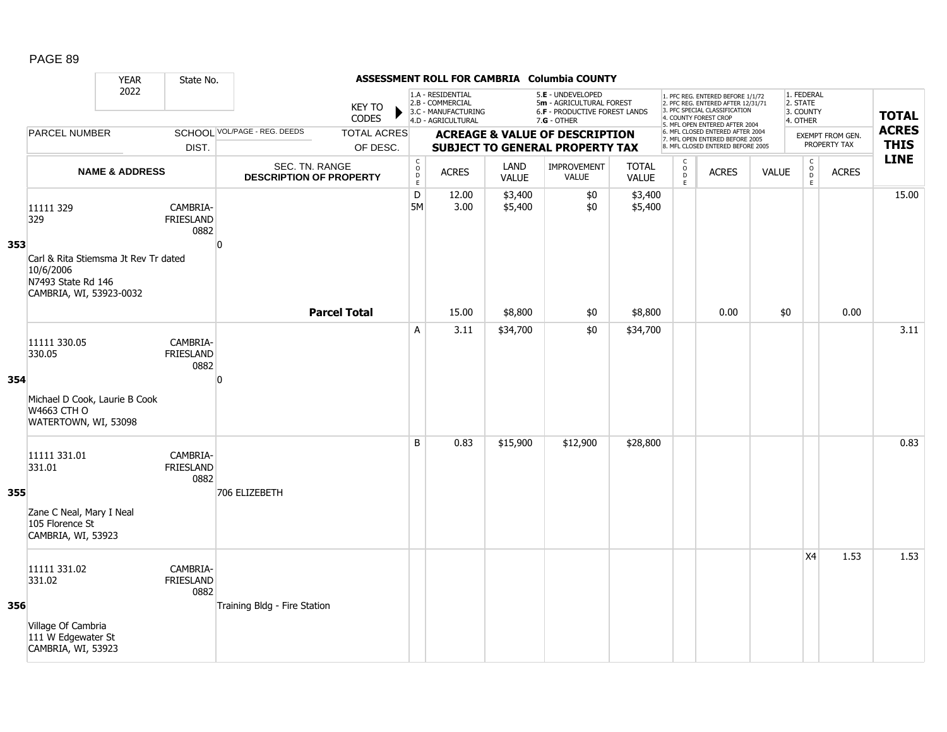|     |                                                                                                    | <b>YEAR</b>               | State No.                            |                                                  |                                |                                                          |                                                                                    |                      | ASSESSMENT ROLL FOR CAMBRIA Columbia COUNTY                                                     |                              |                         |                                                                                                                                                                     |              |                                                 |                                         |                             |
|-----|----------------------------------------------------------------------------------------------------|---------------------------|--------------------------------------|--------------------------------------------------|--------------------------------|----------------------------------------------------------|------------------------------------------------------------------------------------|----------------------|-------------------------------------------------------------------------------------------------|------------------------------|-------------------------|---------------------------------------------------------------------------------------------------------------------------------------------------------------------|--------------|-------------------------------------------------|-----------------------------------------|-----------------------------|
|     |                                                                                                    | 2022                      |                                      |                                                  | KEY TO<br><b>CODES</b>         |                                                          | 1.A - RESIDENTIAL<br>2.B - COMMERCIAL<br>3.C - MANUFACTURING<br>4.D - AGRICULTURAL |                      | 5.E - UNDEVELOPED<br>5m - AGRICULTURAL FOREST<br>6.F - PRODUCTIVE FOREST LANDS<br>$7.G - OTHER$ |                              |                         | 1. PFC REG. ENTERED BEFORE 1/1/72<br>2. PFC REG. ENTERED AFTER 12/31/71<br>3. PFC SPECIAL CLASSIFICATION<br>4. COUNTY FOREST CROP<br>5. MFL OPEN ENTERED AFTER 2004 |              | 1. FEDERAL<br>2. STATE<br>3. COUNTY<br>4. OTHER |                                         | <b>TOTAL</b>                |
|     | <b>PARCEL NUMBER</b>                                                                               |                           | DIST.                                | SCHOOL VOL/PAGE - REG. DEEDS                     | <b>TOTAL ACRES</b><br>OF DESC. |                                                          |                                                                                    |                      | <b>ACREAGE &amp; VALUE OF DESCRIPTION</b><br><b>SUBJECT TO GENERAL PROPERTY TAX</b>             |                              |                         | 6. MFL CLOSED ENTERED AFTER 2004<br>7. MFL OPEN ENTERED BEFORE 2005<br>8. MFL CLOSED ENTERED BEFORE 2005                                                            |              |                                                 | <b>EXEMPT FROM GEN.</b><br>PROPERTY TAX | <b>ACRES</b><br><b>THIS</b> |
|     |                                                                                                    | <b>NAME &amp; ADDRESS</b> |                                      | SEC. TN. RANGE<br><b>DESCRIPTION OF PROPERTY</b> |                                | $\mathsf C$<br>$\mathsf{o}$<br>$\mathsf{D}_{\mathsf{E}}$ | <b>ACRES</b>                                                                       | LAND<br><b>VALUE</b> | <b>IMPROVEMENT</b><br>VALUE                                                                     | <b>TOTAL</b><br><b>VALUE</b> | C<br>$\circ$<br>D<br>Ε. | <b>ACRES</b>                                                                                                                                                        | <b>VALUE</b> | $\begin{matrix} 0 \\ 0 \\ D \end{matrix}$<br>E  | <b>ACRES</b>                            | <b>LINE</b>                 |
| 353 | 11111 329<br>329                                                                                   |                           | CAMBRIA-<br><b>FRIESLAND</b><br>0882 | $\Omega$                                         |                                | $\mathsf D$<br>5M                                        | 12.00<br>3.00                                                                      | \$3,400<br>\$5,400   | \$0<br>\$0                                                                                      | \$3,400<br>\$5,400           |                         |                                                                                                                                                                     |              |                                                 |                                         | 15.00                       |
|     | Carl & Rita Stiemsma Jt Rev Tr dated<br>10/6/2006<br>N7493 State Rd 146<br>CAMBRIA, WI, 53923-0032 |                           |                                      |                                                  | <b>Parcel Total</b>            |                                                          | 15.00                                                                              | \$8,800              | \$0                                                                                             | \$8,800                      |                         | 0.00                                                                                                                                                                | \$0          |                                                 | 0.00                                    |                             |
| 354 | 11111 330.05<br>330.05                                                                             |                           | CAMBRIA-<br><b>FRIESLAND</b><br>0882 | ŋ                                                |                                | A                                                        | 3.11                                                                               | \$34,700             | \$0                                                                                             | \$34,700                     |                         |                                                                                                                                                                     |              |                                                 |                                         | 3.11                        |
|     | Michael D Cook, Laurie B Cook<br>W4663 CTH O<br>WATERTOWN, WI, 53098                               |                           |                                      |                                                  |                                |                                                          |                                                                                    |                      |                                                                                                 |                              |                         |                                                                                                                                                                     |              |                                                 |                                         |                             |
| 355 | 11111 331.01<br>331.01                                                                             |                           | CAMBRIA-<br><b>FRIESLAND</b><br>0882 | 706 ELIZEBETH                                    |                                | B                                                        | 0.83                                                                               | \$15,900             | \$12,900                                                                                        | \$28,800                     |                         |                                                                                                                                                                     |              |                                                 |                                         | 0.83                        |
|     | Zane C Neal, Mary I Neal<br>105 Florence St<br>CAMBRIA, WI, 53923                                  |                           |                                      |                                                  |                                |                                                          |                                                                                    |                      |                                                                                                 |                              |                         |                                                                                                                                                                     |              |                                                 |                                         |                             |
| 356 | 11111 331.02<br>331.02                                                                             |                           | CAMBRIA-<br>FRIESLAND<br>0882        | Training Bldg - Fire Station                     |                                |                                                          |                                                                                    |                      |                                                                                                 |                              |                         |                                                                                                                                                                     |              | X4                                              | 1.53                                    | 1.53                        |
|     | Village Of Cambria<br>111 W Edgewater St<br>CAMBRIA, WI, 53923                                     |                           |                                      |                                                  |                                |                                                          |                                                                                    |                      |                                                                                                 |                              |                         |                                                                                                                                                                     |              |                                                 |                                         |                             |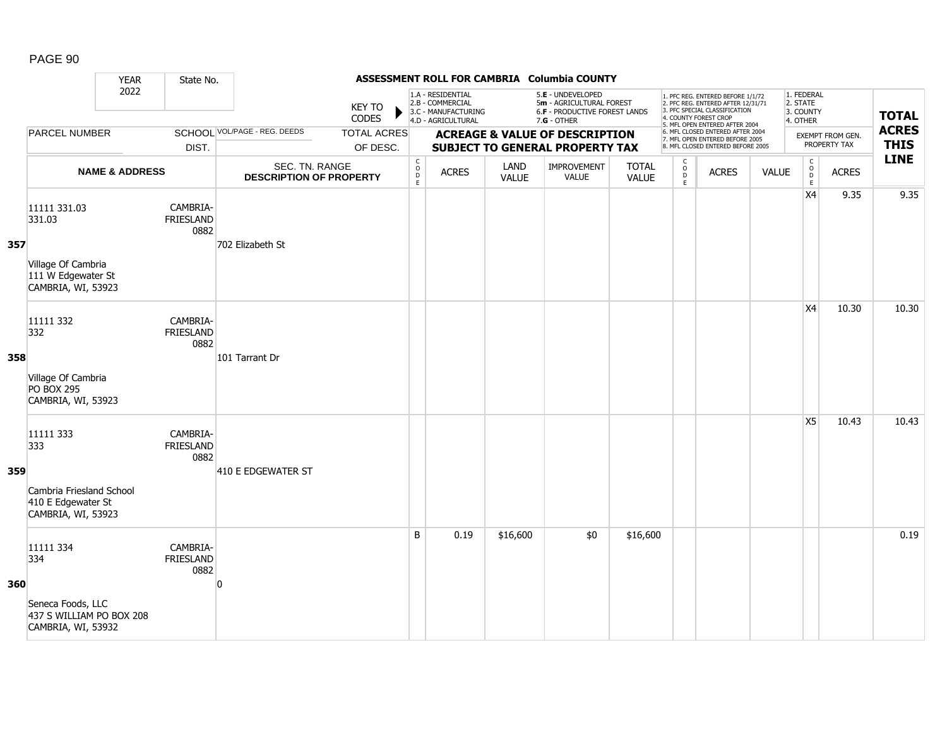|     |                                                                                          | <b>YEAR</b>               | State No.                            |                                                  |                                |                                                |                                                                                    |               | ASSESSMENT ROLL FOR CAMBRIA Columbia COUNTY                                                     |                              |                                                    |                                                                                                                                                                     |              |                                                  |                                  |                             |
|-----|------------------------------------------------------------------------------------------|---------------------------|--------------------------------------|--------------------------------------------------|--------------------------------|------------------------------------------------|------------------------------------------------------------------------------------|---------------|-------------------------------------------------------------------------------------------------|------------------------------|----------------------------------------------------|---------------------------------------------------------------------------------------------------------------------------------------------------------------------|--------------|--------------------------------------------------|----------------------------------|-----------------------------|
|     |                                                                                          | 2022                      |                                      |                                                  | <b>KEY TO</b><br>CODES         |                                                | 1.A - RESIDENTIAL<br>2.B - COMMERCIAL<br>3.C - MANUFACTURING<br>4.D - AGRICULTURAL |               | 5.E - UNDEVELOPED<br>5m - AGRICULTURAL FOREST<br>6.F - PRODUCTIVE FOREST LANDS<br>$7.G - OTHER$ |                              |                                                    | 1. PFC REG. ENTERED BEFORE 1/1/72<br>2. PFC REG. ENTERED AFTER 12/31/71<br>3. PFC SPECIAL CLASSIFICATION<br>4. COUNTY FOREST CROP<br>5. MFL OPEN ENTERED AFTER 2004 |              | 1. FEDERAL<br>2. STATE<br>3. COUNTY<br>4. OTHER  |                                  | <b>TOTAL</b>                |
|     | <b>PARCEL NUMBER</b>                                                                     |                           | DIST.                                | <b>SCHOOL VOL/PAGE - REG. DEEDS</b>              | <b>TOTAL ACRES</b><br>OF DESC. |                                                |                                                                                    |               | <b>ACREAGE &amp; VALUE OF DESCRIPTION</b><br><b>SUBJECT TO GENERAL PROPERTY TAX</b>             |                              |                                                    | 6. MFL CLOSED ENTERED AFTER 2004<br>7. MFL OPEN ENTERED BEFORE 2005<br>8. MFL CLOSED ENTERED BEFORE 2005                                                            |              |                                                  | EXEMPT FROM GEN.<br>PROPERTY TAX | <b>ACRES</b><br><b>THIS</b> |
|     |                                                                                          | <b>NAME &amp; ADDRESS</b> |                                      | SEC. TN. RANGE<br><b>DESCRIPTION OF PROPERTY</b> |                                | $\begin{matrix} 0 \\ 0 \\ D \end{matrix}$<br>E | <b>ACRES</b>                                                                       | LAND<br>VALUE | IMPROVEMENT<br><b>VALUE</b>                                                                     | <b>TOTAL</b><br><b>VALUE</b> | $\mathsf{C}$<br>$_{\rm D}^{\rm O}$<br>$\mathsf{E}$ | <b>ACRES</b>                                                                                                                                                        | <b>VALUE</b> | $\mathsf C$<br>$_{\rm D}^{\rm O}$<br>$\mathsf E$ | <b>ACRES</b>                     | <b>LINE</b>                 |
| 357 | 11111 331.03<br>331.03<br>Village Of Cambria<br>111 W Edgewater St<br>CAMBRIA, WI, 53923 |                           | CAMBRIA-<br><b>FRIESLAND</b><br>0882 | 702 Elizabeth St                                 |                                |                                                |                                                                                    |               |                                                                                                 |                              |                                                    |                                                                                                                                                                     |              | X4                                               | 9.35                             | 9.35                        |
| 358 | 11111 332<br>332<br>Village Of Cambria<br><b>PO BOX 295</b><br>CAMBRIA, WI, 53923        |                           | CAMBRIA-<br>FRIESLAND<br>0882        | 101 Tarrant Dr                                   |                                |                                                |                                                                                    |               |                                                                                                 |                              |                                                    |                                                                                                                                                                     |              | X4                                               | 10.30                            | 10.30                       |
| 359 | 11111 333<br>333<br>Cambria Friesland School<br>410 E Edgewater St<br>CAMBRIA, WI, 53923 |                           | CAMBRIA-<br>FRIESLAND<br>0882        | 410 E EDGEWATER ST                               |                                |                                                |                                                                                    |               |                                                                                                 |                              |                                                    |                                                                                                                                                                     |              | X5                                               | 10.43                            | 10.43                       |
| 360 | 11111 334<br>334<br>Seneca Foods, LLC<br>437 S WILLIAM PO BOX 208<br>CAMBRIA, WI, 53932  |                           | CAMBRIA-<br><b>FRIESLAND</b><br>0882 | O                                                |                                | B                                              | 0.19                                                                               | \$16,600      | \$0                                                                                             | \$16,600                     |                                                    |                                                                                                                                                                     |              |                                                  |                                  | 0.19                        |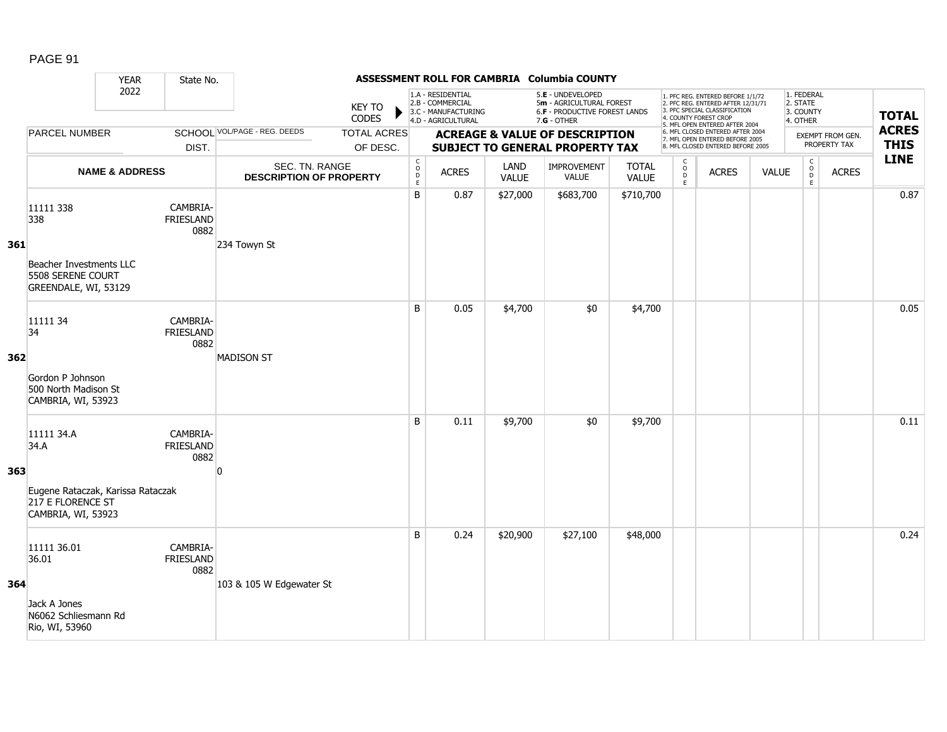|     |                                                                                                    | <b>YEAR</b>               | State No.                            |                                                  |                                |                                                          |                                                                                    |                      | ASSESSMENT ROLL FOR CAMBRIA Columbia COUNTY                                                     |                       |                                               |                                                                                                                                                                     |              |                                                 |                                  |                             |
|-----|----------------------------------------------------------------------------------------------------|---------------------------|--------------------------------------|--------------------------------------------------|--------------------------------|----------------------------------------------------------|------------------------------------------------------------------------------------|----------------------|-------------------------------------------------------------------------------------------------|-----------------------|-----------------------------------------------|---------------------------------------------------------------------------------------------------------------------------------------------------------------------|--------------|-------------------------------------------------|----------------------------------|-----------------------------|
|     |                                                                                                    | 2022                      |                                      |                                                  | <b>KEY TO</b><br>CODES         |                                                          | 1.A - RESIDENTIAL<br>2.B - COMMERCIAL<br>3.C - MANUFACTURING<br>4.D - AGRICULTURAL |                      | 5.E - UNDEVELOPED<br>5m - AGRICULTURAL FOREST<br>6.F - PRODUCTIVE FOREST LANDS<br>$7.G - OTHER$ |                       |                                               | 1. PFC REG. ENTERED BEFORE 1/1/72<br>2. PFC REG. ENTERED AFTER 12/31/71<br>3. PFC SPECIAL CLASSIFICATION<br>4. COUNTY FOREST CROP<br>5. MFL OPEN ENTERED AFTER 2004 |              | 1. FEDERAL<br>2. STATE<br>3. COUNTY<br>4. OTHER |                                  | <b>TOTAL</b>                |
|     | <b>PARCEL NUMBER</b>                                                                               |                           | DIST.                                | SCHOOL VOL/PAGE - REG. DEEDS                     | <b>TOTAL ACRES</b><br>OF DESC. |                                                          |                                                                                    |                      | <b>ACREAGE &amp; VALUE OF DESCRIPTION</b><br><b>SUBJECT TO GENERAL PROPERTY TAX</b>             |                       |                                               | 6. MFL CLOSED ENTERED AFTER 2004<br>7. MFL OPEN ENTERED BEFORE 2005<br>8. MFL CLOSED ENTERED BEFORE 2005                                                            |              |                                                 | EXEMPT FROM GEN.<br>PROPERTY TAX | <b>ACRES</b><br><b>THIS</b> |
|     |                                                                                                    | <b>NAME &amp; ADDRESS</b> |                                      | SEC. TN. RANGE<br><b>DESCRIPTION OF PROPERTY</b> |                                | $\begin{matrix} 0 \\ 0 \\ D \end{matrix}$<br>$\mathsf E$ | <b>ACRES</b>                                                                       | LAND<br><b>VALUE</b> | IMPROVEMENT<br>VALUE                                                                            | <b>TOTAL</b><br>VALUE | $\mathsf{C}$<br>$_\mathrm{D}^\mathrm{O}$<br>E | <b>ACRES</b>                                                                                                                                                        | <b>VALUE</b> | $\mathsf C$<br>$_{\rm D}^{\rm O}$<br>E          | <b>ACRES</b>                     | <b>LINE</b>                 |
| 361 | 11111 338<br>338<br>Beacher Investments LLC<br>5508 SERENE COURT<br>GREENDALE, WI, 53129           |                           | CAMBRIA-<br>FRIESLAND<br>0882        | 234 Towyn St                                     |                                | B                                                        | 0.87                                                                               | \$27,000             | \$683,700                                                                                       | \$710,700             |                                               |                                                                                                                                                                     |              |                                                 |                                  | 0.87                        |
| 362 | 11111 34<br>34<br>Gordon P Johnson<br>500 North Madison St<br>CAMBRIA, WI, 53923                   |                           | CAMBRIA-<br><b>FRIESLAND</b><br>0882 | <b>MADISON ST</b>                                |                                | B                                                        | 0.05                                                                               | \$4,700              | \$0                                                                                             | \$4,700               |                                               |                                                                                                                                                                     |              |                                                 |                                  | 0.05                        |
| 363 | 11111 34.A<br>34.A<br>Eugene Rataczak, Karissa Rataczak<br>217 E FLORENCE ST<br>CAMBRIA, WI, 53923 |                           | CAMBRIA-<br>FRIESLAND<br>0882        | n                                                |                                | B                                                        | 0.11                                                                               | \$9,700              | \$0                                                                                             | \$9,700               |                                               |                                                                                                                                                                     |              |                                                 |                                  | 0.11                        |
| 364 | 11111 36.01<br>36.01<br>Jack A Jones<br>N6062 Schliesmann Rd<br>Rio, WI, 53960                     |                           | CAMBRIA-<br>FRIESLAND<br>0882        | 103 & 105 W Edgewater St                         |                                | B                                                        | 0.24                                                                               | \$20,900             | \$27,100                                                                                        | \$48,000              |                                               |                                                                                                                                                                     |              |                                                 |                                  | 0.24                        |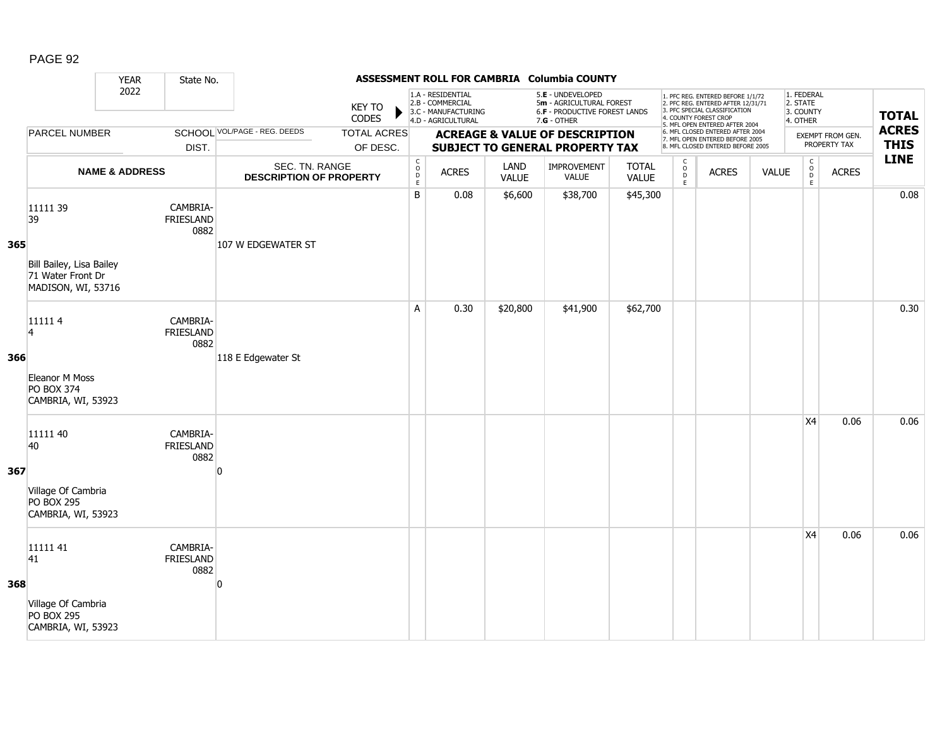|     |                                                                                       | <b>YEAR</b>               | State No.                            |                                                  |                                |                                                 |                                                                                    |                      | ASSESSMENT ROLL FOR CAMBRIA Columbia COUNTY                                                   |                              |                                     |                                                                                                                                                                     |              |                                                 |                                         |                             |
|-----|---------------------------------------------------------------------------------------|---------------------------|--------------------------------------|--------------------------------------------------|--------------------------------|-------------------------------------------------|------------------------------------------------------------------------------------|----------------------|-----------------------------------------------------------------------------------------------|------------------------------|-------------------------------------|---------------------------------------------------------------------------------------------------------------------------------------------------------------------|--------------|-------------------------------------------------|-----------------------------------------|-----------------------------|
|     |                                                                                       | 2022                      |                                      |                                                  | <b>KEY TO</b><br>CODES         |                                                 | 1.A - RESIDENTIAL<br>2.B - COMMERCIAL<br>3.C - MANUFACTURING<br>4.D - AGRICULTURAL |                      | 5.E - UNDEVELOPED<br>5m - AGRICULTURAL FOREST<br>6.F - PRODUCTIVE FOREST LANDS<br>7.G - OTHER |                              |                                     | 1. PFC REG. ENTERED BEFORE 1/1/72<br>2. PFC REG. ENTERED AFTER 12/31/71<br>3. PFC SPECIAL CLASSIFICATION<br>4. COUNTY FOREST CROP<br>5. MFL OPEN ENTERED AFTER 2004 |              | 1. FEDERAL<br>2. STATE<br>3. COUNTY<br>4. OTHER |                                         | <b>TOTAL</b>                |
|     | <b>PARCEL NUMBER</b>                                                                  |                           | DIST.                                | <b>SCHOOL VOL/PAGE - REG. DEEDS</b>              | <b>TOTAL ACRES</b><br>OF DESC. |                                                 |                                                                                    |                      | <b>ACREAGE &amp; VALUE OF DESCRIPTION</b><br><b>SUBJECT TO GENERAL PROPERTY TAX</b>           |                              |                                     | 6. MFL CLOSED ENTERED AFTER 2004<br>7. MFL OPEN ENTERED BEFORE 2005<br>8. MFL CLOSED ENTERED BEFORE 2005                                                            |              |                                                 | <b>EXEMPT FROM GEN.</b><br>PROPERTY TAX | <b>ACRES</b><br><b>THIS</b> |
|     |                                                                                       | <b>NAME &amp; ADDRESS</b> |                                      | SEC. TN. RANGE<br><b>DESCRIPTION OF PROPERTY</b> |                                | $\begin{array}{c} C \\ O \\ D \\ E \end{array}$ | <b>ACRES</b>                                                                       | LAND<br><b>VALUE</b> | <b>IMPROVEMENT</b><br>VALUE                                                                   | <b>TOTAL</b><br><b>VALUE</b> | $\mathsf{C}$<br>$\int_{D}^{O}$<br>E | <b>ACRES</b>                                                                                                                                                        | <b>VALUE</b> | $\mathsf{C}$<br>$_{\rm D}^{\rm O}$<br>E         | <b>ACRES</b>                            | <b>LINE</b>                 |
| 365 | 11111 39<br>39<br>Bill Bailey, Lisa Bailey<br>71 Water Front Dr<br>MADISON, WI, 53716 |                           | CAMBRIA-<br><b>FRIESLAND</b><br>0882 | 107 W EDGEWATER ST                               |                                | B                                               | 0.08                                                                               | \$6,600              | \$38,700                                                                                      | \$45,300                     |                                     |                                                                                                                                                                     |              |                                                 |                                         | 0.08                        |
| 366 | 111114<br>$\overline{4}$<br>Eleanor M Moss<br><b>PO BOX 374</b><br>CAMBRIA, WI, 53923 |                           | CAMBRIA-<br><b>FRIESLAND</b><br>0882 | 118 E Edgewater St                               |                                | A                                               | 0.30                                                                               | \$20,800             | \$41,900                                                                                      | \$62,700                     |                                     |                                                                                                                                                                     |              |                                                 |                                         | 0.30                        |
| 367 | 11111 40<br>40<br>Village Of Cambria<br><b>PO BOX 295</b><br>CAMBRIA, WI, 53923       |                           | CAMBRIA-<br><b>FRIESLAND</b><br>0882 | n                                                |                                |                                                 |                                                                                    |                      |                                                                                               |                              |                                     |                                                                                                                                                                     |              | X4                                              | 0.06                                    | 0.06                        |
| 368 | 11111 41<br>41<br>Village Of Cambria<br><b>PO BOX 295</b><br>CAMBRIA, WI, 53923       |                           | CAMBRIA-<br><b>FRIESLAND</b><br>0882 | O                                                |                                |                                                 |                                                                                    |                      |                                                                                               |                              |                                     |                                                                                                                                                                     |              | X4                                              | 0.06                                    | 0.06                        |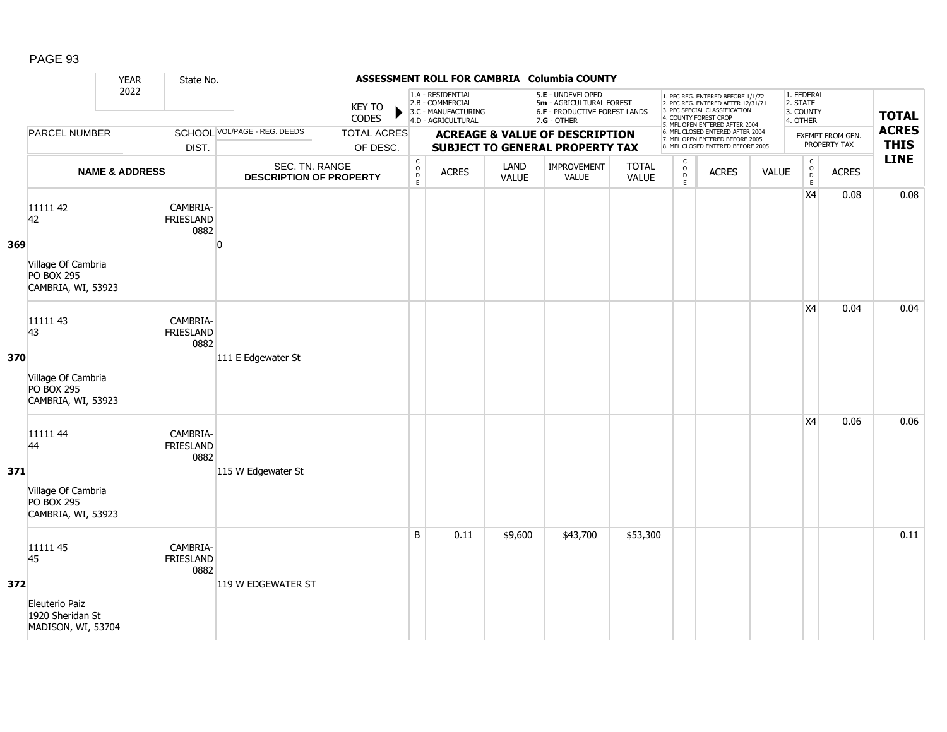|     |                                                                                 | <b>YEAR</b>               | State No.                            |                                                  |                                |                                            |                                                                                    |               | ASSESSMENT ROLL FOR CAMBRIA Columbia COUNTY                                                   |                              |                        |                                                                                                                                                                     |              |                                                 |                                  |                             |
|-----|---------------------------------------------------------------------------------|---------------------------|--------------------------------------|--------------------------------------------------|--------------------------------|--------------------------------------------|------------------------------------------------------------------------------------|---------------|-----------------------------------------------------------------------------------------------|------------------------------|------------------------|---------------------------------------------------------------------------------------------------------------------------------------------------------------------|--------------|-------------------------------------------------|----------------------------------|-----------------------------|
|     |                                                                                 | 2022                      |                                      |                                                  | <b>KEY TO</b><br>CODES         |                                            | 1.A - RESIDENTIAL<br>2.B - COMMERCIAL<br>3.C - MANUFACTURING<br>4.D - AGRICULTURAL |               | 5.E - UNDEVELOPED<br>5m - AGRICULTURAL FOREST<br>6.F - PRODUCTIVE FOREST LANDS<br>7.G - OTHER |                              |                        | 1. PFC REG. ENTERED BEFORE 1/1/72<br>2. PFC REG. ENTERED AFTER 12/31/71<br>3. PFC SPECIAL CLASSIFICATION<br>4. COUNTY FOREST CROP<br>5. MFL OPEN ENTERED AFTER 2004 |              | 1. FEDERAL<br>2. STATE<br>3. COUNTY<br>4. OTHER |                                  | <b>TOTAL</b>                |
|     | <b>PARCEL NUMBER</b>                                                            |                           | DIST.                                | SCHOOL VOL/PAGE - REG. DEEDS                     | <b>TOTAL ACRES</b><br>OF DESC. |                                            |                                                                                    |               | <b>ACREAGE &amp; VALUE OF DESCRIPTION</b><br><b>SUBJECT TO GENERAL PROPERTY TAX</b>           |                              |                        | 6. MFL CLOSED ENTERED AFTER 2004<br>7. MFL OPEN ENTERED BEFORE 2005<br>8. MFL CLOSED ENTERED BEFORE 2005                                                            |              |                                                 | EXEMPT FROM GEN.<br>PROPERTY TAX | <b>ACRES</b><br><b>THIS</b> |
|     |                                                                                 | <b>NAME &amp; ADDRESS</b> |                                      | SEC. TN. RANGE<br><b>DESCRIPTION OF PROPERTY</b> |                                | $\mathsf C$<br>$\circ$<br>$\mathsf D$<br>E | <b>ACRES</b>                                                                       | LAND<br>VALUE | IMPROVEMENT<br>VALUE                                                                          | <b>TOTAL</b><br><b>VALUE</b> | C<br>$\circ$<br>D<br>E | <b>ACRES</b>                                                                                                                                                        | <b>VALUE</b> | $\mathsf{C}$<br>$_{\rm D}^{\rm O}$<br>E         | <b>ACRES</b>                     | <b>LINE</b>                 |
| 369 | 11111 42<br>42<br>Village Of Cambria<br><b>PO BOX 295</b><br>CAMBRIA, WI, 53923 |                           | CAMBRIA-<br><b>FRIESLAND</b><br>0882 | n                                                |                                |                                            |                                                                                    |               |                                                                                               |                              |                        |                                                                                                                                                                     |              | X4                                              | 0.08                             | 0.08                        |
| 370 | 11111 43<br>43<br>Village Of Cambria<br><b>PO BOX 295</b><br>CAMBRIA, WI, 53923 |                           | CAMBRIA-<br><b>FRIESLAND</b><br>0882 | 111 E Edgewater St                               |                                |                                            |                                                                                    |               |                                                                                               |                              |                        |                                                                                                                                                                     |              | X4                                              | 0.04                             | 0.04                        |
| 371 | 11111 44<br>44<br>Village Of Cambria<br><b>PO BOX 295</b><br>CAMBRIA, WI, 53923 |                           | CAMBRIA-<br>FRIESLAND<br>0882        | 115 W Edgewater St                               |                                |                                            |                                                                                    |               |                                                                                               |                              |                        |                                                                                                                                                                     |              | X4                                              | 0.06                             | 0.06                        |
| 372 | 11111 45<br>45<br>Eleuterio Paiz<br>1920 Sheridan St<br>MADISON, WI, 53704      |                           | CAMBRIA-<br><b>FRIESLAND</b><br>0882 | 119 W EDGEWATER ST                               |                                | B                                          | 0.11                                                                               | \$9,600       | \$43,700                                                                                      | \$53,300                     |                        |                                                                                                                                                                     |              |                                                 |                                  | 0.11                        |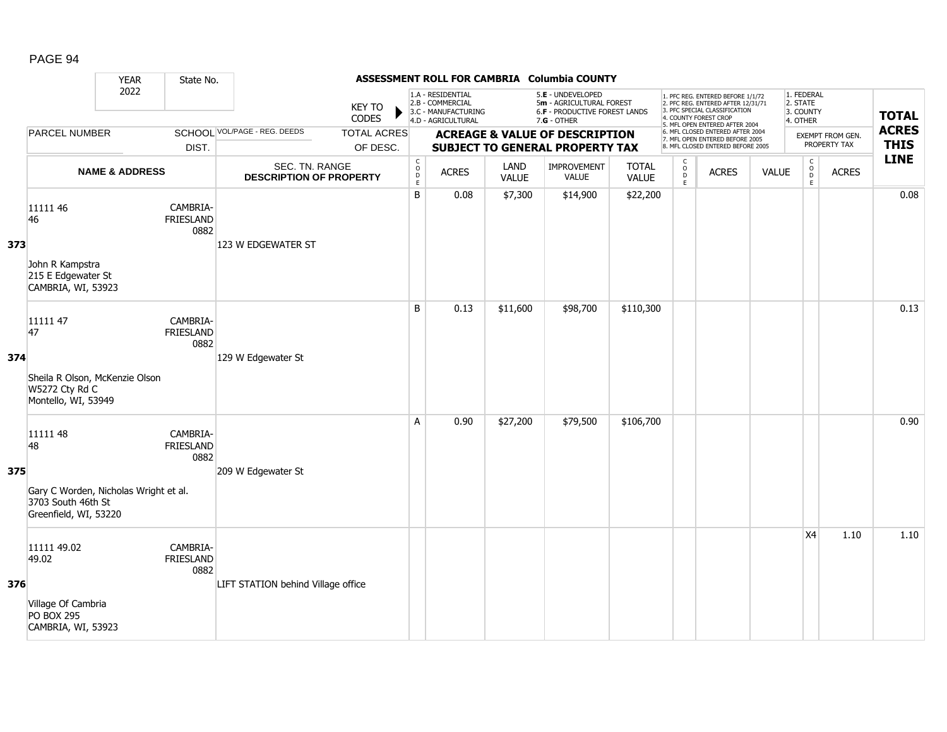|     |                                                                                                        | <b>YEAR</b>               | State No.                            |                                                  |                                |                                              |                                                                                    |                      | ASSESSMENT ROLL FOR CAMBRIA Columbia COUNTY                                                   |                              |                                               |                                                                                                                                                                     |              |                                                          |                                  |                             |
|-----|--------------------------------------------------------------------------------------------------------|---------------------------|--------------------------------------|--------------------------------------------------|--------------------------------|----------------------------------------------|------------------------------------------------------------------------------------|----------------------|-----------------------------------------------------------------------------------------------|------------------------------|-----------------------------------------------|---------------------------------------------------------------------------------------------------------------------------------------------------------------------|--------------|----------------------------------------------------------|----------------------------------|-----------------------------|
|     |                                                                                                        | 2022                      |                                      |                                                  | <b>KEY TO</b><br>CODES         |                                              | 1.A - RESIDENTIAL<br>2.B - COMMERCIAL<br>3.C - MANUFACTURING<br>4.D - AGRICULTURAL |                      | 5.E - UNDEVELOPED<br>5m - AGRICULTURAL FOREST<br>6.F - PRODUCTIVE FOREST LANDS<br>7.G - OTHER |                              |                                               | 1. PFC REG. ENTERED BEFORE 1/1/72<br>2. PFC REG. ENTERED AFTER 12/31/71<br>3. PFC SPECIAL CLASSIFICATION<br>4. COUNTY FOREST CROP<br>5. MFL OPEN ENTERED AFTER 2004 |              | 1. FEDERAL<br>2. STATE<br>3. COUNTY<br>4. OTHER          |                                  | <b>TOTAL</b>                |
|     | <b>PARCEL NUMBER</b>                                                                                   |                           | DIST.                                | <b>SCHOOL VOL/PAGE - REG. DEEDS</b>              | <b>TOTAL ACRES</b><br>OF DESC. |                                              |                                                                                    |                      | <b>ACREAGE &amp; VALUE OF DESCRIPTION</b><br>SUBJECT TO GENERAL PROPERTY TAX                  |                              |                                               | 6. MFL CLOSED ENTERED AFTER 2004<br>7. MFL OPEN ENTERED BEFORE 2005<br>8. MFL CLOSED ENTERED BEFORE 2005                                                            |              |                                                          | EXEMPT FROM GEN.<br>PROPERTY TAX | <b>ACRES</b><br><b>THIS</b> |
|     |                                                                                                        | <b>NAME &amp; ADDRESS</b> |                                      | SEC. TN. RANGE<br><b>DESCRIPTION OF PROPERTY</b> |                                | $\begin{array}{c}\nC \\ O \\ E\n\end{array}$ | <b>ACRES</b>                                                                       | LAND<br><b>VALUE</b> | IMPROVEMENT<br><b>VALUE</b>                                                                   | <b>TOTAL</b><br><b>VALUE</b> | $\mathsf{C}$<br>$_\mathrm{D}^\mathrm{O}$<br>E | <b>ACRES</b>                                                                                                                                                        | <b>VALUE</b> | $\begin{matrix} 0 \\ 0 \\ 0 \end{matrix}$<br>$\mathsf E$ | <b>ACRES</b>                     | <b>LINE</b>                 |
| 373 | 11111 46<br>46<br>John R Kampstra<br>215 E Edgewater St<br>CAMBRIA, WI, 53923                          |                           | CAMBRIA-<br><b>FRIESLAND</b><br>0882 | 123 W EDGEWATER ST                               |                                | B                                            | 0.08                                                                               | \$7,300              | \$14,900                                                                                      | \$22,200                     |                                               |                                                                                                                                                                     |              |                                                          |                                  | 0.08                        |
| 374 | 11111 47<br>47<br>Sheila R Olson, McKenzie Olson<br>W5272 Cty Rd C<br>Montello, WI, 53949              |                           | CAMBRIA-<br><b>FRIESLAND</b><br>0882 | 129 W Edgewater St                               |                                | B                                            | 0.13                                                                               | \$11,600             | \$98,700                                                                                      | \$110,300                    |                                               |                                                                                                                                                                     |              |                                                          |                                  | 0.13                        |
| 375 | 11111 48<br>48<br>Gary C Worden, Nicholas Wright et al.<br>3703 South 46th St<br>Greenfield, WI, 53220 |                           | CAMBRIA-<br><b>FRIESLAND</b><br>0882 | 209 W Edgewater St                               |                                | A                                            | 0.90                                                                               | \$27,200             | \$79,500                                                                                      | \$106,700                    |                                               |                                                                                                                                                                     |              |                                                          |                                  | 0.90                        |
| 376 | 11111 49.02<br>49.02<br>Village Of Cambria<br><b>PO BOX 295</b><br>CAMBRIA, WI, 53923                  |                           | CAMBRIA-<br><b>FRIESLAND</b><br>0882 | LIFT STATION behind Village office               |                                |                                              |                                                                                    |                      |                                                                                               |                              |                                               |                                                                                                                                                                     |              | X4                                                       | 1.10                             | 1.10                        |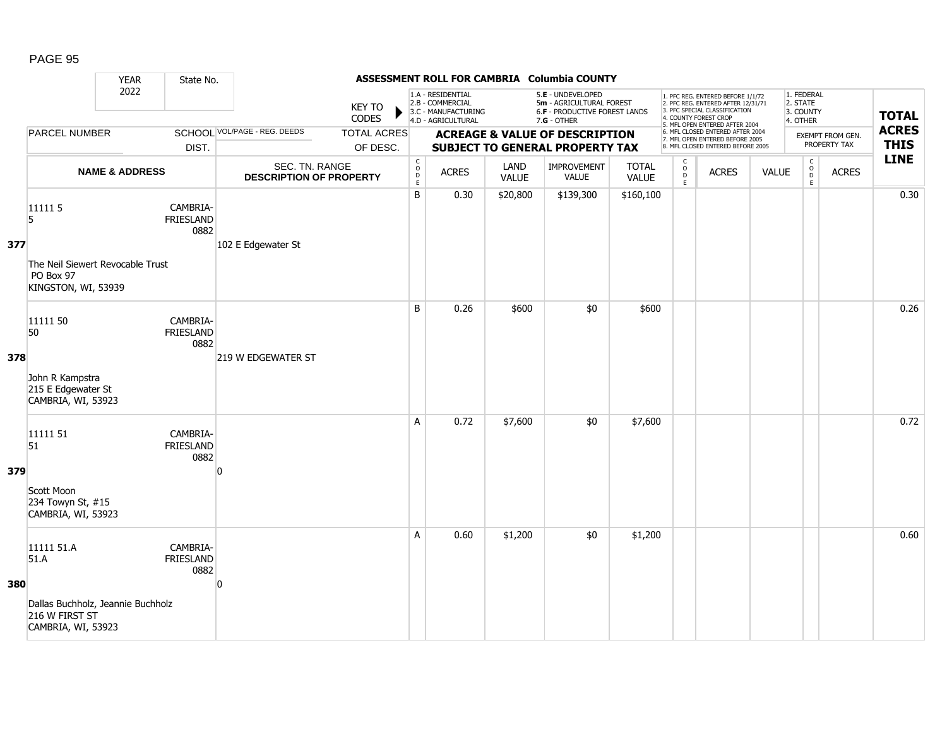|     |                                                                                                 | <b>YEAR</b>               | State No.                            |                                                  |                                |                                                          |                                                                                    |                      | ASSESSMENT ROLL FOR CAMBRIA Columbia COUNTY                                                     |                       |                                     |                                                                                                                                                                     |              |                                                 |                                  |                             |
|-----|-------------------------------------------------------------------------------------------------|---------------------------|--------------------------------------|--------------------------------------------------|--------------------------------|----------------------------------------------------------|------------------------------------------------------------------------------------|----------------------|-------------------------------------------------------------------------------------------------|-----------------------|-------------------------------------|---------------------------------------------------------------------------------------------------------------------------------------------------------------------|--------------|-------------------------------------------------|----------------------------------|-----------------------------|
|     |                                                                                                 | 2022                      |                                      |                                                  | <b>KEY TO</b><br>CODES         |                                                          | 1.A - RESIDENTIAL<br>2.B - COMMERCIAL<br>3.C - MANUFACTURING<br>4.D - AGRICULTURAL |                      | 5.E - UNDEVELOPED<br>5m - AGRICULTURAL FOREST<br>6.F - PRODUCTIVE FOREST LANDS<br>$7.G - OTHER$ |                       |                                     | 1. PFC REG. ENTERED BEFORE 1/1/72<br>2. PFC REG. ENTERED AFTER 12/31/71<br>3. PFC SPECIAL CLASSIFICATION<br>4. COUNTY FOREST CROP<br>5. MFL OPEN ENTERED AFTER 2004 |              | 1. FEDERAL<br>2. STATE<br>3. COUNTY<br>4. OTHER |                                  | <b>TOTAL</b>                |
|     | <b>PARCEL NUMBER</b>                                                                            |                           | DIST.                                | <b>SCHOOL VOL/PAGE - REG. DEEDS</b>              | <b>TOTAL ACRES</b><br>OF DESC. |                                                          |                                                                                    |                      | <b>ACREAGE &amp; VALUE OF DESCRIPTION</b><br><b>SUBJECT TO GENERAL PROPERTY TAX</b>             |                       |                                     | 6. MFL CLOSED ENTERED AFTER 2004<br>7. MFL OPEN ENTERED BEFORE 2005<br>8. MFL CLOSED ENTERED BEFORE 2005                                                            |              |                                                 | EXEMPT FROM GEN.<br>PROPERTY TAX | <b>ACRES</b><br><b>THIS</b> |
|     |                                                                                                 | <b>NAME &amp; ADDRESS</b> |                                      | SEC. TN. RANGE<br><b>DESCRIPTION OF PROPERTY</b> |                                | $\begin{matrix} 0 \\ 0 \\ D \end{matrix}$<br>$\mathsf E$ | <b>ACRES</b>                                                                       | LAND<br><b>VALUE</b> | IMPROVEMENT<br><b>VALUE</b>                                                                     | <b>TOTAL</b><br>VALUE | $\mathsf{C}$<br>$\int_{D}^{O}$<br>E | <b>ACRES</b>                                                                                                                                                        | <b>VALUE</b> | $\mathsf C$<br>$_{\rm D}^{\rm O}$<br>E          | <b>ACRES</b>                     | <b>LINE</b>                 |
| 377 | 11111 5<br>5<br>The Neil Siewert Revocable Trust<br>PO Box 97<br>KINGSTON, WI, 53939            |                           | CAMBRIA-<br>FRIESLAND<br>0882        | 102 E Edgewater St                               |                                | B                                                        | 0.30                                                                               | \$20,800             | \$139,300                                                                                       | \$160,100             |                                     |                                                                                                                                                                     |              |                                                 |                                  | 0.30                        |
| 378 | 11111 50<br>50<br>John R Kampstra<br>215 E Edgewater St<br>CAMBRIA, WI, 53923                   |                           | CAMBRIA-<br><b>FRIESLAND</b><br>0882 | 219 W EDGEWATER ST                               |                                | B                                                        | 0.26                                                                               | \$600                | \$0                                                                                             | \$600                 |                                     |                                                                                                                                                                     |              |                                                 |                                  | 0.26                        |
| 379 | 11111 51<br>51<br>Scott Moon<br>234 Towyn St, #15<br>CAMBRIA, WI, 53923                         |                           | CAMBRIA-<br><b>FRIESLAND</b><br>0882 | n                                                |                                | A                                                        | 0.72                                                                               | \$7,600              | \$0                                                                                             | \$7,600               |                                     |                                                                                                                                                                     |              |                                                 |                                  | 0.72                        |
| 380 | 11111 51.A<br>51.A<br>Dallas Buchholz, Jeannie Buchholz<br>216 W FIRST ST<br>CAMBRIA, WI, 53923 |                           | CAMBRIA-<br><b>FRIESLAND</b><br>0882 | $\overline{0}$                                   |                                | A                                                        | 0.60                                                                               | \$1,200              | \$0                                                                                             | \$1,200               |                                     |                                                                                                                                                                     |              |                                                 |                                  | 0.60                        |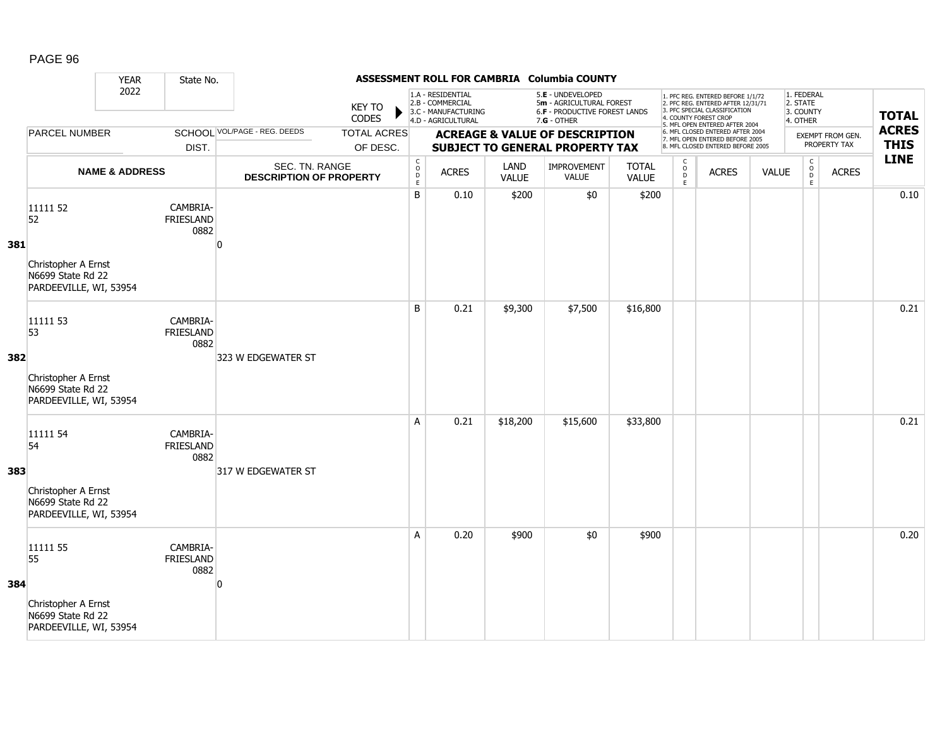|     |                                                                                      | <b>YEAR</b>               | State No.                            |                                                  |                                |                                        |                                                                                    |               | ASSESSMENT ROLL FOR CAMBRIA Columbia COUNTY                                                     |                              |                                                    |                                                                                                                                                                     |              |                                                 |                                  |                             |
|-----|--------------------------------------------------------------------------------------|---------------------------|--------------------------------------|--------------------------------------------------|--------------------------------|----------------------------------------|------------------------------------------------------------------------------------|---------------|-------------------------------------------------------------------------------------------------|------------------------------|----------------------------------------------------|---------------------------------------------------------------------------------------------------------------------------------------------------------------------|--------------|-------------------------------------------------|----------------------------------|-----------------------------|
|     |                                                                                      | 2022                      |                                      |                                                  | <b>KEY TO</b><br>CODES         |                                        | 1.A - RESIDENTIAL<br>2.B - COMMERCIAL<br>3.C - MANUFACTURING<br>4.D - AGRICULTURAL |               | 5.E - UNDEVELOPED<br>5m - AGRICULTURAL FOREST<br>6.F - PRODUCTIVE FOREST LANDS<br>$7.G - OTHER$ |                              |                                                    | 1. PFC REG. ENTERED BEFORE 1/1/72<br>2. PFC REG. ENTERED AFTER 12/31/71<br>3. PFC SPECIAL CLASSIFICATION<br>4. COUNTY FOREST CROP<br>5. MFL OPEN ENTERED AFTER 2004 |              | 1. FEDERAL<br>2. STATE<br>3. COUNTY<br>4. OTHER |                                  | <b>TOTAL</b>                |
|     | <b>PARCEL NUMBER</b>                                                                 |                           | DIST.                                | <b>SCHOOL VOL/PAGE - REG. DEEDS</b>              | <b>TOTAL ACRES</b><br>OF DESC. |                                        |                                                                                    |               | <b>ACREAGE &amp; VALUE OF DESCRIPTION</b><br><b>SUBJECT TO GENERAL PROPERTY TAX</b>             |                              |                                                    | 6. MFL CLOSED ENTERED AFTER 2004<br>7. MFL OPEN ENTERED BEFORE 2005<br>8. MFL CLOSED ENTERED BEFORE 2005                                                            |              |                                                 | EXEMPT FROM GEN.<br>PROPERTY TAX | <b>ACRES</b><br><b>THIS</b> |
|     |                                                                                      | <b>NAME &amp; ADDRESS</b> |                                      | SEC. TN. RANGE<br><b>DESCRIPTION OF PROPERTY</b> |                                | C<br>$_{\rm D}^{\rm O}$<br>$\mathsf E$ | <b>ACRES</b>                                                                       | LAND<br>VALUE | IMPROVEMENT<br><b>VALUE</b>                                                                     | <b>TOTAL</b><br><b>VALUE</b> | $\mathsf{C}$<br>$_{\rm D}^{\rm O}$<br>$\mathsf{E}$ | <b>ACRES</b>                                                                                                                                                        | <b>VALUE</b> | $\mathsf C$<br>$_{\rm D}^{\rm O}$<br>E          | <b>ACRES</b>                     | <b>LINE</b>                 |
| 381 | 11111 52<br>52<br>Christopher A Ernst<br>N6699 State Rd 22<br>PARDEEVILLE, WI, 53954 |                           | CAMBRIA-<br><b>FRIESLAND</b><br>0882 | ŋ                                                |                                | B                                      | 0.10                                                                               | \$200         | \$0                                                                                             | \$200                        |                                                    |                                                                                                                                                                     |              |                                                 |                                  | 0.10                        |
| 382 | 11111 53<br>53<br>Christopher A Ernst<br>N6699 State Rd 22<br>PARDEEVILLE, WI, 53954 |                           | CAMBRIA-<br>FRIESLAND<br>0882        | 323 W EDGEWATER ST                               |                                | B                                      | 0.21                                                                               | \$9,300       | \$7,500                                                                                         | \$16,800                     |                                                    |                                                                                                                                                                     |              |                                                 |                                  | 0.21                        |
| 383 | 11111 54<br>54<br>Christopher A Ernst<br>N6699 State Rd 22<br>PARDEEVILLE, WI, 53954 |                           | CAMBRIA-<br>FRIESLAND<br>0882        | 317 W EDGEWATER ST                               |                                | A                                      | 0.21                                                                               | \$18,200      | \$15,600                                                                                        | \$33,800                     |                                                    |                                                                                                                                                                     |              |                                                 |                                  | 0.21                        |
| 384 | 11111 55<br>55<br>Christopher A Ernst<br>N6699 State Rd 22<br>PARDEEVILLE, WI, 53954 |                           | CAMBRIA-<br><b>FRIESLAND</b><br>0882 | O                                                |                                | A                                      | 0.20                                                                               | \$900         | \$0                                                                                             | \$900                        |                                                    |                                                                                                                                                                     |              |                                                 |                                  | 0.20                        |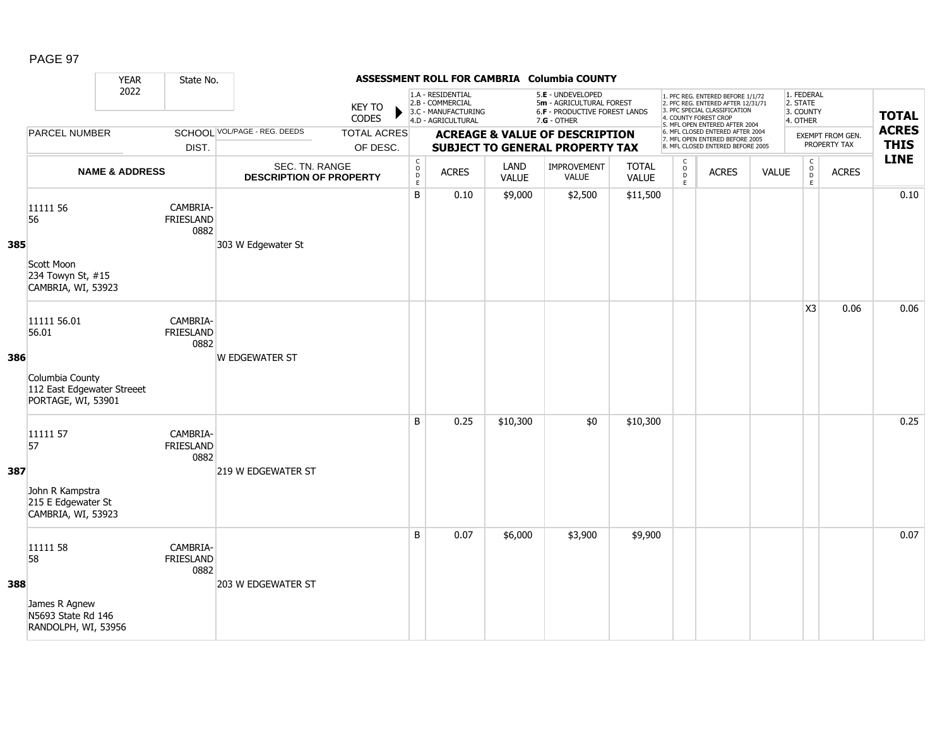|     |                                                                                             | <b>YEAR</b>               | State No.                            |                                                  |                                |                                                   |                                                                                    |               | ASSESSMENT ROLL FOR CAMBRIA Columbia COUNTY                                                     |                              |                                                    |                                                                                                                                                                     |              |                                                 |                                  |                             |
|-----|---------------------------------------------------------------------------------------------|---------------------------|--------------------------------------|--------------------------------------------------|--------------------------------|---------------------------------------------------|------------------------------------------------------------------------------------|---------------|-------------------------------------------------------------------------------------------------|------------------------------|----------------------------------------------------|---------------------------------------------------------------------------------------------------------------------------------------------------------------------|--------------|-------------------------------------------------|----------------------------------|-----------------------------|
|     |                                                                                             | 2022                      | DIST.                                |                                                  | <b>KEY TO</b><br>CODES         |                                                   | 1.A - RESIDENTIAL<br>2.B - COMMERCIAL<br>3.C - MANUFACTURING<br>4.D - AGRICULTURAL |               | 5.E - UNDEVELOPED<br>5m - AGRICULTURAL FOREST<br>6.F - PRODUCTIVE FOREST LANDS<br>$7.G - OTHER$ |                              |                                                    | 1. PFC REG. ENTERED BEFORE 1/1/72<br>2. PFC REG. ENTERED AFTER 12/31/71<br>3. PFC SPECIAL CLASSIFICATION<br>4. COUNTY FOREST CROP<br>5. MFL OPEN ENTERED AFTER 2004 |              | 1. FEDERAL<br>2. STATE<br>3. COUNTY<br>4. OTHER |                                  | <b>TOTAL</b>                |
|     | <b>PARCEL NUMBER</b>                                                                        |                           |                                      | <b>SCHOOL VOL/PAGE - REG. DEEDS</b>              | <b>TOTAL ACRES</b><br>OF DESC. |                                                   |                                                                                    |               | <b>ACREAGE &amp; VALUE OF DESCRIPTION</b><br><b>SUBJECT TO GENERAL PROPERTY TAX</b>             |                              |                                                    | 6. MFL CLOSED ENTERED AFTER 2004<br>7. MFL OPEN ENTERED BEFORE 2005<br>8. MFL CLOSED ENTERED BEFORE 2005                                                            |              |                                                 | EXEMPT FROM GEN.<br>PROPERTY TAX | <b>ACRES</b><br><b>THIS</b> |
|     |                                                                                             | <b>NAME &amp; ADDRESS</b> |                                      | SEC. TN. RANGE<br><b>DESCRIPTION OF PROPERTY</b> |                                | $\begin{array}{c}\nC \\ O \\ D \\ E\n\end{array}$ | <b>ACRES</b>                                                                       | LAND<br>VALUE | IMPROVEMENT<br><b>VALUE</b>                                                                     | <b>TOTAL</b><br><b>VALUE</b> | $\mathsf{C}$<br>$_{\rm D}^{\rm O}$<br>$\mathsf{E}$ | <b>ACRES</b>                                                                                                                                                        | <b>VALUE</b> | $\mathsf C$<br>$_{\rm D}^{\rm O}$<br>E          | <b>ACRES</b>                     | <b>LINE</b>                 |
| 385 | 11111 56<br>56<br>Scott Moon<br>234 Towyn St, #15<br>CAMBRIA, WI, 53923                     |                           | CAMBRIA-<br><b>FRIESLAND</b><br>0882 | 303 W Edgewater St                               |                                | B                                                 | 0.10                                                                               | \$9,000       | \$2,500                                                                                         | \$11,500                     |                                                    |                                                                                                                                                                     |              |                                                 |                                  | 0.10                        |
| 386 | 11111 56.01<br>56.01<br>Columbia County<br>112 East Edgewater Streeet<br>PORTAGE, WI, 53901 |                           | CAMBRIA-<br>FRIESLAND<br>0882        | <b>W EDGEWATER ST</b>                            |                                |                                                   |                                                                                    |               |                                                                                                 |                              |                                                    |                                                                                                                                                                     |              | X <sub>3</sub>                                  | 0.06                             | 0.06                        |
| 387 | 11111 57<br>57<br>John R Kampstra<br>215 E Edgewater St<br>CAMBRIA, WI, 53923               |                           | CAMBRIA-<br><b>FRIESLAND</b><br>0882 | 219 W EDGEWATER ST                               |                                | B                                                 | 0.25                                                                               | \$10,300      | \$0                                                                                             | \$10,300                     |                                                    |                                                                                                                                                                     |              |                                                 |                                  | 0.25                        |
| 388 | 11111 58<br>58<br>James R Agnew<br>N5693 State Rd 146<br>RANDOLPH, WI, 53956                |                           | CAMBRIA-<br><b>FRIESLAND</b><br>0882 | 203 W EDGEWATER ST                               |                                | B                                                 | 0.07                                                                               | \$6,000       | \$3,900                                                                                         | \$9,900                      |                                                    |                                                                                                                                                                     |              |                                                 |                                  | 0.07                        |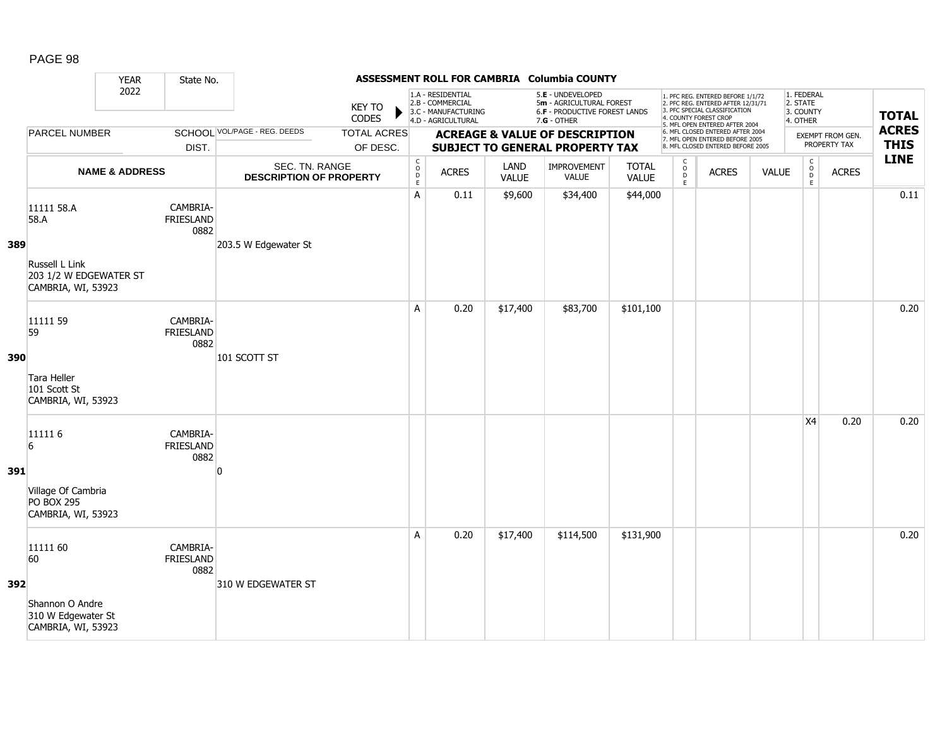|     |                                                                                      | <b>YEAR</b>               | State No.                            |                                                  |                                |                                                            |                                                                                    |                      | ASSESSMENT ROLL FOR CAMBRIA Columbia COUNTY                                                     |                              |                                     |                                                                                                                                                                     |              |                                                 |                                  |                             |
|-----|--------------------------------------------------------------------------------------|---------------------------|--------------------------------------|--------------------------------------------------|--------------------------------|------------------------------------------------------------|------------------------------------------------------------------------------------|----------------------|-------------------------------------------------------------------------------------------------|------------------------------|-------------------------------------|---------------------------------------------------------------------------------------------------------------------------------------------------------------------|--------------|-------------------------------------------------|----------------------------------|-----------------------------|
|     |                                                                                      |                           | 2022<br>DIST.                        |                                                  | <b>KEY TO</b><br><b>CODES</b>  |                                                            | 1.A - RESIDENTIAL<br>2.B - COMMERCIAL<br>3.C - MANUFACTURING<br>4.D - AGRICULTURAL |                      | 5.E - UNDEVELOPED<br>5m - AGRICULTURAL FOREST<br>6.F - PRODUCTIVE FOREST LANDS<br>$7.G - OTHER$ |                              |                                     | 1. PFC REG. ENTERED BEFORE 1/1/72<br>2. PFC REG. ENTERED AFTER 12/31/71<br>3. PFC SPECIAL CLASSIFICATION<br>4. COUNTY FOREST CROP<br>5. MFL OPEN ENTERED AFTER 2004 |              | 1. FEDERAL<br>2. STATE<br>3. COUNTY<br>4. OTHER |                                  | <b>TOTAL</b>                |
|     | PARCEL NUMBER                                                                        |                           |                                      | SCHOOL VOL/PAGE - REG. DEEDS                     | <b>TOTAL ACRES</b><br>OF DESC. |                                                            |                                                                                    |                      | <b>ACREAGE &amp; VALUE OF DESCRIPTION</b><br><b>SUBJECT TO GENERAL PROPERTY TAX</b>             |                              |                                     | 6. MFL CLOSED ENTERED AFTER 2004<br>7. MFL OPEN ENTERED BEFORE 2005<br>8. MFL CLOSED ENTERED BEFORE 2005                                                            |              |                                                 | EXEMPT FROM GEN.<br>PROPERTY TAX | <b>ACRES</b><br><b>THIS</b> |
|     |                                                                                      | <b>NAME &amp; ADDRESS</b> |                                      | SEC. TN. RANGE<br><b>DESCRIPTION OF PROPERTY</b> |                                | $\mathsf{C}$<br>$\begin{array}{c} 0 \\ D \\ E \end{array}$ | <b>ACRES</b>                                                                       | LAND<br><b>VALUE</b> | IMPROVEMENT<br>VALUE                                                                            | <b>TOTAL</b><br><b>VALUE</b> | $\mathsf{C}$<br>$\int_{D}^{O}$<br>E | <b>ACRES</b>                                                                                                                                                        | <b>VALUE</b> | $\mathsf C$<br>$_{\rm D}^{\rm O}$<br>E          | <b>ACRES</b>                     | <b>LINE</b>                 |
| 389 | 11111 58.A<br>58.A<br>Russell L Link<br>203 1/2 W EDGEWATER ST<br>CAMBRIA, WI, 53923 |                           | CAMBRIA-<br>FRIESLAND<br>0882        | 203.5 W Edgewater St                             |                                | A                                                          | 0.11                                                                               | \$9,600              | \$34,400                                                                                        | \$44,000                     |                                     |                                                                                                                                                                     |              |                                                 |                                  | 0.11                        |
| 390 | 11111 59<br>59<br>Tara Heller<br>101 Scott St<br>CAMBRIA, WI, 53923                  |                           | CAMBRIA-<br><b>FRIESLAND</b><br>0882 | 101 SCOTT ST                                     |                                | A                                                          | 0.20                                                                               | \$17,400             | \$83,700                                                                                        | \$101,100                    |                                     |                                                                                                                                                                     |              |                                                 |                                  | 0.20                        |
| 391 | 111116<br>6<br>Village Of Cambria<br><b>PO BOX 295</b><br>CAMBRIA, WI, 53923         |                           | CAMBRIA-<br>FRIESLAND<br>0882        | n                                                |                                |                                                            |                                                                                    |                      |                                                                                                 |                              |                                     |                                                                                                                                                                     |              | X4                                              | 0.20                             | 0.20                        |
| 392 | 11111 60<br>60<br>Shannon O Andre<br>310 W Edgewater St<br>CAMBRIA, WI, 53923        |                           | CAMBRIA-<br><b>FRIESLAND</b><br>0882 | 310 W EDGEWATER ST                               |                                | A                                                          | 0.20                                                                               | \$17,400             | \$114,500                                                                                       | \$131,900                    |                                     |                                                                                                                                                                     |              |                                                 |                                  | 0.20                        |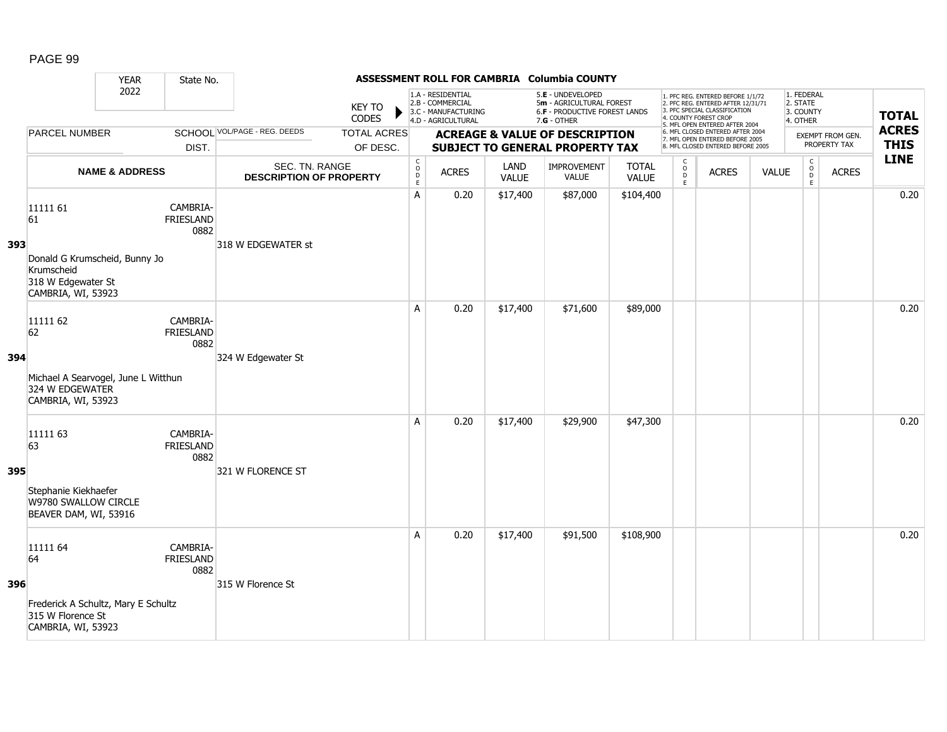|     |                                                                                                           | <b>YEAR</b>               | State No.                            |                                                  |                                |                                                          |                                                                                    |               | ASSESSMENT ROLL FOR CAMBRIA Columbia COUNTY                                                            |                       |                            |                                                                                                                                                                     |              |                                                 |                                  |                             |
|-----|-----------------------------------------------------------------------------------------------------------|---------------------------|--------------------------------------|--------------------------------------------------|--------------------------------|----------------------------------------------------------|------------------------------------------------------------------------------------|---------------|--------------------------------------------------------------------------------------------------------|-----------------------|----------------------------|---------------------------------------------------------------------------------------------------------------------------------------------------------------------|--------------|-------------------------------------------------|----------------------------------|-----------------------------|
|     |                                                                                                           | 2022                      |                                      |                                                  | <b>KEY TO</b><br>CODES         |                                                          | 1.A - RESIDENTIAL<br>2.B - COMMERCIAL<br>3.C - MANUFACTURING<br>4.D - AGRICULTURAL |               | 5.E - UNDEVELOPED<br>5m - AGRICULTURAL FOREST<br><b>6.F - PRODUCTIVE FOREST LANDS</b><br>$7.G - OTHER$ |                       |                            | 1. PFC REG. ENTERED BEFORE 1/1/72<br>2. PFC REG. ENTERED AFTER 12/31/71<br>3. PFC SPECIAL CLASSIFICATION<br>4. COUNTY FOREST CROP<br>5. MFL OPEN ENTERED AFTER 2004 |              | 1. FEDERAL<br>2. STATE<br>3. COUNTY<br>4. OTHER |                                  | <b>TOTAL</b>                |
|     | <b>PARCEL NUMBER</b>                                                                                      |                           | DIST.                                | SCHOOL VOL/PAGE - REG. DEEDS                     | <b>TOTAL ACRES</b><br>OF DESC. |                                                          |                                                                                    |               | <b>ACREAGE &amp; VALUE OF DESCRIPTION</b><br><b>SUBJECT TO GENERAL PROPERTY TAX</b>                    |                       |                            | 6. MFL CLOSED ENTERED AFTER 2004<br>7. MFL OPEN ENTERED BEFORE 2005<br>8. MFL CLOSED ENTERED BEFORE 2005                                                            |              |                                                 | EXEMPT FROM GEN.<br>PROPERTY TAX | <b>ACRES</b><br><b>THIS</b> |
|     |                                                                                                           | <b>NAME &amp; ADDRESS</b> |                                      | SEC. TN. RANGE<br><b>DESCRIPTION OF PROPERTY</b> |                                | $\begin{matrix} 0 \\ 0 \\ D \end{matrix}$<br>$\mathsf E$ | <b>ACRES</b>                                                                       | LAND<br>VALUE | IMPROVEMENT<br><b>VALUE</b>                                                                            | <b>TOTAL</b><br>VALUE | $\rm\frac{C}{O}$<br>D<br>E | <b>ACRES</b>                                                                                                                                                        | <b>VALUE</b> | $\begin{matrix} 0 \\ 0 \end{matrix}$<br>E       | <b>ACRES</b>                     | <b>LINE</b>                 |
| 393 | 11111 61<br>61<br>Donald G Krumscheid, Bunny Jo<br>Krumscheid<br>318 W Edgewater St<br>CAMBRIA, WI, 53923 |                           | CAMBRIA-<br><b>FRIESLAND</b><br>0882 | 318 W EDGEWATER st                               |                                | A                                                        | 0.20                                                                               | \$17,400      | \$87,000                                                                                               | \$104,400             |                            |                                                                                                                                                                     |              |                                                 |                                  | 0.20                        |
| 394 | 11111 62<br>62<br>Michael A Searvogel, June L Witthun<br>324 W EDGEWATER<br>CAMBRIA, WI, 53923            |                           | CAMBRIA-<br><b>FRIESLAND</b><br>0882 | 324 W Edgewater St                               |                                | A                                                        | 0.20                                                                               | \$17,400      | \$71,600                                                                                               | \$89,000              |                            |                                                                                                                                                                     |              |                                                 |                                  | 0.20                        |
| 395 | 11111 63<br>63<br>Stephanie Kiekhaefer<br>W9780 SWALLOW CIRCLE<br>BEAVER DAM, WI, 53916                   |                           | CAMBRIA-<br>FRIESLAND<br>0882        | 321 W FLORENCE ST                                |                                | A                                                        | 0.20                                                                               | \$17,400      | \$29,900                                                                                               | \$47,300              |                            |                                                                                                                                                                     |              |                                                 |                                  | 0.20                        |
| 396 | 11111 64<br>64<br>Frederick A Schultz, Mary E Schultz<br>315 W Florence St<br>CAMBRIA, WI, 53923          |                           | CAMBRIA-<br><b>FRIESLAND</b><br>0882 | 315 W Florence St                                |                                | A                                                        | 0.20                                                                               | \$17,400      | \$91,500                                                                                               | \$108,900             |                            |                                                                                                                                                                     |              |                                                 |                                  | 0.20                        |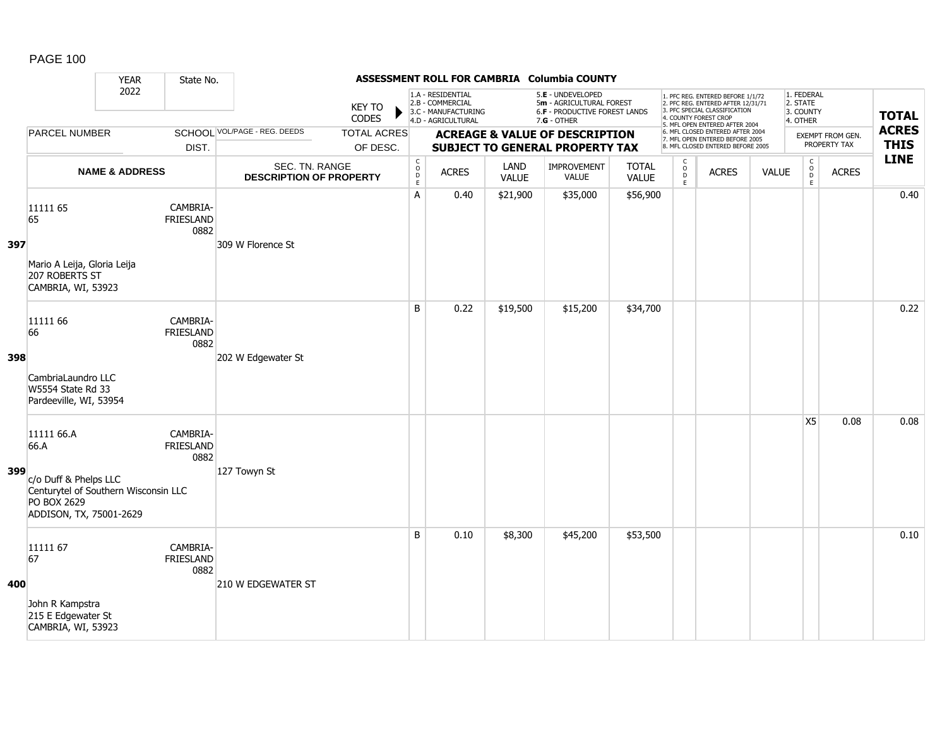|     |                                                                                                                               | <b>YEAR</b>               | State No.                            |                                                  |                                |                                                          |                                                                                    |               | ASSESSMENT ROLL FOR CAMBRIA Columbia COUNTY                                                     |                              |                                                    |                                                                                                                                                                     |              |                                                 |                                  |                             |
|-----|-------------------------------------------------------------------------------------------------------------------------------|---------------------------|--------------------------------------|--------------------------------------------------|--------------------------------|----------------------------------------------------------|------------------------------------------------------------------------------------|---------------|-------------------------------------------------------------------------------------------------|------------------------------|----------------------------------------------------|---------------------------------------------------------------------------------------------------------------------------------------------------------------------|--------------|-------------------------------------------------|----------------------------------|-----------------------------|
|     |                                                                                                                               | 2022                      |                                      |                                                  | <b>KEY TO</b><br>CODES         |                                                          | 1.A - RESIDENTIAL<br>2.B - COMMERCIAL<br>3.C - MANUFACTURING<br>4.D - AGRICULTURAL |               | 5.E - UNDEVELOPED<br>5m - AGRICULTURAL FOREST<br>6.F - PRODUCTIVE FOREST LANDS<br>$7.G - OTHER$ |                              |                                                    | 1. PFC REG. ENTERED BEFORE 1/1/72<br>2. PFC REG. ENTERED AFTER 12/31/71<br>3. PFC SPECIAL CLASSIFICATION<br>4. COUNTY FOREST CROP<br>5. MFL OPEN ENTERED AFTER 2004 |              | 1. FEDERAL<br>2. STATE<br>3. COUNTY<br>4. OTHER |                                  | <b>TOTAL</b>                |
|     | <b>PARCEL NUMBER</b>                                                                                                          |                           | DIST.                                | SCHOOL VOL/PAGE - REG. DEEDS                     | <b>TOTAL ACRES</b><br>OF DESC. |                                                          |                                                                                    |               | <b>ACREAGE &amp; VALUE OF DESCRIPTION</b><br><b>SUBJECT TO GENERAL PROPERTY TAX</b>             |                              |                                                    | 6. MFL CLOSED ENTERED AFTER 2004<br>7. MFL OPEN ENTERED BEFORE 2005<br>8. MFL CLOSED ENTERED BEFORE 2005                                                            |              |                                                 | EXEMPT FROM GEN.<br>PROPERTY TAX | <b>ACRES</b><br><b>THIS</b> |
|     |                                                                                                                               | <b>NAME &amp; ADDRESS</b> |                                      | SEC. TN. RANGE<br><b>DESCRIPTION OF PROPERTY</b> |                                | $\begin{matrix} 0 \\ 0 \\ D \end{matrix}$<br>$\mathsf E$ | <b>ACRES</b>                                                                       | LAND<br>VALUE | IMPROVEMENT<br><b>VALUE</b>                                                                     | <b>TOTAL</b><br><b>VALUE</b> | $\mathsf{C}$<br>$_{\rm D}^{\rm O}$<br>$\mathsf{E}$ | <b>ACRES</b>                                                                                                                                                        | <b>VALUE</b> | $\mathsf C$<br>$_{\rm D}^{\rm O}$<br>E          | <b>ACRES</b>                     | <b>LINE</b>                 |
| 397 | 11111 65<br>65<br>Mario A Leija, Gloria Leija<br>207 ROBERTS ST<br>CAMBRIA, WI, 53923                                         |                           | CAMBRIA-<br><b>FRIESLAND</b><br>0882 | 309 W Florence St                                |                                | A                                                        | 0.40                                                                               | \$21,900      | \$35,000                                                                                        | \$56,900                     |                                                    |                                                                                                                                                                     |              |                                                 |                                  | 0.40                        |
| 398 | 11111 66<br>66<br>CambriaLaundro LLC<br>W5554 State Rd 33<br>Pardeeville, WI, 53954                                           |                           | CAMBRIA-<br>FRIESLAND<br>0882        | 202 W Edgewater St                               |                                | B                                                        | 0.22                                                                               | \$19,500      | \$15,200                                                                                        | \$34,700                     |                                                    |                                                                                                                                                                     |              |                                                 |                                  | 0.22                        |
| 399 | 11111 66.A<br>66.A<br>c/o Duff & Phelps LLC<br>Centurytel of Southern Wisconsin LLC<br>PO BOX 2629<br>ADDISON, TX, 75001-2629 |                           | CAMBRIA-<br><b>FRIESLAND</b><br>0882 | 127 Towyn St                                     |                                |                                                          |                                                                                    |               |                                                                                                 |                              |                                                    |                                                                                                                                                                     |              | X <sub>5</sub>                                  | 0.08                             | 0.08                        |
| 400 | 11111 67<br>67<br>John R Kampstra<br>215 E Edgewater St<br>CAMBRIA, WI, 53923                                                 |                           | CAMBRIA-<br><b>FRIESLAND</b><br>0882 | 210 W EDGEWATER ST                               |                                | B                                                        | 0.10                                                                               | \$8,300       | \$45,200                                                                                        | \$53,500                     |                                                    |                                                                                                                                                                     |              |                                                 |                                  | 0.10                        |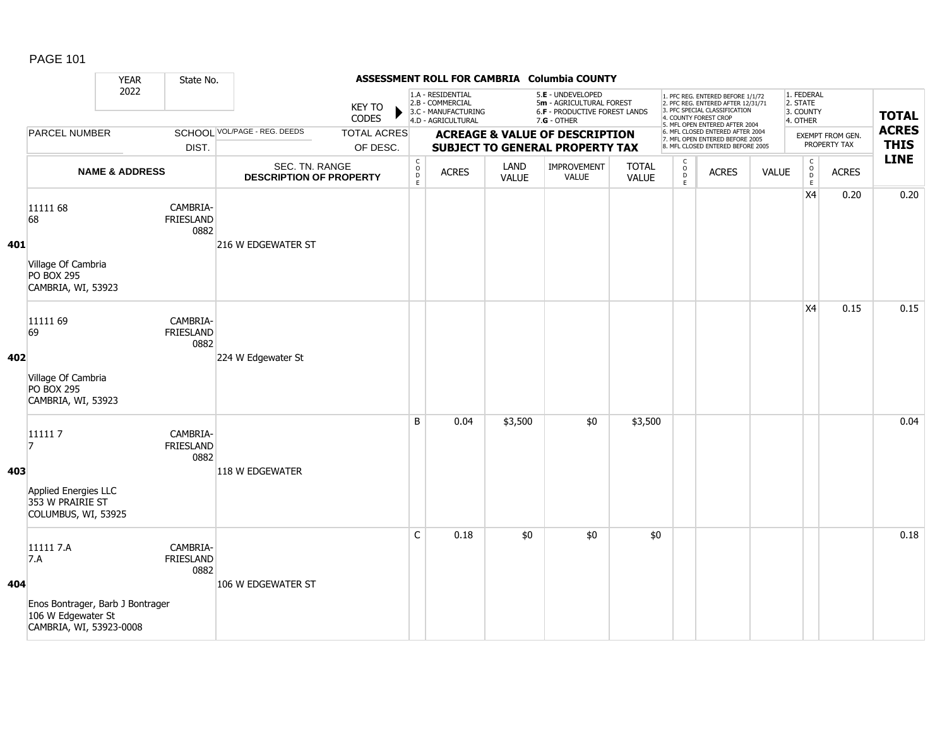|     |                                                                                                       | <b>YEAR</b>               | State No.                            |                                                  |                                |                                                                                    |              |                                                                                                 | ASSESSMENT ROLL FOR CAMBRIA Columbia COUNTY                                         |                       |                                                                                                                                                                     |                                                                                                          |                                                 |                                                  |                                  |                             |
|-----|-------------------------------------------------------------------------------------------------------|---------------------------|--------------------------------------|--------------------------------------------------|--------------------------------|------------------------------------------------------------------------------------|--------------|-------------------------------------------------------------------------------------------------|-------------------------------------------------------------------------------------|-----------------------|---------------------------------------------------------------------------------------------------------------------------------------------------------------------|----------------------------------------------------------------------------------------------------------|-------------------------------------------------|--------------------------------------------------|----------------------------------|-----------------------------|
|     |                                                                                                       | 2022<br>DIST.             |                                      | <b>KEY TO</b><br><b>CODES</b>                    |                                | 1.A - RESIDENTIAL<br>2.B - COMMERCIAL<br>3.C - MANUFACTURING<br>4.D - AGRICULTURAL |              | 5.E - UNDEVELOPED<br>5m - AGRICULTURAL FOREST<br>6.F - PRODUCTIVE FOREST LANDS<br>$7.G - OTHER$ |                                                                                     |                       | 1. PFC REG. ENTERED BEFORE 1/1/72<br>2. PFC REG. ENTERED AFTER 12/31/71<br>3. PFC SPECIAL CLASSIFICATION<br>4. COUNTY FOREST CROP<br>5. MFL OPEN ENTERED AFTER 2004 |                                                                                                          | 1. FEDERAL<br>2. STATE<br>3. COUNTY<br>4. OTHER |                                                  | <b>TOTAL</b>                     |                             |
|     | <b>PARCEL NUMBER</b>                                                                                  |                           |                                      | SCHOOL VOL/PAGE - REG. DEEDS                     | <b>TOTAL ACRES</b><br>OF DESC. |                                                                                    |              |                                                                                                 | <b>ACREAGE &amp; VALUE OF DESCRIPTION</b><br><b>SUBJECT TO GENERAL PROPERTY TAX</b> |                       |                                                                                                                                                                     | 6. MFL CLOSED ENTERED AFTER 2004<br>7. MFL OPEN ENTERED BEFORE 2005<br>8. MFL CLOSED ENTERED BEFORE 2005 |                                                 |                                                  | EXEMPT FROM GEN.<br>PROPERTY TAX | <b>ACRES</b><br><b>THIS</b> |
|     |                                                                                                       | <b>NAME &amp; ADDRESS</b> |                                      | SEC. TN. RANGE<br><b>DESCRIPTION OF PROPERTY</b> |                                | C<br>$_{\rm D}^{\rm O}$<br>$\mathsf E$                                             | <b>ACRES</b> | LAND<br><b>VALUE</b>                                                                            | IMPROVEMENT<br>VALUE                                                                | <b>TOTAL</b><br>VALUE | $\mathsf{C}$<br>$\int_{D}^{O}$<br>E                                                                                                                                 | <b>ACRES</b>                                                                                             | <b>VALUE</b>                                    | $\mathsf C$<br>$_{\rm D}^{\rm O}$<br>$\mathsf E$ | <b>ACRES</b>                     | <b>LINE</b>                 |
| 401 | 11111 68<br>68<br>Village Of Cambria<br><b>PO BOX 295</b><br>CAMBRIA, WI, 53923                       |                           | CAMBRIA-<br>FRIESLAND<br>0882        | 216 W EDGEWATER ST                               |                                |                                                                                    |              |                                                                                                 |                                                                                     |                       |                                                                                                                                                                     |                                                                                                          |                                                 | X4                                               | 0.20                             | 0.20                        |
| 402 | 11111 69<br>69<br>Village Of Cambria<br><b>PO BOX 295</b><br>CAMBRIA, WI, 53923                       |                           | CAMBRIA-<br><b>FRIESLAND</b><br>0882 | 224 W Edgewater St                               |                                |                                                                                    |              |                                                                                                 |                                                                                     |                       |                                                                                                                                                                     |                                                                                                          |                                                 | X4                                               | 0.15                             | 0.15                        |
| 403 | 111117<br>17<br>Applied Energies LLC<br>353 W PRAIRIE ST<br>COLUMBUS, WI, 53925                       |                           | CAMBRIA-<br><b>FRIESLAND</b><br>0882 | 118 W EDGEWATER                                  |                                | B                                                                                  | 0.04         | \$3,500                                                                                         | \$0                                                                                 | \$3,500               |                                                                                                                                                                     |                                                                                                          |                                                 |                                                  |                                  | 0.04                        |
| 404 | 11111 7.A<br>7.A<br>Enos Bontrager, Barb J Bontrager<br>106 W Edgewater St<br>CAMBRIA, WI, 53923-0008 |                           | CAMBRIA-<br><b>FRIESLAND</b><br>0882 | 106 W EDGEWATER ST                               |                                | $\mathsf{C}$                                                                       | 0.18         | \$0                                                                                             | \$0                                                                                 | \$0                   |                                                                                                                                                                     |                                                                                                          |                                                 |                                                  |                                  | 0.18                        |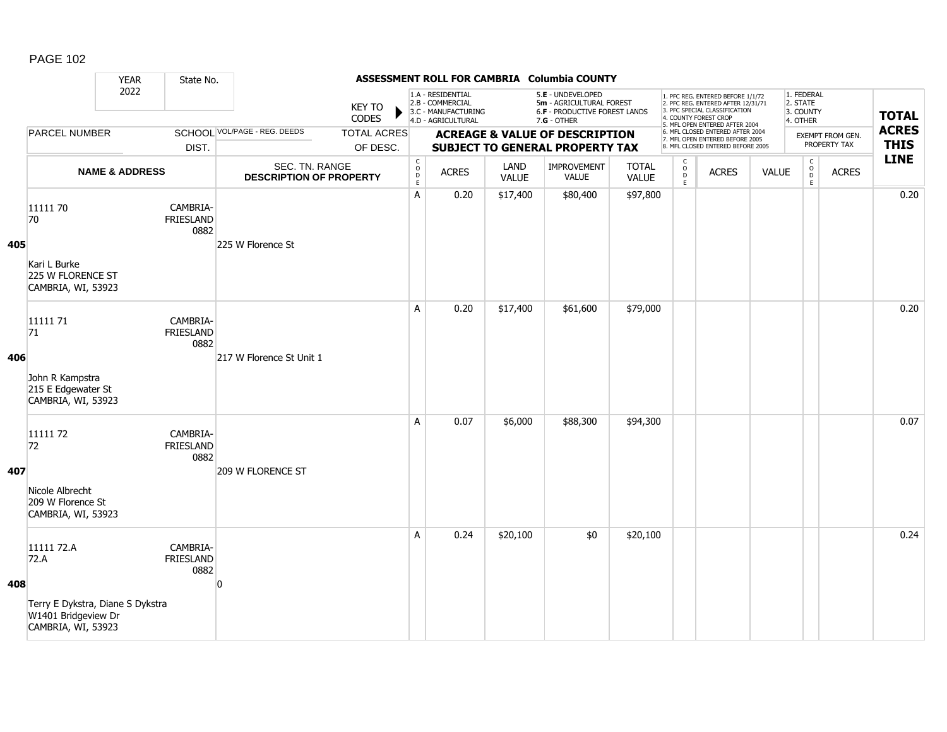|     |                                                                                                     | <b>YEAR</b>               | State No.                            |                                                  |                                |                                                              |                                                                                    |                      | ASSESSMENT ROLL FOR CAMBRIA Columbia COUNTY                                                   |                              |                              |                                                                                                                                                                     |              |                                                 |                                                         |                             |
|-----|-----------------------------------------------------------------------------------------------------|---------------------------|--------------------------------------|--------------------------------------------------|--------------------------------|--------------------------------------------------------------|------------------------------------------------------------------------------------|----------------------|-----------------------------------------------------------------------------------------------|------------------------------|------------------------------|---------------------------------------------------------------------------------------------------------------------------------------------------------------------|--------------|-------------------------------------------------|---------------------------------------------------------|-----------------------------|
|     |                                                                                                     | 2022                      |                                      |                                                  | <b>KEY TO</b><br>CODES         |                                                              | 1.A - RESIDENTIAL<br>2.B - COMMERCIAL<br>3.C - MANUFACTURING<br>4.D - AGRICULTURAL |                      | 5.E - UNDEVELOPED<br>5m - AGRICULTURAL FOREST<br>6.F - PRODUCTIVE FOREST LANDS<br>7.G - OTHER |                              |                              | 1. PFC REG. ENTERED BEFORE 1/1/72<br>2. PFC REG. ENTERED AFTER 12/31/71<br>3. PFC SPECIAL CLASSIFICATION<br>4. COUNTY FOREST CROP<br>5. MFL OPEN ENTERED AFTER 2004 |              | 1. FEDERAL<br>2. STATE<br>3. COUNTY<br>4. OTHER |                                                         | <b>TOTAL</b>                |
|     | <b>PARCEL NUMBER</b>                                                                                |                           | DIST.                                | <b>SCHOOL VOL/PAGE - REG. DEEDS</b>              | <b>TOTAL ACRES</b><br>OF DESC. |                                                              |                                                                                    |                      | <b>ACREAGE &amp; VALUE OF DESCRIPTION</b><br><b>SUBJECT TO GENERAL PROPERTY TAX</b>           |                              |                              | 6. MFL CLOSED ENTERED AFTER 2004<br>7. MFL OPEN ENTERED BEFORE 2005<br>8. MFL CLOSED ENTERED BEFORE 2005                                                            |              |                                                 | EXEMPT FROM GEN.<br>PROPERTY TAX                        | <b>ACRES</b><br><b>THIS</b> |
|     |                                                                                                     | <b>NAME &amp; ADDRESS</b> |                                      | SEC. TN. RANGE<br><b>DESCRIPTION OF PROPERTY</b> |                                | $\mathsf{C}$<br>$\begin{array}{c}\n0 \\ D \\ E\n\end{array}$ | <b>ACRES</b>                                                                       | LAND<br><b>VALUE</b> | IMPROVEMENT<br><b>VALUE</b>                                                                   | <b>TOTAL</b><br><b>VALUE</b> | C<br>$_{\rm D}^{\rm O}$<br>E | <b>ACRES</b>                                                                                                                                                        | <b>VALUE</b> |                                                 | $\mathsf{C}$<br>$_{\rm D}^{\rm O}$<br><b>ACRES</b><br>E | <b>LINE</b>                 |
| 405 | 11111 70<br>70<br>Kari L Burke<br>225 W FLORENCE ST<br>CAMBRIA, WI, 53923                           |                           | CAMBRIA-<br>FRIESLAND<br>0882        | 225 W Florence St                                |                                | Α                                                            | 0.20                                                                               | \$17,400             | \$80,400                                                                                      | \$97,800                     |                              |                                                                                                                                                                     |              |                                                 |                                                         | 0.20                        |
| 406 | 11111 71<br>71<br>John R Kampstra<br>215 E Edgewater St<br>CAMBRIA, WI, 53923                       |                           | CAMBRIA-<br><b>FRIESLAND</b><br>0882 | 217 W Florence St Unit 1                         |                                | A                                                            | 0.20                                                                               | \$17,400             | \$61,600                                                                                      | \$79,000                     |                              |                                                                                                                                                                     |              |                                                 |                                                         | 0.20                        |
| 407 | 11111 72<br>72<br>Nicole Albrecht<br>209 W Florence St<br>CAMBRIA, WI, 53923                        |                           | CAMBRIA-<br>FRIESLAND<br>0882        | 209 W FLORENCE ST                                |                                | A                                                            | 0.07                                                                               | \$6,000              | \$88,300                                                                                      | \$94,300                     |                              |                                                                                                                                                                     |              |                                                 |                                                         | 0.07                        |
| 408 | 11111 72.A<br>72.A<br>Terry E Dykstra, Diane S Dykstra<br>W1401 Bridgeview Dr<br>CAMBRIA, WI, 53923 |                           | CAMBRIA-<br><b>FRIESLAND</b><br>0882 | n                                                |                                | A                                                            | 0.24                                                                               | \$20,100             | \$0                                                                                           | \$20,100                     |                              |                                                                                                                                                                     |              |                                                 |                                                         | 0.24                        |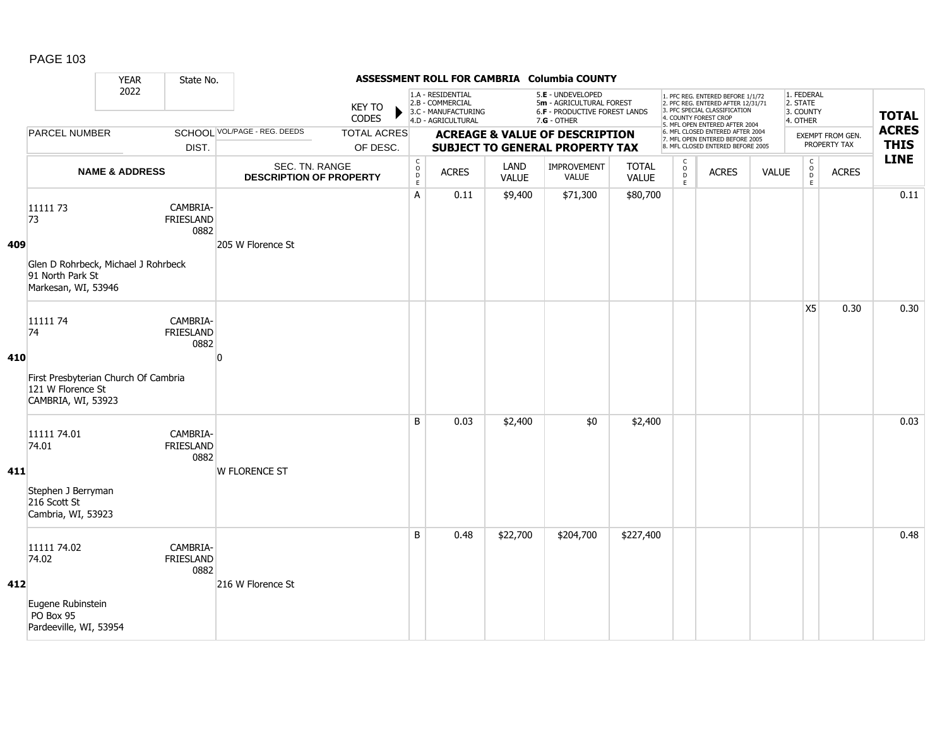|     |                                                                                                   | <b>YEAR</b>                                   | State No.                            |                                                  |                                |                                                 |                                                                                    |                      | ASSESSMENT ROLL FOR CAMBRIA Columbia COUNTY                                                   |                              |                              |                                                                                                                                                                     |              |                                                 |                                         |                             |
|-----|---------------------------------------------------------------------------------------------------|-----------------------------------------------|--------------------------------------|--------------------------------------------------|--------------------------------|-------------------------------------------------|------------------------------------------------------------------------------------|----------------------|-----------------------------------------------------------------------------------------------|------------------------------|------------------------------|---------------------------------------------------------------------------------------------------------------------------------------------------------------------|--------------|-------------------------------------------------|-----------------------------------------|-----------------------------|
|     |                                                                                                   | 2022<br>SCHOOL VOL/PAGE - REG. DEEDS<br>DIST. |                                      |                                                  | <b>KEY TO</b><br>CODES         |                                                 | 1.A - RESIDENTIAL<br>2.B - COMMERCIAL<br>3.C - MANUFACTURING<br>4.D - AGRICULTURAL |                      | 5.E - UNDEVELOPED<br>5m - AGRICULTURAL FOREST<br>6.F - PRODUCTIVE FOREST LANDS<br>7.G - OTHER |                              |                              | 1. PFC REG. ENTERED BEFORE 1/1/72<br>2. PFC REG. ENTERED AFTER 12/31/71<br>3. PFC SPECIAL CLASSIFICATION<br>4. COUNTY FOREST CROP<br>5. MFL OPEN ENTERED AFTER 2004 |              | 1. FEDERAL<br>2. STATE<br>3. COUNTY<br>4. OTHER |                                         | <b>TOTAL</b>                |
|     | <b>PARCEL NUMBER</b>                                                                              |                                               |                                      |                                                  | <b>TOTAL ACRES</b><br>OF DESC. |                                                 |                                                                                    |                      | <b>ACREAGE &amp; VALUE OF DESCRIPTION</b><br><b>SUBJECT TO GENERAL PROPERTY TAX</b>           |                              |                              | 6. MFL CLOSED ENTERED AFTER 2004<br>7. MFL OPEN ENTERED BEFORE 2005<br>8. MFL CLOSED ENTERED BEFORE 2005                                                            |              |                                                 | <b>EXEMPT FROM GEN.</b><br>PROPERTY TAX | <b>ACRES</b><br><b>THIS</b> |
|     |                                                                                                   | <b>NAME &amp; ADDRESS</b>                     |                                      | SEC. TN. RANGE<br><b>DESCRIPTION OF PROPERTY</b> |                                | $\begin{array}{c} C \\ O \\ D \\ E \end{array}$ | <b>ACRES</b>                                                                       | LAND<br><b>VALUE</b> | <b>IMPROVEMENT</b><br>VALUE                                                                   | <b>TOTAL</b><br><b>VALUE</b> | C<br>$_{\rm D}^{\rm O}$<br>E | <b>ACRES</b>                                                                                                                                                        | <b>VALUE</b> | $\mathsf{C}$<br>$_{\rm D}^{\rm O}$<br>E         | <b>ACRES</b>                            | <b>LINE</b>                 |
| 409 | 11111 73<br>73<br>Glen D Rohrbeck, Michael J Rohrbeck<br>91 North Park St<br>Markesan, WI, 53946  |                                               | CAMBRIA-<br><b>FRIESLAND</b><br>0882 | 205 W Florence St                                |                                | A                                               | 0.11                                                                               | \$9,400              | \$71,300                                                                                      | \$80,700                     |                              |                                                                                                                                                                     |              |                                                 |                                         | 0.11                        |
| 410 | 11111 74<br>74<br>First Presbyterian Church Of Cambria<br>121 W Florence St<br>CAMBRIA, WI, 53923 |                                               | CAMBRIA-<br><b>FRIESLAND</b><br>0882 | $\Omega$                                         |                                |                                                 |                                                                                    |                      |                                                                                               |                              |                              |                                                                                                                                                                     |              | X <sub>5</sub>                                  | 0.30                                    | 0.30                        |
| 411 | 11111 74.01<br>74.01<br>Stephen J Berryman<br>216 Scott St<br>Cambria, WI, 53923                  |                                               | CAMBRIA-<br>FRIESLAND<br>0882        | <b>W FLORENCE ST</b>                             |                                | B                                               | 0.03                                                                               | \$2,400              | \$0                                                                                           | \$2,400                      |                              |                                                                                                                                                                     |              |                                                 |                                         | 0.03                        |
| 412 | 11111 74.02<br>74.02<br>Eugene Rubinstein<br>PO Box 95<br>Pardeeville, WI, 53954                  |                                               | CAMBRIA-<br><b>FRIESLAND</b><br>0882 | 216 W Florence St                                |                                | B                                               | 0.48                                                                               | \$22,700             | \$204,700                                                                                     | \$227,400                    |                              |                                                                                                                                                                     |              |                                                 |                                         | 0.48                        |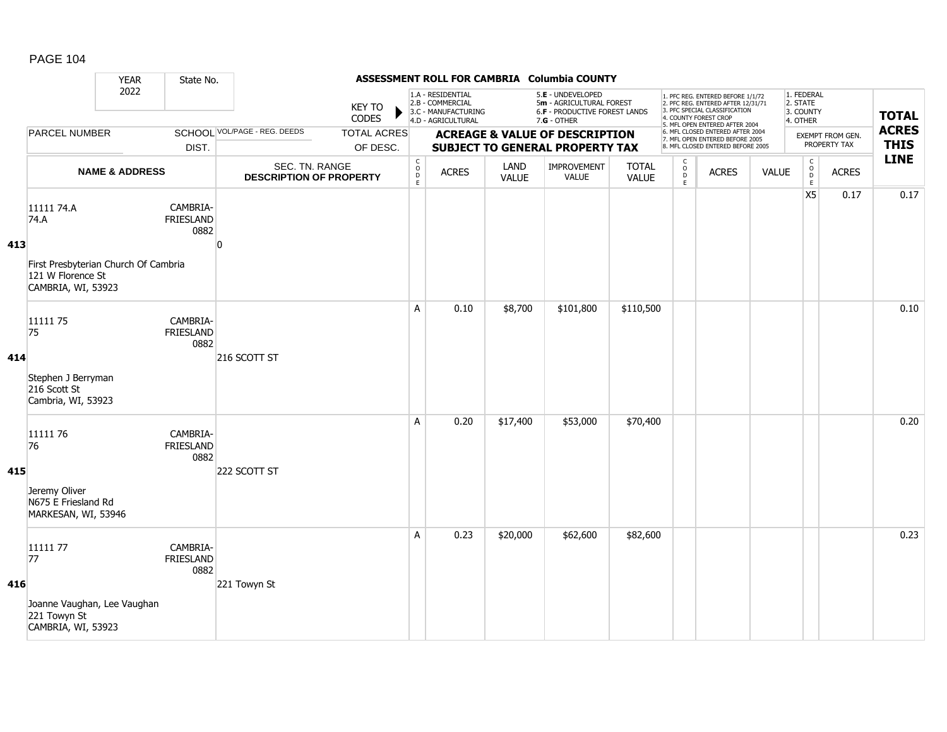|     |                                                                                 | <b>YEAR</b>               | State No.                            |                                                  |                                |                                            |                                                                                    |                      | ASSESSMENT ROLL FOR CAMBRIA Columbia COUNTY                                                          |                              |                                               |                                                                                                                                            |       |                                                              |                                  |                             |
|-----|---------------------------------------------------------------------------------|---------------------------|--------------------------------------|--------------------------------------------------|--------------------------------|--------------------------------------------|------------------------------------------------------------------------------------|----------------------|------------------------------------------------------------------------------------------------------|------------------------------|-----------------------------------------------|--------------------------------------------------------------------------------------------------------------------------------------------|-------|--------------------------------------------------------------|----------------------------------|-----------------------------|
|     |                                                                                 | 2022                      |                                      |                                                  | <b>KEY TO</b><br>CODES         |                                            | 1.A - RESIDENTIAL<br>2.B - COMMERCIAL<br>3.C - MANUFACTURING<br>4.D - AGRICULTURAL |                      | 5.E - UNDEVELOPED<br>5m - AGRICULTURAL FOREST<br><b>6.F - PRODUCTIVE FOREST LANDS</b><br>7.G - OTHER |                              |                                               | 1. PFC REG. ENTERED BEFORE 1/1/72<br>2. PFC REG. ENTERED AFTER 12/31/71<br>3. PFC SPECIAL CLASSIFICATION<br>4. COUNTY FOREST CROP          |       | 1. FEDERAL<br>2. STATE<br>3. COUNTY<br>4. OTHER              |                                  | <b>TOTAL</b>                |
|     | PARCEL NUMBER                                                                   |                           | DIST.                                | <b>SCHOOL VOL/PAGE - REG. DEEDS</b>              | <b>TOTAL ACRES</b><br>OF DESC. |                                            |                                                                                    |                      | <b>ACREAGE &amp; VALUE OF DESCRIPTION</b><br><b>SUBJECT TO GENERAL PROPERTY TAX</b>                  |                              |                                               | 5. MFL OPEN ENTERED AFTER 2004<br>6. MFL CLOSED ENTERED AFTER 2004<br>7. MFL OPEN ENTERED BEFORE 2005<br>8. MFL CLOSED ENTERED BEFORE 2005 |       |                                                              | EXEMPT FROM GEN.<br>PROPERTY TAX | <b>ACRES</b><br><b>THIS</b> |
|     |                                                                                 | <b>NAME &amp; ADDRESS</b> |                                      | SEC. TN. RANGE<br><b>DESCRIPTION OF PROPERTY</b> |                                | $\begin{array}{c} C \\ O \\ E \end{array}$ | <b>ACRES</b>                                                                       | LAND<br><b>VALUE</b> | IMPROVEMENT<br>VALUE                                                                                 | <b>TOTAL</b><br><b>VALUE</b> | $\mathsf{C}$<br>$\overline{D}$<br>$\mathsf E$ | <b>ACRES</b>                                                                                                                               | VALUE | $\mathsf{C}$<br>$\begin{array}{c}\n0 \\ D \\ E\n\end{array}$ | <b>ACRES</b>                     | <b>LINE</b>                 |
| 413 | 11111 74.A<br>74.A                                                              |                           | CAMBRIA-<br>FRIESLAND<br>0882        | n                                                |                                |                                            |                                                                                    |                      |                                                                                                      |                              |                                               |                                                                                                                                            |       | <b>X5</b>                                                    | 0.17                             | 0.17                        |
|     | First Presbyterian Church Of Cambria<br>121 W Florence St<br>CAMBRIA, WI, 53923 |                           |                                      |                                                  |                                |                                            |                                                                                    |                      |                                                                                                      |                              |                                               |                                                                                                                                            |       |                                                              |                                  |                             |
| 414 | 11111 75<br>75                                                                  |                           | CAMBRIA-<br><b>FRIESLAND</b><br>0882 | 216 SCOTT ST                                     |                                | A                                          | 0.10                                                                               | \$8,700              | \$101,800                                                                                            | \$110,500                    |                                               |                                                                                                                                            |       |                                                              |                                  | 0.10                        |
|     | Stephen J Berryman<br>216 Scott St<br>Cambria, WI, 53923                        |                           |                                      |                                                  |                                |                                            |                                                                                    |                      |                                                                                                      |                              |                                               |                                                                                                                                            |       |                                                              |                                  |                             |
| 415 | 11111 76<br>76                                                                  |                           | CAMBRIA-<br>FRIESLAND<br>0882        | 222 SCOTT ST                                     |                                | A                                          | 0.20                                                                               | \$17,400             | \$53,000                                                                                             | \$70,400                     |                                               |                                                                                                                                            |       |                                                              |                                  | 0.20                        |
|     | Jeremy Oliver<br>N675 E Friesland Rd<br>MARKESAN, WI, 53946                     |                           |                                      |                                                  |                                |                                            |                                                                                    |                      |                                                                                                      |                              |                                               |                                                                                                                                            |       |                                                              |                                  |                             |
| 416 | 1111177<br>77                                                                   |                           | CAMBRIA-<br><b>FRIESLAND</b><br>0882 | 221 Towyn St                                     |                                | A                                          | 0.23                                                                               | \$20,000             | \$62,600                                                                                             | \$82,600                     |                                               |                                                                                                                                            |       |                                                              |                                  | 0.23                        |
|     | Joanne Vaughan, Lee Vaughan<br>221 Towyn St<br>CAMBRIA, WI, 53923               |                           |                                      |                                                  |                                |                                            |                                                                                    |                      |                                                                                                      |                              |                                               |                                                                                                                                            |       |                                                              |                                  |                             |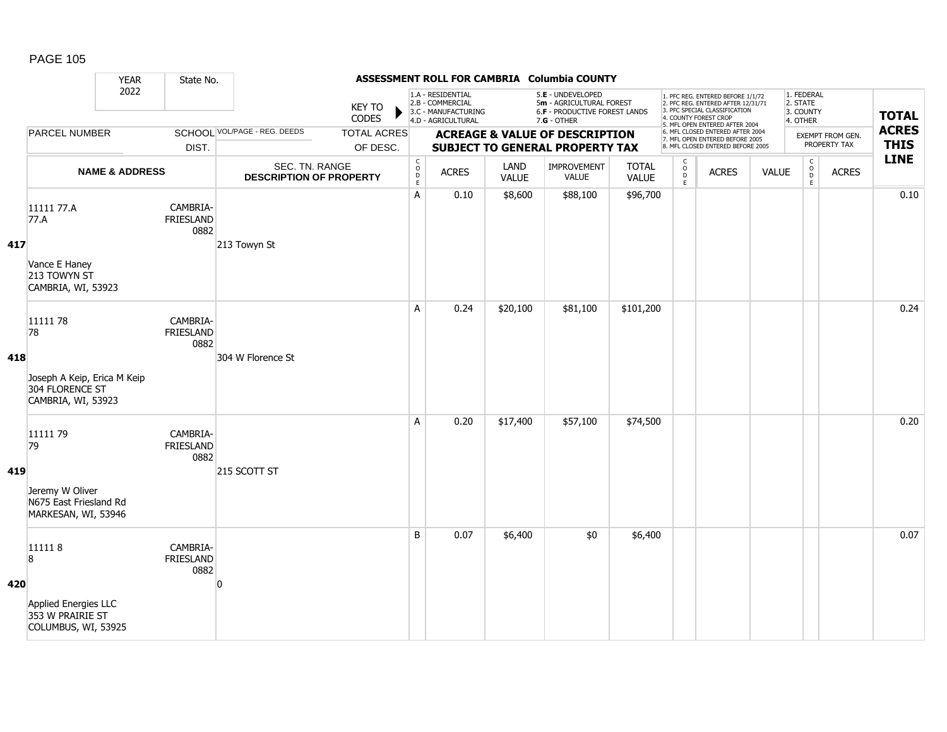|     |                                                                                             | <b>YEAR</b>               | State No.                            |                                                  |                                |                                                             |                                                                                    |                      | ASSESSMENT ROLL FOR CAMBRIA Columbia COUNTY                                                            |                              |                            |                                                                                                                                                                     |              |                                                             |                                  |                             |
|-----|---------------------------------------------------------------------------------------------|---------------------------|--------------------------------------|--------------------------------------------------|--------------------------------|-------------------------------------------------------------|------------------------------------------------------------------------------------|----------------------|--------------------------------------------------------------------------------------------------------|------------------------------|----------------------------|---------------------------------------------------------------------------------------------------------------------------------------------------------------------|--------------|-------------------------------------------------------------|----------------------------------|-----------------------------|
|     |                                                                                             | 2022                      |                                      |                                                  | <b>KEY TO</b><br>CODES         |                                                             | 1.A - RESIDENTIAL<br>2.B - COMMERCIAL<br>3.C - MANUFACTURING<br>4.D - AGRICULTURAL |                      | 5.E - UNDEVELOPED<br>5m - AGRICULTURAL FOREST<br><b>6.F - PRODUCTIVE FOREST LANDS</b><br>$7.G - OTHER$ |                              |                            | 1. PFC REG. ENTERED BEFORE 1/1/72<br>2. PFC REG. ENTERED AFTER 12/31/71<br>3. PFC SPECIAL CLASSIFICATION<br>4. COUNTY FOREST CROP<br>5. MFL OPEN ENTERED AFTER 2004 |              | 1. FEDERAL<br>2. STATE<br>3. COUNTY<br>4. OTHER             |                                  | <b>TOTAL</b>                |
|     | <b>PARCEL NUMBER</b>                                                                        |                           | DIST.                                | <b>SCHOOL VOL/PAGE - REG. DEEDS</b>              | <b>TOTAL ACRES</b><br>OF DESC. |                                                             |                                                                                    |                      | <b>ACREAGE &amp; VALUE OF DESCRIPTION</b><br><b>SUBJECT TO GENERAL PROPERTY TAX</b>                    |                              |                            | 6. MFL CLOSED ENTERED AFTER 2004<br>7. MFL OPEN ENTERED BEFORE 2005<br>8. MFL CLOSED ENTERED BEFORE 2005                                                            |              |                                                             | EXEMPT FROM GEN.<br>PROPERTY TAX | <b>ACRES</b><br><b>THIS</b> |
|     |                                                                                             | <b>NAME &amp; ADDRESS</b> |                                      | SEC. TN. RANGE<br><b>DESCRIPTION OF PROPERTY</b> |                                | $\mathsf C$<br>$\begin{array}{c}\n0 \\ 0 \\ E\n\end{array}$ | <b>ACRES</b>                                                                       | LAND<br><b>VALUE</b> | <b>IMPROVEMENT</b><br><b>VALUE</b>                                                                     | <b>TOTAL</b><br><b>VALUE</b> | C<br>$\mathsf O$<br>D<br>E | <b>ACRES</b>                                                                                                                                                        | <b>VALUE</b> | $\mathsf C$<br>$\begin{array}{c}\n0 \\ D \\ E\n\end{array}$ | <b>ACRES</b>                     | <b>LINE</b>                 |
| 417 | 11111 77.A<br>77.A<br>Vance E Haney<br>213 TOWYN ST<br>CAMBRIA, WI, 53923                   |                           | CAMBRIA-<br><b>FRIESLAND</b><br>0882 | 213 Towyn St                                     |                                | А                                                           | 0.10                                                                               | \$8,600              | \$88,100                                                                                               | \$96,700                     |                            |                                                                                                                                                                     |              |                                                             |                                  | 0.10                        |
| 418 | 11111 78<br>78<br>Joseph A Keip, Erica M Keip<br>304 FLORENCE ST<br>CAMBRIA, WI, 53923      |                           | CAMBRIA-<br><b>FRIESLAND</b><br>0882 | 304 W Florence St                                |                                | A                                                           | 0.24                                                                               | \$20,100             | \$81,100                                                                                               | \$101,200                    |                            |                                                                                                                                                                     |              |                                                             |                                  | 0.24                        |
| 419 | 11111 79<br>79<br>Jeremy W Oliver<br>N675 East Friesland Rd<br>MARKESAN, WI, 53946          |                           | CAMBRIA-<br><b>FRIESLAND</b><br>0882 | 215 SCOTT ST                                     |                                | A                                                           | 0.20                                                                               | \$17,400             | \$57,100                                                                                               | \$74,500                     |                            |                                                                                                                                                                     |              |                                                             |                                  | 0.20                        |
| 420 | 111118<br>$\overline{8}$<br>Applied Energies LLC<br>353 W PRAIRIE ST<br>COLUMBUS, WI, 53925 |                           | CAMBRIA-<br><b>FRIESLAND</b><br>0882 | n                                                |                                | B                                                           | 0.07                                                                               | \$6,400              | \$0                                                                                                    | \$6,400                      |                            |                                                                                                                                                                     |              |                                                             |                                  | 0.07                        |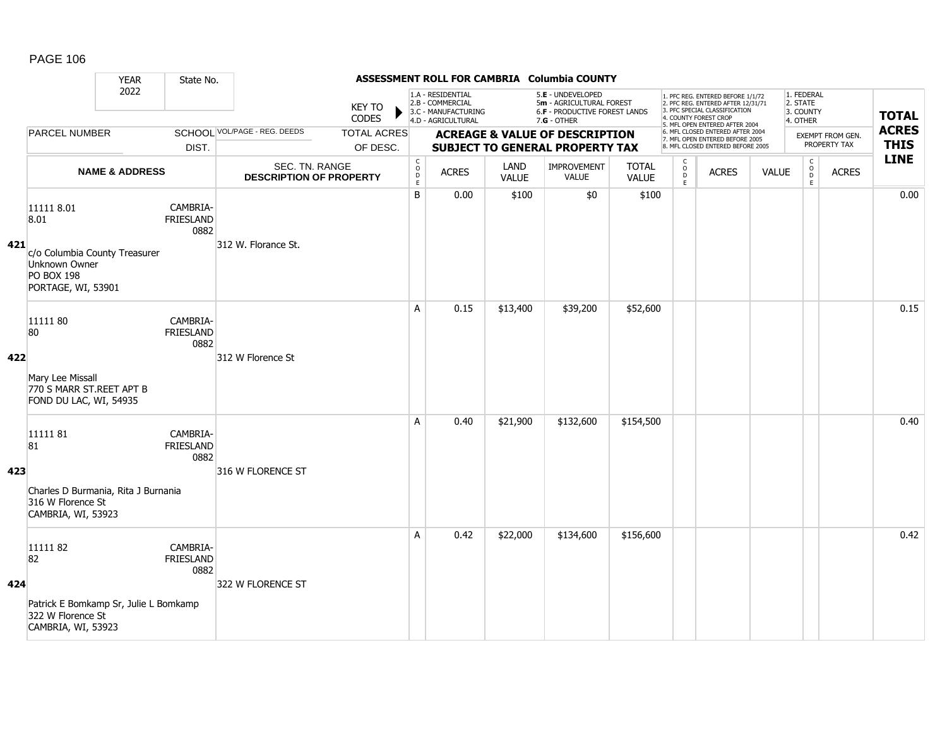|     |                                                                                                                 | <b>YEAR</b>               | State No.                            |                                                  |                                |                                                  |                                                                                    |                      | ASSESSMENT ROLL FOR CAMBRIA Columbia COUNTY                                                     |                              |                                              |                                                                                                                                                                     |              |                                                 |                                  |                             |
|-----|-----------------------------------------------------------------------------------------------------------------|---------------------------|--------------------------------------|--------------------------------------------------|--------------------------------|--------------------------------------------------|------------------------------------------------------------------------------------|----------------------|-------------------------------------------------------------------------------------------------|------------------------------|----------------------------------------------|---------------------------------------------------------------------------------------------------------------------------------------------------------------------|--------------|-------------------------------------------------|----------------------------------|-----------------------------|
|     |                                                                                                                 | 2022                      | DIST.                                |                                                  | <b>KEY TO</b><br>CODES         |                                                  | 1.A - RESIDENTIAL<br>2.B - COMMERCIAL<br>3.C - MANUFACTURING<br>4.D - AGRICULTURAL |                      | 5.E - UNDEVELOPED<br>5m - AGRICULTURAL FOREST<br>6.F - PRODUCTIVE FOREST LANDS<br>$7.G - OTHER$ |                              |                                              | 1. PFC REG. ENTERED BEFORE 1/1/72<br>2. PFC REG. ENTERED AFTER 12/31/71<br>3. PFC SPECIAL CLASSIFICATION<br>4. COUNTY FOREST CROP<br>5. MFL OPEN ENTERED AFTER 2004 |              | 1. FEDERAL<br>2. STATE<br>3. COUNTY<br>4. OTHER |                                  | <b>TOTAL</b>                |
|     | <b>PARCEL NUMBER</b>                                                                                            |                           |                                      | SCHOOL VOL/PAGE - REG. DEEDS                     | <b>TOTAL ACRES</b><br>OF DESC. |                                                  |                                                                                    |                      | <b>ACREAGE &amp; VALUE OF DESCRIPTION</b><br><b>SUBJECT TO GENERAL PROPERTY TAX</b>             |                              |                                              | 6. MFL CLOSED ENTERED AFTER 2004<br>7. MFL OPEN ENTERED BEFORE 2005<br>8. MFL CLOSED ENTERED BEFORE 2005                                                            |              |                                                 | EXEMPT FROM GEN.<br>PROPERTY TAX | <b>ACRES</b><br><b>THIS</b> |
|     |                                                                                                                 | <b>NAME &amp; ADDRESS</b> |                                      | SEC. TN. RANGE<br><b>DESCRIPTION OF PROPERTY</b> |                                | $_{\rm o}^{\rm c}$<br>$\mathsf D$<br>$\mathsf E$ | <b>ACRES</b>                                                                       | LAND<br><b>VALUE</b> | IMPROVEMENT<br>VALUE                                                                            | <b>TOTAL</b><br><b>VALUE</b> | $\mathsf{C}$<br>$\circ$<br>$\mathsf{D}$<br>E | <b>ACRES</b>                                                                                                                                                        | <b>VALUE</b> | $\begin{matrix} 0 \\ 0 \\ D \end{matrix}$<br>E  | <b>ACRES</b>                     | <b>LINE</b>                 |
| 421 | 11111 8.01<br>8.01<br>c/o Columbia County Treasurer<br>Unknown Owner<br><b>PO BOX 198</b><br>PORTAGE, WI, 53901 |                           | CAMBRIA-<br><b>FRIESLAND</b><br>0882 | 312 W. Florance St.                              |                                | B                                                | 0.00                                                                               | \$100                | \$0                                                                                             | \$100                        |                                              |                                                                                                                                                                     |              |                                                 |                                  | 0.00                        |
| 422 | 11111 80<br>80<br>Mary Lee Missall<br>770 S MARR ST.REET APT B<br>FOND DU LAC, WI, 54935                        |                           | CAMBRIA-<br><b>FRIESLAND</b><br>0882 | 312 W Florence St                                |                                | A                                                | 0.15                                                                               | \$13,400             | \$39,200                                                                                        | \$52,600                     |                                              |                                                                                                                                                                     |              |                                                 |                                  | 0.15                        |
| 423 | 1111181<br>81<br>Charles D Burmania, Rita J Burnania<br>316 W Florence St<br>CAMBRIA, WI, 53923                 |                           | CAMBRIA-<br><b>FRIESLAND</b><br>0882 | 316 W FLORENCE ST                                |                                | A                                                | 0.40                                                                               | \$21,900             | \$132,600                                                                                       | \$154,500                    |                                              |                                                                                                                                                                     |              |                                                 |                                  | 0.40                        |
| 424 | 1111182<br>82<br>Patrick E Bomkamp Sr, Julie L Bomkamp<br>322 W Florence St<br>CAMBRIA, WI, 53923               |                           | CAMBRIA-<br><b>FRIESLAND</b><br>0882 | 322 W FLORENCE ST                                |                                | A                                                | 0.42                                                                               | \$22,000             | \$134,600                                                                                       | \$156,600                    |                                              |                                                                                                                                                                     |              |                                                 |                                  | 0.42                        |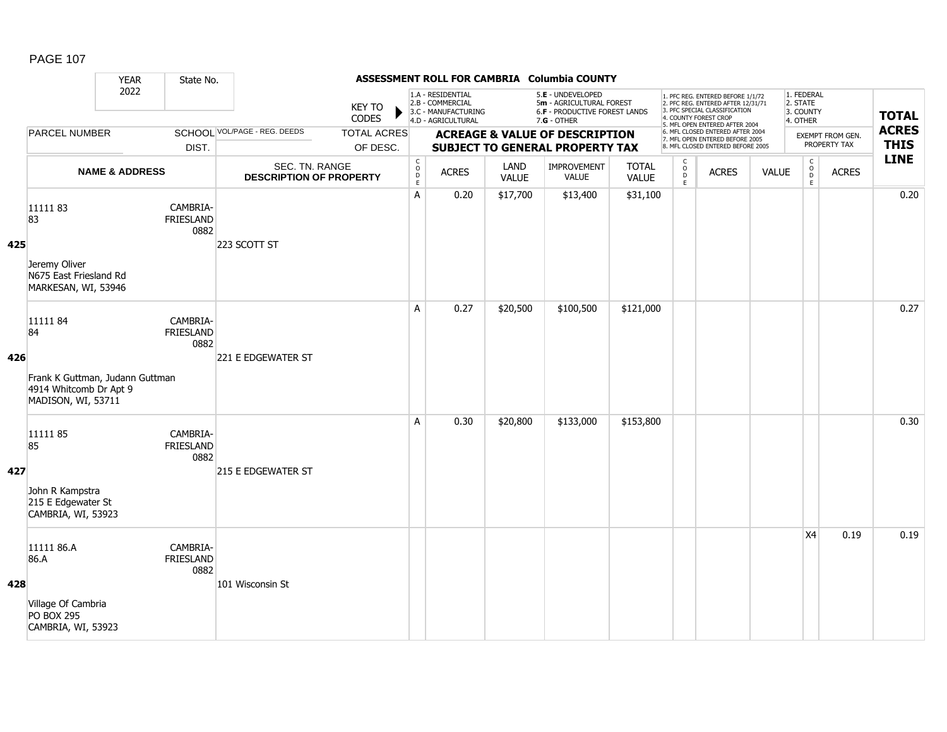|     |                                                                                                  | <b>YEAR</b>               | State No.                            |                                                  |                                |                                              |                                                                                    |                      | ASSESSMENT ROLL FOR CAMBRIA Columbia COUNTY                                                          |                       |                                      |                                                                                                                                                                     |              |                                                   |                                  |                             |
|-----|--------------------------------------------------------------------------------------------------|---------------------------|--------------------------------------|--------------------------------------------------|--------------------------------|----------------------------------------------|------------------------------------------------------------------------------------|----------------------|------------------------------------------------------------------------------------------------------|-----------------------|--------------------------------------|---------------------------------------------------------------------------------------------------------------------------------------------------------------------|--------------|---------------------------------------------------|----------------------------------|-----------------------------|
|     |                                                                                                  | 2022                      | DIST.                                |                                                  | KEY TO<br>CODES                |                                              | 1.A - RESIDENTIAL<br>2.B - COMMERCIAL<br>3.C - MANUFACTURING<br>4.D - AGRICULTURAL |                      | 5.E - UNDEVELOPED<br>5m - AGRICULTURAL FOREST<br><b>6.F - PRODUCTIVE FOREST LANDS</b><br>7.G - OTHER |                       |                                      | 1. PFC REG. ENTERED BEFORE 1/1/72<br>2. PFC REG. ENTERED AFTER 12/31/71<br>3. PFC SPECIAL CLASSIFICATION<br>4. COUNTY FOREST CROP<br>5. MFL OPEN ENTERED AFTER 2004 |              | 1. FEDERAL<br>2. STATE<br>3. COUNTY<br>4. OTHER   |                                  | <b>TOTAL</b>                |
|     | <b>PARCEL NUMBER</b>                                                                             |                           |                                      | SCHOOL VOL/PAGE - REG. DEEDS                     | <b>TOTAL ACRES</b><br>OF DESC. |                                              |                                                                                    |                      | <b>ACREAGE &amp; VALUE OF DESCRIPTION</b><br><b>SUBJECT TO GENERAL PROPERTY TAX</b>                  |                       |                                      | 6. MFL CLOSED ENTERED AFTER 2004<br>7. MFL OPEN ENTERED BEFORE 2005<br>8. MFL CLOSED ENTERED BEFORE 2005                                                            |              |                                                   | EXEMPT FROM GEN.<br>PROPERTY TAX | <b>ACRES</b><br><b>THIS</b> |
|     |                                                                                                  | <b>NAME &amp; ADDRESS</b> |                                      | SEC. TN. RANGE<br><b>DESCRIPTION OF PROPERTY</b> |                                | $\begin{array}{c}\nC \\ O \\ E\n\end{array}$ | <b>ACRES</b>                                                                       | LAND<br><b>VALUE</b> | IMPROVEMENT<br><b>VALUE</b>                                                                          | <b>TOTAL</b><br>VALUE | $\frac{C}{O}$<br>$\overline{D}$<br>E | <b>ACRES</b>                                                                                                                                                        | <b>VALUE</b> | $\mathsf{C}$<br>$_{\rm D}^{\rm O}$<br>$\mathsf E$ | <b>ACRES</b>                     | <b>LINE</b>                 |
| 425 | 1111183<br>83<br>Jeremy Oliver<br>N675 East Friesland Rd<br>MARKESAN, WI, 53946                  |                           | CAMBRIA-<br><b>FRIESLAND</b><br>0882 | 223 SCOTT ST                                     |                                | A                                            | 0.20                                                                               | \$17,700             | \$13,400                                                                                             | \$31,100              |                                      |                                                                                                                                                                     |              |                                                   |                                  | 0.20                        |
| 426 | 1111184<br>84<br>Frank K Guttman, Judann Guttman<br>4914 Whitcomb Dr Apt 9<br>MADISON, WI, 53711 |                           | CAMBRIA-<br><b>FRIESLAND</b><br>0882 | 221 E EDGEWATER ST                               |                                | A                                            | 0.27                                                                               | \$20,500             | \$100,500                                                                                            | \$121,000             |                                      |                                                                                                                                                                     |              |                                                   |                                  | 0.27                        |
| 427 | 1111185<br>85<br>John R Kampstra<br>215 E Edgewater St<br>CAMBRIA, WI, 53923                     |                           | CAMBRIA-<br><b>FRIESLAND</b><br>0882 | 215 E EDGEWATER ST                               |                                | А                                            | 0.30                                                                               | \$20,800             | \$133,000                                                                                            | \$153,800             |                                      |                                                                                                                                                                     |              |                                                   |                                  | 0.30                        |
| 428 | 11111 86.A<br>86.A<br>Village Of Cambria<br><b>PO BOX 295</b><br>CAMBRIA, WI, 53923              |                           | CAMBRIA-<br><b>FRIESLAND</b><br>0882 | 101 Wisconsin St                                 |                                |                                              |                                                                                    |                      |                                                                                                      |                       |                                      |                                                                                                                                                                     |              | X <sub>4</sub>                                    | 0.19                             | 0.19                        |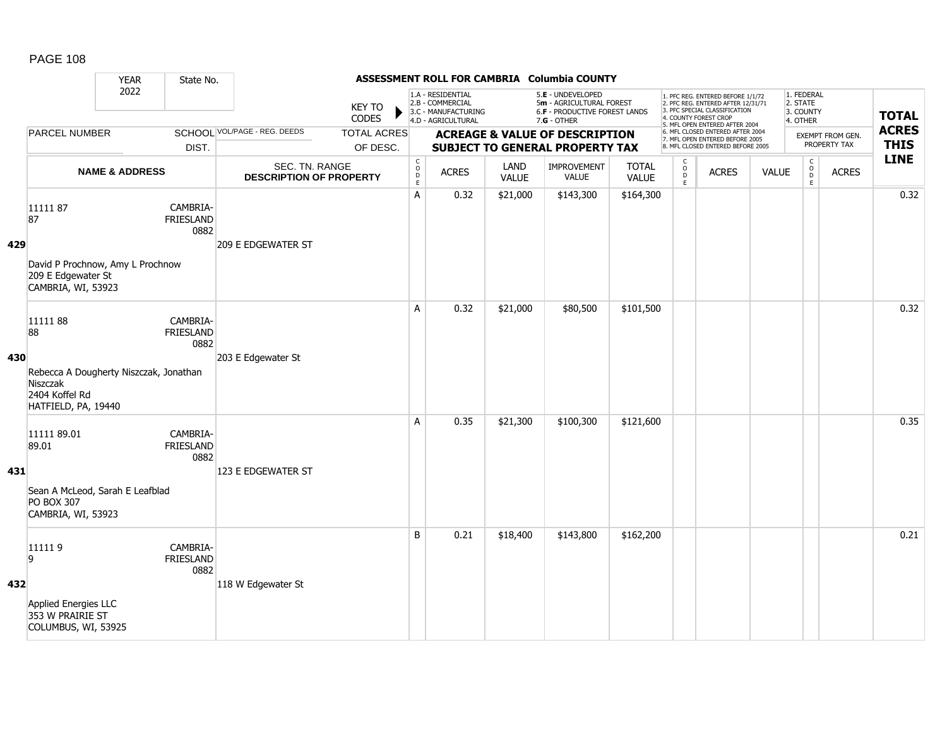|     |                                                                                                              | ASSESSMENT ROLL FOR CAMBRIA Columbia COUNTY<br><b>YEAR</b><br>State No.                            |                                      |                                                  |                                |                                                                                    |              |                      |                                                                                               |                              |                                                                                                                                                                     |              |              |                                                 |              |                             |
|-----|--------------------------------------------------------------------------------------------------------------|----------------------------------------------------------------------------------------------------|--------------------------------------|--------------------------------------------------|--------------------------------|------------------------------------------------------------------------------------|--------------|----------------------|-----------------------------------------------------------------------------------------------|------------------------------|---------------------------------------------------------------------------------------------------------------------------------------------------------------------|--------------|--------------|-------------------------------------------------|--------------|-----------------------------|
|     |                                                                                                              | 2022<br>SCHOOL VOL/PAGE - REG. DEEDS<br><b>PARCEL NUMBER</b><br>DIST.<br><b>NAME &amp; ADDRESS</b> |                                      | <b>KEY TO</b><br>CODES                           |                                | 1.A - RESIDENTIAL<br>2.B - COMMERCIAL<br>3.C - MANUFACTURING<br>4.D - AGRICULTURAL |              |                      | 5.E - UNDEVELOPED<br>5m - AGRICULTURAL FOREST<br>6.F - PRODUCTIVE FOREST LANDS<br>7.G - OTHER |                              | 1. PFC REG. ENTERED BEFORE 1/1/72<br>2. PFC REG. ENTERED AFTER 12/31/71<br>3. PFC SPECIAL CLASSIFICATION<br>4. COUNTY FOREST CROP<br>5. MFL OPEN ENTERED AFTER 2004 |              |              | 1. FEDERAL<br>2. STATE<br>3. COUNTY<br>4. OTHER |              | <b>TOTAL</b>                |
|     |                                                                                                              |                                                                                                    |                                      |                                                  | <b>TOTAL ACRES</b><br>OF DESC. |                                                                                    |              |                      | <b>ACREAGE &amp; VALUE OF DESCRIPTION</b><br>SUBJECT TO GENERAL PROPERTY TAX                  |                              | 6. MFL CLOSED ENTERED AFTER 2004<br>7. MFL OPEN ENTERED BEFORE 2005<br>8. MFL CLOSED ENTERED BEFORE 2005                                                            |              |              | EXEMPT FROM GEN.<br>PROPERTY TAX                |              | <b>ACRES</b><br><b>THIS</b> |
|     |                                                                                                              |                                                                                                    |                                      | SEC. TN. RANGE<br><b>DESCRIPTION OF PROPERTY</b> |                                | $\begin{array}{c} C \\ O \\ E \end{array}$                                         | <b>ACRES</b> | LAND<br><b>VALUE</b> | IMPROVEMENT<br><b>VALUE</b>                                                                   | <b>TOTAL</b><br><b>VALUE</b> | $\mathsf{C}$<br>$_\mathrm{D}^\mathrm{O}$<br>E                                                                                                                       | <b>ACRES</b> | <b>VALUE</b> | $\mathsf{C}$<br>$_{\rm D}^{\rm O}$<br>E         | <b>ACRES</b> | <b>LINE</b>                 |
| 429 | 1111187<br>87<br>David P Prochnow, Amy L Prochnow<br>209 E Edgewater St<br>CAMBRIA, WI, 53923                |                                                                                                    | CAMBRIA-<br>FRIESLAND<br>0882        | <b>209 E EDGEWATER ST</b>                        |                                | A                                                                                  | 0.32         | \$21,000             | \$143,300                                                                                     | \$164,300                    |                                                                                                                                                                     |              |              |                                                 |              | 0.32                        |
| 430 | 1111188<br>88<br>Rebecca A Dougherty Niszczak, Jonathan<br>Niszczak<br>2404 Koffel Rd<br>HATFIELD, PA, 19440 |                                                                                                    | CAMBRIA-<br><b>FRIESLAND</b><br>0882 | 203 E Edgewater St                               |                                | A                                                                                  | 0.32         | \$21,000             | \$80,500                                                                                      | \$101,500                    |                                                                                                                                                                     |              |              |                                                 |              | 0.32                        |
| 431 | 11111 89.01<br>89.01<br>Sean A McLeod, Sarah E Leafblad<br><b>PO BOX 307</b><br>CAMBRIA, WI, 53923           |                                                                                                    | CAMBRIA-<br>FRIESLAND<br>0882        | 123 E EDGEWATER ST                               |                                | A                                                                                  | 0.35         | \$21,300             | \$100,300                                                                                     | \$121,600                    |                                                                                                                                                                     |              |              |                                                 |              | 0.35                        |
| 432 | 111119<br>9<br>Applied Energies LLC<br>353 W PRAIRIE ST<br>COLUMBUS, WI, 53925                               |                                                                                                    | CAMBRIA-<br><b>FRIESLAND</b><br>0882 | 118 W Edgewater St                               |                                | B                                                                                  | 0.21         | \$18,400             | \$143,800                                                                                     | \$162,200                    |                                                                                                                                                                     |              |              |                                                 |              | 0.21                        |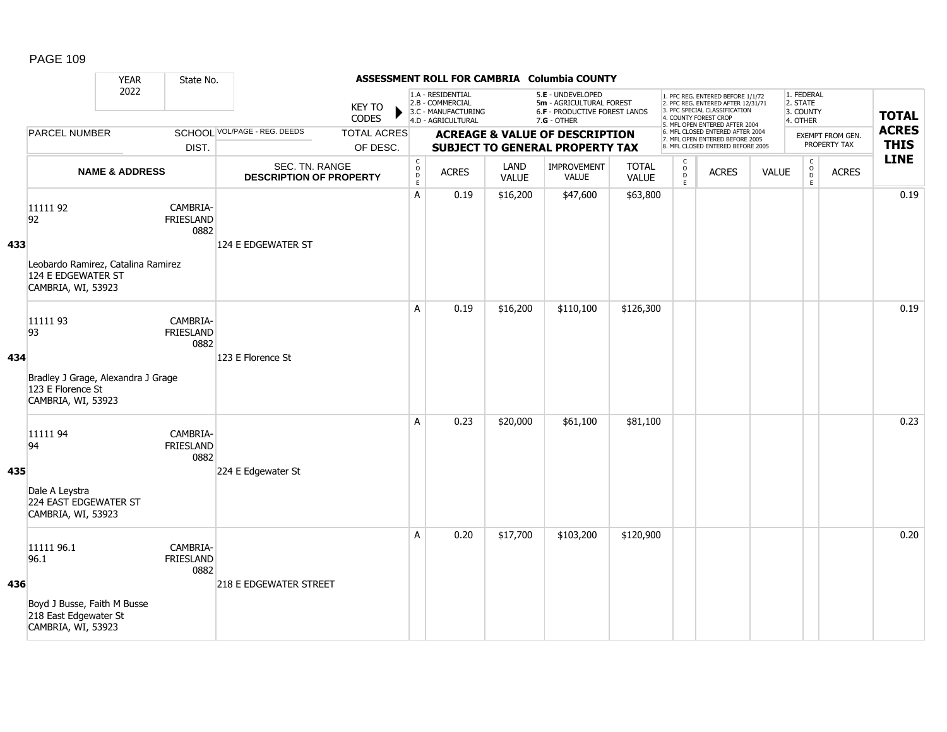|     | ASSESSMENT ROLL FOR CAMBRIA Columbia COUNTY<br><b>YEAR</b><br>State No.                          |                               |                                      |                                                                |                        |                                                          |                                                                                    |                      |                                                                                                 |                              |                                                                                                                                                                     |                                                                                                          |              |                                                 |                                  |                             |
|-----|--------------------------------------------------------------------------------------------------|-------------------------------|--------------------------------------|----------------------------------------------------------------|------------------------|----------------------------------------------------------|------------------------------------------------------------------------------------|----------------------|-------------------------------------------------------------------------------------------------|------------------------------|---------------------------------------------------------------------------------------------------------------------------------------------------------------------|----------------------------------------------------------------------------------------------------------|--------------|-------------------------------------------------|----------------------------------|-----------------------------|
|     |                                                                                                  | 2022                          |                                      |                                                                | <b>KEY TO</b><br>CODES |                                                          | 1.A - RESIDENTIAL<br>2.B - COMMERCIAL<br>3.C - MANUFACTURING<br>4.D - AGRICULTURAL |                      | 5.E - UNDEVELOPED<br>5m - AGRICULTURAL FOREST<br>6.F - PRODUCTIVE FOREST LANDS<br>$7.G - OTHER$ |                              | 1. PFC REG. ENTERED BEFORE 1/1/72<br>2. PFC REG. ENTERED AFTER 12/31/71<br>3. PFC SPECIAL CLASSIFICATION<br>4. COUNTY FOREST CROP<br>5. MFL OPEN ENTERED AFTER 2004 |                                                                                                          |              | 1. FEDERAL<br>2. STATE<br>3. COUNTY<br>4. OTHER |                                  | <b>TOTAL</b>                |
|     |                                                                                                  | <b>PARCEL NUMBER</b><br>DIST. |                                      | SCHOOL VOL/PAGE - REG. DEEDS<br><b>TOTAL ACRES</b><br>OF DESC. |                        |                                                          |                                                                                    |                      | <b>ACREAGE &amp; VALUE OF DESCRIPTION</b><br><b>SUBJECT TO GENERAL PROPERTY TAX</b>             |                              |                                                                                                                                                                     | 6. MFL CLOSED ENTERED AFTER 2004<br>7. MFL OPEN ENTERED BEFORE 2005<br>8. MFL CLOSED ENTERED BEFORE 2005 |              |                                                 | EXEMPT FROM GEN.<br>PROPERTY TAX | <b>ACRES</b><br><b>THIS</b> |
|     |                                                                                                  | <b>NAME &amp; ADDRESS</b>     |                                      | SEC. TN. RANGE<br><b>DESCRIPTION OF PROPERTY</b>               |                        | $\begin{matrix} 0 \\ 0 \\ D \end{matrix}$<br>$\mathsf E$ | <b>ACRES</b>                                                                       | LAND<br><b>VALUE</b> | IMPROVEMENT<br><b>VALUE</b>                                                                     | <b>TOTAL</b><br><b>VALUE</b> | $\begin{smallmatrix} C\\ O\\ O\\ D \end{smallmatrix}$<br>E                                                                                                          | <b>ACRES</b>                                                                                             | <b>VALUE</b> | $\mathsf C$<br>$_{\rm D}^{\rm O}$<br>E          | <b>ACRES</b>                     | <b>LINE</b>                 |
| 433 | 11111 92<br>92<br>Leobardo Ramirez, Catalina Ramirez<br>124 E EDGEWATER ST<br>CAMBRIA, WI, 53923 |                               | CAMBRIA-<br>FRIESLAND<br>0882        | 124 E EDGEWATER ST                                             |                        | A                                                        | 0.19                                                                               | \$16,200             | \$47,600                                                                                        | \$63,800                     |                                                                                                                                                                     |                                                                                                          |              |                                                 |                                  | 0.19                        |
| 434 | 11111 93<br>93<br>Bradley J Grage, Alexandra J Grage<br>123 E Florence St<br>CAMBRIA, WI, 53923  |                               | CAMBRIA-<br><b>FRIESLAND</b><br>0882 | 123 E Florence St                                              |                        | A                                                        | 0.19                                                                               | \$16,200             | \$110,100                                                                                       | \$126,300                    |                                                                                                                                                                     |                                                                                                          |              |                                                 |                                  | 0.19                        |
| 435 | 11111 94<br>94<br>Dale A Leystra<br>224 EAST EDGEWATER ST<br>CAMBRIA, WI, 53923                  |                               | CAMBRIA-<br><b>FRIESLAND</b><br>0882 | 224 E Edgewater St                                             |                        | A                                                        | 0.23                                                                               | \$20,000             | \$61,100                                                                                        | \$81,100                     |                                                                                                                                                                     |                                                                                                          |              |                                                 |                                  | 0.23                        |
| 436 | 11111 96.1<br>96.1<br>Boyd J Busse, Faith M Busse<br>218 East Edgewater St<br>CAMBRIA, WI, 53923 |                               | CAMBRIA-<br>FRIESLAND<br>0882        | <b>218 E EDGEWATER STREET</b>                                  |                        | A                                                        | 0.20                                                                               | \$17,700             | \$103,200                                                                                       | \$120,900                    |                                                                                                                                                                     |                                                                                                          |              |                                                 |                                  | 0.20                        |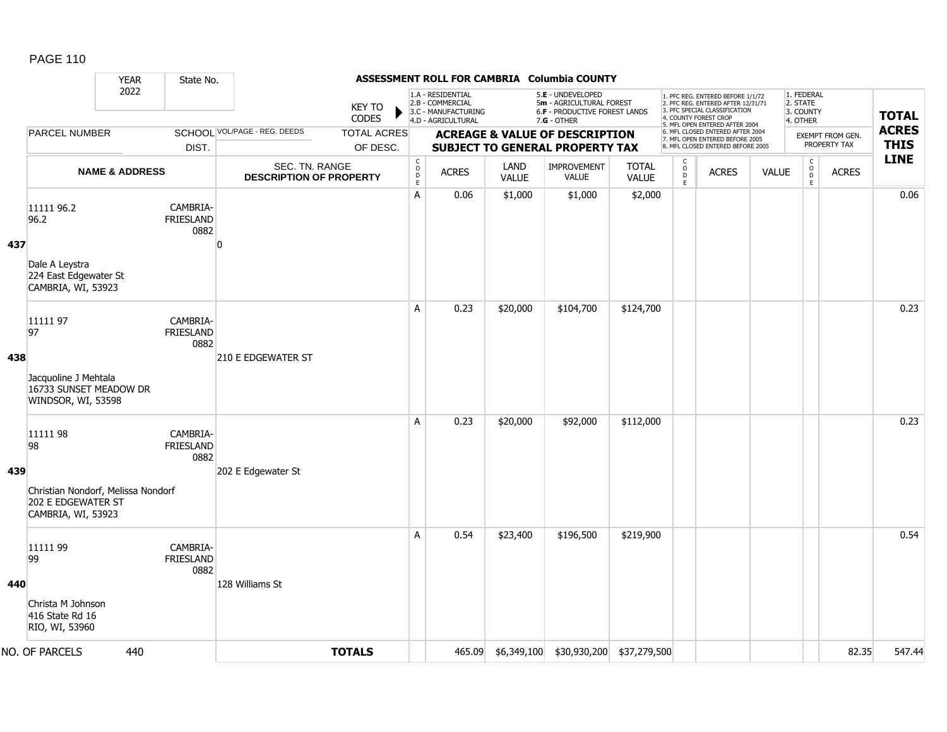|     |                                                                                | <b>YEAR</b>                                                | State No.                            |                                                                                                                    |                        |                                                           |                                                                                    |                                     | ASSESSMENT ROLL FOR CAMBRIA Columbia COUNTY                                                     |                              |                                                                       |                                                                                                                                                                     |                                                        |                                                 |                                  |                             |
|-----|--------------------------------------------------------------------------------|------------------------------------------------------------|--------------------------------------|--------------------------------------------------------------------------------------------------------------------|------------------------|-----------------------------------------------------------|------------------------------------------------------------------------------------|-------------------------------------|-------------------------------------------------------------------------------------------------|------------------------------|-----------------------------------------------------------------------|---------------------------------------------------------------------------------------------------------------------------------------------------------------------|--------------------------------------------------------|-------------------------------------------------|----------------------------------|-----------------------------|
|     |                                                                                | 2022                                                       |                                      |                                                                                                                    | KEY TO<br><b>CODES</b> |                                                           | 1.A - RESIDENTIAL<br>2.B - COMMERCIAL<br>3.C - MANUFACTURING<br>4.D - AGRICULTURAL |                                     | 5.E - UNDEVELOPED<br>5m - AGRICULTURAL FOREST<br>6.F - PRODUCTIVE FOREST LANDS<br>$7.G - OTHER$ |                              |                                                                       | 1. PFC REG. ENTERED BEFORE 1/1/72<br>2. PFC REG. ENTERED AFTER 12/31/71<br>3. PFC SPECIAL CLASSIFICATION<br>4. COUNTY FOREST CROP<br>5. MFL OPEN ENTERED AFTER 2004 |                                                        | 1. FEDERAL<br>2. STATE<br>3. COUNTY<br>4. OTHER |                                  | <b>TOTAL</b>                |
|     |                                                                                | <b>PARCEL NUMBER</b><br>DIST.<br><b>NAME &amp; ADDRESS</b> |                                      | SCHOOL VOL/PAGE - REG. DEEDS<br><b>TOTAL ACRES</b><br>OF DESC.<br>SEC. TN. RANGE<br><b>DESCRIPTION OF PROPERTY</b> |                        |                                                           |                                                                                    |                                     | <b>ACREAGE &amp; VALUE OF DESCRIPTION</b><br><b>SUBJECT TO GENERAL PROPERTY TAX</b>             |                              |                                                                       | 6. MFL CLOSED ENTERED AFTER 2004<br>7. MFL OPEN ENTERED BEFORE 2005<br>8. MFL CLOSED ENTERED BEFORE 2005                                                            |                                                        |                                                 | EXEMPT FROM GEN.<br>PROPERTY TAX | <b>ACRES</b><br><b>THIS</b> |
|     |                                                                                |                                                            |                                      |                                                                                                                    |                        | $\mathsf{C}$<br>$\mathsf{o}$<br>$\mathsf{D}_{\mathsf{E}}$ | <b>ACRES</b>                                                                       | LAND<br>IMPROVEMENT<br><b>VALUE</b> |                                                                                                 | <b>TOTAL</b><br><b>VALUE</b> | C<br>$\overline{D}$<br><b>ACRES</b><br><b>VALUE</b><br>$\mathsf{E}^-$ |                                                                                                                                                                     | $_{\rm o}^{\rm c}$<br><b>ACRES</b><br>D<br>$\mathsf E$ | <b>LINE</b>                                     |                                  |                             |
| 437 | 11111 96.2<br>96.2                                                             |                                                            | CAMBRIA-<br><b>FRIESLAND</b><br>0882 | $\mathbf{0}$                                                                                                       |                        | A                                                         | 0.06                                                                               | \$1,000                             | \$1,000                                                                                         | \$2,000                      |                                                                       |                                                                                                                                                                     |                                                        |                                                 |                                  | 0.06                        |
|     | Dale A Leystra<br>224 East Edgewater St<br>CAMBRIA, WI, 53923                  |                                                            |                                      |                                                                                                                    |                        |                                                           |                                                                                    |                                     |                                                                                                 |                              |                                                                       |                                                                                                                                                                     |                                                        |                                                 |                                  |                             |
| 438 | 11111 97<br>97                                                                 |                                                            | CAMBRIA-<br><b>FRIESLAND</b><br>0882 | 210 E EDGEWATER ST                                                                                                 |                        | A                                                         | 0.23                                                                               | \$20,000                            | \$104,700                                                                                       | \$124,700                    |                                                                       |                                                                                                                                                                     |                                                        |                                                 |                                  | 0.23                        |
|     | Jacquoline J Mehtala<br>16733 SUNSET MEADOW DR<br>WINDSOR, WI, 53598           |                                                            |                                      |                                                                                                                    |                        |                                                           |                                                                                    |                                     |                                                                                                 |                              |                                                                       |                                                                                                                                                                     |                                                        |                                                 |                                  |                             |
| 439 | 11111 98<br>98                                                                 |                                                            | CAMBRIA-<br><b>FRIESLAND</b><br>0882 |                                                                                                                    |                        | A                                                         | 0.23                                                                               | \$20,000                            | \$92,000                                                                                        | \$112,000                    |                                                                       |                                                                                                                                                                     |                                                        |                                                 |                                  | 0.23                        |
|     | Christian Nondorf, Melissa Nondorf<br>202 E EDGEWATER ST<br>CAMBRIA, WI, 53923 |                                                            |                                      | 202 E Edgewater St                                                                                                 |                        |                                                           |                                                                                    |                                     |                                                                                                 |                              |                                                                       |                                                                                                                                                                     |                                                        |                                                 |                                  |                             |
|     | 11111 99<br>99                                                                 |                                                            | CAMBRIA-<br><b>FRIESLAND</b><br>0882 |                                                                                                                    |                        | A                                                         | 0.54                                                                               | \$23,400                            | \$196,500                                                                                       | \$219,900                    |                                                                       |                                                                                                                                                                     |                                                        |                                                 |                                  | 0.54                        |
| 440 | Christa M Johnson<br>416 State Rd 16<br>RIO, WI, 53960                         |                                                            |                                      | 128 Williams St                                                                                                    |                        |                                                           |                                                                                    |                                     |                                                                                                 |                              |                                                                       |                                                                                                                                                                     |                                                        |                                                 |                                  |                             |
|     | NO. OF PARCELS                                                                 | 440                                                        |                                      |                                                                                                                    | <b>TOTALS</b>          |                                                           | 465.09                                                                             | \$6,349,100                         | \$30,930,200 \$37,279,500                                                                       |                              |                                                                       |                                                                                                                                                                     |                                                        |                                                 | 82.35                            | 547.44                      |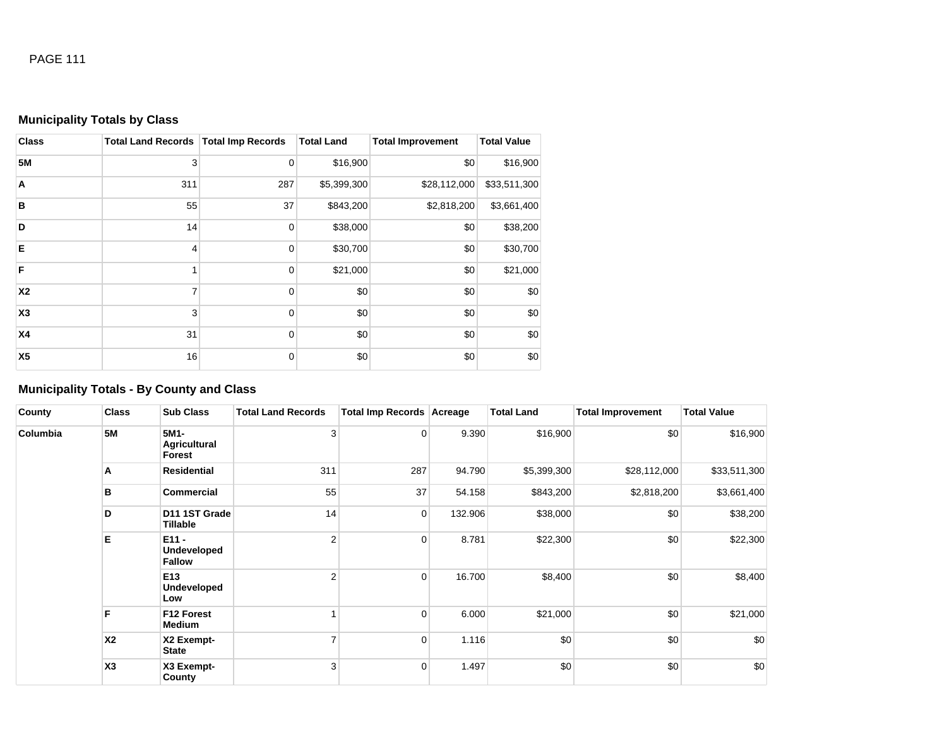# **Municipality Totals by Class**

| <b>Class</b>   | <b>Total Land Records   Total Imp Records</b> |             | <b>Total Land</b> | <b>Total Improvement</b> | <b>Total Value</b> |
|----------------|-----------------------------------------------|-------------|-------------------|--------------------------|--------------------|
| <b>5M</b>      | 3                                             | $\mathbf 0$ | \$16,900          | \$0                      | \$16,900           |
| A              | 311                                           | 287         | \$5,399,300       | \$28,112,000             | \$33,511,300       |
| B              | 55                                            | 37          | \$843,200         | \$2,818,200              | \$3,661,400        |
| D              | 14                                            | $\mathbf 0$ | \$38,000          | \$0                      | \$38,200           |
| E              | 4                                             | $\mathbf 0$ | \$30,700          | \$0                      | \$30,700           |
| F              |                                               | $\mathbf 0$ | \$21,000          | \$0                      | \$21,000           |
| X2             | 7                                             | 0           | \$0               | \$0                      | \$0                |
| X3             | 3                                             | $\mathbf 0$ | \$0               | \$0                      | \$0                |
| <b>X4</b>      | 31                                            | 0           | \$0               | \$0                      | \$0                |
| X <sub>5</sub> | 16                                            | 0           | \$0               | \$0                      | \$0                |

# **Municipality Totals - By County and Class**

| County   | <b>Class</b>                                            | <b>Sub Class</b>                      | <b>Total Land Records</b> | <b>Total Imp Records Acreage</b> |         | <b>Total Land</b> | <b>Total Improvement</b> | <b>Total Value</b> |
|----------|---------------------------------------------------------|---------------------------------------|---------------------------|----------------------------------|---------|-------------------|--------------------------|--------------------|
| Columbia | <b>5M</b>                                               | 5M1-<br><b>Agricultural</b><br>Forest | 3                         | 0                                | 9.390   | \$16,900          | \$0                      | \$16,900           |
|          | A                                                       | <b>Residential</b>                    | 311                       | 287                              | 94.790  | \$5,399,300       | \$28,112,000             | \$33,511,300       |
|          | в                                                       | <b>Commercial</b>                     | 55                        | 37                               | 54.158  | \$843,200         | \$2,818,200              | \$3,661,400        |
|          | D                                                       | D11 1ST Grade<br>Tillable             | 14                        | $\overline{0}$                   | 132.906 | \$38,000          | \$0                      | \$38,200           |
|          | Е<br>$E11 -$<br><b>Fallow</b><br>E <sub>13</sub><br>Low | <b>Undeveloped</b>                    | $\overline{2}$            | $\overline{0}$                   | 8.781   | \$22,300          | \$0                      | \$22,300           |
|          |                                                         | Undeveloped                           | $\overline{2}$            | $\overline{0}$                   | 16.700  | \$8,400           | \$0                      | \$8,400            |
|          | F                                                       | F12 Forest<br>Medium                  |                           | 0                                | 6.000   | \$21,000          | \$0                      | \$21,000           |
|          | X <sub>2</sub>                                          | X2 Exempt-<br>State                   | $\overline{ }$            | $\overline{0}$                   | 1.116   | \$0               | \$0                      | \$0                |
|          | X <sub>3</sub>                                          | X3 Exempt-<br>County                  | 3                         | $\overline{0}$                   | 1.497   | \$0               | \$0                      | \$0                |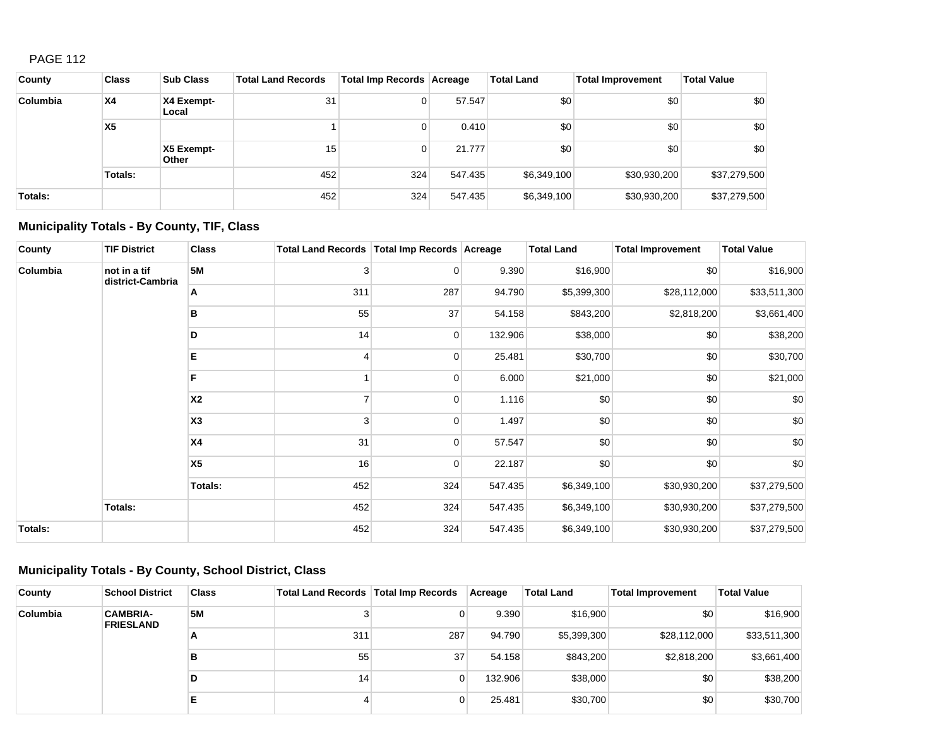| County   | <b>Class</b>   | <b>Sub Class</b>    | <b>Total Land Records</b> | Total Imp Records   Acreage |         | <b>Total Land</b> | <b>Total Improvement</b> | <b>Total Value</b> |
|----------|----------------|---------------------|---------------------------|-----------------------------|---------|-------------------|--------------------------|--------------------|
| Columbia | <b>X4</b>      | X4 Exempt-<br>Local | 31                        | $\overline{0}$              | 57.547  | \$0               | \$0                      | \$0                |
|          | X <sub>5</sub> |                     |                           | $\overline{0}$              | 0.410   | \$0               | \$0                      | \$0                |
|          |                | X5 Exempt-<br>Other | 15                        | $\overline{0}$              | 21.777  | \$0               | \$0                      | \$0                |
|          | Totals:        |                     | 452                       | 324                         | 547.435 | \$6,349,100       | \$30,930,200             | \$37,279,500       |
| Totals:  |                |                     | 452                       | 324                         | 547.435 | \$6,349,100       | \$30,930,200             | \$37,279,500       |

# **Municipality Totals - By County, TIF, Class**

| County   | <b>TIF District</b>              | <b>Class</b>   | Total Land Records   Total Imp Records   Acreage |          |         | <b>Total Land</b> | <b>Total Improvement</b> | <b>Total Value</b> |
|----------|----------------------------------|----------------|--------------------------------------------------|----------|---------|-------------------|--------------------------|--------------------|
| Columbia | not in a tif<br>district-Cambria | <b>5M</b>      | 3                                                | 0        | 9.390   | \$16,900          | \$0                      | \$16,900           |
|          |                                  | Α              | 311                                              | 287      | 94.790  | \$5,399,300       | \$28,112,000             | \$33,511,300       |
|          |                                  | в              | 55                                               | 37       | 54.158  | \$843,200         | \$2,818,200              | \$3,661,400        |
|          |                                  | D              | 14                                               | 0        | 132.906 | \$38,000          | \$0                      | \$38,200           |
|          |                                  | Е              | 4                                                | $\Omega$ | 25.481  | \$30,700          | \$0                      | \$30,700           |
|          |                                  | F              |                                                  | $\Omega$ | 6.000   | \$21,000          | \$0                      | \$21,000           |
|          |                                  | <b>X2</b>      | 7                                                | 0        | 1.116   | \$0               | \$0                      | \$0                |
|          |                                  | X <sub>3</sub> | 3                                                | $\Omega$ | 1.497   | \$0               | \$0                      | \$0                |
|          |                                  | <b>X4</b>      | 31                                               | $\Omega$ | 57.547  | \$0               | \$0                      | $$0$$              |
|          |                                  | X <sub>5</sub> | 16                                               | 0        | 22.187  | \$0               | \$0                      | \$0                |
|          |                                  | <b>Totals:</b> | 452                                              | 324      | 547.435 | \$6,349,100       | \$30,930,200             | \$37,279,500       |
|          | Totals:                          |                | 452                                              | 324      | 547.435 | \$6,349,100       | \$30,930,200             | \$37,279,500       |
| Totals:  |                                  |                | 452                                              | 324      | 547.435 | \$6,349,100       | \$30,930,200             | \$37,279,500       |

# **Municipality Totals - By County, School District, Class**

| County          | <b>School District</b>              | <b>Class</b> | Total Land Records   Total Imp Records |     | Acreage | <b>Total Land</b> | <b>Total Improvement</b> | <b>Total Value</b> |
|-----------------|-------------------------------------|--------------|----------------------------------------|-----|---------|-------------------|--------------------------|--------------------|
| <b>Columbia</b> | <b>CAMBRIA-</b><br><b>FRIESLAND</b> | <b>5M</b>    |                                        | 0   | 9.390   | \$16,900          | \$0 <sub>1</sub>         | \$16,900           |
|                 |                                     | А            | 311                                    | 287 | 94.790  | \$5,399,300       | \$28,112,000             | \$33,511,300       |
|                 |                                     | в            | 55                                     | 37  | 54.158  | \$843,200         | \$2,818,200              | \$3,661,400        |
|                 |                                     | D            | 14                                     | 0   | 132.906 | \$38,000          | \$0                      | \$38,200           |
|                 |                                     | E            |                                        | 0   | 25.481  | \$30,700          | \$0                      | \$30,700           |